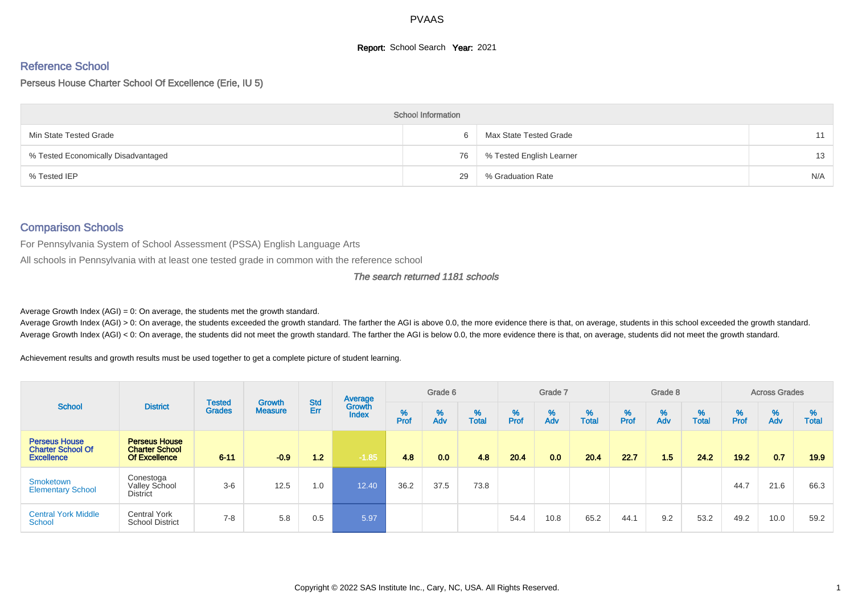# **Report:** School Search **Year:** 2021

# Reference School

#### Perseus House Charter School Of Excellence (Erie, IU 5)

|                                     | <b>School Information</b> |                          |     |
|-------------------------------------|---------------------------|--------------------------|-----|
| Min State Tested Grade              | 6                         | Max State Tested Grade   | 11  |
| % Tested Economically Disadvantaged | 76                        | % Tested English Learner | 13  |
| % Tested IEP                        | 29                        | % Graduation Rate        | N/A |

#### Comparison Schools

For Pennsylvania System of School Assessment (PSSA) English Language Arts

All schools in Pennsylvania with at least one tested grade in common with the reference school

#### The search returned 1181 schools

Average Growth Index  $(AGI) = 0$ : On average, the students met the growth standard.

Average Growth Index (AGI) > 0: On average, the students exceeded the growth standard. The farther the AGI is above 0.0, the more evidence there is that, on average, students in this school exceeded the growth standard. Average Growth Index (AGI) < 0: On average, the students did not meet the growth standard. The farther the AGI is below 0.0, the more evidence there is that, on average, students did not meet the growth standard.

Achievement results and growth results must be used together to get a complete picture of student learning.

|                                                                       |                                                                       | <b>Tested</b> | <b>Growth</b>  | <b>Std</b> | Average                |           | Grade 6  |                   |           | Grade 7  |                   |           | Grade 8  |                   |           | <b>Across Grades</b> |                   |
|-----------------------------------------------------------------------|-----------------------------------------------------------------------|---------------|----------------|------------|------------------------|-----------|----------|-------------------|-----------|----------|-------------------|-----------|----------|-------------------|-----------|----------------------|-------------------|
| <b>School</b>                                                         | <b>District</b>                                                       | <b>Grades</b> | <b>Measure</b> | Err        | Growth<br><b>Index</b> | %<br>Prof | %<br>Adv | %<br><b>Total</b> | %<br>Prof | %<br>Adv | %<br><b>Total</b> | %<br>Prof | %<br>Adv | %<br><b>Total</b> | %<br>Prof | %<br>Adv             | %<br><b>Total</b> |
| <b>Perseus House</b><br><b>Charter School Of</b><br><b>Excellence</b> | <b>Perseus House</b><br><b>Charter School</b><br><b>Of Excellence</b> | $6 - 11$      | $-0.9$         | 1.2        | $-1.85$                | 4.8       | 0.0      | 4.8               | 20.4      | 0.0      | 20.4              | 22.7      | 1.5      | 24.2              | 19.2      | 0.7                  | 19.9              |
| Smoketown<br><b>Elementary School</b>                                 | Conestoga<br><b>Valley School</b><br><b>District</b>                  | $3-6$         | 12.5           | 1.0        | 12.40                  | 36.2      | 37.5     | 73.8              |           |          |                   |           |          |                   | 44.7      | 21.6                 | 66.3              |
| <b>Central York Middle</b><br>School                                  | <b>Central York</b><br><b>School District</b>                         | $7 - 8$       | 5.8            | 0.5        | 5.97                   |           |          |                   | 54.4      | 10.8     | 65.2              | 44.1      | 9.2      | 53.2              | 49.2      | 10.0                 | 59.2              |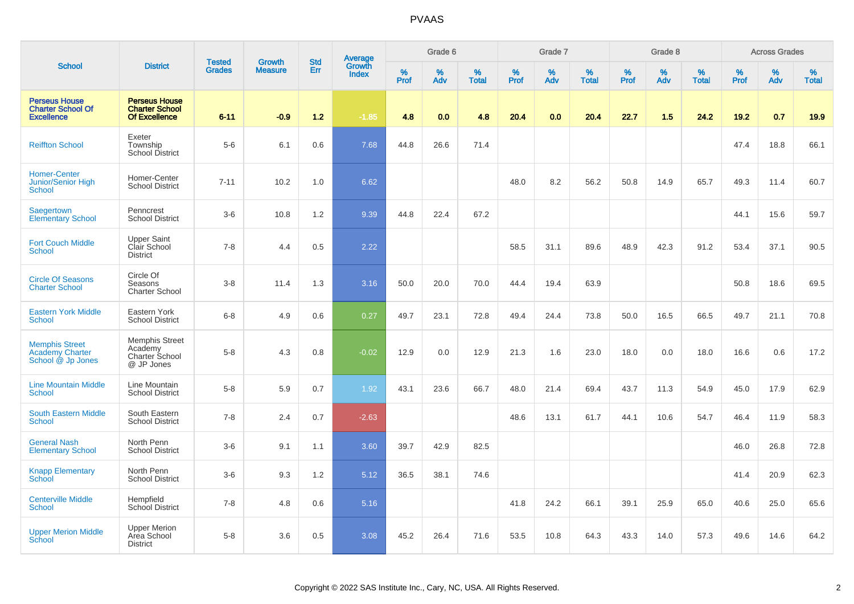|                                                                       |                                                                       | <b>Tested</b> | <b>Growth</b>  | <b>Std</b> |                                   |                  | Grade 6     |                   |           | Grade 7  |                   |              | Grade 8  |                   |              | <b>Across Grades</b> |                   |
|-----------------------------------------------------------------------|-----------------------------------------------------------------------|---------------|----------------|------------|-----------------------------------|------------------|-------------|-------------------|-----------|----------|-------------------|--------------|----------|-------------------|--------------|----------------------|-------------------|
| <b>School</b>                                                         | <b>District</b>                                                       | <b>Grades</b> | <b>Measure</b> | Err        | Average<br>Growth<br><b>Index</b> | %<br><b>Prof</b> | $\%$<br>Adv | %<br><b>Total</b> | %<br>Prof | %<br>Adv | %<br><b>Total</b> | $\%$<br>Prof | %<br>Adv | %<br><b>Total</b> | $\%$<br>Prof | %<br>Adv             | %<br><b>Total</b> |
| <b>Perseus House</b><br><b>Charter School Of</b><br><b>Excellence</b> | <b>Perseus House</b><br><b>Charter School</b><br><b>Of Excellence</b> | $6 - 11$      | $-0.9$         | 1.2        | $-1.85$                           | 4.8              | 0.0         | 4.8               | 20.4      | 0.0      | 20.4              | 22.7         | 1.5      | 24.2              | 19.2         | 0.7                  | 19.9              |
| <b>Reiffton School</b>                                                | Exeter<br>Township<br><b>School District</b>                          | $5-6$         | 6.1            | 0.6        | 7.68                              | 44.8             | 26.6        | 71.4              |           |          |                   |              |          |                   | 47.4         | 18.8                 | 66.1              |
| <b>Homer-Center</b><br>Junior/Senior High<br>School                   | Homer-Center<br><b>School District</b>                                | $7 - 11$      | 10.2           | 1.0        | 6.62                              |                  |             |                   | 48.0      | 8.2      | 56.2              | 50.8         | 14.9     | 65.7              | 49.3         | 11.4                 | 60.7              |
| Saegertown<br><b>Elementary School</b>                                | Penncrest<br><b>School District</b>                                   | $3-6$         | 10.8           | 1.2        | 9.39                              | 44.8             | 22.4        | 67.2              |           |          |                   |              |          |                   | 44.1         | 15.6                 | 59.7              |
| <b>Fort Couch Middle</b><br>School                                    | <b>Upper Saint</b><br>Clair School<br><b>District</b>                 | $7 - 8$       | 4.4            | 0.5        | 2.22                              |                  |             |                   | 58.5      | 31.1     | 89.6              | 48.9         | 42.3     | 91.2              | 53.4         | 37.1                 | 90.5              |
| <b>Circle Of Seasons</b><br><b>Charter School</b>                     | Circle Of<br>Seasons<br><b>Charter School</b>                         | $3 - 8$       | 11.4           | 1.3        | 3.16                              | 50.0             | 20.0        | 70.0              | 44.4      | 19.4     | 63.9              |              |          |                   | 50.8         | 18.6                 | 69.5              |
| <b>Eastern York Middle</b><br><b>School</b>                           | Eastern York<br><b>School District</b>                                | $6 - 8$       | 4.9            | 0.6        | 0.27                              | 49.7             | 23.1        | 72.8              | 49.4      | 24.4     | 73.8              | 50.0         | 16.5     | 66.5              | 49.7         | 21.1                 | 70.8              |
| <b>Memphis Street</b><br><b>Academy Charter</b><br>School @ Jp Jones  | <b>Memphis Street</b><br>Academy<br>Charter School<br>@ JP Jones      | $5-8$         | 4.3            | 0.8        | $-0.02$                           | 12.9             | 0.0         | 12.9              | 21.3      | 1.6      | 23.0              | 18.0         | 0.0      | 18.0              | 16.6         | 0.6                  | 17.2              |
| <b>Line Mountain Middle</b><br><b>School</b>                          | Line Mountain<br><b>School District</b>                               | $5-8$         | 5.9            | 0.7        | 1.92                              | 43.1             | 23.6        | 66.7              | 48.0      | 21.4     | 69.4              | 43.7         | 11.3     | 54.9              | 45.0         | 17.9                 | 62.9              |
| <b>South Eastern Middle</b><br>School                                 | South Eastern<br><b>School District</b>                               | $7 - 8$       | 2.4            | 0.7        | $-2.63$                           |                  |             |                   | 48.6      | 13.1     | 61.7              | 44.1         | 10.6     | 54.7              | 46.4         | 11.9                 | 58.3              |
| <b>General Nash</b><br><b>Elementary School</b>                       | North Penn<br><b>School District</b>                                  | $3-6$         | 9.1            | 1.1        | 3.60                              | 39.7             | 42.9        | 82.5              |           |          |                   |              |          |                   | 46.0         | 26.8                 | 72.8              |
| <b>Knapp Elementary</b><br><b>School</b>                              | North Penn<br><b>School District</b>                                  | $3-6$         | 9.3            | 1.2        | 5.12                              | 36.5             | 38.1        | 74.6              |           |          |                   |              |          |                   | 41.4         | 20.9                 | 62.3              |
| <b>Centerville Middle</b><br>School                                   | Hempfield<br>School District                                          | $7 - 8$       | 4.8            | 0.6        | 5.16                              |                  |             |                   | 41.8      | 24.2     | 66.1              | 39.1         | 25.9     | 65.0              | 40.6         | 25.0                 | 65.6              |
| <b>Upper Merion Middle</b><br>School                                  | <b>Upper Merion</b><br>Area School<br><b>District</b>                 | $5-8$         | 3.6            | 0.5        | 3.08                              | 45.2             | 26.4        | 71.6              | 53.5      | 10.8     | 64.3              | 43.3         | 14.0     | 57.3              | 49.6         | 14.6                 | 64.2              |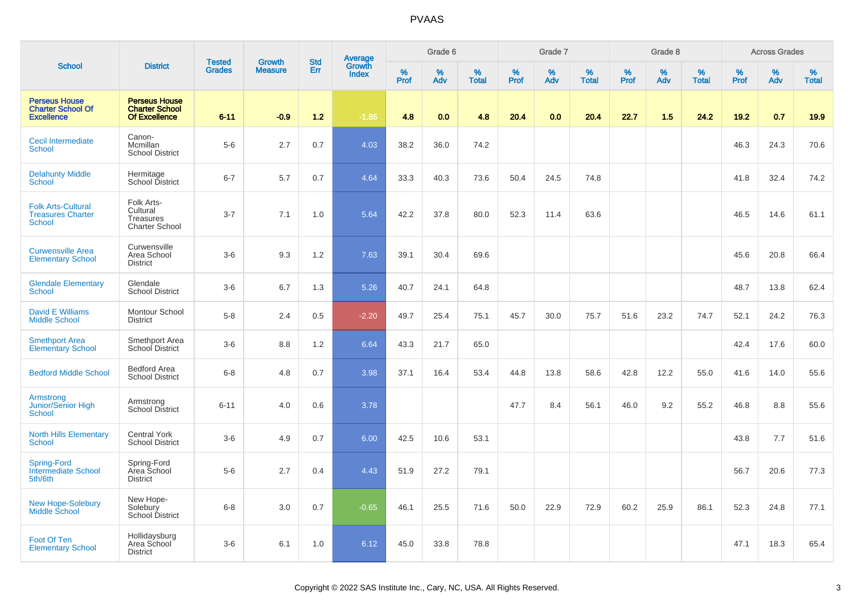|                                                                        |                                                                       |                                |                                 |                   |                                          |           | Grade 6  |                   |           | Grade 7  |                   |           | Grade 8  |                   |           | <b>Across Grades</b> |                   |
|------------------------------------------------------------------------|-----------------------------------------------------------------------|--------------------------------|---------------------------------|-------------------|------------------------------------------|-----------|----------|-------------------|-----------|----------|-------------------|-----------|----------|-------------------|-----------|----------------------|-------------------|
| <b>School</b>                                                          | <b>District</b>                                                       | <b>Tested</b><br><b>Grades</b> | <b>Growth</b><br><b>Measure</b> | <b>Std</b><br>Err | <b>Average</b><br>Growth<br><b>Index</b> | %<br>Prof | %<br>Adv | %<br><b>Total</b> | %<br>Prof | %<br>Adv | %<br><b>Total</b> | %<br>Prof | %<br>Adv | %<br><b>Total</b> | %<br>Prof | %<br>Adv             | %<br><b>Total</b> |
| <b>Perseus House</b><br><b>Charter School Of</b><br><b>Excellence</b>  | <b>Perseus House</b><br><b>Charter School</b><br><b>Of Excellence</b> | $6 - 11$                       | $-0.9$                          | 1.2               | $-1.85$                                  | 4.8       | 0.0      | 4.8               | 20.4      | 0.0      | 20.4              | 22.7      | 1.5      | 24.2              | 19.2      | 0.7                  | 19.9              |
| Cecil Intermediate<br><b>School</b>                                    | Canon-<br>Mcmillan<br><b>School District</b>                          | $5-6$                          | 2.7                             | 0.7               | 4.03                                     | 38.2      | 36.0     | 74.2              |           |          |                   |           |          |                   | 46.3      | 24.3                 | 70.6              |
| <b>Delahunty Middle</b><br><b>School</b>                               | Hermitage<br>School District                                          | $6 - 7$                        | 5.7                             | 0.7               | 4.64                                     | 33.3      | 40.3     | 73.6              | 50.4      | 24.5     | 74.8              |           |          |                   | 41.8      | 32.4                 | 74.2              |
| <b>Folk Arts-Cultural</b><br><b>Treasures Charter</b><br><b>School</b> | Folk Arts-<br>Cultural<br>Treasures<br><b>Charter School</b>          | $3 - 7$                        | 7.1                             | 1.0               | 5.64                                     | 42.2      | 37.8     | 80.0              | 52.3      | 11.4     | 63.6              |           |          |                   | 46.5      | 14.6                 | 61.1              |
| <b>Curwensville Area</b><br><b>Elementary School</b>                   | Curwensville<br>Area School<br><b>District</b>                        | $3-6$                          | 9.3                             | 1.2               | 7.63                                     | 39.1      | 30.4     | 69.6              |           |          |                   |           |          |                   | 45.6      | 20.8                 | 66.4              |
| <b>Glendale Elementary</b><br>School                                   | Glendale<br><b>School District</b>                                    | $3-6$                          | 6.7                             | 1.3               | 5.26                                     | 40.7      | 24.1     | 64.8              |           |          |                   |           |          |                   | 48.7      | 13.8                 | 62.4              |
| <b>David E Williams</b><br><b>Middle School</b>                        | Montour School<br><b>District</b>                                     | $5-8$                          | 2.4                             | 0.5               | $-2.20$                                  | 49.7      | 25.4     | 75.1              | 45.7      | 30.0     | 75.7              | 51.6      | 23.2     | 74.7              | 52.1      | 24.2                 | 76.3              |
| <b>Smethport Area</b><br><b>Elementary School</b>                      | Smethport Area<br>School District                                     | $3-6$                          | 8.8                             | 1.2               | 6.64                                     | 43.3      | 21.7     | 65.0              |           |          |                   |           |          |                   | 42.4      | 17.6                 | 60.0              |
| <b>Bedford Middle School</b>                                           | <b>Bedford Area</b><br><b>School District</b>                         | $6 - 8$                        | 4.8                             | 0.7               | 3.98                                     | 37.1      | 16.4     | 53.4              | 44.8      | 13.8     | 58.6              | 42.8      | 12.2     | 55.0              | 41.6      | 14.0                 | 55.6              |
| Armstrong<br>Junior/Senior High<br><b>School</b>                       | Armstrong<br><b>School District</b>                                   | $6 - 11$                       | 4.0                             | 0.6               | 3.78                                     |           |          |                   | 47.7      | 8.4      | 56.1              | 46.0      | 9.2      | 55.2              | 46.8      | 8.8                  | 55.6              |
| <b>North Hills Elementary</b><br>School                                | <b>Central York</b><br><b>School District</b>                         | $3-6$                          | 4.9                             | 0.7               | 6.00                                     | 42.5      | 10.6     | 53.1              |           |          |                   |           |          |                   | 43.8      | 7.7                  | 51.6              |
| <b>Spring-Ford</b><br><b>Intermediate School</b><br>5th/6th            | Spring-Ford<br>Area School<br><b>District</b>                         | $5-6$                          | 2.7                             | 0.4               | 4.43                                     | 51.9      | 27.2     | 79.1              |           |          |                   |           |          |                   | 56.7      | 20.6                 | 77.3              |
| <b>New Hope-Solebury</b><br><b>Middle School</b>                       | New Hope-<br>Solebury<br>School District                              | $6 - 8$                        | 3.0                             | 0.7               | $-0.65$                                  | 46.1      | 25.5     | 71.6              | 50.0      | 22.9     | 72.9              | 60.2      | 25.9     | 86.1              | 52.3      | 24.8                 | 77.1              |
| Foot Of Ten<br><b>Elementary School</b>                                | Hollidaysburg<br>Area School<br><b>District</b>                       | $3-6$                          | 6.1                             | 1.0               | 6.12                                     | 45.0      | 33.8     | 78.8              |           |          |                   |           |          |                   | 47.1      | 18.3                 | 65.4              |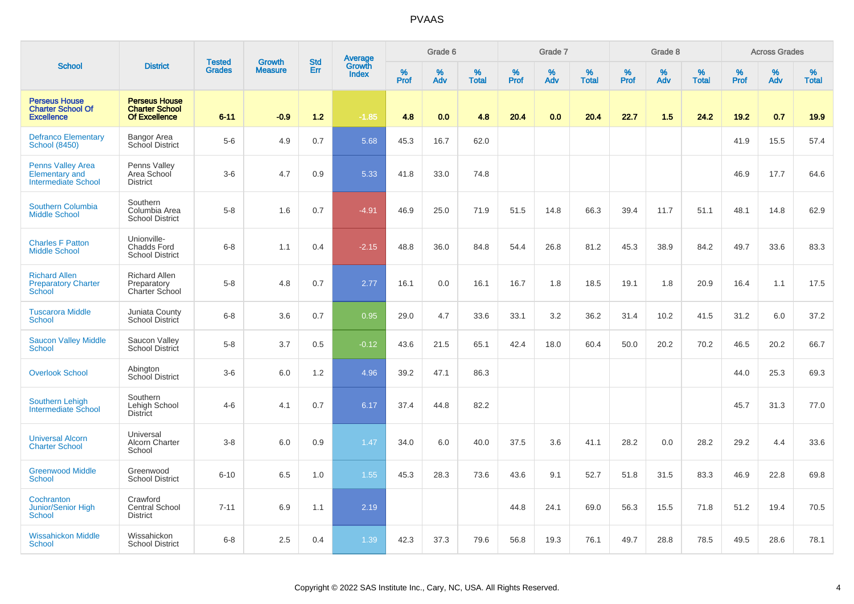|                                                                                 |                                                                       | <b>Tested</b> | <b>Growth</b>  | <b>Std</b> | <b>Average</b><br>Growth |           | Grade 6  |                   |           | Grade 7  |                   |           | Grade 8  |                   |           | <b>Across Grades</b> |                   |
|---------------------------------------------------------------------------------|-----------------------------------------------------------------------|---------------|----------------|------------|--------------------------|-----------|----------|-------------------|-----------|----------|-------------------|-----------|----------|-------------------|-----------|----------------------|-------------------|
| <b>School</b>                                                                   | <b>District</b>                                                       | <b>Grades</b> | <b>Measure</b> | <b>Err</b> | <b>Index</b>             | %<br>Prof | %<br>Adv | %<br><b>Total</b> | %<br>Prof | %<br>Adv | %<br><b>Total</b> | %<br>Prof | %<br>Adv | %<br><b>Total</b> | %<br>Prof | %<br>Adv             | %<br><b>Total</b> |
| <b>Perseus House</b><br><b>Charter School Of</b><br><b>Excellence</b>           | <b>Perseus House</b><br><b>Charter School</b><br><b>Of Excellence</b> | $6 - 11$      | $-0.9$         | 1.2        | $-1.85$                  | 4.8       | 0.0      | 4.8               | 20.4      | 0.0      | 20.4              | 22.7      | 1.5      | 24.2              | 19.2      | 0.7                  | 19.9              |
| <b>Defranco Elementary</b><br><b>School (8450)</b>                              | Bangor Area<br>School District                                        | $5-6$         | 4.9            | 0.7        | 5.68                     | 45.3      | 16.7     | 62.0              |           |          |                   |           |          |                   | 41.9      | 15.5                 | 57.4              |
| <b>Penns Valley Area</b><br><b>Elementary and</b><br><b>Intermediate School</b> | Penns Valley<br>Area School<br><b>District</b>                        | $3-6$         | 4.7            | 0.9        | 5.33                     | 41.8      | 33.0     | 74.8              |           |          |                   |           |          |                   | 46.9      | 17.7                 | 64.6              |
| <b>Southern Columbia</b><br><b>Middle School</b>                                | Southern<br>Columbia Area<br><b>School District</b>                   | $5-8$         | 1.6            | 0.7        | $-4.91$                  | 46.9      | 25.0     | 71.9              | 51.5      | 14.8     | 66.3              | 39.4      | 11.7     | 51.1              | 48.1      | 14.8                 | 62.9              |
| <b>Charles F Patton</b><br><b>Middle School</b>                                 | Unionville-<br><b>Chadds Ford</b><br><b>School District</b>           | $6 - 8$       | 1.1            | 0.4        | $-2.15$                  | 48.8      | 36.0     | 84.8              | 54.4      | 26.8     | 81.2              | 45.3      | 38.9     | 84.2              | 49.7      | 33.6                 | 83.3              |
| <b>Richard Allen</b><br><b>Preparatory Charter</b><br>School                    | <b>Richard Allen</b><br>Preparatory<br>Charter School                 | $5-8$         | 4.8            | 0.7        | 2.77                     | 16.1      | 0.0      | 16.1              | 16.7      | 1.8      | 18.5              | 19.1      | 1.8      | 20.9              | 16.4      | 1.1                  | 17.5              |
| <b>Tuscarora Middle</b><br>School                                               | Juniata County<br><b>School District</b>                              | $6 - 8$       | 3.6            | 0.7        | 0.95                     | 29.0      | 4.7      | 33.6              | 33.1      | 3.2      | 36.2              | 31.4      | 10.2     | 41.5              | 31.2      | 6.0                  | 37.2              |
| <b>Saucon Valley Middle</b><br>School                                           | Saucon Valley<br>School District                                      | $5 - 8$       | 3.7            | 0.5        | $-0.12$                  | 43.6      | 21.5     | 65.1              | 42.4      | 18.0     | 60.4              | 50.0      | 20.2     | 70.2              | 46.5      | 20.2                 | 66.7              |
| <b>Overlook School</b>                                                          | Abington<br>School District                                           | $3-6$         | 6.0            | 1.2        | 4.96                     | 39.2      | 47.1     | 86.3              |           |          |                   |           |          |                   | 44.0      | 25.3                 | 69.3              |
| <b>Southern Lehigh</b><br><b>Intermediate School</b>                            | Southern<br>Lehigh School<br><b>District</b>                          | $4 - 6$       | 4.1            | 0.7        | 6.17                     | 37.4      | 44.8     | 82.2              |           |          |                   |           |          |                   | 45.7      | 31.3                 | 77.0              |
| <b>Universal Alcorn</b><br><b>Charter School</b>                                | Universal<br><b>Alcorn Charter</b><br>School                          | $3 - 8$       | 6.0            | 0.9        | 1.47                     | 34.0      | 6.0      | 40.0              | 37.5      | 3.6      | 41.1              | 28.2      | 0.0      | 28.2              | 29.2      | 4.4                  | 33.6              |
| <b>Greenwood Middle</b><br><b>School</b>                                        | Greenwood<br><b>School District</b>                                   | $6 - 10$      | 6.5            | 1.0        | 1.55                     | 45.3      | 28.3     | 73.6              | 43.6      | 9.1      | 52.7              | 51.8      | 31.5     | 83.3              | 46.9      | 22.8                 | 69.8              |
| Cochranton<br>Junior/Senior High<br><b>School</b>                               | Crawford<br><b>Central School</b><br><b>District</b>                  | $7 - 11$      | 6.9            | 1.1        | 2.19                     |           |          |                   | 44.8      | 24.1     | 69.0              | 56.3      | 15.5     | 71.8              | 51.2      | 19.4                 | 70.5              |
| <b>Wissahickon Middle</b><br>School                                             | Wissahickon<br><b>School District</b>                                 | $6 - 8$       | 2.5            | 0.4        | 1.39                     | 42.3      | 37.3     | 79.6              | 56.8      | 19.3     | 76.1              | 49.7      | 28.8     | 78.5              | 49.5      | 28.6                 | 78.1              |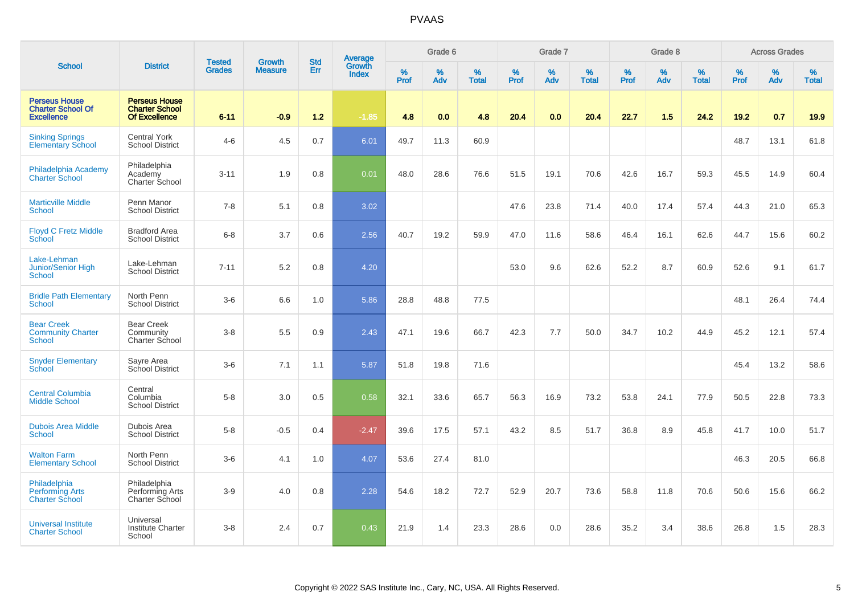|                                                                       |                                                                       |                                | <b>Growth</b>  | <b>Std</b> |                                   |                  | Grade 6     |                   |           | Grade 7     |                      |           | Grade 8  |                   |              | <b>Across Grades</b> |                   |
|-----------------------------------------------------------------------|-----------------------------------------------------------------------|--------------------------------|----------------|------------|-----------------------------------|------------------|-------------|-------------------|-----------|-------------|----------------------|-----------|----------|-------------------|--------------|----------------------|-------------------|
| <b>School</b>                                                         | <b>District</b>                                                       | <b>Tested</b><br><b>Grades</b> | <b>Measure</b> | <b>Err</b> | Average<br>Growth<br><b>Index</b> | %<br><b>Prof</b> | $\%$<br>Adv | %<br><b>Total</b> | %<br>Prof | $\%$<br>Adv | $\%$<br><b>Total</b> | %<br>Prof | %<br>Adv | %<br><b>Total</b> | $\%$<br>Prof | $\%$<br>Adv          | %<br><b>Total</b> |
| <b>Perseus House</b><br><b>Charter School Of</b><br><b>Excellence</b> | <b>Perseus House</b><br><b>Charter School</b><br><b>Of Excellence</b> | $6 - 11$                       | $-0.9$         | 1.2        | $-1.85$                           | 4.8              | 0.0         | 4.8               | 20.4      | 0.0         | 20.4                 | 22.7      | 1.5      | 24.2              | 19.2         | 0.7                  | 19.9              |
| <b>Sinking Springs</b><br><b>Elementary School</b>                    | <b>Central York</b><br><b>School District</b>                         | $4-6$                          | 4.5            | 0.7        | 6.01                              | 49.7             | 11.3        | 60.9              |           |             |                      |           |          |                   | 48.7         | 13.1                 | 61.8              |
| Philadelphia Academy<br><b>Charter School</b>                         | Philadelphia<br>Academy<br><b>Charter School</b>                      | $3 - 11$                       | 1.9            | 0.8        | 0.01                              | 48.0             | 28.6        | 76.6              | 51.5      | 19.1        | 70.6                 | 42.6      | 16.7     | 59.3              | 45.5         | 14.9                 | 60.4              |
| <b>Marticville Middle</b><br>School                                   | Penn Manor<br><b>School District</b>                                  | $7 - 8$                        | 5.1            | 0.8        | 3.02                              |                  |             |                   | 47.6      | 23.8        | 71.4                 | 40.0      | 17.4     | 57.4              | 44.3         | 21.0                 | 65.3              |
| <b>Floyd C Fretz Middle</b><br>School                                 | <b>Bradford Area</b><br><b>School District</b>                        | $6 - 8$                        | 3.7            | 0.6        | 2.56                              | 40.7             | 19.2        | 59.9              | 47.0      | 11.6        | 58.6                 | 46.4      | 16.1     | 62.6              | 44.7         | 15.6                 | 60.2              |
| Lake-Lehman<br>Junior/Senior High<br><b>School</b>                    | Lake-Lehman<br><b>School District</b>                                 | $7 - 11$                       | 5.2            | 0.8        | 4.20                              |                  |             |                   | 53.0      | 9.6         | 62.6                 | 52.2      | 8.7      | 60.9              | 52.6         | 9.1                  | 61.7              |
| <b>Bridle Path Elementary</b><br>School                               | North Penn<br><b>School District</b>                                  | $3-6$                          | 6.6            | 1.0        | 5.86                              | 28.8             | 48.8        | 77.5              |           |             |                      |           |          |                   | 48.1         | 26.4                 | 74.4              |
| <b>Bear Creek</b><br><b>Community Charter</b><br>School               | <b>Bear Creek</b><br>Community<br>Charter School                      | $3 - 8$                        | 5.5            | 0.9        | 2.43                              | 47.1             | 19.6        | 66.7              | 42.3      | 7.7         | 50.0                 | 34.7      | 10.2     | 44.9              | 45.2         | 12.1                 | 57.4              |
| <b>Snyder Elementary</b><br>School                                    | Sayre Area<br>School District                                         | $3-6$                          | 7.1            | 1.1        | 5.87                              | 51.8             | 19.8        | 71.6              |           |             |                      |           |          |                   | 45.4         | 13.2                 | 58.6              |
| <b>Central Columbia</b><br><b>Middle School</b>                       | Central<br>Columbia<br><b>School District</b>                         | $5-8$                          | 3.0            | 0.5        | 0.58                              | 32.1             | 33.6        | 65.7              | 56.3      | 16.9        | 73.2                 | 53.8      | 24.1     | 77.9              | 50.5         | 22.8                 | 73.3              |
| <b>Dubois Area Middle</b><br>School                                   | Dubois Area<br><b>School District</b>                                 | $5 - 8$                        | $-0.5$         | 0.4        | $-2.47$                           | 39.6             | 17.5        | 57.1              | 43.2      | 8.5         | 51.7                 | 36.8      | 8.9      | 45.8              | 41.7         | 10.0                 | 51.7              |
| <b>Walton Farm</b><br><b>Elementary School</b>                        | North Penn<br><b>School District</b>                                  | $3-6$                          | 4.1            | 1.0        | 4.07                              | 53.6             | 27.4        | 81.0              |           |             |                      |           |          |                   | 46.3         | 20.5                 | 66.8              |
| Philadelphia<br><b>Performing Arts</b><br><b>Charter School</b>       | Philadelphia<br>Performing Arts<br>Charter School                     | $3-9$                          | 4.0            | 0.8        | 2.28                              | 54.6             | 18.2        | 72.7              | 52.9      | 20.7        | 73.6                 | 58.8      | 11.8     | 70.6              | 50.6         | 15.6                 | 66.2              |
| <b>Universal Institute</b><br><b>Charter School</b>                   | Universal<br><b>Institute Charter</b><br>School                       | $3 - 8$                        | 2.4            | 0.7        | 0.43                              | 21.9             | 1.4         | 23.3              | 28.6      | 0.0         | 28.6                 | 35.2      | 3.4      | 38.6              | 26.8         | 1.5                  | 28.3              |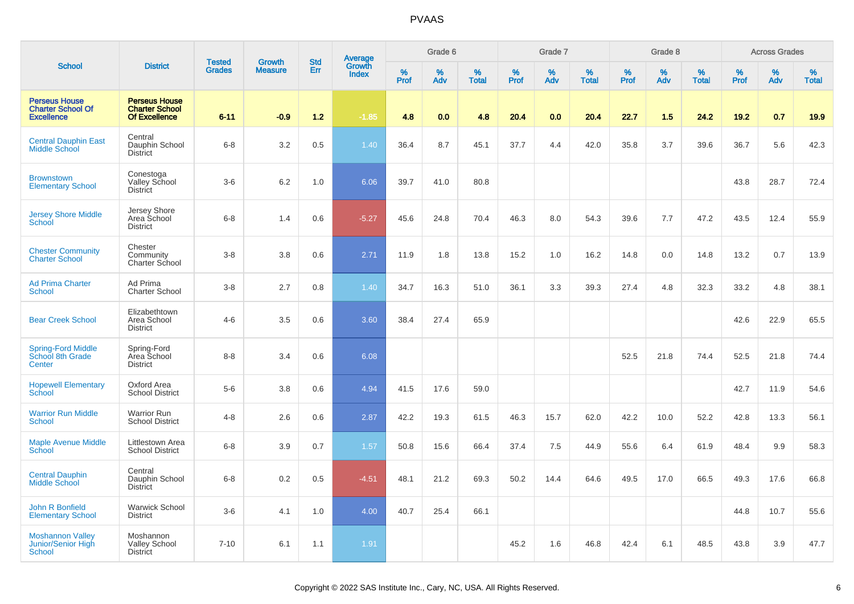|                                                                       |                                                                       |                                |                          | <b>Std</b> |                                          |           | Grade 6  |                   |           | Grade 7  |                   |              | Grade 8  |                   |           | <b>Across Grades</b> |                   |
|-----------------------------------------------------------------------|-----------------------------------------------------------------------|--------------------------------|--------------------------|------------|------------------------------------------|-----------|----------|-------------------|-----------|----------|-------------------|--------------|----------|-------------------|-----------|----------------------|-------------------|
| <b>School</b>                                                         | <b>District</b>                                                       | <b>Tested</b><br><b>Grades</b> | Growth<br><b>Measure</b> | Err        | <b>Average</b><br>Growth<br><b>Index</b> | %<br>Prof | %<br>Adv | %<br><b>Total</b> | %<br>Prof | %<br>Adv | %<br><b>Total</b> | $\%$<br>Prof | %<br>Adv | %<br><b>Total</b> | %<br>Prof | %<br>Adv             | %<br><b>Total</b> |
| <b>Perseus House</b><br><b>Charter School Of</b><br><b>Excellence</b> | <b>Perseus House</b><br><b>Charter School</b><br><b>Of Excellence</b> | $6 - 11$                       | $-0.9$                   | $1.2$      | $-1.85$                                  | 4.8       | 0.0      | 4.8               | 20.4      | 0.0      | 20.4              | 22.7         | 1.5      | 24.2              | 19.2      | 0.7                  | 19.9              |
| <b>Central Dauphin East</b><br><b>Middle School</b>                   | Central<br>Dauphin School<br><b>District</b>                          | $6 - 8$                        | 3.2                      | 0.5        | 1.40                                     | 36.4      | 8.7      | 45.1              | 37.7      | 4.4      | 42.0              | 35.8         | 3.7      | 39.6              | 36.7      | 5.6                  | 42.3              |
| <b>Brownstown</b><br><b>Elementary School</b>                         | Conestoga<br>Valley School<br><b>District</b>                         | $3-6$                          | 6.2                      | 1.0        | 6.06                                     | 39.7      | 41.0     | 80.8              |           |          |                   |              |          |                   | 43.8      | 28.7                 | 72.4              |
| <b>Jersey Shore Middle</b><br><b>School</b>                           | Jersey Shore<br>Area School<br><b>District</b>                        | $6 - 8$                        | 1.4                      | 0.6        | $-5.27$                                  | 45.6      | 24.8     | 70.4              | 46.3      | 8.0      | 54.3              | 39.6         | 7.7      | 47.2              | 43.5      | 12.4                 | 55.9              |
| <b>Chester Community</b><br><b>Charter School</b>                     | Chester<br>Community<br>Charter School                                | $3 - 8$                        | 3.8                      | 0.6        | 2.71                                     | 11.9      | 1.8      | 13.8              | 15.2      | 1.0      | 16.2              | 14.8         | 0.0      | 14.8              | 13.2      | 0.7                  | 13.9              |
| <b>Ad Prima Charter</b><br><b>School</b>                              | Ad Prima<br><b>Charter School</b>                                     | $3 - 8$                        | 2.7                      | 0.8        | 1.40                                     | 34.7      | 16.3     | 51.0              | 36.1      | 3.3      | 39.3              | 27.4         | 4.8      | 32.3              | 33.2      | 4.8                  | 38.1              |
| <b>Bear Creek School</b>                                              | Elizabethtown<br>Area School<br><b>District</b>                       | $4 - 6$                        | 3.5                      | 0.6        | 3.60                                     | 38.4      | 27.4     | 65.9              |           |          |                   |              |          |                   | 42.6      | 22.9                 | 65.5              |
| Spring-Ford Middle<br>School 8th Grade<br>Center                      | Spring-Ford<br>Area School<br><b>District</b>                         | $8 - 8$                        | 3.4                      | 0.6        | 6.08                                     |           |          |                   |           |          |                   | 52.5         | 21.8     | 74.4              | 52.5      | 21.8                 | 74.4              |
| <b>Hopewell Elementary</b><br>School                                  | Oxford Area<br><b>School District</b>                                 | $5-6$                          | 3.8                      | 0.6        | 4.94                                     | 41.5      | 17.6     | 59.0              |           |          |                   |              |          |                   | 42.7      | 11.9                 | 54.6              |
| <b>Warrior Run Middle</b><br><b>School</b>                            | <b>Warrior Run</b><br><b>School District</b>                          | $4 - 8$                        | 2.6                      | 0.6        | 2.87                                     | 42.2      | 19.3     | 61.5              | 46.3      | 15.7     | 62.0              | 42.2         | 10.0     | 52.2              | 42.8      | 13.3                 | 56.1              |
| <b>Maple Avenue Middle</b><br>School                                  | Littlestown Area<br><b>School District</b>                            | $6 - 8$                        | 3.9                      | 0.7        | 1.57                                     | 50.8      | 15.6     | 66.4              | 37.4      | 7.5      | 44.9              | 55.6         | 6.4      | 61.9              | 48.4      | 9.9                  | 58.3              |
| <b>Central Dauphin</b><br><b>Middle School</b>                        | Central<br>Dauphin School<br><b>District</b>                          | $6 - 8$                        | 0.2                      | 0.5        | $-4.51$                                  | 48.1      | 21.2     | 69.3              | 50.2      | 14.4     | 64.6              | 49.5         | 17.0     | 66.5              | 49.3      | 17.6                 | 66.8              |
| John R Bonfield<br><b>Elementary School</b>                           | <b>Warwick School</b><br><b>District</b>                              | $3-6$                          | 4.1                      | 1.0        | 4.00                                     | 40.7      | 25.4     | 66.1              |           |          |                   |              |          |                   | 44.8      | 10.7                 | 55.6              |
| <b>Moshannon Valley</b><br>Junior/Senior High<br><b>School</b>        | Moshannon<br><b>Valley School</b><br><b>District</b>                  | $7 - 10$                       | 6.1                      | 1.1        | 1.91                                     |           |          |                   | 45.2      | 1.6      | 46.8              | 42.4         | 6.1      | 48.5              | 43.8      | 3.9                  | 47.7              |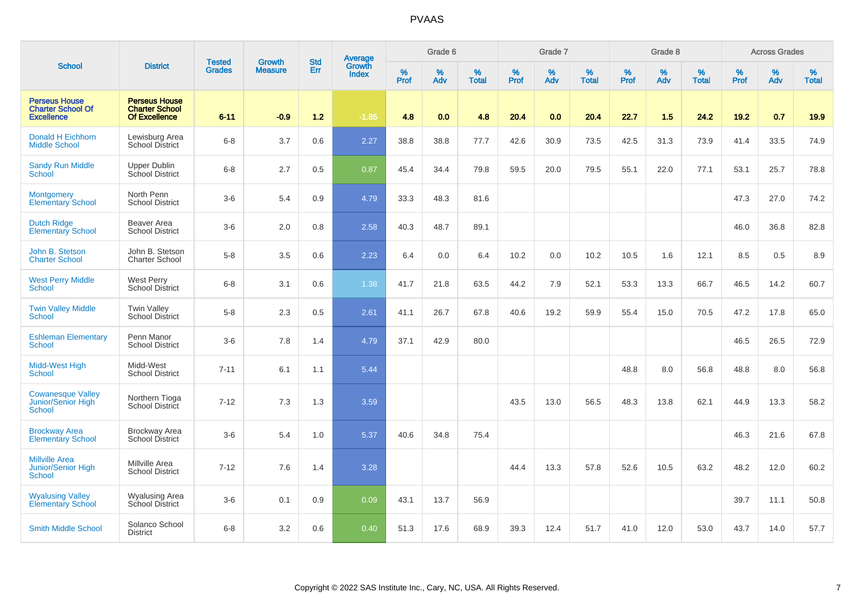|                                                                       |                                                                       | <b>Tested</b> | <b>Growth</b>  | <b>Std</b> | <b>Average</b><br>Growth |                  | Grade 6  |                   |           | Grade 7  |                   |           | Grade 8  |                   |              | <b>Across Grades</b> |                   |
|-----------------------------------------------------------------------|-----------------------------------------------------------------------|---------------|----------------|------------|--------------------------|------------------|----------|-------------------|-----------|----------|-------------------|-----------|----------|-------------------|--------------|----------------------|-------------------|
| <b>School</b>                                                         | <b>District</b>                                                       | <b>Grades</b> | <b>Measure</b> | Err        | <b>Index</b>             | %<br><b>Prof</b> | %<br>Adv | %<br><b>Total</b> | %<br>Prof | %<br>Adv | %<br><b>Total</b> | %<br>Prof | %<br>Adv | %<br><b>Total</b> | $\%$<br>Prof | $\%$<br>Adv          | %<br><b>Total</b> |
| <b>Perseus House</b><br><b>Charter School Of</b><br><b>Excellence</b> | <b>Perseus House</b><br><b>Charter School</b><br><b>Of Excellence</b> | $6 - 11$      | $-0.9$         | $1.2$      | $-1.85$                  | 4.8              | 0.0      | 4.8               | 20.4      | 0.0      | 20.4              | 22.7      | 1.5      | 24.2              | 19.2         | 0.7                  | 19.9              |
| Donald H Eichhorn<br><b>Middle School</b>                             | Lewisburg Area<br>School District                                     | $6 - 8$       | 3.7            | 0.6        | 2.27                     | 38.8             | 38.8     | 77.7              | 42.6      | 30.9     | 73.5              | 42.5      | 31.3     | 73.9              | 41.4         | 33.5                 | 74.9              |
| <b>Sandy Run Middle</b><br>School                                     | <b>Upper Dublin</b><br>School District                                | $6 - 8$       | 2.7            | 0.5        | 0.87                     | 45.4             | 34.4     | 79.8              | 59.5      | 20.0     | 79.5              | 55.1      | 22.0     | 77.1              | 53.1         | 25.7                 | 78.8              |
| <b>Montgomery</b><br><b>Elementary School</b>                         | North Penn<br><b>School District</b>                                  | $3-6$         | 5.4            | 0.9        | 4.79                     | 33.3             | 48.3     | 81.6              |           |          |                   |           |          |                   | 47.3         | 27.0                 | 74.2              |
| <b>Dutch Ridge</b><br><b>Elementary School</b>                        | Beaver Area<br><b>School District</b>                                 | $3-6$         | 2.0            | 0.8        | 2.58                     | 40.3             | 48.7     | 89.1              |           |          |                   |           |          |                   | 46.0         | 36.8                 | 82.8              |
| John B. Stetson<br><b>Charter School</b>                              | John B. Stetson<br>Charter School                                     | $5-8$         | 3.5            | 0.6        | 2.23                     | 6.4              | 0.0      | 6.4               | 10.2      | 0.0      | 10.2              | 10.5      | 1.6      | 12.1              | 8.5          | 0.5                  | 8.9               |
| <b>West Perry Middle</b><br>School                                    | West Perry<br><b>School District</b>                                  | $6 - 8$       | 3.1            | 0.6        | 1.38                     | 41.7             | 21.8     | 63.5              | 44.2      | 7.9      | 52.1              | 53.3      | 13.3     | 66.7              | 46.5         | 14.2                 | 60.7              |
| <b>Twin Valley Middle</b><br>School                                   | <b>Twin Valley</b><br><b>School District</b>                          | $5-8$         | 2.3            | 0.5        | 2.61                     | 41.1             | 26.7     | 67.8              | 40.6      | 19.2     | 59.9              | 55.4      | 15.0     | 70.5              | 47.2         | 17.8                 | 65.0              |
| <b>Eshleman Elementary</b><br>School                                  | Penn Manor<br><b>School District</b>                                  | $3-6$         | 7.8            | 1.4        | 4.79                     | 37.1             | 42.9     | 80.0              |           |          |                   |           |          |                   | 46.5         | 26.5                 | 72.9              |
| Midd-West High<br><b>School</b>                                       | Midd-West<br><b>School District</b>                                   | $7 - 11$      | 6.1            | 1.1        | 5.44                     |                  |          |                   |           |          |                   | 48.8      | 8.0      | 56.8              | 48.8         | 8.0                  | 56.8              |
| <b>Cowanesque Valley</b><br>Junior/Senior High<br><b>School</b>       | Northern Tioga<br>School District                                     | $7 - 12$      | 7.3            | 1.3        | 3.59                     |                  |          |                   | 43.5      | 13.0     | 56.5              | 48.3      | 13.8     | 62.1              | 44.9         | 13.3                 | 58.2              |
| <b>Brockway Area</b><br><b>Elementary School</b>                      | <b>Brockway Area</b><br><b>School District</b>                        | $3-6$         | 5.4            | 1.0        | 5.37                     | 40.6             | 34.8     | 75.4              |           |          |                   |           |          |                   | 46.3         | 21.6                 | 67.8              |
| <b>Millville Area</b><br><b>Junior/Senior High</b><br>School          | Millville Area<br><b>School District</b>                              | $7 - 12$      | 7.6            | 1.4        | 3.28                     |                  |          |                   | 44.4      | 13.3     | 57.8              | 52.6      | 10.5     | 63.2              | 48.2         | 12.0                 | 60.2              |
| <b>Wyalusing Valley</b><br><b>Elementary School</b>                   | <b>Wyalusing Area</b><br>School District                              | $3-6$         | 0.1            | 0.9        | 0.09                     | 43.1             | 13.7     | 56.9              |           |          |                   |           |          |                   | 39.7         | 11.1                 | 50.8              |
| <b>Smith Middle School</b>                                            | Solanco School<br><b>District</b>                                     | $6 - 8$       | 3.2            | 0.6        | 0.40                     | 51.3             | 17.6     | 68.9              | 39.3      | 12.4     | 51.7              | 41.0      | 12.0     | 53.0              | 43.7         | 14.0                 | 57.7              |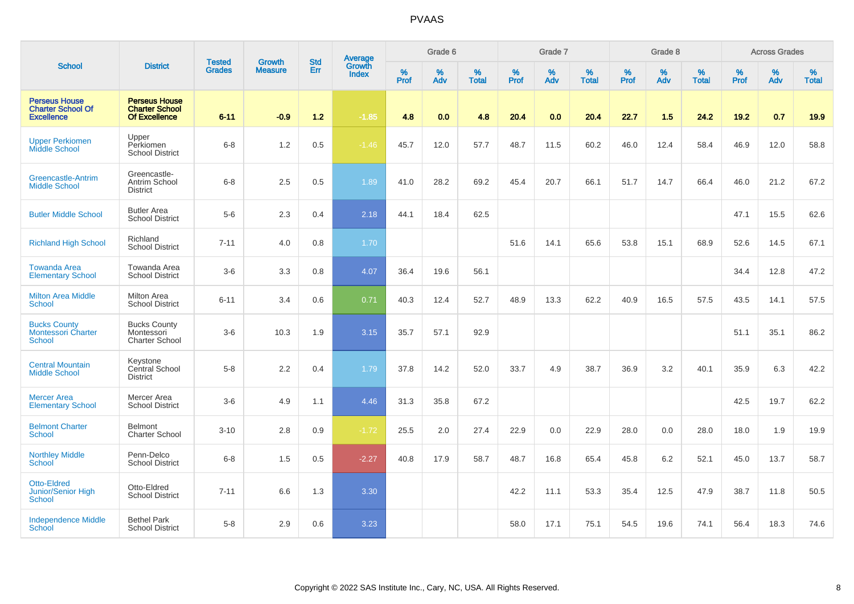|                                                                       |                                                                |                                | <b>Growth</b>  | <b>Std</b> |                                          |           | Grade 6     |                   |           | Grade 7  |                   |           | Grade 8  |                   |           | <b>Across Grades</b> |                   |
|-----------------------------------------------------------------------|----------------------------------------------------------------|--------------------------------|----------------|------------|------------------------------------------|-----------|-------------|-------------------|-----------|----------|-------------------|-----------|----------|-------------------|-----------|----------------------|-------------------|
| <b>School</b>                                                         | <b>District</b>                                                | <b>Tested</b><br><b>Grades</b> | <b>Measure</b> | Err        | <b>Average</b><br>Growth<br><b>Index</b> | %<br>Prof | $\%$<br>Adv | %<br><b>Total</b> | %<br>Prof | %<br>Adv | %<br><b>Total</b> | %<br>Prof | %<br>Adv | %<br><b>Total</b> | %<br>Prof | %<br>Adv             | %<br><b>Total</b> |
| <b>Perseus House</b><br><b>Charter School Of</b><br><b>Excellence</b> | <b>Perseus House</b><br><b>Charter School</b><br>Of Excellence | $6 - 11$                       | $-0.9$         | 1.2        | $-1.85$                                  | 4.8       | 0.0         | 4.8               | 20.4      | 0.0      | 20.4              | 22.7      | 1.5      | 24.2              | 19.2      | 0.7                  | 19.9              |
| <b>Upper Perkiomen</b><br>Middle School                               | Upper<br>Perkiomen<br><b>School District</b>                   | $6 - 8$                        | 1.2            | 0.5        | $-1.46$                                  | 45.7      | 12.0        | 57.7              | 48.7      | 11.5     | 60.2              | 46.0      | 12.4     | 58.4              | 46.9      | 12.0                 | 58.8              |
| Greencastle-Antrim<br><b>Middle School</b>                            | Greencastle-<br>Antrim School<br><b>District</b>               | $6 - 8$                        | 2.5            | 0.5        | 1.89                                     | 41.0      | 28.2        | 69.2              | 45.4      | 20.7     | 66.1              | 51.7      | 14.7     | 66.4              | 46.0      | 21.2                 | 67.2              |
| <b>Butler Middle School</b>                                           | <b>Butler Area</b><br><b>School District</b>                   | $5-6$                          | 2.3            | 0.4        | 2.18                                     | 44.1      | 18.4        | 62.5              |           |          |                   |           |          |                   | 47.1      | 15.5                 | 62.6              |
| <b>Richland High School</b>                                           | Richland<br><b>School District</b>                             | $7 - 11$                       | 4.0            | 0.8        | 1.70                                     |           |             |                   | 51.6      | 14.1     | 65.6              | 53.8      | 15.1     | 68.9              | 52.6      | 14.5                 | 67.1              |
| <b>Towanda Area</b><br><b>Elementary School</b>                       | Towanda Area<br><b>School District</b>                         | $3-6$                          | 3.3            | 0.8        | 4.07                                     | 36.4      | 19.6        | 56.1              |           |          |                   |           |          |                   | 34.4      | 12.8                 | 47.2              |
| <b>Milton Area Middle</b><br><b>School</b>                            | Milton Area<br><b>School District</b>                          | $6 - 11$                       | 3.4            | 0.6        | 0.71                                     | 40.3      | 12.4        | 52.7              | 48.9      | 13.3     | 62.2              | 40.9      | 16.5     | 57.5              | 43.5      | 14.1                 | 57.5              |
| <b>Bucks County</b><br><b>Montessori Charter</b><br>School            | <b>Bucks County</b><br>Montessori<br><b>Charter School</b>     | $3-6$                          | 10.3           | 1.9        | 3.15                                     | 35.7      | 57.1        | 92.9              |           |          |                   |           |          |                   | 51.1      | 35.1                 | 86.2              |
| <b>Central Mountain</b><br><b>Middle School</b>                       | Keystone<br>Central School<br><b>District</b>                  | $5 - 8$                        | 2.2            | 0.4        | 1.79                                     | 37.8      | 14.2        | 52.0              | 33.7      | 4.9      | 38.7              | 36.9      | 3.2      | 40.1              | 35.9      | 6.3                  | 42.2              |
| <b>Mercer Area</b><br><b>Elementary School</b>                        | Mercer Area<br><b>School District</b>                          | $3-6$                          | 4.9            | 1.1        | 4.46                                     | 31.3      | 35.8        | 67.2              |           |          |                   |           |          |                   | 42.5      | 19.7                 | 62.2              |
| <b>Belmont Charter</b><br><b>School</b>                               | <b>Belmont</b><br><b>Charter School</b>                        | $3 - 10$                       | 2.8            | 0.9        | $-1.72$                                  | 25.5      | 2.0         | 27.4              | 22.9      | 0.0      | 22.9              | 28.0      | 0.0      | 28.0              | 18.0      | 1.9                  | 19.9              |
| <b>Northley Middle</b><br><b>School</b>                               | Penn-Delco<br><b>School District</b>                           | $6 - 8$                        | 1.5            | 0.5        | $-2.27$                                  | 40.8      | 17.9        | 58.7              | 48.7      | 16.8     | 65.4              | 45.8      | 6.2      | 52.1              | 45.0      | 13.7                 | 58.7              |
| <b>Otto-Eldred</b><br>Junior/Senior High<br><b>School</b>             | Otto-Eldred<br><b>School District</b>                          | $7 - 11$                       | 6.6            | 1.3        | 3.30                                     |           |             |                   | 42.2      | 11.1     | 53.3              | 35.4      | 12.5     | 47.9              | 38.7      | 11.8                 | 50.5              |
| <b>Independence Middle</b><br>School                                  | <b>Bethel Park</b><br><b>School District</b>                   | $5-8$                          | 2.9            | 0.6        | 3.23                                     |           |             |                   | 58.0      | 17.1     | 75.1              | 54.5      | 19.6     | 74.1              | 56.4      | 18.3                 | 74.6              |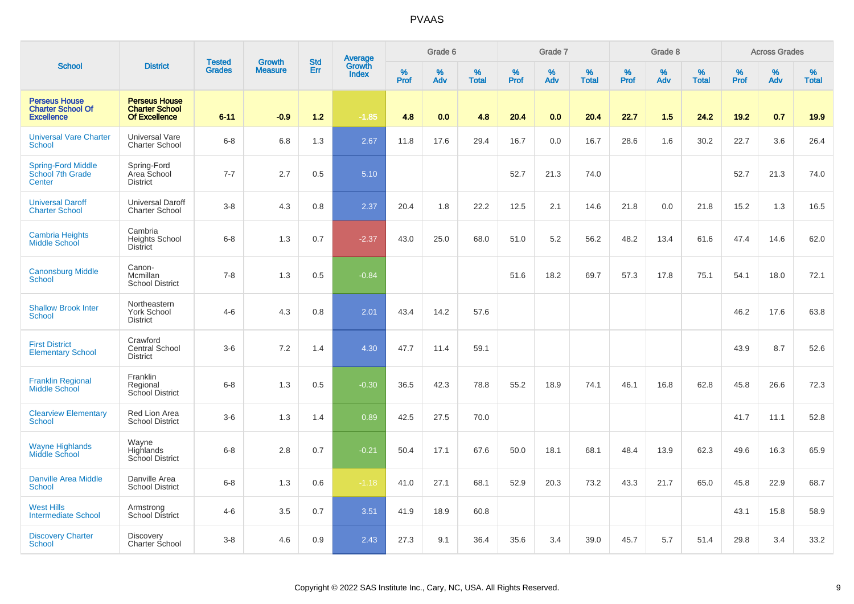|                                                                       |                                                                       | <b>Tested</b> | <b>Growth</b>  | <b>Std</b> |                                          |                  | Grade 6     |                   |           | Grade 7  |                   |              | Grade 8  |                   |              | <b>Across Grades</b> |                   |
|-----------------------------------------------------------------------|-----------------------------------------------------------------------|---------------|----------------|------------|------------------------------------------|------------------|-------------|-------------------|-----------|----------|-------------------|--------------|----------|-------------------|--------------|----------------------|-------------------|
| <b>School</b>                                                         | <b>District</b>                                                       | <b>Grades</b> | <b>Measure</b> | <b>Err</b> | <b>Average</b><br>Growth<br><b>Index</b> | %<br><b>Prof</b> | $\%$<br>Adv | %<br><b>Total</b> | %<br>Prof | %<br>Adv | %<br><b>Total</b> | $\%$<br>Prof | %<br>Adv | %<br><b>Total</b> | $\%$<br>Prof | %<br>Adv             | %<br><b>Total</b> |
| <b>Perseus House</b><br><b>Charter School Of</b><br><b>Excellence</b> | <b>Perseus House</b><br><b>Charter School</b><br><b>Of Excellence</b> | $6 - 11$      | $-0.9$         | 1.2        | $-1.85$                                  | 4.8              | 0.0         | 4.8               | 20.4      | 0.0      | 20.4              | 22.7         | 1.5      | 24.2              | 19.2         | 0.7                  | 19.9              |
| <b>Universal Vare Charter</b><br>School                               | Universal Vare<br>Charter School                                      | $6-8$         | 6.8            | 1.3        | 2.67                                     | 11.8             | 17.6        | 29.4              | 16.7      | 0.0      | 16.7              | 28.6         | 1.6      | 30.2              | 22.7         | 3.6                  | 26.4              |
| <b>Spring-Ford Middle</b><br>School 7th Grade<br>Center               | Spring-Ford<br>Area School<br><b>District</b>                         | $7 - 7$       | 2.7            | 0.5        | 5.10                                     |                  |             |                   | 52.7      | 21.3     | 74.0              |              |          |                   | 52.7         | 21.3                 | 74.0              |
| <b>Universal Daroff</b><br><b>Charter School</b>                      | Universal Daroff<br>Charter School                                    | $3 - 8$       | 4.3            | 0.8        | 2.37                                     | 20.4             | 1.8         | 22.2              | 12.5      | 2.1      | 14.6              | 21.8         | 0.0      | 21.8              | 15.2         | 1.3                  | 16.5              |
| <b>Cambria Heights</b><br>Middle School                               | Cambria<br><b>Heights School</b><br><b>District</b>                   | $6 - 8$       | 1.3            | 0.7        | $-2.37$                                  | 43.0             | 25.0        | 68.0              | 51.0      | 5.2      | 56.2              | 48.2         | 13.4     | 61.6              | 47.4         | 14.6                 | 62.0              |
| <b>Canonsburg Middle</b><br>School                                    | Canon-<br>Mcmillan<br><b>School District</b>                          | $7 - 8$       | 1.3            | 0.5        | $-0.84$                                  |                  |             |                   | 51.6      | 18.2     | 69.7              | 57.3         | 17.8     | 75.1              | 54.1         | 18.0                 | 72.1              |
| <b>Shallow Brook Inter</b><br>School                                  | Northeastern<br>York School<br><b>District</b>                        | $4-6$         | 4.3            | 0.8        | 2.01                                     | 43.4             | 14.2        | 57.6              |           |          |                   |              |          |                   | 46.2         | 17.6                 | 63.8              |
| <b>First District</b><br><b>Elementary School</b>                     | Crawford<br>Central School<br><b>District</b>                         | $3-6$         | 7.2            | 1.4        | 4.30                                     | 47.7             | 11.4        | 59.1              |           |          |                   |              |          |                   | 43.9         | 8.7                  | 52.6              |
| <b>Franklin Regional</b><br><b>Middle School</b>                      | Franklin<br>Regional<br>School District                               | $6 - 8$       | 1.3            | 0.5        | $-0.30$                                  | 36.5             | 42.3        | 78.8              | 55.2      | 18.9     | 74.1              | 46.1         | 16.8     | 62.8              | 45.8         | 26.6                 | 72.3              |
| <b>Clearview Elementary</b><br><b>School</b>                          | Red Lion Area<br><b>School District</b>                               | $3-6$         | 1.3            | 1.4        | 0.89                                     | 42.5             | 27.5        | 70.0              |           |          |                   |              |          |                   | 41.7         | 11.1                 | 52.8              |
| <b>Wayne Highlands</b><br>Middle School                               | Wayne<br>Highlands<br>School District                                 | $6 - 8$       | 2.8            | 0.7        | $-0.21$                                  | 50.4             | 17.1        | 67.6              | 50.0      | 18.1     | 68.1              | 48.4         | 13.9     | 62.3              | 49.6         | 16.3                 | 65.9              |
| <b>Danville Area Middle</b><br><b>School</b>                          | Danville Area<br><b>School District</b>                               | $6 - 8$       | 1.3            | 0.6        | $-1.18$                                  | 41.0             | 27.1        | 68.1              | 52.9      | 20.3     | 73.2              | 43.3         | 21.7     | 65.0              | 45.8         | 22.9                 | 68.7              |
| <b>West Hills</b><br><b>Intermediate School</b>                       | Armstrong<br>School District                                          | $4-6$         | 3.5            | 0.7        | 3.51                                     | 41.9             | 18.9        | 60.8              |           |          |                   |              |          |                   | 43.1         | 15.8                 | 58.9              |
| <b>Discovery Charter</b><br>School                                    | <b>Discovery</b><br>Charter School                                    | $3 - 8$       | 4.6            | 0.9        | 2.43                                     | 27.3             | 9.1         | 36.4              | 35.6      | 3.4      | 39.0              | 45.7         | 5.7      | 51.4              | 29.8         | 3.4                  | 33.2              |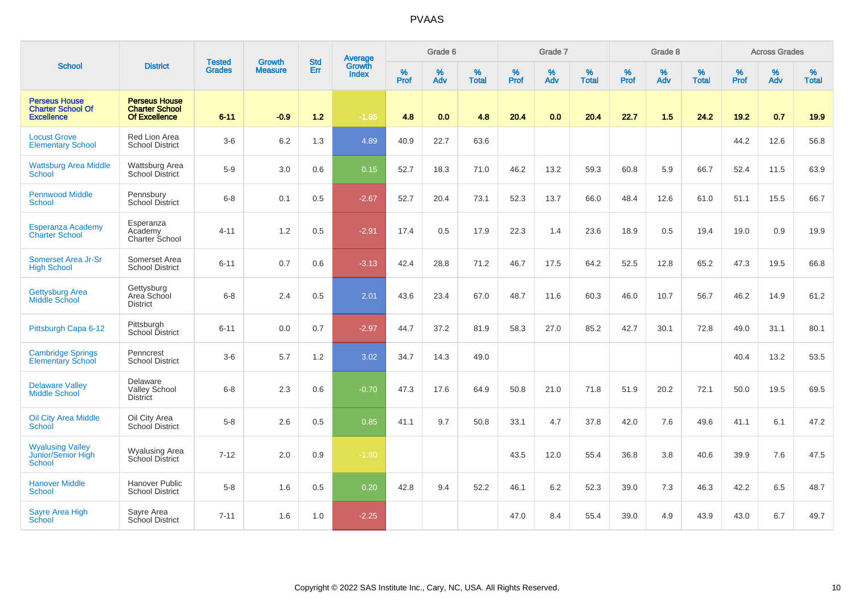|                                                                       |                                                                | <b>Tested</b> | <b>Growth</b>  | <b>Std</b> | Average                |                  | Grade 6  |                   |                  | Grade 7  |                   |                  | Grade 8  |                   |                  | <b>Across Grades</b> |                   |
|-----------------------------------------------------------------------|----------------------------------------------------------------|---------------|----------------|------------|------------------------|------------------|----------|-------------------|------------------|----------|-------------------|------------------|----------|-------------------|------------------|----------------------|-------------------|
| <b>School</b>                                                         | <b>District</b>                                                | <b>Grades</b> | <b>Measure</b> | Err        | Growth<br><b>Index</b> | %<br><b>Prof</b> | %<br>Adv | %<br><b>Total</b> | %<br><b>Prof</b> | %<br>Adv | %<br><b>Total</b> | %<br><b>Prof</b> | %<br>Adv | %<br><b>Total</b> | %<br><b>Prof</b> | %<br>Adv             | %<br><b>Total</b> |
| <b>Perseus House</b><br><b>Charter School Of</b><br><b>Excellence</b> | <b>Perseus House</b><br><b>Charter School</b><br>Of Excellence | $6 - 11$      | $-0.9$         | $1.2$      | $-1.85$                | 4.8              | 0.0      | 4.8               | 20.4             | 0.0      | 20.4              | 22.7             | 1.5      | 24.2              | $19.2$           | 0.7                  | 19.9              |
| <b>Locust Grove</b><br><b>Elementary School</b>                       | Red Lion Area<br><b>School District</b>                        | $3-6$         | $6.2\,$        | 1.3        | 4.89                   | 40.9             | 22.7     | 63.6              |                  |          |                   |                  |          |                   | 44.2             | 12.6                 | 56.8              |
| <b>Wattsburg Area Middle</b><br><b>School</b>                         | Wattsburg Area<br>School District                              | $5-9$         | 3.0            | 0.6        | 0.15                   | 52.7             | 18.3     | 71.0              | 46.2             | 13.2     | 59.3              | 60.8             | 5.9      | 66.7              | 52.4             | 11.5                 | 63.9              |
| <b>Pennwood Middle</b><br>School                                      | Pennsbury<br><b>School District</b>                            | $6 - 8$       | 0.1            | 0.5        | $-2.67$                | 52.7             | 20.4     | 73.1              | 52.3             | 13.7     | 66.0              | 48.4             | 12.6     | 61.0              | 51.1             | 15.5                 | 66.7              |
| <b>Esperanza Academy</b><br><b>Charter School</b>                     | Esperanza<br>Academy<br>Charter School                         | $4 - 11$      | 1.2            | 0.5        | $-2.91$                | 17.4             | 0.5      | 17.9              | 22.3             | 1.4      | 23.6              | 18.9             | 0.5      | 19.4              | 19.0             | 0.9                  | 19.9              |
| Somerset Area Jr-Sr<br><b>High School</b>                             | Somerset Area<br><b>School District</b>                        | $6 - 11$      | 0.7            | 0.6        | $-3.13$                | 42.4             | 28.8     | 71.2              | 46.7             | 17.5     | 64.2              | 52.5             | 12.8     | 65.2              | 47.3             | 19.5                 | 66.8              |
| <b>Gettysburg Area</b><br>Middle School                               | Gettysburg<br>Area School<br><b>District</b>                   | $6 - 8$       | 2.4            | 0.5        | 2.01                   | 43.6             | 23.4     | 67.0              | 48.7             | 11.6     | 60.3              | 46.0             | 10.7     | 56.7              | 46.2             | 14.9                 | 61.2              |
| Pittsburgh Capa 6-12                                                  | Pittsburgh<br>School District                                  | $6 - 11$      | 0.0            | 0.7        | $-2.97$                | 44.7             | 37.2     | 81.9              | 58.3             | 27.0     | 85.2              | 42.7             | 30.1     | 72.8              | 49.0             | 31.1                 | 80.1              |
| <b>Cambridge Springs</b><br><b>Elementary School</b>                  | Penncrest<br><b>School District</b>                            | $3-6$         | 5.7            | 1.2        | 3.02                   | 34.7             | 14.3     | 49.0              |                  |          |                   |                  |          |                   | 40.4             | 13.2                 | 53.5              |
| <b>Delaware Valley</b><br><b>Middle School</b>                        | Delaware<br><b>Valley School</b><br><b>District</b>            | $6 - 8$       | 2.3            | 0.6        | $-0.70$                | 47.3             | 17.6     | 64.9              | 50.8             | 21.0     | 71.8              | 51.9             | 20.2     | 72.1              | 50.0             | 19.5                 | 69.5              |
| <b>Oil City Area Middle</b><br>School                                 | Oil City Area<br>School District                               | $5-8$         | 2.6            | 0.5        | 0.85                   | 41.1             | 9.7      | 50.8              | 33.1             | 4.7      | 37.8              | 42.0             | 7.6      | 49.6              | 41.1             | 6.1                  | 47.2              |
| <b>Wyalusing Valley</b><br>Junior/Senior High<br><b>School</b>        | <b>Wyalusing Area</b><br>School District                       | $7 - 12$      | 2.0            | 0.9        | $-1.80$                |                  |          |                   | 43.5             | 12.0     | 55.4              | 36.8             | 3.8      | 40.6              | 39.9             | 7.6                  | 47.5              |
| <b>Hanover Middle</b><br>School                                       | Hanover Public<br><b>School District</b>                       | $5 - 8$       | 1.6            | 0.5        | 0.20                   | 42.8             | 9.4      | 52.2              | 46.1             | 6.2      | 52.3              | 39.0             | 7.3      | 46.3              | 42.2             | 6.5                  | 48.7              |
| <b>Sayre Area High</b><br>School                                      | Sayre Area<br>School District                                  | $7 - 11$      | 1.6            | 1.0        | $-2.25$                |                  |          |                   | 47.0             | 8.4      | 55.4              | 39.0             | 4.9      | 43.9              | 43.0             | 6.7                  | 49.7              |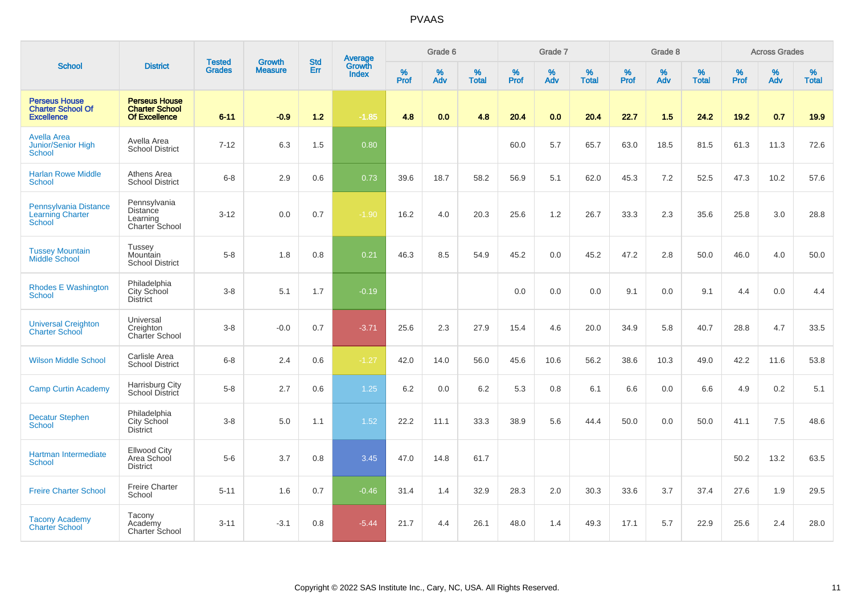|                                                                       |                                                                       |                                | <b>Growth</b>  | <b>Std</b> |                                          |           | Grade 6  |                   |           | Grade 7  |                   |           | Grade 8  |                   |           | <b>Across Grades</b> |                   |
|-----------------------------------------------------------------------|-----------------------------------------------------------------------|--------------------------------|----------------|------------|------------------------------------------|-----------|----------|-------------------|-----------|----------|-------------------|-----------|----------|-------------------|-----------|----------------------|-------------------|
| <b>School</b>                                                         | <b>District</b>                                                       | <b>Tested</b><br><b>Grades</b> | <b>Measure</b> | Err        | <b>Average</b><br>Growth<br><b>Index</b> | %<br>Prof | %<br>Adv | %<br><b>Total</b> | %<br>Prof | %<br>Adv | %<br><b>Total</b> | %<br>Prof | %<br>Adv | %<br><b>Total</b> | %<br>Prof | %<br>Adv             | %<br><b>Total</b> |
| <b>Perseus House</b><br><b>Charter School Of</b><br><b>Excellence</b> | <b>Perseus House</b><br><b>Charter School</b><br><b>Of Excellence</b> | $6 - 11$                       | $-0.9$         | $1.2$      | $-1.85$                                  | 4.8       | 0.0      | 4.8               | 20.4      | 0.0      | 20.4              | 22.7      | 1.5      | 24.2              | $19.2$    | 0.7                  | 19.9              |
| <b>Avella Area</b><br>Junior/Senior High<br>School                    | Avella Area<br><b>School District</b>                                 | $7 - 12$                       | 6.3            | 1.5        | 0.80                                     |           |          |                   | 60.0      | 5.7      | 65.7              | 63.0      | 18.5     | 81.5              | 61.3      | 11.3                 | 72.6              |
| <b>Harlan Rowe Middle</b><br><b>School</b>                            | Athens Area<br><b>School District</b>                                 | $6 - 8$                        | 2.9            | 0.6        | 0.73                                     | 39.6      | 18.7     | 58.2              | 56.9      | 5.1      | 62.0              | 45.3      | 7.2      | 52.5              | 47.3      | 10.2                 | 57.6              |
| Pennsylvania Distance<br><b>Learning Charter</b><br><b>School</b>     | Pennsylvania<br><b>Distance</b><br>Learning<br>Charter School         | $3 - 12$                       | 0.0            | 0.7        | $-1.90$                                  | 16.2      | 4.0      | 20.3              | 25.6      | 1.2      | 26.7              | 33.3      | 2.3      | 35.6              | 25.8      | 3.0                  | 28.8              |
| <b>Tussey Mountain</b><br>Middle School                               | Tussey<br>Mountain<br><b>School District</b>                          | $5-8$                          | 1.8            | 0.8        | 0.21                                     | 46.3      | 8.5      | 54.9              | 45.2      | 0.0      | 45.2              | 47.2      | 2.8      | 50.0              | 46.0      | 4.0                  | 50.0              |
| <b>Rhodes E Washington</b><br>School                                  | Philadelphia<br>City School<br><b>District</b>                        | $3 - 8$                        | 5.1            | 1.7        | $-0.19$                                  |           |          |                   | 0.0       | 0.0      | 0.0               | 9.1       | 0.0      | 9.1               | 4.4       | 0.0                  | 4.4               |
| <b>Universal Creighton</b><br><b>Charter School</b>                   | Universal<br>Creighton<br>Charter School                              | $3 - 8$                        | $-0.0$         | 0.7        | $-3.71$                                  | 25.6      | 2.3      | 27.9              | 15.4      | 4.6      | 20.0              | 34.9      | 5.8      | 40.7              | 28.8      | 4.7                  | 33.5              |
| <b>Wilson Middle School</b>                                           | Carlisle Area<br><b>School District</b>                               | $6 - 8$                        | 2.4            | 0.6        | $-1.27$                                  | 42.0      | 14.0     | 56.0              | 45.6      | 10.6     | 56.2              | 38.6      | 10.3     | 49.0              | 42.2      | 11.6                 | 53.8              |
| <b>Camp Curtin Academy</b>                                            | Harrisburg City<br>School District                                    | $5 - 8$                        | 2.7            | 0.6        | 1.25                                     | 6.2       | 0.0      | 6.2               | 5.3       | 0.8      | 6.1               | 6.6       | 0.0      | 6.6               | 4.9       | 0.2                  | 5.1               |
| <b>Decatur Stephen</b><br><b>School</b>                               | Philadelphia<br>City School<br><b>District</b>                        | $3 - 8$                        | 5.0            | 1.1        | 1.52                                     | 22.2      | 11.1     | 33.3              | 38.9      | 5.6      | 44.4              | 50.0      | 0.0      | 50.0              | 41.1      | 7.5                  | 48.6              |
| Hartman Intermediate<br><b>School</b>                                 | <b>Ellwood City</b><br>Area School<br><b>District</b>                 | $5-6$                          | 3.7            | 0.8        | 3.45                                     | 47.0      | 14.8     | 61.7              |           |          |                   |           |          |                   | 50.2      | 13.2                 | 63.5              |
| <b>Freire Charter School</b>                                          | <b>Freire Charter</b><br>School                                       | $5 - 11$                       | 1.6            | 0.7        | $-0.46$                                  | 31.4      | 1.4      | 32.9              | 28.3      | 2.0      | 30.3              | 33.6      | 3.7      | 37.4              | 27.6      | 1.9                  | 29.5              |
| <b>Tacony Academy</b><br><b>Charter School</b>                        | Tacony<br>Academy<br>Charter School                                   | $3 - 11$                       | $-3.1$         | 0.8        | $-5.44$                                  | 21.7      | 4.4      | 26.1              | 48.0      | 1.4      | 49.3              | 17.1      | 5.7      | 22.9              | 25.6      | 2.4                  | 28.0              |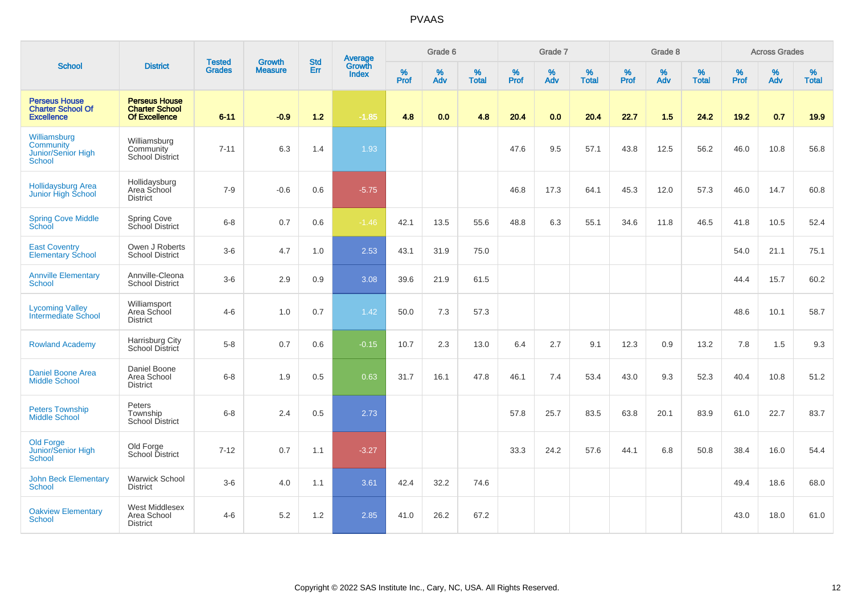|                                                                       |                                                                       | <b>Tested</b> | <b>Growth</b>  | <b>Std</b> | <b>Average</b><br>Growth |                  | Grade 6  |                   |           | Grade 7  |                   |           | Grade 8  |                   |           | <b>Across Grades</b> |                   |
|-----------------------------------------------------------------------|-----------------------------------------------------------------------|---------------|----------------|------------|--------------------------|------------------|----------|-------------------|-----------|----------|-------------------|-----------|----------|-------------------|-----------|----------------------|-------------------|
| <b>School</b>                                                         | <b>District</b>                                                       | <b>Grades</b> | <b>Measure</b> | Err        | <b>Index</b>             | %<br><b>Prof</b> | %<br>Adv | %<br><b>Total</b> | %<br>Prof | %<br>Adv | %<br><b>Total</b> | %<br>Prof | %<br>Adv | %<br><b>Total</b> | %<br>Prof | %<br>Adv             | %<br><b>Total</b> |
| <b>Perseus House</b><br><b>Charter School Of</b><br><b>Excellence</b> | <b>Perseus House</b><br><b>Charter School</b><br><b>Of Excellence</b> | $6 - 11$      | $-0.9$         | $1.2$      | $-1.85$                  | 4.8              | 0.0      | 4.8               | 20.4      | 0.0      | 20.4              | 22.7      | 1.5      | 24.2              | 19.2      | 0.7                  | 19.9              |
| Williamsburg<br>Community<br>Junior/Senior High<br>School             | Williamsburg<br>Community<br><b>School District</b>                   | $7 - 11$      | 6.3            | 1.4        | 1.93                     |                  |          |                   | 47.6      | 9.5      | 57.1              | 43.8      | 12.5     | 56.2              | 46.0      | 10.8                 | 56.8              |
| <b>Hollidaysburg Area</b><br>Junior High School                       | Hollidaysburg<br>Area School<br><b>District</b>                       | $7 - 9$       | $-0.6$         | 0.6        | $-5.75$                  |                  |          |                   | 46.8      | 17.3     | 64.1              | 45.3      | 12.0     | 57.3              | 46.0      | 14.7                 | 60.8              |
| <b>Spring Cove Middle</b><br>School                                   | Spring Cove<br>School District                                        | $6 - 8$       | 0.7            | 0.6        | $-1.46$                  | 42.1             | 13.5     | 55.6              | 48.8      | 6.3      | 55.1              | 34.6      | 11.8     | 46.5              | 41.8      | 10.5                 | 52.4              |
| <b>East Coventry</b><br><b>Elementary School</b>                      | Owen J Roberts<br><b>School District</b>                              | $3-6$         | 4.7            | 1.0        | 2.53                     | 43.1             | 31.9     | 75.0              |           |          |                   |           |          |                   | 54.0      | 21.1                 | 75.1              |
| <b>Annville Elementary</b><br>School                                  | Annville-Cleona<br><b>School District</b>                             | $3-6$         | 2.9            | 0.9        | 3.08                     | 39.6             | 21.9     | 61.5              |           |          |                   |           |          |                   | 44.4      | 15.7                 | 60.2              |
| <b>Lycoming Valley</b><br>Intermediate School                         | Williamsport<br>Area School<br><b>District</b>                        | $4-6$         | 1.0            | 0.7        | 1.42                     | 50.0             | 7.3      | 57.3              |           |          |                   |           |          |                   | 48.6      | 10.1                 | 58.7              |
| <b>Rowland Academy</b>                                                | Harrisburg City<br>School District                                    | $5-8$         | 0.7            | 0.6        | $-0.15$                  | 10.7             | 2.3      | 13.0              | 6.4       | 2.7      | 9.1               | 12.3      | 0.9      | 13.2              | 7.8       | 1.5                  | 9.3               |
| <b>Daniel Boone Area</b><br><b>Middle School</b>                      | Daniel Boone<br>Area School<br><b>District</b>                        | $6-8$         | 1.9            | 0.5        | 0.63                     | 31.7             | 16.1     | 47.8              | 46.1      | 7.4      | 53.4              | 43.0      | 9.3      | 52.3              | 40.4      | 10.8                 | 51.2              |
| <b>Peters Township</b><br><b>Middle School</b>                        | Peters<br>Township<br><b>School District</b>                          | $6 - 8$       | 2.4            | 0.5        | 2.73                     |                  |          |                   | 57.8      | 25.7     | 83.5              | 63.8      | 20.1     | 83.9              | 61.0      | 22.7                 | 83.7              |
| <b>Old Forge</b><br>Junior/Senior High<br><b>School</b>               | Old Forge<br>School District                                          | $7 - 12$      | 0.7            | 1.1        | $-3.27$                  |                  |          |                   | 33.3      | 24.2     | 57.6              | 44.1      | 6.8      | 50.8              | 38.4      | 16.0                 | 54.4              |
| <b>John Beck Elementary</b><br>School                                 | <b>Warwick School</b><br><b>District</b>                              | $3-6$         | 4.0            | 1.1        | 3.61                     | 42.4             | 32.2     | 74.6              |           |          |                   |           |          |                   | 49.4      | 18.6                 | 68.0              |
| <b>Oakview Elementary</b><br>School                                   | West Middlesex<br>Area School<br><b>District</b>                      | $4 - 6$       | 5.2            | 1.2        | 2.85                     | 41.0             | 26.2     | 67.2              |           |          |                   |           |          |                   | 43.0      | 18.0                 | 61.0              |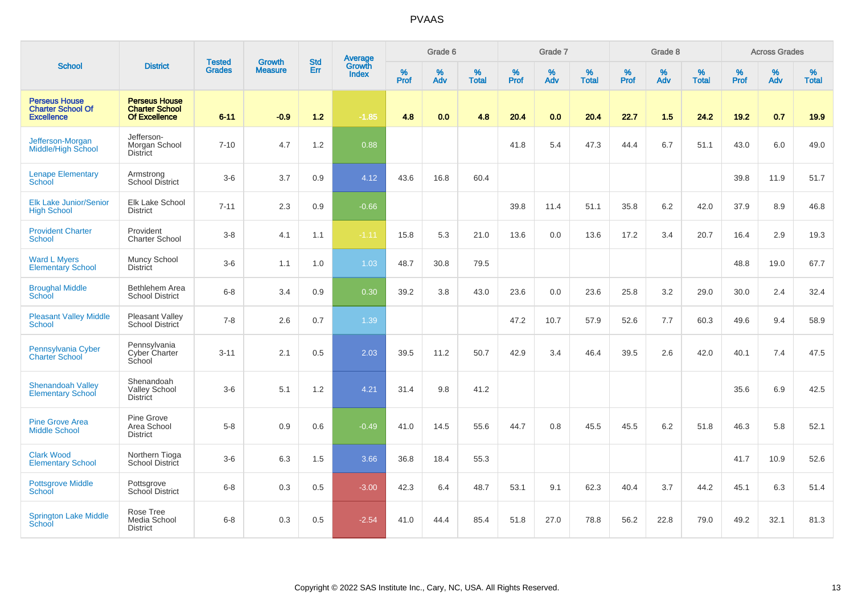|                                                                       |                                                                       |                                |                                 | <b>Std</b> |                                          |           | Grade 6     |                   |           | Grade 7  |                   |           | Grade 8  |                   |           | <b>Across Grades</b> |                   |
|-----------------------------------------------------------------------|-----------------------------------------------------------------------|--------------------------------|---------------------------------|------------|------------------------------------------|-----------|-------------|-------------------|-----------|----------|-------------------|-----------|----------|-------------------|-----------|----------------------|-------------------|
| <b>School</b>                                                         | <b>District</b>                                                       | <b>Tested</b><br><b>Grades</b> | <b>Growth</b><br><b>Measure</b> | Err        | <b>Average</b><br>Growth<br><b>Index</b> | %<br>Prof | $\%$<br>Adv | %<br><b>Total</b> | %<br>Prof | %<br>Adv | %<br><b>Total</b> | %<br>Prof | %<br>Adv | %<br><b>Total</b> | %<br>Prof | %<br>Adv             | %<br><b>Total</b> |
| <b>Perseus House</b><br><b>Charter School Of</b><br><b>Excellence</b> | <b>Perseus House</b><br><b>Charter School</b><br><b>Of Excellence</b> | $6 - 11$                       | $-0.9$                          | $1.2$      | $-1.85$                                  | 4.8       | 0.0         | 4.8               | 20.4      | 0.0      | 20.4              | 22.7      | 1.5      | 24.2              | 19.2      | 0.7                  | 19.9              |
| Jefferson-Morgan<br><b>Middle/High School</b>                         | Jefferson-<br>Morgan School<br><b>District</b>                        | $7 - 10$                       | 4.7                             | 1.2        | 0.88                                     |           |             |                   | 41.8      | 5.4      | 47.3              | 44.4      | 6.7      | 51.1              | 43.0      | 6.0                  | 49.0              |
| <b>Lenape Elementary</b><br>School                                    | Armstrong<br><b>School District</b>                                   | $3-6$                          | 3.7                             | 0.9        | 4.12                                     | 43.6      | 16.8        | 60.4              |           |          |                   |           |          |                   | 39.8      | 11.9                 | 51.7              |
| <b>Elk Lake Junior/Senior</b><br><b>High School</b>                   | Elk Lake School<br><b>District</b>                                    | $7 - 11$                       | 2.3                             | 0.9        | $-0.66$                                  |           |             |                   | 39.8      | 11.4     | 51.1              | 35.8      | 6.2      | 42.0              | 37.9      | 8.9                  | 46.8              |
| <b>Provident Charter</b><br><b>School</b>                             | Provident<br><b>Charter School</b>                                    | $3-8$                          | 4.1                             | 1.1        | $-1.11$                                  | 15.8      | 5.3         | 21.0              | 13.6      | 0.0      | 13.6              | 17.2      | 3.4      | 20.7              | 16.4      | 2.9                  | 19.3              |
| <b>Ward L Myers</b><br><b>Elementary School</b>                       | Muncy School<br><b>District</b>                                       | $3-6$                          | 1.1                             | 1.0        | 1.03                                     | 48.7      | 30.8        | 79.5              |           |          |                   |           |          |                   | 48.8      | 19.0                 | 67.7              |
| <b>Broughal Middle</b><br><b>School</b>                               | Bethlehem Area<br><b>School District</b>                              | $6 - 8$                        | 3.4                             | 0.9        | 0.30                                     | 39.2      | 3.8         | 43.0              | 23.6      | 0.0      | 23.6              | 25.8      | 3.2      | 29.0              | 30.0      | 2.4                  | 32.4              |
| <b>Pleasant Valley Middle</b><br>School                               | Pleasant Valley<br>School District                                    | $7 - 8$                        | 2.6                             | 0.7        | 1.39                                     |           |             |                   | 47.2      | 10.7     | 57.9              | 52.6      | 7.7      | 60.3              | 49.6      | 9.4                  | 58.9              |
| Pennsylvania Cyber<br><b>Charter School</b>                           | Pennsylvania<br>Cyber Charter<br>School                               | $3 - 11$                       | 2.1                             | 0.5        | 2.03                                     | 39.5      | 11.2        | 50.7              | 42.9      | 3.4      | 46.4              | 39.5      | 2.6      | 42.0              | 40.1      | 7.4                  | 47.5              |
| <b>Shenandoah Valley</b><br><b>Elementary School</b>                  | Shenandoah<br>Valley School<br><b>District</b>                        | $3-6$                          | 5.1                             | 1.2        | 4.21                                     | 31.4      | 9.8         | 41.2              |           |          |                   |           |          |                   | 35.6      | 6.9                  | 42.5              |
| <b>Pine Grove Area</b><br><b>Middle School</b>                        | Pine Grove<br>Area School<br><b>District</b>                          | $5-8$                          | 0.9                             | 0.6        | $-0.49$                                  | 41.0      | 14.5        | 55.6              | 44.7      | 0.8      | 45.5              | 45.5      | 6.2      | 51.8              | 46.3      | 5.8                  | 52.1              |
| <b>Clark Wood</b><br><b>Elementary School</b>                         | Northern Tioga<br>School District                                     | $3-6$                          | 6.3                             | 1.5        | 3.66                                     | 36.8      | 18.4        | 55.3              |           |          |                   |           |          |                   | 41.7      | 10.9                 | 52.6              |
| <b>Pottsgrove Middle</b><br>School                                    | Pottsgrove<br>School District                                         | $6 - 8$                        | 0.3                             | 0.5        | $-3.00$                                  | 42.3      | 6.4         | 48.7              | 53.1      | 9.1      | 62.3              | 40.4      | 3.7      | 44.2              | 45.1      | 6.3                  | 51.4              |
| <b>Springton Lake Middle</b><br>School                                | Rose Tree<br>Media School<br><b>District</b>                          | $6 - 8$                        | 0.3                             | 0.5        | $-2.54$                                  | 41.0      | 44.4        | 85.4              | 51.8      | 27.0     | 78.8              | 56.2      | 22.8     | 79.0              | 49.2      | 32.1                 | 81.3              |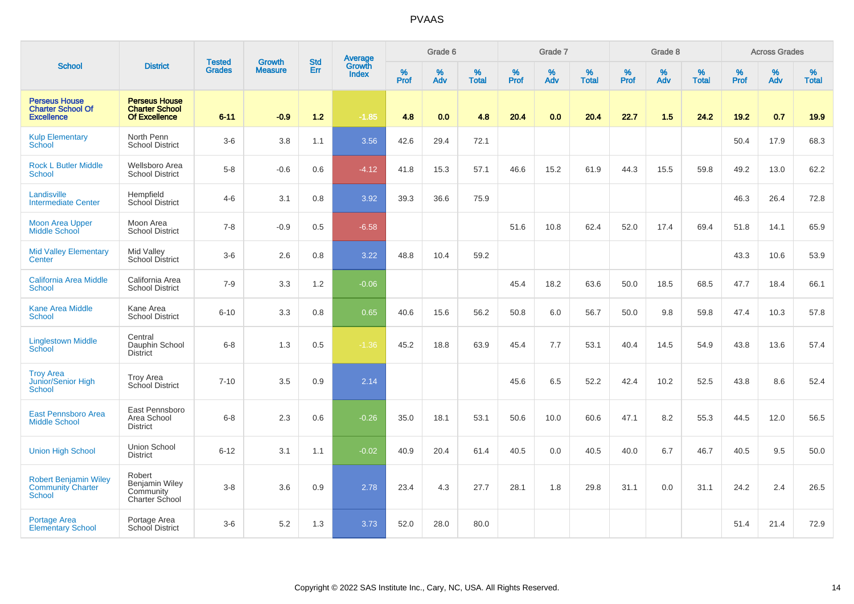|                                                                       |                                                                       |                                | <b>Growth</b>  | <b>Std</b> |                                          |           | Grade 6  |                   |           | Grade 7         |                   |           | Grade 8  |                   |           | <b>Across Grades</b> |                   |
|-----------------------------------------------------------------------|-----------------------------------------------------------------------|--------------------------------|----------------|------------|------------------------------------------|-----------|----------|-------------------|-----------|-----------------|-------------------|-----------|----------|-------------------|-----------|----------------------|-------------------|
| <b>School</b>                                                         | <b>District</b>                                                       | <b>Tested</b><br><b>Grades</b> | <b>Measure</b> | Err        | <b>Average</b><br>Growth<br><b>Index</b> | %<br>Prof | %<br>Adv | %<br><b>Total</b> | %<br>Prof | %<br><b>Adv</b> | %<br><b>Total</b> | %<br>Prof | %<br>Adv | %<br><b>Total</b> | %<br>Prof | %<br>Adv             | %<br><b>Total</b> |
| <b>Perseus House</b><br><b>Charter School Of</b><br><b>Excellence</b> | <b>Perseus House</b><br><b>Charter School</b><br><b>Of Excellence</b> | $6 - 11$                       | $-0.9$         | $1.2$      | $-1.85$                                  | 4.8       | 0.0      | 4.8               | 20.4      | 0.0             | 20.4              | 22.7      | 1.5      | 24.2              | 19.2      | 0.7                  | 19.9              |
| <b>Kulp Elementary</b><br>School                                      | North Penn<br><b>School District</b>                                  | $3-6$                          | 3.8            | 1.1        | 3.56                                     | 42.6      | 29.4     | 72.1              |           |                 |                   |           |          |                   | 50.4      | 17.9                 | 68.3              |
| <b>Rock L Butler Middle</b><br><b>School</b>                          | Wellsboro Area<br><b>School District</b>                              | $5-8$                          | $-0.6$         | 0.6        | $-4.12$                                  | 41.8      | 15.3     | 57.1              | 46.6      | 15.2            | 61.9              | 44.3      | 15.5     | 59.8              | 49.2      | 13.0                 | 62.2              |
| Landisville<br><b>Intermediate Center</b>                             | Hempfield<br>School District                                          | $4 - 6$                        | 3.1            | 0.8        | 3.92                                     | 39.3      | 36.6     | 75.9              |           |                 |                   |           |          |                   | 46.3      | 26.4                 | 72.8              |
| <b>Moon Area Upper</b><br><b>Middle School</b>                        | Moon Area<br><b>School District</b>                                   | $7 - 8$                        | $-0.9$         | 0.5        | $-6.58$                                  |           |          |                   | 51.6      | 10.8            | 62.4              | 52.0      | 17.4     | 69.4              | 51.8      | 14.1                 | 65.9              |
| <b>Mid Valley Elementary</b><br>Center                                | Mid Valley<br>School District                                         | $3-6$                          | 2.6            | 0.8        | 3.22                                     | 48.8      | 10.4     | 59.2              |           |                 |                   |           |          |                   | 43.3      | 10.6                 | 53.9              |
| <b>California Area Middle</b><br><b>School</b>                        | California Area<br><b>School District</b>                             | $7-9$                          | 3.3            | 1.2        | $-0.06$                                  |           |          |                   | 45.4      | 18.2            | 63.6              | 50.0      | 18.5     | 68.5              | 47.7      | 18.4                 | 66.1              |
| <b>Kane Area Middle</b><br><b>School</b>                              | Kane Area<br><b>School District</b>                                   | $6 - 10$                       | 3.3            | 0.8        | 0.65                                     | 40.6      | 15.6     | 56.2              | 50.8      | 6.0             | 56.7              | 50.0      | 9.8      | 59.8              | 47.4      | 10.3                 | 57.8              |
| <b>Linglestown Middle</b><br>School                                   | Central<br>Dauphin School<br><b>District</b>                          | $6 - 8$                        | 1.3            | 0.5        | $-1.36$                                  | 45.2      | 18.8     | 63.9              | 45.4      | 7.7             | 53.1              | 40.4      | 14.5     | 54.9              | 43.8      | 13.6                 | 57.4              |
| <b>Troy Area</b><br>Junior/Senior High<br><b>School</b>               | <b>Troy Area</b><br>School District                                   | $7 - 10$                       | 3.5            | 0.9        | 2.14                                     |           |          |                   | 45.6      | 6.5             | 52.2              | 42.4      | 10.2     | 52.5              | 43.8      | 8.6                  | 52.4              |
| East Pennsboro Area<br><b>Middle School</b>                           | East Pennsboro<br>Area School<br><b>District</b>                      | $6 - 8$                        | 2.3            | 0.6        | $-0.26$                                  | 35.0      | 18.1     | 53.1              | 50.6      | 10.0            | 60.6              | 47.1      | 8.2      | 55.3              | 44.5      | 12.0                 | 56.5              |
| <b>Union High School</b>                                              | Union School<br><b>District</b>                                       | $6 - 12$                       | 3.1            | 1.1        | $-0.02$                                  | 40.9      | 20.4     | 61.4              | 40.5      | 0.0             | 40.5              | 40.0      | 6.7      | 46.7              | 40.5      | 9.5                  | 50.0              |
| <b>Robert Benjamin Wiley</b><br><b>Community Charter</b><br>School    | Robert<br>Benjamin Wiley<br>Community<br><b>Charter School</b>        | $3 - 8$                        | 3.6            | 0.9        | 2.78                                     | 23.4      | 4.3      | 27.7              | 28.1      | 1.8             | 29.8              | 31.1      | 0.0      | 31.1              | 24.2      | 2.4                  | 26.5              |
| <b>Portage Area</b><br><b>Elementary School</b>                       | Portage Area<br><b>School District</b>                                | $3-6$                          | 5.2            | 1.3        | 3.73                                     | 52.0      | 28.0     | 80.0              |           |                 |                   |           |          |                   | 51.4      | 21.4                 | 72.9              |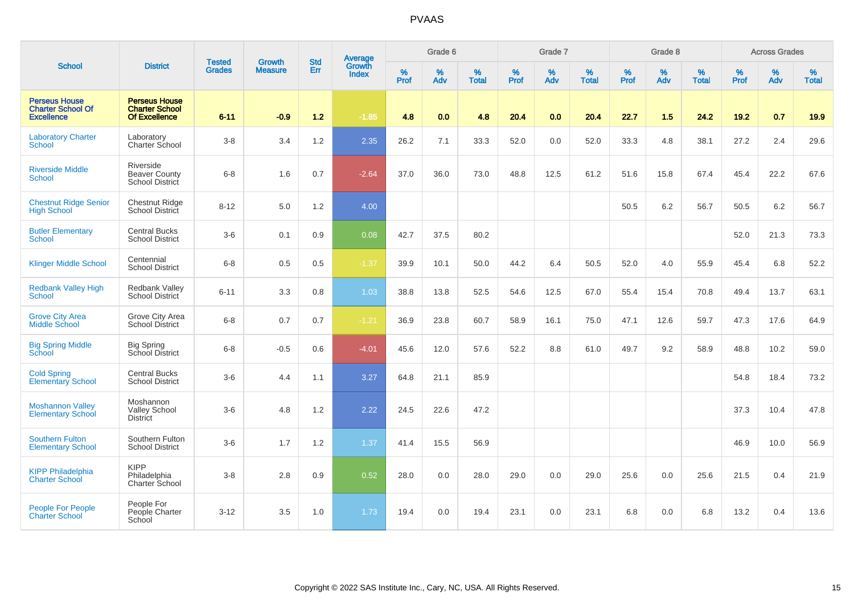|                                                                       |                                                                       |                                | <b>Growth</b>  | <b>Std</b> | <b>Average</b><br>Growth |           | Grade 6     |                   |                  | Grade 7  |                   |                  | Grade 8  |                   |           | <b>Across Grades</b> |                   |
|-----------------------------------------------------------------------|-----------------------------------------------------------------------|--------------------------------|----------------|------------|--------------------------|-----------|-------------|-------------------|------------------|----------|-------------------|------------------|----------|-------------------|-----------|----------------------|-------------------|
| <b>School</b>                                                         | <b>District</b>                                                       | <b>Tested</b><br><b>Grades</b> | <b>Measure</b> | Err        | <b>Index</b>             | %<br>Prof | $\%$<br>Adv | %<br><b>Total</b> | %<br><b>Prof</b> | %<br>Adv | %<br><b>Total</b> | %<br><b>Prof</b> | %<br>Adv | %<br><b>Total</b> | %<br>Prof | %<br>Adv             | %<br><b>Total</b> |
| <b>Perseus House</b><br><b>Charter School Of</b><br><b>Excellence</b> | <b>Perseus House</b><br><b>Charter School</b><br><b>Of Excellence</b> | $6 - 11$                       | $-0.9$         | $1.2$      | $-1.85$                  | 4.8       | 0.0         | 4.8               | 20.4             | 0.0      | 20.4              | 22.7             | 1.5      | 24.2              | 19.2      | 0.7                  | 19.9              |
| <b>Laboratory Charter</b><br><b>School</b>                            | Laboratory<br>Charter School                                          | $3 - 8$                        | 3.4            | 1.2        | 2.35                     | 26.2      | 7.1         | 33.3              | 52.0             | 0.0      | 52.0              | 33.3             | 4.8      | 38.1              | 27.2      | 2.4                  | 29.6              |
| <b>Riverside Middle</b><br><b>School</b>                              | Riverside<br><b>Beaver County</b><br>School District                  | $6 - 8$                        | 1.6            | 0.7        | $-2.64$                  | 37.0      | 36.0        | 73.0              | 48.8             | 12.5     | 61.2              | 51.6             | 15.8     | 67.4              | 45.4      | 22.2                 | 67.6              |
| <b>Chestnut Ridge Senior</b><br><b>High School</b>                    | <b>Chestnut Ridge</b><br><b>School District</b>                       | $8 - 12$                       | 5.0            | 1.2        | 4.00                     |           |             |                   |                  |          |                   | 50.5             | 6.2      | 56.7              | 50.5      | 6.2                  | 56.7              |
| <b>Butler Elementary</b><br>School                                    | <b>Central Bucks</b><br><b>School District</b>                        | $3-6$                          | 0.1            | 0.9        | 0.08                     | 42.7      | 37.5        | 80.2              |                  |          |                   |                  |          |                   | 52.0      | 21.3                 | 73.3              |
| <b>Klinger Middle School</b>                                          | Centennial<br><b>School District</b>                                  | $6 - 8$                        | 0.5            | 0.5        | $-1.37$                  | 39.9      | 10.1        | 50.0              | 44.2             | 6.4      | 50.5              | 52.0             | 4.0      | 55.9              | 45.4      | 6.8                  | 52.2              |
| <b>Redbank Valley High</b><br>School                                  | <b>Redbank Valley</b><br><b>School District</b>                       | $6 - 11$                       | 3.3            | 0.8        | 1.03                     | 38.8      | 13.8        | 52.5              | 54.6             | 12.5     | 67.0              | 55.4             | 15.4     | 70.8              | 49.4      | 13.7                 | 63.1              |
| <b>Grove City Area</b><br><b>Middle School</b>                        | Grove City Area<br><b>School District</b>                             | $6 - 8$                        | 0.7            | 0.7        | $-1.21$                  | 36.9      | 23.8        | 60.7              | 58.9             | 16.1     | 75.0              | 47.1             | 12.6     | 59.7              | 47.3      | 17.6                 | 64.9              |
| <b>Big Spring Middle</b><br>School                                    | <b>Big Spring</b><br>School District                                  | $6 - 8$                        | $-0.5$         | 0.6        | $-4.01$                  | 45.6      | 12.0        | 57.6              | 52.2             | 8.8      | 61.0              | 49.7             | 9.2      | 58.9              | 48.8      | 10.2                 | 59.0              |
| <b>Cold Spring</b><br>Elementary School                               | <b>Central Bucks</b><br><b>School District</b>                        | $3-6$                          | 4.4            | 1.1        | 3.27                     | 64.8      | 21.1        | 85.9              |                  |          |                   |                  |          |                   | 54.8      | 18.4                 | 73.2              |
| <b>Moshannon Valley</b><br><b>Elementary School</b>                   | Moshannon<br><b>Valley School</b><br><b>District</b>                  | $3-6$                          | 4.8            | 1.2        | 2.22                     | 24.5      | 22.6        | 47.2              |                  |          |                   |                  |          |                   | 37.3      | 10.4                 | 47.8              |
| <b>Southern Fulton</b><br><b>Elementary School</b>                    | Southern Fulton<br><b>School District</b>                             | $3-6$                          | 1.7            | 1.2        | 1.37                     | 41.4      | 15.5        | 56.9              |                  |          |                   |                  |          |                   | 46.9      | 10.0                 | 56.9              |
| <b>KIPP Philadelphia</b><br><b>Charter School</b>                     | <b>KIPP</b><br>Philadelphia<br>Charter School                         | $3 - 8$                        | 2.8            | 0.9        | 0.52                     | 28.0      | 0.0         | 28.0              | 29.0             | 0.0      | 29.0              | 25.6             | 0.0      | 25.6              | 21.5      | 0.4                  | 21.9              |
| <b>People For People</b><br><b>Charter School</b>                     | People For<br>People Charter<br>School                                | $3 - 12$                       | 3.5            | 1.0        | 1.73                     | 19.4      | 0.0         | 19.4              | 23.1             | 0.0      | 23.1              | 6.8              | 0.0      | 6.8               | 13.2      | 0.4                  | 13.6              |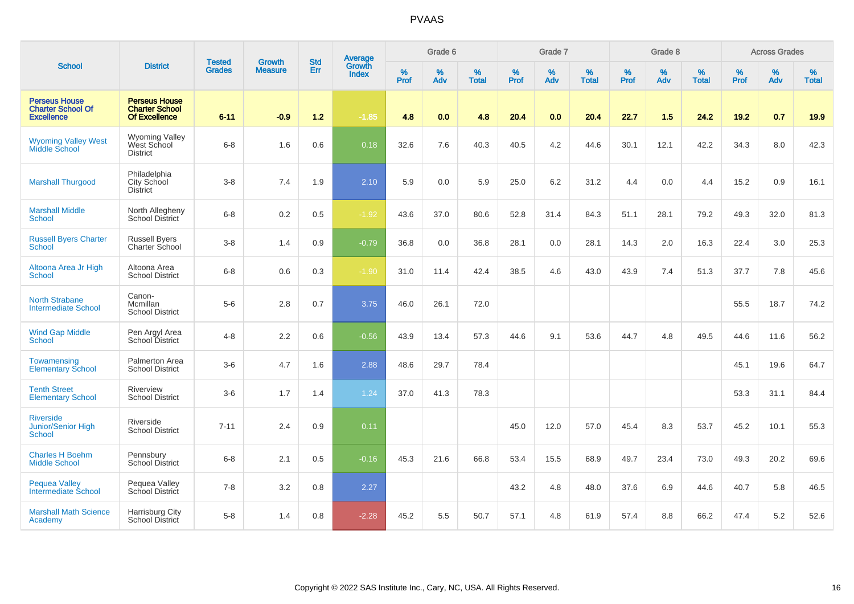|                                                                       |                                                                |                                | <b>Growth</b>  | <b>Std</b> | <b>Average</b><br>Growth |                  | Grade 6  |                   |                  | Grade 7  |                   |           | Grade 8  |                   |                     | <b>Across Grades</b> |                   |
|-----------------------------------------------------------------------|----------------------------------------------------------------|--------------------------------|----------------|------------|--------------------------|------------------|----------|-------------------|------------------|----------|-------------------|-----------|----------|-------------------|---------------------|----------------------|-------------------|
| <b>School</b>                                                         | <b>District</b>                                                | <b>Tested</b><br><b>Grades</b> | <b>Measure</b> | Err        | <b>Index</b>             | %<br><b>Prof</b> | %<br>Adv | %<br><b>Total</b> | %<br><b>Prof</b> | %<br>Adv | %<br><b>Total</b> | %<br>Prof | %<br>Adv | %<br><b>Total</b> | $\%$<br><b>Prof</b> | %<br>Adv             | %<br><b>Total</b> |
| <b>Perseus House</b><br><b>Charter School Of</b><br><b>Excellence</b> | <b>Perseus House</b><br><b>Charter School</b><br>Of Excellence | $6 - 11$                       | $-0.9$         | $1.2$      | $-1.85$                  | 4.8              | 0.0      | 4.8               | 20.4             | 0.0      | 20.4              | 22.7      | 1.5      | 24.2              | $19.2$              | 0.7                  | 19.9              |
| <b>Wyoming Valley West</b><br>Middle School                           | <b>Wyoming Valley</b><br>West School<br><b>District</b>        | $6 - 8$                        | 1.6            | 0.6        | 0.18                     | 32.6             | 7.6      | 40.3              | 40.5             | 4.2      | 44.6              | 30.1      | 12.1     | 42.2              | 34.3                | 8.0                  | 42.3              |
| <b>Marshall Thurgood</b>                                              | Philadelphia<br>City School<br><b>District</b>                 | $3-8$                          | 7.4            | 1.9        | 2.10                     | 5.9              | 0.0      | 5.9               | 25.0             | $6.2\,$  | 31.2              | 4.4       | 0.0      | 4.4               | 15.2                | 0.9                  | 16.1              |
| <b>Marshall Middle</b><br>School                                      | North Allegheny<br><b>School District</b>                      | $6-8$                          | 0.2            | 0.5        | $-1.92$                  | 43.6             | 37.0     | 80.6              | 52.8             | 31.4     | 84.3              | 51.1      | 28.1     | 79.2              | 49.3                | 32.0                 | 81.3              |
| <b>Russell Byers Charter</b><br><b>School</b>                         | <b>Russell Byers</b><br>Charter School                         | $3-8$                          | 1.4            | 0.9        | $-0.79$                  | 36.8             | 0.0      | 36.8              | 28.1             | 0.0      | 28.1              | 14.3      | 2.0      | 16.3              | 22.4                | 3.0                  | 25.3              |
| Altoona Area Jr High<br><b>School</b>                                 | Altoona Area<br><b>School District</b>                         | $6-8$                          | 0.6            | 0.3        | $-1.90$                  | 31.0             | 11.4     | 42.4              | 38.5             | 4.6      | 43.0              | 43.9      | 7.4      | 51.3              | 37.7                | 7.8                  | 45.6              |
| <b>North Strabane</b><br><b>Intermediate School</b>                   | Canon-<br>Mcmillan<br><b>School District</b>                   | $5-6$                          | 2.8            | 0.7        | 3.75                     | 46.0             | 26.1     | 72.0              |                  |          |                   |           |          |                   | 55.5                | 18.7                 | 74.2              |
| <b>Wind Gap Middle</b><br><b>School</b>                               | Pen Argyl Area<br>School District                              | $4 - 8$                        | 2.2            | 0.6        | $-0.56$                  | 43.9             | 13.4     | 57.3              | 44.6             | 9.1      | 53.6              | 44.7      | 4.8      | 49.5              | 44.6                | 11.6                 | 56.2              |
| Towamensing<br><b>Elementary School</b>                               | Palmerton Area<br><b>School District</b>                       | $3-6$                          | 4.7            | 1.6        | 2.88                     | 48.6             | 29.7     | 78.4              |                  |          |                   |           |          |                   | 45.1                | 19.6                 | 64.7              |
| <b>Tenth Street</b><br><b>Elementary School</b>                       | Riverview<br><b>School District</b>                            | $3-6$                          | 1.7            | 1.4        | 1.24                     | 37.0             | 41.3     | 78.3              |                  |          |                   |           |          |                   | 53.3                | 31.1                 | 84.4              |
| <b>Riverside</b><br>Junior/Senior High<br>School                      | Riverside<br><b>School District</b>                            | $7 - 11$                       | 2.4            | 0.9        | 0.11                     |                  |          |                   | 45.0             | 12.0     | 57.0              | 45.4      | 8.3      | 53.7              | 45.2                | 10.1                 | 55.3              |
| <b>Charles H Boehm</b><br><b>Middle School</b>                        | Pennsbury<br><b>School District</b>                            | $6 - 8$                        | 2.1            | 0.5        | $-0.16$                  | 45.3             | 21.6     | 66.8              | 53.4             | 15.5     | 68.9              | 49.7      | 23.4     | 73.0              | 49.3                | 20.2                 | 69.6              |
| <b>Pequea Valley</b><br><b>Intermediate School</b>                    | Pequea Valley<br>School District                               | $7 - 8$                        | 3.2            | 0.8        | 2.27                     |                  |          |                   | 43.2             | 4.8      | 48.0              | 37.6      | 6.9      | 44.6              | 40.7                | 5.8                  | 46.5              |
| <b>Marshall Math Science</b><br>Academy                               | Harrisburg City<br>School District                             | $5-8$                          | 1.4            | 0.8        | $-2.28$                  | 45.2             | 5.5      | 50.7              | 57.1             | 4.8      | 61.9              | 57.4      | 8.8      | 66.2              | 47.4                | 5.2                  | 52.6              |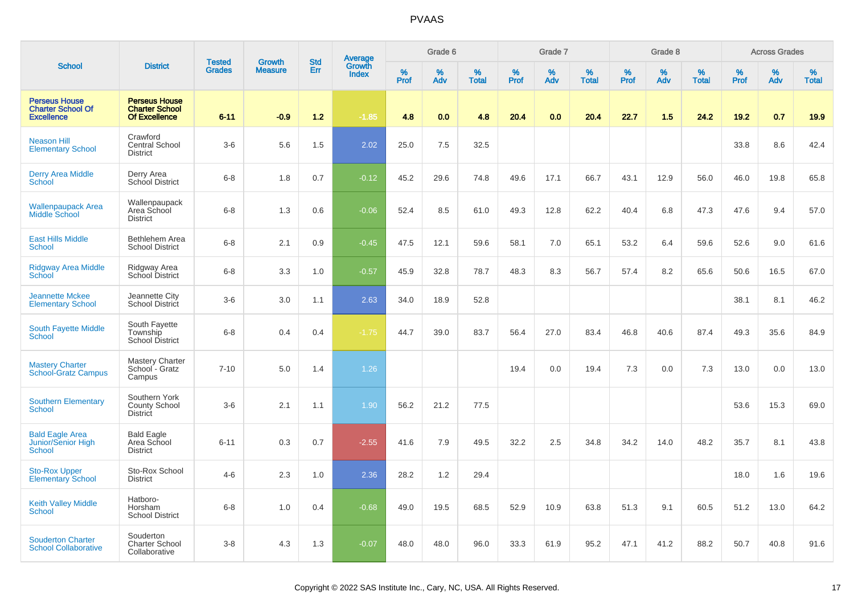|                                                                       |                                                                       |                                |                                 |                   |                                          |                  | Grade 6  |                   |                  | Grade 7  |                   |           | Grade 8  |                   |           | <b>Across Grades</b> |                   |
|-----------------------------------------------------------------------|-----------------------------------------------------------------------|--------------------------------|---------------------------------|-------------------|------------------------------------------|------------------|----------|-------------------|------------------|----------|-------------------|-----------|----------|-------------------|-----------|----------------------|-------------------|
| <b>School</b>                                                         | <b>District</b>                                                       | <b>Tested</b><br><b>Grades</b> | <b>Growth</b><br><b>Measure</b> | <b>Std</b><br>Err | <b>Average</b><br>Growth<br><b>Index</b> | %<br><b>Prof</b> | %<br>Adv | %<br><b>Total</b> | %<br><b>Prof</b> | %<br>Adv | %<br><b>Total</b> | %<br>Prof | %<br>Adv | %<br><b>Total</b> | %<br>Prof | %<br>Adv             | %<br><b>Total</b> |
| <b>Perseus House</b><br><b>Charter School Of</b><br><b>Excellence</b> | <b>Perseus House</b><br><b>Charter School</b><br><b>Of Excellence</b> | $6 - 11$                       | $-0.9$                          | $1.2$             | $-1.85$                                  | 4.8              | 0.0      | 4.8               | 20.4             | 0.0      | 20.4              | 22.7      | 1.5      | 24.2              | 19.2      | 0.7                  | 19.9              |
| <b>Neason Hill</b><br><b>Elementary School</b>                        | Crawford<br><b>Central School</b><br><b>District</b>                  | $3-6$                          | 5.6                             | 1.5               | 2.02                                     | 25.0             | 7.5      | 32.5              |                  |          |                   |           |          |                   | 33.8      | 8.6                  | 42.4              |
| <b>Derry Area Middle</b><br>School                                    | Derry Area<br>School District                                         | $6 - 8$                        | 1.8                             | 0.7               | $-0.12$                                  | 45.2             | 29.6     | 74.8              | 49.6             | 17.1     | 66.7              | 43.1      | 12.9     | 56.0              | 46.0      | 19.8                 | 65.8              |
| <b>Wallenpaupack Area</b><br>Middle School                            | Wallenpaupack<br>Area School<br><b>District</b>                       | $6 - 8$                        | 1.3                             | 0.6               | $-0.06$                                  | 52.4             | 8.5      | 61.0              | 49.3             | 12.8     | 62.2              | 40.4      | 6.8      | 47.3              | 47.6      | 9.4                  | 57.0              |
| <b>East Hills Middle</b><br><b>School</b>                             | Bethlehem Area<br><b>School District</b>                              | $6 - 8$                        | 2.1                             | 0.9               | $-0.45$                                  | 47.5             | 12.1     | 59.6              | 58.1             | 7.0      | 65.1              | 53.2      | 6.4      | 59.6              | 52.6      | 9.0                  | 61.6              |
| <b>Ridgway Area Middle</b><br>School                                  | Ridgway Area<br>School District                                       | $6 - 8$                        | 3.3                             | 1.0               | $-0.57$                                  | 45.9             | 32.8     | 78.7              | 48.3             | 8.3      | 56.7              | 57.4      | 8.2      | 65.6              | 50.6      | 16.5                 | 67.0              |
| <b>Jeannette Mckee</b><br><b>Elementary School</b>                    | Jeannette City<br><b>School District</b>                              | $3-6$                          | 3.0                             | 1.1               | 2.63                                     | 34.0             | 18.9     | 52.8              |                  |          |                   |           |          |                   | 38.1      | 8.1                  | 46.2              |
| <b>South Fayette Middle</b><br><b>School</b>                          | South Fayette<br>Township<br><b>School District</b>                   | $6-8$                          | 0.4                             | 0.4               | $-1.75$                                  | 44.7             | 39.0     | 83.7              | 56.4             | 27.0     | 83.4              | 46.8      | 40.6     | 87.4              | 49.3      | 35.6                 | 84.9              |
| <b>Mastery Charter</b><br><b>School-Gratz Campus</b>                  | <b>Mastery Charter</b><br>School - Gratz<br>Campus                    | $7 - 10$                       | 5.0                             | 1.4               | 1.26                                     |                  |          |                   | 19.4             | 0.0      | 19.4              | 7.3       | 0.0      | 7.3               | 13.0      | 0.0                  | 13.0              |
| <b>Southern Elementary</b><br><b>School</b>                           | Southern York<br>County School<br><b>District</b>                     | $3-6$                          | 2.1                             | 1.1               | 1.90                                     | 56.2             | 21.2     | 77.5              |                  |          |                   |           |          |                   | 53.6      | 15.3                 | 69.0              |
| <b>Bald Eagle Area</b><br>Junior/Senior High<br><b>School</b>         | <b>Bald Eagle</b><br>Area School<br><b>District</b>                   | $6 - 11$                       | 0.3                             | 0.7               | $-2.55$                                  | 41.6             | 7.9      | 49.5              | 32.2             | 2.5      | 34.8              | 34.2      | 14.0     | 48.2              | 35.7      | 8.1                  | 43.8              |
| <b>Sto-Rox Upper</b><br><b>Elementary School</b>                      | Sto-Rox School<br><b>District</b>                                     | $4 - 6$                        | 2.3                             | 1.0               | 2.36                                     | 28.2             | 1.2      | 29.4              |                  |          |                   |           |          |                   | 18.0      | 1.6                  | 19.6              |
| <b>Keith Valley Middle</b><br>School                                  | Hatboro-<br>Horsham<br><b>School District</b>                         | $6 - 8$                        | 1.0                             | 0.4               | $-0.68$                                  | 49.0             | 19.5     | 68.5              | 52.9             | 10.9     | 63.8              | 51.3      | 9.1      | 60.5              | 51.2      | 13.0                 | 64.2              |
| <b>Souderton Charter</b><br><b>School Collaborative</b>               | Souderton<br>Charter School<br>Collaborative                          | $3 - 8$                        | 4.3                             | 1.3               | $-0.07$                                  | 48.0             | 48.0     | 96.0              | 33.3             | 61.9     | 95.2              | 47.1      | 41.2     | 88.2              | 50.7      | 40.8                 | 91.6              |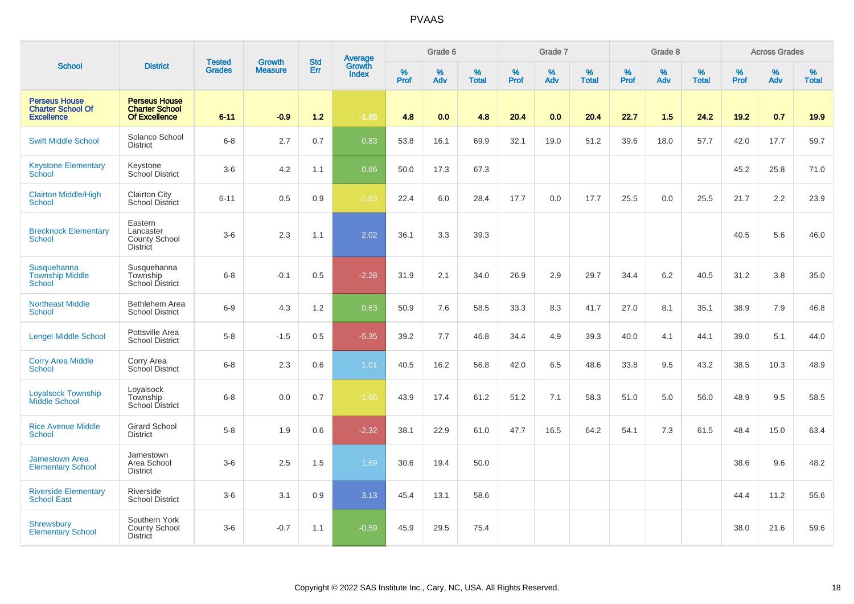|                                                                       |                                                                       | <b>Tested</b> | Growth         | <b>Std</b> | <b>Average</b><br>Growth |           | Grade 6  |                   |           | Grade 7  |                   |           | Grade 8  |                   |           | <b>Across Grades</b> |                   |
|-----------------------------------------------------------------------|-----------------------------------------------------------------------|---------------|----------------|------------|--------------------------|-----------|----------|-------------------|-----------|----------|-------------------|-----------|----------|-------------------|-----------|----------------------|-------------------|
| <b>School</b>                                                         | <b>District</b>                                                       | <b>Grades</b> | <b>Measure</b> | Err        | <b>Index</b>             | %<br>Prof | %<br>Adv | %<br><b>Total</b> | %<br>Prof | %<br>Adv | %<br><b>Total</b> | %<br>Prof | %<br>Adv | %<br><b>Total</b> | %<br>Prof | %<br>Adv             | %<br><b>Total</b> |
| <b>Perseus House</b><br><b>Charter School Of</b><br><b>Excellence</b> | <b>Perseus House</b><br><b>Charter School</b><br><b>Of Excellence</b> | $6 - 11$      | $-0.9$         | $1.2$      | $-1.85$                  | 4.8       | 0.0      | 4.8               | 20.4      | 0.0      | 20.4              | 22.7      | 1.5      | 24.2              | 19.2      | 0.7                  | 19.9              |
| <b>Swift Middle School</b>                                            | Solanco School<br><b>District</b>                                     | $6 - 8$       | 2.7            | 0.7        | 0.83                     | 53.8      | 16.1     | 69.9              | 32.1      | 19.0     | 51.2              | 39.6      | 18.0     | 57.7              | 42.0      | 17.7                 | 59.7              |
| <b>Keystone Elementary</b><br>School                                  | Keystone<br>School District                                           | $3-6$         | 4.2            | 1.1        | 0.66                     | 50.0      | 17.3     | 67.3              |           |          |                   |           |          |                   | 45.2      | 25.8                 | 71.0              |
| <b>Clairton Middle/High</b><br><b>School</b>                          | <b>Clairton City</b><br><b>School District</b>                        | $6 - 11$      | 0.5            | 0.9        | $-1.63$                  | 22.4      | 6.0      | 28.4              | 17.7      | 0.0      | 17.7              | 25.5      | 0.0      | 25.5              | 21.7      | 2.2                  | 23.9              |
| <b>Brecknock Elementary</b><br><b>School</b>                          | Eastern<br>Lancaster<br><b>County School</b><br><b>District</b>       | $3-6$         | 2.3            | 1.1        | 2.02                     | 36.1      | 3.3      | 39.3              |           |          |                   |           |          |                   | 40.5      | 5.6                  | 46.0              |
| Susquehanna<br><b>Township Middle</b><br><b>School</b>                | Susquehanna<br>Township<br>School District                            | $6-8$         | $-0.1$         | 0.5        | $-2.28$                  | 31.9      | 2.1      | 34.0              | 26.9      | 2.9      | 29.7              | 34.4      | 6.2      | 40.5              | 31.2      | 3.8                  | 35.0              |
| <b>Northeast Middle</b><br>School                                     | Bethlehem Area<br><b>School District</b>                              | $6 - 9$       | 4.3            | 1.2        | 0.63                     | 50.9      | 7.6      | 58.5              | 33.3      | 8.3      | 41.7              | 27.0      | 8.1      | 35.1              | 38.9      | 7.9                  | 46.8              |
| <b>Lengel Middle School</b>                                           | Pottsville Area<br><b>School District</b>                             | $5-8$         | $-1.5$         | 0.5        | $-5.35$                  | 39.2      | 7.7      | 46.8              | 34.4      | 4.9      | 39.3              | 40.0      | 4.1      | 44.1              | 39.0      | 5.1                  | 44.0              |
| <b>Corry Area Middle</b><br>School                                    | Corry Area<br>School District                                         | $6 - 8$       | 2.3            | 0.6        | 1.01                     | 40.5      | 16.2     | 56.8              | 42.0      | 6.5      | 48.6              | 33.8      | 9.5      | 43.2              | 38.5      | 10.3                 | 48.9              |
| <b>Loyalsock Township</b><br>Middle School                            | Loyalsock<br>Township<br><b>School District</b>                       | $6 - 8$       | 0.0            | 0.7        | $-1.90$                  | 43.9      | 17.4     | 61.2              | 51.2      | 7.1      | 58.3              | 51.0      | 5.0      | 56.0              | 48.9      | 9.5                  | 58.5              |
| <b>Rice Avenue Middle</b><br><b>School</b>                            | <b>Girard School</b><br><b>District</b>                               | $5-8$         | 1.9            | 0.6        | $-2.32$                  | 38.1      | 22.9     | 61.0              | 47.7      | 16.5     | 64.2              | 54.1      | 7.3      | 61.5              | 48.4      | 15.0                 | 63.4              |
| <b>Jamestown Area</b><br><b>Elementary School</b>                     | Jamestown<br>Area School<br><b>District</b>                           | $3-6$         | 2.5            | 1.5        | 1.69                     | 30.6      | 19.4     | 50.0              |           |          |                   |           |          |                   | 38.6      | 9.6                  | 48.2              |
| <b>Riverside Elementary</b><br><b>School East</b>                     | Riverside<br><b>School District</b>                                   | $3-6$         | 3.1            | 0.9        | 3.13                     | 45.4      | 13.1     | 58.6              |           |          |                   |           |          |                   | 44.4      | 11.2                 | 55.6              |
| <b>Shrewsbury</b><br><b>Elementary School</b>                         | Southern York<br>County School<br><b>District</b>                     | $3-6$         | $-0.7$         | 1.1        | $-0.59$                  | 45.9      | 29.5     | 75.4              |           |          |                   |           |          |                   | 38.0      | 21.6                 | 59.6              |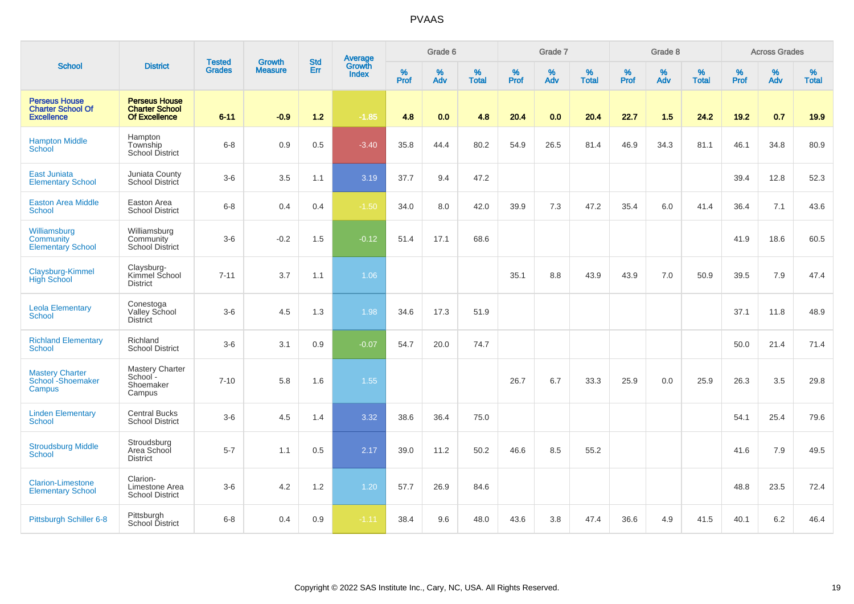|                                                                       |                                                                       |                                |                                 | <b>Std</b> |                                          |           | Grade 6  |                   |           | Grade 7  |                   |           | Grade 8  |                   |           | <b>Across Grades</b> |                   |
|-----------------------------------------------------------------------|-----------------------------------------------------------------------|--------------------------------|---------------------------------|------------|------------------------------------------|-----------|----------|-------------------|-----------|----------|-------------------|-----------|----------|-------------------|-----------|----------------------|-------------------|
| <b>School</b>                                                         | <b>District</b>                                                       | <b>Tested</b><br><b>Grades</b> | <b>Growth</b><br><b>Measure</b> | Err        | <b>Average</b><br>Growth<br><b>Index</b> | %<br>Prof | %<br>Adv | %<br><b>Total</b> | %<br>Prof | %<br>Adv | %<br><b>Total</b> | %<br>Prof | %<br>Adv | %<br><b>Total</b> | %<br>Prof | %<br>Adv             | %<br><b>Total</b> |
| <b>Perseus House</b><br><b>Charter School Of</b><br><b>Excellence</b> | <b>Perseus House</b><br><b>Charter School</b><br><b>Of Excellence</b> | $6 - 11$                       | $-0.9$                          | $1.2$      | $-1.85$                                  | 4.8       | 0.0      | 4.8               | 20.4      | 0.0      | 20.4              | 22.7      | 1.5      | 24.2              | $19.2$    | 0.7                  | 19.9              |
| <b>Hampton Middle</b><br><b>School</b>                                | Hampton<br>Township<br>School District                                | $6 - 8$                        | 0.9                             | 0.5        | $-3.40$                                  | 35.8      | 44.4     | 80.2              | 54.9      | 26.5     | 81.4              | 46.9      | 34.3     | 81.1              | 46.1      | 34.8                 | 80.9              |
| East Juniata<br><b>Elementary School</b>                              | Juniata County<br>School District                                     | $3-6$                          | 3.5                             | 1.1        | 3.19                                     | 37.7      | 9.4      | 47.2              |           |          |                   |           |          |                   | 39.4      | 12.8                 | 52.3              |
| <b>Easton Area Middle</b><br><b>School</b>                            | Easton Area<br><b>School District</b>                                 | $6-8$                          | 0.4                             | 0.4        | $-1.50$                                  | 34.0      | 8.0      | 42.0              | 39.9      | 7.3      | 47.2              | 35.4      | 6.0      | 41.4              | 36.4      | 7.1                  | 43.6              |
| Williamsburg<br>Community<br><b>Elementary School</b>                 | Williamsburg<br>Community<br><b>School District</b>                   | $3-6$                          | $-0.2$                          | 1.5        | $-0.12$                                  | 51.4      | 17.1     | 68.6              |           |          |                   |           |          |                   | 41.9      | 18.6                 | 60.5              |
| Claysburg-Kimmel<br><b>High School</b>                                | Claysburg-<br>Kimmel School<br><b>District</b>                        | $7 - 11$                       | 3.7                             | 1.1        | 1.06                                     |           |          |                   | 35.1      | 8.8      | 43.9              | 43.9      | 7.0      | 50.9              | 39.5      | 7.9                  | 47.4              |
| <b>Leola Elementary</b><br><b>School</b>                              | Conestoga<br>Valley School<br><b>District</b>                         | $3-6$                          | 4.5                             | 1.3        | 1.98                                     | 34.6      | 17.3     | 51.9              |           |          |                   |           |          |                   | 37.1      | 11.8                 | 48.9              |
| <b>Richland Elementary</b><br><b>School</b>                           | Richland<br><b>School District</b>                                    | $3-6$                          | 3.1                             | 0.9        | $-0.07$                                  | 54.7      | 20.0     | 74.7              |           |          |                   |           |          |                   | 50.0      | 21.4                 | 71.4              |
| Mastery Charter<br>School - Shoemaker<br>Campus                       | Mastery Charter<br>School-<br>Shoemaker<br>Campus                     | $7 - 10$                       | 5.8                             | 1.6        | 1.55                                     |           |          |                   | 26.7      | 6.7      | 33.3              | 25.9      | 0.0      | 25.9              | 26.3      | 3.5                  | 29.8              |
| <b>Linden Elementary</b><br><b>School</b>                             | <b>Central Bucks</b><br><b>School District</b>                        | $3-6$                          | 4.5                             | 1.4        | 3.32                                     | 38.6      | 36.4     | 75.0              |           |          |                   |           |          |                   | 54.1      | 25.4                 | 79.6              |
| <b>Stroudsburg Middle</b><br>School                                   | Stroudsburg<br>Area School<br><b>District</b>                         | $5 - 7$                        | 1.1                             | 0.5        | 2.17                                     | 39.0      | 11.2     | 50.2              | 46.6      | 8.5      | 55.2              |           |          |                   | 41.6      | 7.9                  | 49.5              |
| <b>Clarion-Limestone</b><br><b>Elementary School</b>                  | Clarion-<br>Limestone Area<br><b>School District</b>                  | $3-6$                          | 4.2                             | 1.2        | 1.20                                     | 57.7      | 26.9     | 84.6              |           |          |                   |           |          |                   | 48.8      | 23.5                 | 72.4              |
| Pittsburgh Schiller 6-8                                               | Pittsburgh<br>School District                                         | $6 - 8$                        | 0.4                             | 0.9        | $-1.11$                                  | 38.4      | 9.6      | 48.0              | 43.6      | 3.8      | 47.4              | 36.6      | 4.9      | 41.5              | 40.1      | 6.2                  | 46.4              |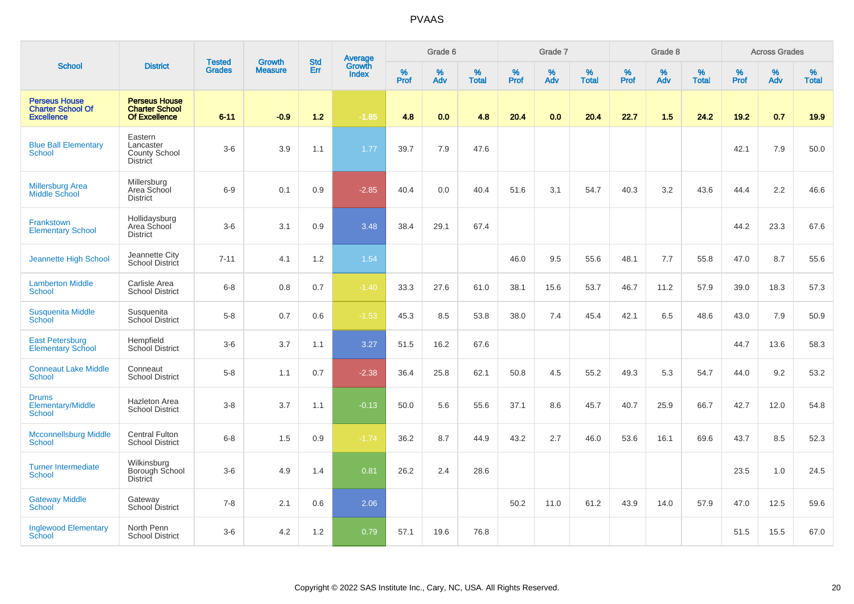|                                                                       |                                                                       |                                |                                 | <b>Std</b> |                                          |                  | Grade 6  |                   |                  | Grade 7  |                   |           | Grade 8     |                   |           | <b>Across Grades</b> |                   |
|-----------------------------------------------------------------------|-----------------------------------------------------------------------|--------------------------------|---------------------------------|------------|------------------------------------------|------------------|----------|-------------------|------------------|----------|-------------------|-----------|-------------|-------------------|-----------|----------------------|-------------------|
| <b>School</b>                                                         | <b>District</b>                                                       | <b>Tested</b><br><b>Grades</b> | <b>Growth</b><br><b>Measure</b> | Err        | <b>Average</b><br>Growth<br><b>Index</b> | %<br><b>Prof</b> | %<br>Adv | %<br><b>Total</b> | %<br><b>Prof</b> | %<br>Adv | %<br><b>Total</b> | %<br>Prof | $\%$<br>Adv | %<br><b>Total</b> | %<br>Prof | %<br>Adv             | %<br><b>Total</b> |
| <b>Perseus House</b><br><b>Charter School Of</b><br><b>Excellence</b> | <b>Perseus House</b><br><b>Charter School</b><br><b>Of Excellence</b> | $6 - 11$                       | $-0.9$                          | 1.2        | $-1.85$                                  | 4.8              | 0.0      | 4.8               | 20.4             | 0.0      | 20.4              | 22.7      | 1.5         | 24.2              | 19.2      | 0.7                  | 19.9              |
| <b>Blue Ball Elementary</b><br>School                                 | Eastern<br>Lancaster<br><b>County School</b><br><b>District</b>       | $3-6$                          | 3.9                             | 1.1        | 1.77                                     | 39.7             | 7.9      | 47.6              |                  |          |                   |           |             |                   | 42.1      | 7.9                  | 50.0              |
| <b>Millersburg Area</b><br><b>Middle School</b>                       | Millersburg<br>Area School<br><b>District</b>                         | $6-9$                          | 0.1                             | 0.9        | $-2.85$                                  | 40.4             | 0.0      | 40.4              | 51.6             | 3.1      | 54.7              | 40.3      | 3.2         | 43.6              | 44.4      | 2.2                  | 46.6              |
| <b>Frankstown</b><br><b>Elementary School</b>                         | Hollidaysburg<br>Area School<br><b>District</b>                       | $3-6$                          | 3.1                             | 0.9        | 3.48                                     | 38.4             | 29.1     | 67.4              |                  |          |                   |           |             |                   | 44.2      | 23.3                 | 67.6              |
| Jeannette High School                                                 | Jeannette City<br>School District                                     | $7 - 11$                       | 4.1                             | 1.2        | 1.54                                     |                  |          |                   | 46.0             | 9.5      | 55.6              | 48.1      | 7.7         | 55.8              | 47.0      | 8.7                  | 55.6              |
| <b>Lamberton Middle</b><br>School                                     | Carlisle Area<br><b>School District</b>                               | $6 - 8$                        | 0.8                             | $0.7\,$    | $-1.40$                                  | 33.3             | 27.6     | 61.0              | 38.1             | 15.6     | 53.7              | 46.7      | 11.2        | 57.9              | 39.0      | 18.3                 | 57.3              |
| <b>Susquenita Middle</b><br>School                                    | Susquenita<br>School District                                         | $5-8$                          | 0.7                             | 0.6        | $-1.53$                                  | 45.3             | 8.5      | 53.8              | 38.0             | 7.4      | 45.4              | 42.1      | 6.5         | 48.6              | 43.0      | 7.9                  | 50.9              |
| <b>East Petersburg</b><br><b>Elementary School</b>                    | Hempfield<br>School District                                          | $3-6$                          | 3.7                             | 1.1        | 3.27                                     | 51.5             | 16.2     | 67.6              |                  |          |                   |           |             |                   | 44.7      | 13.6                 | 58.3              |
| <b>Conneaut Lake Middle</b><br><b>School</b>                          | Conneaut<br><b>School District</b>                                    | $5-8$                          | 1.1                             | 0.7        | $-2.38$                                  | 36.4             | 25.8     | 62.1              | 50.8             | 4.5      | 55.2              | 49.3      | 5.3         | 54.7              | 44.0      | 9.2                  | 53.2              |
| <b>Drums</b><br>Elementary/Middle<br>School                           | Hazleton Area<br><b>School District</b>                               | $3 - 8$                        | 3.7                             | 1.1        | $-0.13$                                  | 50.0             | 5.6      | 55.6              | 37.1             | 8.6      | 45.7              | 40.7      | 25.9        | 66.7              | 42.7      | 12.0                 | 54.8              |
| <b>Mcconnellsburg Middle</b><br><b>School</b>                         | <b>Central Fulton</b><br><b>School District</b>                       | $6 - 8$                        | 1.5                             | 0.9        | $-1.74$                                  | 36.2             | 8.7      | 44.9              | 43.2             | 2.7      | 46.0              | 53.6      | 16.1        | 69.6              | 43.7      | 8.5                  | 52.3              |
| <b>Turner Intermediate</b><br>School                                  | Wilkinsburg<br>Borough School<br><b>District</b>                      | $3-6$                          | 4.9                             | 1.4        | 0.81                                     | 26.2             | 2.4      | 28.6              |                  |          |                   |           |             |                   | 23.5      | 1.0                  | 24.5              |
| <b>Gateway Middle</b><br>School                                       | Gateway<br>School District                                            | $7 - 8$                        | 2.1                             | 0.6        | 2.06                                     |                  |          |                   | 50.2             | 11.0     | 61.2              | 43.9      | 14.0        | 57.9              | 47.0      | 12.5                 | 59.6              |
| <b>Inglewood Elementary</b><br>School                                 | North Penn<br><b>School District</b>                                  | $3-6$                          | 4.2                             | 1.2        | 0.79                                     | 57.1             | 19.6     | 76.8              |                  |          |                   |           |             |                   | 51.5      | 15.5                 | 67.0              |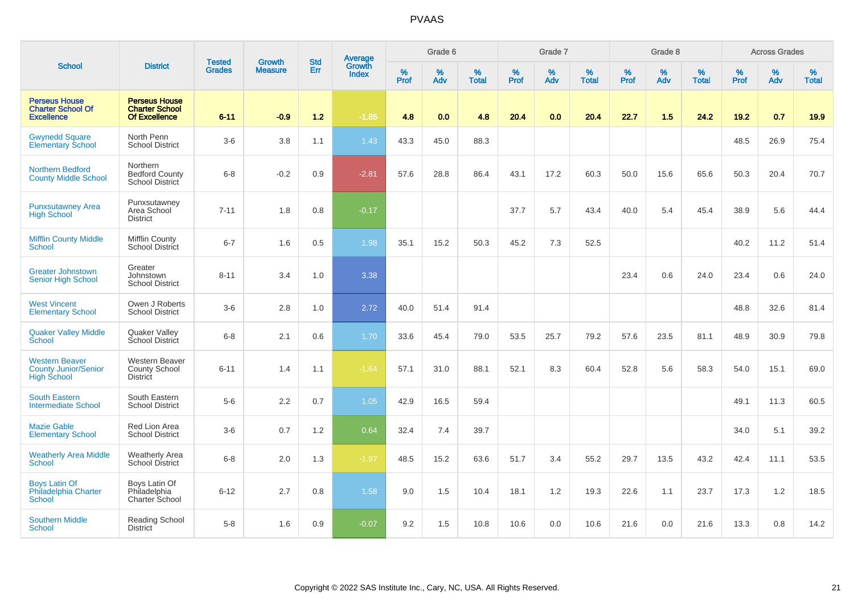|                                                                            |                                                                       |                                | <b>Growth</b>  | <b>Std</b> | <b>Average</b><br>Growth |                  | Grade 6  |                   |           | Grade 7  |                   |           | Grade 8  |                   |           | <b>Across Grades</b> |                   |
|----------------------------------------------------------------------------|-----------------------------------------------------------------------|--------------------------------|----------------|------------|--------------------------|------------------|----------|-------------------|-----------|----------|-------------------|-----------|----------|-------------------|-----------|----------------------|-------------------|
| <b>School</b>                                                              | <b>District</b>                                                       | <b>Tested</b><br><b>Grades</b> | <b>Measure</b> | <b>Err</b> | <b>Index</b>             | %<br><b>Prof</b> | %<br>Adv | %<br><b>Total</b> | %<br>Prof | %<br>Adv | %<br><b>Total</b> | %<br>Prof | %<br>Adv | %<br><b>Total</b> | %<br>Prof | $\%$<br>Adv          | %<br><b>Total</b> |
| <b>Perseus House</b><br><b>Charter School Of</b><br><b>Excellence</b>      | <b>Perseus House</b><br><b>Charter School</b><br><b>Of Excellence</b> | $6 - 11$                       | $-0.9$         | $1.2$      | $-1.85$                  | 4.8              | 0.0      | 4.8               | 20.4      | 0.0      | 20.4              | 22.7      | 1.5      | 24.2              | 19.2      | 0.7                  | 19.9              |
| <b>Gwynedd Square</b><br><b>Elementary School</b>                          | North Penn<br><b>School District</b>                                  | $3-6$                          | 3.8            | 1.1        | 1.43                     | 43.3             | 45.0     | 88.3              |           |          |                   |           |          |                   | 48.5      | 26.9                 | 75.4              |
| <b>Northern Bedford</b><br><b>County Middle School</b>                     | Northern<br><b>Bedford County</b><br>School District                  | $6 - 8$                        | $-0.2$         | 0.9        | $-2.81$                  | 57.6             | 28.8     | 86.4              | 43.1      | 17.2     | 60.3              | 50.0      | 15.6     | 65.6              | 50.3      | 20.4                 | 70.7              |
| <b>Punxsutawney Area</b><br><b>High School</b>                             | Punxsutawney<br>Area School<br><b>District</b>                        | $7 - 11$                       | 1.8            | 0.8        | $-0.17$                  |                  |          |                   | 37.7      | 5.7      | 43.4              | 40.0      | 5.4      | 45.4              | 38.9      | 5.6                  | 44.4              |
| <b>Mifflin County Middle</b><br>School                                     | <b>Mifflin County</b><br>School District                              | $6 - 7$                        | 1.6            | 0.5        | 1.98                     | 35.1             | 15.2     | 50.3              | 45.2      | 7.3      | 52.5              |           |          |                   | 40.2      | 11.2                 | 51.4              |
| <b>Greater Johnstown</b><br><b>Senior High School</b>                      | Greater<br>Johnstown<br><b>School District</b>                        | $8 - 11$                       | 3.4            | 1.0        | 3.38                     |                  |          |                   |           |          |                   | 23.4      | 0.6      | 24.0              | 23.4      | 0.6                  | 24.0              |
| <b>West Vincent</b><br><b>Elementary School</b>                            | Owen J Roberts<br><b>School District</b>                              | $3-6$                          | 2.8            | 1.0        | 2.72                     | 40.0             | 51.4     | 91.4              |           |          |                   |           |          |                   | 48.8      | 32.6                 | 81.4              |
| <b>Quaker Valley Middle</b><br>School                                      | Quaker Valley<br>School District                                      | $6 - 8$                        | 2.1            | 0.6        | 1.70                     | 33.6             | 45.4     | 79.0              | 53.5      | 25.7     | 79.2              | 57.6      | 23.5     | 81.1              | 48.9      | 30.9                 | 79.8              |
| <b>Western Beaver</b><br><b>County Junior/Senior</b><br><b>High School</b> | <b>Western Beaver</b><br><b>County School</b><br><b>District</b>      | $6 - 11$                       | 1.4            | 1.1        | $-1.64$                  | 57.1             | 31.0     | 88.1              | 52.1      | 8.3      | 60.4              | 52.8      | 5.6      | 58.3              | 54.0      | 15.1                 | 69.0              |
| <b>South Eastern</b><br><b>Intermediate School</b>                         | South Eastern<br><b>School District</b>                               | $5-6$                          | 2.2            | 0.7        | 1.05                     | 42.9             | 16.5     | 59.4              |           |          |                   |           |          |                   | 49.1      | 11.3                 | 60.5              |
| <b>Mazie Gable</b><br><b>Elementary School</b>                             | Red Lion Area<br><b>School District</b>                               | $3-6$                          | 0.7            | 1.2        | 0.64                     | 32.4             | 7.4      | 39.7              |           |          |                   |           |          |                   | 34.0      | 5.1                  | 39.2              |
| <b>Weatherly Area Middle</b><br><b>School</b>                              | <b>Weatherly Area</b><br>School District                              | $6 - 8$                        | 2.0            | 1.3        | $-1.97$                  | 48.5             | 15.2     | 63.6              | 51.7      | 3.4      | 55.2              | 29.7      | 13.5     | 43.2              | 42.4      | 11.1                 | 53.5              |
| <b>Boys Latin Of</b><br>Philadelphia Charter<br><b>School</b>              | Boys Latin Of<br>Philadelphia<br>Charter School                       | $6 - 12$                       | 2.7            | 0.8        | 1.58                     | 9.0              | 1.5      | 10.4              | 18.1      | 1.2      | 19.3              | 22.6      | 1.1      | 23.7              | 17.3      | 1.2                  | 18.5              |
| <b>Southern Middle</b><br><b>School</b>                                    | <b>Reading School</b><br><b>District</b>                              | $5-8$                          | 1.6            | 0.9        | $-0.07$                  | 9.2              | 1.5      | 10.8              | 10.6      | 0.0      | 10.6              | 21.6      | 0.0      | 21.6              | 13.3      | 0.8                  | 14.2              |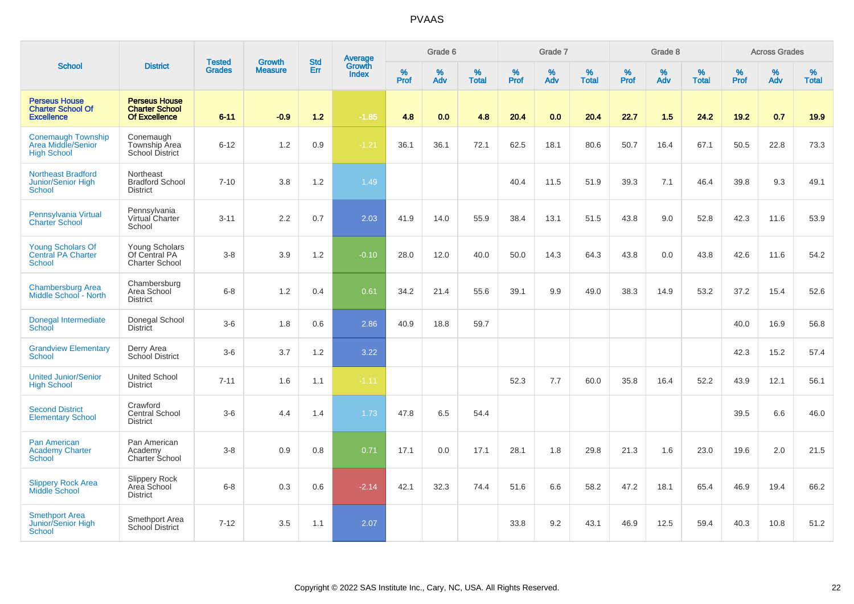|                                                                        |                                                                |                                | <b>Growth</b>  | <b>Std</b> |                                          |           | Grade 6  |                   |           | Grade 7  |                   |           | Grade 8  |                   |           | <b>Across Grades</b> |                   |
|------------------------------------------------------------------------|----------------------------------------------------------------|--------------------------------|----------------|------------|------------------------------------------|-----------|----------|-------------------|-----------|----------|-------------------|-----------|----------|-------------------|-----------|----------------------|-------------------|
| <b>School</b>                                                          | <b>District</b>                                                | <b>Tested</b><br><b>Grades</b> | <b>Measure</b> | Err        | <b>Average</b><br>Growth<br><b>Index</b> | %<br>Prof | %<br>Adv | %<br><b>Total</b> | %<br>Prof | %<br>Adv | %<br><b>Total</b> | %<br>Prof | %<br>Adv | %<br><b>Total</b> | %<br>Prof | %<br>Adv             | %<br><b>Total</b> |
| <b>Perseus House</b><br><b>Charter School Of</b><br><b>Excellence</b>  | <b>Perseus House</b><br><b>Charter School</b><br>Of Excellence | $6 - 11$                       | $-0.9$         | $1.2$      | $-1.85$                                  | 4.8       | 0.0      | 4.8               | 20.4      | 0.0      | 20.4              | 22.7      | 1.5      | 24.2              | 19.2      | 0.7                  | 19.9              |
| <b>Conemaugh Township</b><br>Area Middle/Senior<br><b>High School</b>  | Conemaugh<br>Township Area<br>School District                  | $6 - 12$                       | 1.2            | 0.9        | $-1.21$                                  | 36.1      | 36.1     | 72.1              | 62.5      | 18.1     | 80.6              | 50.7      | 16.4     | 67.1              | 50.5      | 22.8                 | 73.3              |
| <b>Northeast Bradford</b><br>Junior/Senior High<br>School              | Northeast<br><b>Bradford School</b><br><b>District</b>         | $7 - 10$                       | 3.8            | 1.2        | 1.49                                     |           |          |                   | 40.4      | 11.5     | 51.9              | 39.3      | 7.1      | 46.4              | 39.8      | 9.3                  | 49.1              |
| Pennsylvania Virtual<br><b>Charter School</b>                          | Pennsylvania<br>Virtual Charter<br>School                      | $3 - 11$                       | 2.2            | 0.7        | 2.03                                     | 41.9      | 14.0     | 55.9              | 38.4      | 13.1     | 51.5              | 43.8      | 9.0      | 52.8              | 42.3      | 11.6                 | 53.9              |
| <b>Young Scholars Of</b><br><b>Central PA Charter</b><br><b>School</b> | Young Scholars<br>Of Central PA<br><b>Charter School</b>       | $3 - 8$                        | 3.9            | 1.2        | $-0.10$                                  | 28.0      | 12.0     | 40.0              | 50.0      | 14.3     | 64.3              | 43.8      | 0.0      | 43.8              | 42.6      | 11.6                 | 54.2              |
| <b>Chambersburg Area</b><br>Middle School - North                      | Chambersburg<br>Area School<br><b>District</b>                 | $6 - 8$                        | 1.2            | 0.4        | 0.61                                     | 34.2      | 21.4     | 55.6              | 39.1      | 9.9      | 49.0              | 38.3      | 14.9     | 53.2              | 37.2      | 15.4                 | 52.6              |
| Donegal Intermediate<br>School                                         | Donegal School<br><b>District</b>                              | $3-6$                          | 1.8            | 0.6        | 2.86                                     | 40.9      | 18.8     | 59.7              |           |          |                   |           |          |                   | 40.0      | 16.9                 | 56.8              |
| <b>Grandview Elementary</b><br><b>School</b>                           | Derry Area<br>School District                                  | $3-6$                          | 3.7            | 1.2        | 3.22                                     |           |          |                   |           |          |                   |           |          |                   | 42.3      | 15.2                 | 57.4              |
| <b>United Junior/Senior</b><br><b>High School</b>                      | <b>United School</b><br><b>District</b>                        | $7 - 11$                       | 1.6            | 1.1        | $-1.11$                                  |           |          |                   | 52.3      | 7.7      | 60.0              | 35.8      | 16.4     | 52.2              | 43.9      | 12.1                 | 56.1              |
| <b>Second District</b><br><b>Elementary School</b>                     | Crawford<br>Central School<br><b>District</b>                  | $3-6$                          | 4.4            | 1.4        | 1.73                                     | 47.8      | 6.5      | 54.4              |           |          |                   |           |          |                   | 39.5      | 6.6                  | 46.0              |
| <b>Pan American</b><br><b>Academy Charter</b><br><b>School</b>         | Pan American<br>Academy<br>Charter School                      | $3 - 8$                        | 0.9            | 0.8        | 0.71                                     | 17.1      | 0.0      | 17.1              | 28.1      | 1.8      | 29.8              | 21.3      | 1.6      | 23.0              | 19.6      | 2.0                  | 21.5              |
| <b>Slippery Rock Area</b><br><b>Middle School</b>                      | Slippery Rock<br>Area School<br><b>District</b>                | $6 - 8$                        | 0.3            | 0.6        | $-2.14$                                  | 42.1      | 32.3     | 74.4              | 51.6      | 6.6      | 58.2              | 47.2      | 18.1     | 65.4              | 46.9      | 19.4                 | 66.2              |
| <b>Smethport Area</b><br>Junior/Senior High<br><b>School</b>           | Smethport Area<br>School District                              | $7 - 12$                       | 3.5            | 1.1        | 2.07                                     |           |          |                   | 33.8      | 9.2      | 43.1              | 46.9      | 12.5     | 59.4              | 40.3      | 10.8                 | 51.2              |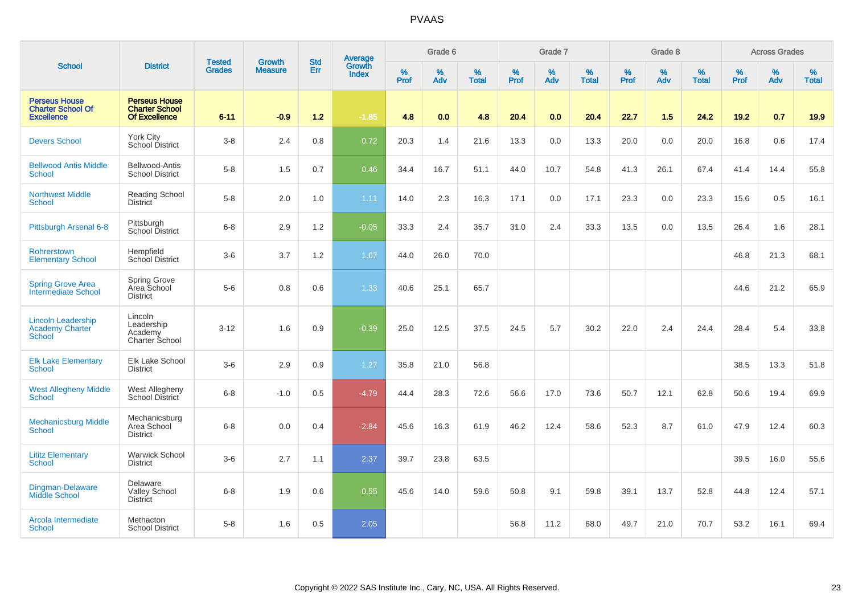|                                                                       |                                                                       | <b>Tested</b> | <b>Growth</b>  | <b>Std</b> | <b>Average</b><br>Growth |           | Grade 6  |                   |           | Grade 7     |                   |           | Grade 8     |                   |           | <b>Across Grades</b> |                   |
|-----------------------------------------------------------------------|-----------------------------------------------------------------------|---------------|----------------|------------|--------------------------|-----------|----------|-------------------|-----------|-------------|-------------------|-----------|-------------|-------------------|-----------|----------------------|-------------------|
| <b>School</b>                                                         | <b>District</b>                                                       | <b>Grades</b> | <b>Measure</b> | Err        | <b>Index</b>             | %<br>Prof | %<br>Adv | %<br><b>Total</b> | %<br>Prof | $\%$<br>Adv | %<br><b>Total</b> | %<br>Prof | $\%$<br>Adv | %<br><b>Total</b> | %<br>Prof | $\%$<br>Adv          | %<br><b>Total</b> |
| <b>Perseus House</b><br><b>Charter School Of</b><br><b>Excellence</b> | <b>Perseus House</b><br><b>Charter School</b><br><b>Of Excellence</b> | $6 - 11$      | $-0.9$         | 1.2        | $-1.85$                  | 4.8       | 0.0      | 4.8               | 20.4      | 0.0         | 20.4              | 22.7      | $1.5$       | 24.2              | 19.2      | 0.7                  | 19.9              |
| <b>Devers School</b>                                                  | York City<br>School District                                          | $3 - 8$       | 2.4            | 0.8        | 0.72                     | 20.3      | 1.4      | 21.6              | 13.3      | 0.0         | 13.3              | 20.0      | 0.0         | 20.0              | 16.8      | 0.6                  | 17.4              |
| <b>Bellwood Antis Middle</b><br>School                                | Bellwood-Antis<br><b>School District</b>                              | $5-8$         | 1.5            | 0.7        | 0.46                     | 34.4      | 16.7     | 51.1              | 44.0      | 10.7        | 54.8              | 41.3      | 26.1        | 67.4              | 41.4      | 14.4                 | 55.8              |
| <b>Northwest Middle</b><br>School                                     | Reading School<br>District                                            | $5-8$         | 2.0            | 1.0        | 1.11                     | 14.0      | 2.3      | 16.3              | 17.1      | 0.0         | 17.1              | 23.3      | 0.0         | 23.3              | 15.6      | 0.5                  | 16.1              |
| Pittsburgh Arsenal 6-8                                                | Pittsburgh<br>School District                                         | $6 - 8$       | 2.9            | 1.2        | $-0.05$                  | 33.3      | 2.4      | 35.7              | 31.0      | 2.4         | 33.3              | 13.5      | 0.0         | 13.5              | 26.4      | 1.6                  | 28.1              |
| Rohrerstown<br><b>Elementary School</b>                               | Hempfield<br><b>School District</b>                                   | $3-6$         | 3.7            | 1.2        | 1.67                     | 44.0      | 26.0     | 70.0              |           |             |                   |           |             |                   | 46.8      | 21.3                 | 68.1              |
| <b>Spring Grove Area</b><br><b>Intermediate School</b>                | Spring Grove<br>Area School<br><b>District</b>                        | $5-6$         | 0.8            | 0.6        | 1.33                     | 40.6      | 25.1     | 65.7              |           |             |                   |           |             |                   | 44.6      | 21.2                 | 65.9              |
| <b>Lincoln Leadership</b><br>Academy Charter<br>School                | Lincoln<br>Leadership<br>Academy<br><b>Charter School</b>             | $3 - 12$      | 1.6            | 0.9        | $-0.39$                  | 25.0      | 12.5     | 37.5              | 24.5      | 5.7         | 30.2              | 22.0      | 2.4         | 24.4              | 28.4      | 5.4                  | 33.8              |
| <b>Elk Lake Elementary</b><br>School                                  | Elk Lake School<br><b>District</b>                                    | $3-6$         | 2.9            | 0.9        | 1.27                     | 35.8      | 21.0     | 56.8              |           |             |                   |           |             |                   | 38.5      | 13.3                 | 51.8              |
| <b>West Allegheny Middle</b><br>School                                | West Allegheny<br>School District                                     | $6 - 8$       | $-1.0$         | 0.5        | $-4.79$                  | 44.4      | 28.3     | 72.6              | 56.6      | 17.0        | 73.6              | 50.7      | 12.1        | 62.8              | 50.6      | 19.4                 | 69.9              |
| <b>Mechanicsburg Middle</b><br>School                                 | Mechanicsburg<br>Area School<br><b>District</b>                       | $6 - 8$       | 0.0            | 0.4        | $-2.84$                  | 45.6      | 16.3     | 61.9              | 46.2      | 12.4        | 58.6              | 52.3      | 8.7         | 61.0              | 47.9      | 12.4                 | 60.3              |
| <b>Lititz Elementary</b><br><b>School</b>                             | Warwick School<br><b>District</b>                                     | $3-6$         | 2.7            | 1.1        | 2.37                     | 39.7      | 23.8     | 63.5              |           |             |                   |           |             |                   | 39.5      | 16.0                 | 55.6              |
| Dingman-Delaware<br><b>Middle School</b>                              | Delaware<br><b>Valley School</b><br><b>District</b>                   | $6 - 8$       | 1.9            | 0.6        | 0.55                     | 45.6      | 14.0     | 59.6              | 50.8      | 9.1         | 59.8              | 39.1      | 13.7        | 52.8              | 44.8      | 12.4                 | 57.1              |
| Arcola Intermediate<br>School                                         | Methacton<br><b>School District</b>                                   | $5-8$         | 1.6            | 0.5        | 2.05                     |           |          |                   | 56.8      | 11.2        | 68.0              | 49.7      | 21.0        | 70.7              | 53.2      | 16.1                 | 69.4              |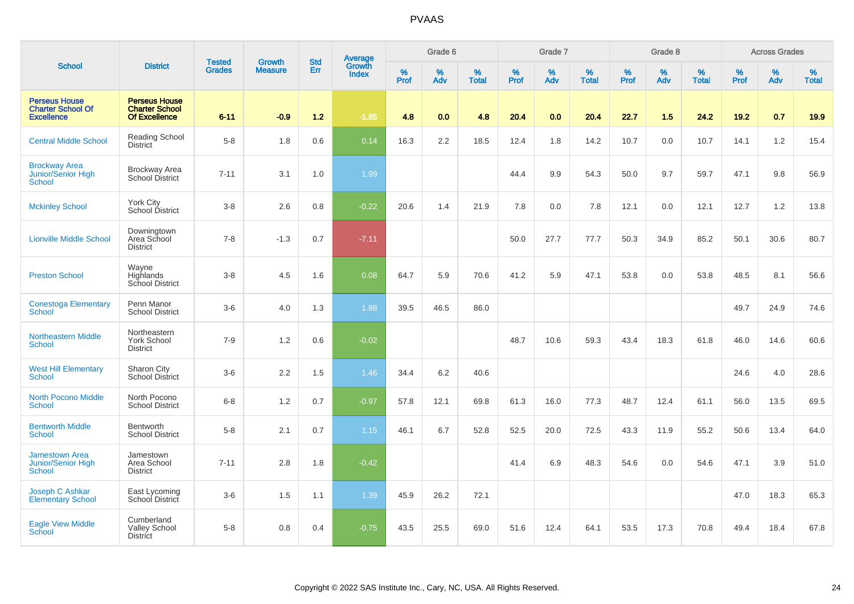|                                                                       |                                                                       |                                | <b>Growth</b>  | <b>Std</b> |                                          |                  | Grade 6     |                   |           | Grade 7     |                   |           | Grade 8  |                   |              | <b>Across Grades</b> |                   |
|-----------------------------------------------------------------------|-----------------------------------------------------------------------|--------------------------------|----------------|------------|------------------------------------------|------------------|-------------|-------------------|-----------|-------------|-------------------|-----------|----------|-------------------|--------------|----------------------|-------------------|
| <b>School</b>                                                         | <b>District</b>                                                       | <b>Tested</b><br><b>Grades</b> | <b>Measure</b> | Err        | <b>Average</b><br>Growth<br><b>Index</b> | %<br><b>Prof</b> | $\%$<br>Adv | %<br><b>Total</b> | %<br>Prof | $\%$<br>Adv | %<br><b>Total</b> | %<br>Prof | %<br>Adv | %<br><b>Total</b> | $\%$<br>Prof | $\%$<br>Adv          | %<br><b>Total</b> |
| <b>Perseus House</b><br><b>Charter School Of</b><br><b>Excellence</b> | <b>Perseus House</b><br><b>Charter School</b><br><b>Of Excellence</b> | $6 - 11$                       | $-0.9$         | $1.2$      | $-1.85$                                  | 4.8              | 0.0         | 4.8               | 20.4      | 0.0         | 20.4              | 22.7      | 1.5      | 24.2              | 19.2         | 0.7                  | 19.9              |
| <b>Central Middle School</b>                                          | <b>Reading School</b><br><b>District</b>                              | $5-8$                          | 1.8            | 0.6        | 0.14                                     | 16.3             | $2.2\,$     | 18.5              | 12.4      | 1.8         | 14.2              | 10.7      | 0.0      | 10.7              | 14.1         | $1.2\,$              | 15.4              |
| <b>Brockway Area</b><br>Junior/Senior High<br>School                  | <b>Brockway Area</b><br><b>School District</b>                        | $7 - 11$                       | 3.1            | 1.0        | 1.99                                     |                  |             |                   | 44.4      | 9.9         | 54.3              | 50.0      | 9.7      | 59.7              | 47.1         | 9.8                  | 56.9              |
| <b>Mckinley School</b>                                                | <b>York City</b><br>School District                                   | $3 - 8$                        | 2.6            | 0.8        | $-0.22$                                  | 20.6             | 1.4         | 21.9              | 7.8       | 0.0         | 7.8               | 12.1      | 0.0      | 12.1              | 12.7         | 1.2                  | 13.8              |
| <b>Lionville Middle School</b>                                        | Downingtown<br>Area School<br><b>District</b>                         | $7 - 8$                        | $-1.3$         | 0.7        | $-7.11$                                  |                  |             |                   | 50.0      | 27.7        | 77.7              | 50.3      | 34.9     | 85.2              | 50.1         | 30.6                 | 80.7              |
| <b>Preston School</b>                                                 | Wayne<br>Highlands<br><b>School District</b>                          | $3-8$                          | 4.5            | 1.6        | 0.08                                     | 64.7             | 5.9         | 70.6              | 41.2      | 5.9         | 47.1              | 53.8      | 0.0      | 53.8              | 48.5         | 8.1                  | 56.6              |
| <b>Conestoga Elementary</b><br><b>School</b>                          | Penn Manor<br><b>School District</b>                                  | $3-6$                          | 4.0            | 1.3        | 1.88                                     | 39.5             | 46.5        | 86.0              |           |             |                   |           |          |                   | 49.7         | 24.9                 | 74.6              |
| <b>Northeastern Middle</b><br><b>School</b>                           | Northeastern<br>York School<br><b>District</b>                        | $7 - 9$                        | 1.2            | 0.6        | $-0.02$                                  |                  |             |                   | 48.7      | 10.6        | 59.3              | 43.4      | 18.3     | 61.8              | 46.0         | 14.6                 | 60.6              |
| <b>West Hill Elementary</b><br><b>School</b>                          | Sharon City<br>School District                                        | $3-6$                          | 2.2            | 1.5        | 1.46                                     | 34.4             | 6.2         | 40.6              |           |             |                   |           |          |                   | 24.6         | 4.0                  | 28.6              |
| <b>North Pocono Middle</b><br><b>School</b>                           | North Pocono<br><b>School District</b>                                | $6 - 8$                        | 1.2            | 0.7        | $-0.97$                                  | 57.8             | 12.1        | 69.8              | 61.3      | 16.0        | 77.3              | 48.7      | 12.4     | 61.1              | 56.0         | 13.5                 | 69.5              |
| <b>Bentworth Middle</b><br><b>School</b>                              | Bentworth<br><b>School District</b>                                   | $5-8$                          | 2.1            | 0.7        | 1.15                                     | 46.1             | 6.7         | 52.8              | 52.5      | 20.0        | 72.5              | 43.3      | 11.9     | 55.2              | 50.6         | 13.4                 | 64.0              |
| <b>Jamestown Area</b><br>Junior/Senior High<br>School                 | Jamestown<br>Area School<br><b>District</b>                           | $7 - 11$                       | 2.8            | 1.8        | $-0.42$                                  |                  |             |                   | 41.4      | 6.9         | 48.3              | 54.6      | 0.0      | 54.6              | 47.1         | 3.9                  | 51.0              |
| Joseph C Ashkar<br><b>Elementary School</b>                           | East Lycoming<br>School District                                      | $3-6$                          | 1.5            | 1.1        | 1.39                                     | 45.9             | 26.2        | 72.1              |           |             |                   |           |          |                   | 47.0         | 18.3                 | 65.3              |
| <b>Eagle View Middle</b><br><b>School</b>                             | Cumberland<br><b>Valley School</b><br><b>District</b>                 | $5-8$                          | 0.8            | 0.4        | $-0.75$                                  | 43.5             | 25.5        | 69.0              | 51.6      | 12.4        | 64.1              | 53.5      | 17.3     | 70.8              | 49.4         | 18.4                 | 67.8              |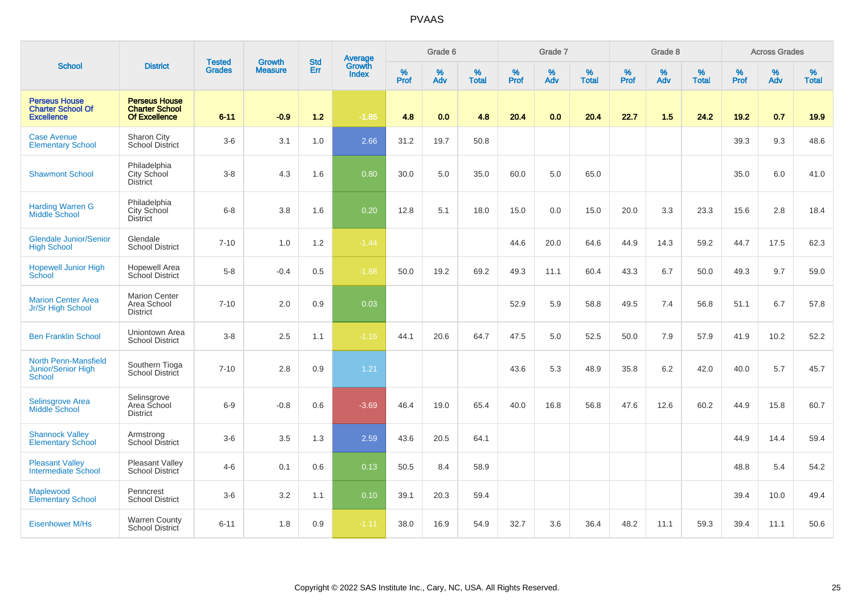|                                                                       |                                                                |                                | <b>Growth</b>  | <b>Std</b> |                                          |           | Grade 6  |                   |           | Grade 7  |                   |           | Grade 8  |                   |              | <b>Across Grades</b> |                   |
|-----------------------------------------------------------------------|----------------------------------------------------------------|--------------------------------|----------------|------------|------------------------------------------|-----------|----------|-------------------|-----------|----------|-------------------|-----------|----------|-------------------|--------------|----------------------|-------------------|
| <b>School</b>                                                         | <b>District</b>                                                | <b>Tested</b><br><b>Grades</b> | <b>Measure</b> | Err        | <b>Average</b><br>Growth<br><b>Index</b> | %<br>Prof | %<br>Adv | %<br><b>Total</b> | %<br>Prof | %<br>Adv | %<br><b>Total</b> | %<br>Prof | %<br>Adv | %<br><b>Total</b> | $\%$<br>Prof | $\%$<br>Adv          | %<br><b>Total</b> |
| <b>Perseus House</b><br><b>Charter School Of</b><br><b>Excellence</b> | <b>Perseus House</b><br><b>Charter School</b><br>Of Excellence | $6 - 11$                       | $-0.9$         | $1.2$      | $-1.85$                                  | 4.8       | 0.0      | 4.8               | 20.4      | 0.0      | 20.4              | 22.7      | 1.5      | 24.2              | 19.2         | 0.7                  | 19.9              |
| <b>Case Avenue</b><br><b>Elementary School</b>                        | Sharon City<br><b>School District</b>                          | $3-6$                          | 3.1            | 1.0        | 2.66                                     | 31.2      | 19.7     | 50.8              |           |          |                   |           |          |                   | 39.3         | 9.3                  | 48.6              |
| <b>Shawmont School</b>                                                | Philadelphia<br>City School<br><b>District</b>                 | $3-8$                          | 4.3            | 1.6        | 0.80                                     | 30.0      | 5.0      | 35.0              | 60.0      | 5.0      | 65.0              |           |          |                   | 35.0         | 6.0                  | 41.0              |
| <b>Harding Warren G</b><br><b>Middle School</b>                       | Philadelphia<br>City School<br><b>District</b>                 | $6 - 8$                        | 3.8            | 1.6        | 0.20                                     | 12.8      | 5.1      | 18.0              | 15.0      | 0.0      | 15.0              | 20.0      | 3.3      | 23.3              | 15.6         | 2.8                  | 18.4              |
| <b>Glendale Junior/Senior</b><br><b>High School</b>                   | Glendale<br><b>School District</b>                             | $7 - 10$                       | 1.0            | 1.2        | $-1.44$                                  |           |          |                   | 44.6      | 20.0     | 64.6              | 44.9      | 14.3     | 59.2              | 44.7         | 17.5                 | 62.3              |
| <b>Hopewell Junior High</b><br>School                                 | <b>Hopewell Area</b><br><b>School District</b>                 | $5-8$                          | $-0.4$         | 0.5        | $-1.88$                                  | 50.0      | 19.2     | 69.2              | 49.3      | 11.1     | 60.4              | 43.3      | 6.7      | 50.0              | 49.3         | 9.7                  | 59.0              |
| <b>Marion Center Area</b><br>Jr/Sr High School                        | <b>Marion Center</b><br>Area School<br><b>District</b>         | $7 - 10$                       | 2.0            | $0.9\,$    | 0.03                                     |           |          |                   | 52.9      | 5.9      | 58.8              | 49.5      | 7.4      | 56.8              | 51.1         | 6.7                  | 57.8              |
| <b>Ben Franklin School</b>                                            | Uniontown Area<br><b>School District</b>                       | $3 - 8$                        | 2.5            | 1.1        | $-1.16$                                  | 44.1      | 20.6     | 64.7              | 47.5      | 5.0      | 52.5              | 50.0      | 7.9      | 57.9              | 41.9         | 10.2                 | 52.2              |
| <b>North Penn-Mansfield</b><br>Junior/Senior High<br><b>School</b>    | Southern Tioga<br>School District                              | $7 - 10$                       | 2.8            | 0.9        | 1.21                                     |           |          |                   | 43.6      | 5.3      | 48.9              | 35.8      | 6.2      | 42.0              | 40.0         | 5.7                  | 45.7              |
| <b>Selinsgrove Area</b><br>Middle School                              | Selinsgrove<br>Area School<br><b>District</b>                  | $6 - 9$                        | $-0.8$         | 0.6        | $-3.69$                                  | 46.4      | 19.0     | 65.4              | 40.0      | 16.8     | 56.8              | 47.6      | 12.6     | 60.2              | 44.9         | 15.8                 | 60.7              |
| <b>Shannock Valley</b><br><b>Elementary School</b>                    | Armstrong<br><b>School District</b>                            | $3-6$                          | 3.5            | 1.3        | 2.59                                     | 43.6      | 20.5     | 64.1              |           |          |                   |           |          |                   | 44.9         | 14.4                 | 59.4              |
| <b>Pleasant Valley</b><br><b>Intermediate School</b>                  | Pleasant Valley<br>School District                             | $4 - 6$                        | 0.1            | 0.6        | 0.13                                     | 50.5      | 8.4      | 58.9              |           |          |                   |           |          |                   | 48.8         | 5.4                  | 54.2              |
| Maplewood<br><b>Elementary School</b>                                 | Penncrest<br><b>School District</b>                            | $3-6$                          | 3.2            | 1.1        | 0.10                                     | 39.1      | 20.3     | 59.4              |           |          |                   |           |          |                   | 39.4         | 10.0                 | 49.4              |
| <b>Eisenhower M/Hs</b>                                                | <b>Warren County</b><br><b>School District</b>                 | $6 - 11$                       | 1.8            | 0.9        | $-1.11$                                  | 38.0      | 16.9     | 54.9              | 32.7      | 3.6      | 36.4              | 48.2      | 11.1     | 59.3              | 39.4         | 11.1                 | 50.6              |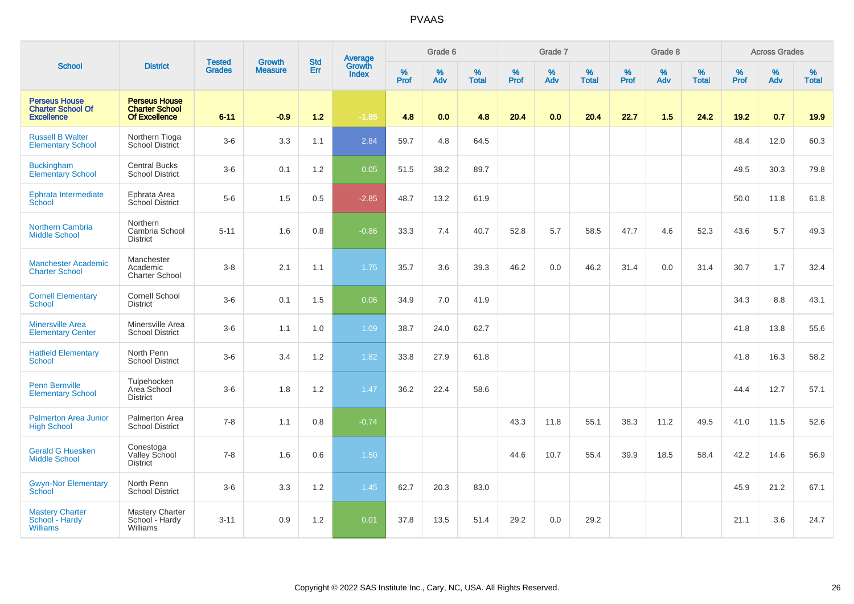|                                                                       |                                                                       |                                |                                 | <b>Std</b> |                                          |                  | Grade 6     |                   |           | Grade 7  |                   |           | Grade 8  |                   |           | <b>Across Grades</b> |                   |
|-----------------------------------------------------------------------|-----------------------------------------------------------------------|--------------------------------|---------------------------------|------------|------------------------------------------|------------------|-------------|-------------------|-----------|----------|-------------------|-----------|----------|-------------------|-----------|----------------------|-------------------|
| <b>School</b>                                                         | <b>District</b>                                                       | <b>Tested</b><br><b>Grades</b> | <b>Growth</b><br><b>Measure</b> | Err        | <b>Average</b><br>Growth<br><b>Index</b> | %<br><b>Prof</b> | $\%$<br>Adv | %<br><b>Total</b> | %<br>Prof | %<br>Adv | %<br><b>Total</b> | %<br>Prof | %<br>Adv | %<br><b>Total</b> | %<br>Prof | $\%$<br>Adv          | %<br><b>Total</b> |
| <b>Perseus House</b><br><b>Charter School Of</b><br><b>Excellence</b> | <b>Perseus House</b><br><b>Charter School</b><br><b>Of Excellence</b> | $6 - 11$                       | $-0.9$                          | 1.2        | $-1.85$                                  | 4.8              | 0.0         | 4.8               | 20.4      | 0.0      | 20.4              | 22.7      | 1.5      | 24.2              | 19.2      | 0.7                  | 19.9              |
| <b>Russell B Walter</b><br><b>Elementary School</b>                   | Northern Tioga<br><b>School District</b>                              | $3-6$                          | 3.3                             | 1.1        | 2.84                                     | 59.7             | 4.8         | 64.5              |           |          |                   |           |          |                   | 48.4      | 12.0                 | 60.3              |
| <b>Buckingham</b><br><b>Elementary School</b>                         | <b>Central Bucks</b><br><b>School District</b>                        | $3-6$                          | 0.1                             | 1.2        | 0.05                                     | 51.5             | 38.2        | 89.7              |           |          |                   |           |          |                   | 49.5      | 30.3                 | 79.8              |
| Ephrata Intermediate<br>School                                        | Ephrata Area<br>School District                                       | $5-6$                          | 1.5                             | 0.5        | $-2.85$                                  | 48.7             | 13.2        | 61.9              |           |          |                   |           |          |                   | 50.0      | 11.8                 | 61.8              |
| <b>Northern Cambria</b><br><b>Middle School</b>                       | Northern<br>Cambria School<br><b>District</b>                         | $5 - 11$                       | 1.6                             | 0.8        | $-0.86$                                  | 33.3             | 7.4         | 40.7              | 52.8      | 5.7      | 58.5              | 47.7      | 4.6      | 52.3              | 43.6      | 5.7                  | 49.3              |
| <b>Manchester Academic</b><br><b>Charter School</b>                   | Manchester<br>Academic<br>Charter School                              | $3 - 8$                        | 2.1                             | 1.1        | 1.75                                     | 35.7             | 3.6         | 39.3              | 46.2      | 0.0      | 46.2              | 31.4      | 0.0      | 31.4              | 30.7      | 1.7                  | 32.4              |
| <b>Cornell Elementary</b><br><b>School</b>                            | <b>Cornell School</b><br><b>District</b>                              | $3-6$                          | 0.1                             | 1.5        | 0.06                                     | 34.9             | 7.0         | 41.9              |           |          |                   |           |          |                   | 34.3      | 8.8                  | 43.1              |
| <b>Minersville Area</b><br><b>Elementary Center</b>                   | Minersville Area<br><b>School District</b>                            | $3-6$                          | 1.1                             | 1.0        | 1.09                                     | 38.7             | 24.0        | 62.7              |           |          |                   |           |          |                   | 41.8      | 13.8                 | 55.6              |
| <b>Hatfield Elementary</b><br><b>School</b>                           | North Penn<br><b>School District</b>                                  | $3-6$                          | 3.4                             | 1.2        | 1.82                                     | 33.8             | 27.9        | 61.8              |           |          |                   |           |          |                   | 41.8      | 16.3                 | 58.2              |
| <b>Penn Bernville</b><br><b>Elementary School</b>                     | Tulpehocken<br>Area School<br><b>District</b>                         | $3-6$                          | 1.8                             | 1.2        | 1.47                                     | 36.2             | 22.4        | 58.6              |           |          |                   |           |          |                   | 44.4      | 12.7                 | 57.1              |
| <b>Palmerton Area Junior</b><br><b>High School</b>                    | Palmerton Area<br><b>School District</b>                              | $7 - 8$                        | 1.1                             | 0.8        | $-0.74$                                  |                  |             |                   | 43.3      | 11.8     | 55.1              | 38.3      | 11.2     | 49.5              | 41.0      | 11.5                 | 52.6              |
| <b>Gerald G Huesken</b><br><b>Middle School</b>                       | Conestoga<br>Valley School<br><b>District</b>                         | $7 - 8$                        | 1.6                             | $0.6\,$    | 1.50                                     |                  |             |                   | 44.6      | 10.7     | 55.4              | 39.9      | 18.5     | 58.4              | 42.2      | 14.6                 | 56.9              |
| <b>Gwyn-Nor Elementary</b><br>School                                  | North Penn<br><b>School District</b>                                  | $3-6$                          | 3.3                             | 1.2        | 1.45                                     | 62.7             | 20.3        | 83.0              |           |          |                   |           |          |                   | 45.9      | 21.2                 | 67.1              |
| <b>Mastery Charter</b><br>School - Hardy<br><b>Williams</b>           | <b>Mastery Charter</b><br>School - Hardy<br>Williams                  | $3 - 11$                       | 0.9                             | 1.2        | 0.01                                     | 37.8             | 13.5        | 51.4              | 29.2      | 0.0      | 29.2              |           |          |                   | 21.1      | 3.6                  | 24.7              |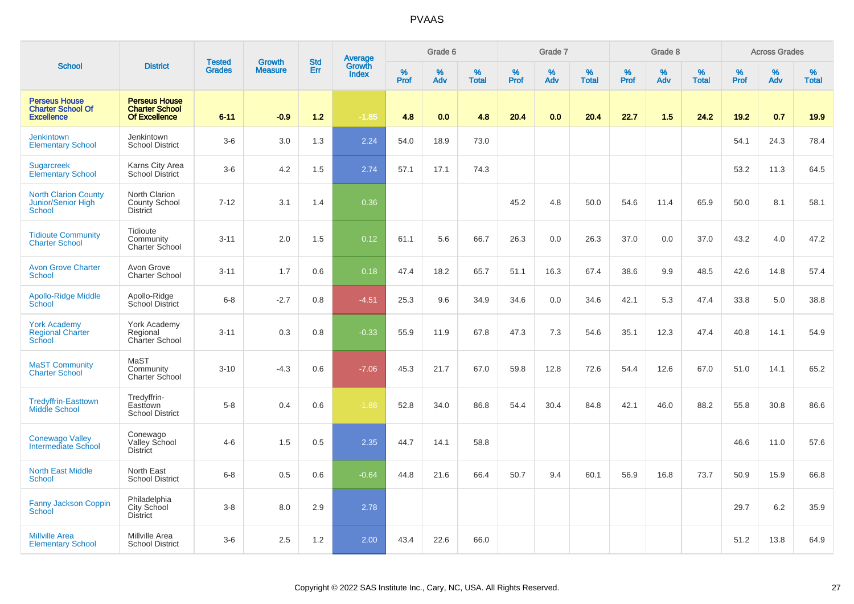|                                                                       |                                                                | <b>Tested</b> | <b>Growth</b>  | <b>Std</b> |                                          |                  | Grade 6     |                   |           | Grade 7  |                   |           | Grade 8  |                   |              | <b>Across Grades</b> |                   |
|-----------------------------------------------------------------------|----------------------------------------------------------------|---------------|----------------|------------|------------------------------------------|------------------|-------------|-------------------|-----------|----------|-------------------|-----------|----------|-------------------|--------------|----------------------|-------------------|
| <b>School</b>                                                         | <b>District</b>                                                | <b>Grades</b> | <b>Measure</b> | <b>Err</b> | <b>Average</b><br>Growth<br><b>Index</b> | %<br><b>Prof</b> | $\%$<br>Adv | %<br><b>Total</b> | %<br>Prof | %<br>Adv | %<br><b>Total</b> | %<br>Prof | %<br>Adv | %<br><b>Total</b> | $\%$<br>Prof | %<br>Adv             | %<br><b>Total</b> |
| <b>Perseus House</b><br><b>Charter School Of</b><br><b>Excellence</b> | <b>Perseus House</b><br><b>Charter School</b><br>Of Excellence | $6 - 11$      | $-0.9$         | 1.2        | $-1.85$                                  | 4.8              | 0.0         | 4.8               | 20.4      | 0.0      | 20.4              | 22.7      | 1.5      | 24.2              | 19.2         | 0.7                  | 19.9              |
| <b>Jenkintown</b><br><b>Elementary School</b>                         | Jenkintown<br><b>School District</b>                           | $3-6$         | 3.0            | 1.3        | 2.24                                     | 54.0             | 18.9        | 73.0              |           |          |                   |           |          |                   | 54.1         | 24.3                 | 78.4              |
| <b>Sugarcreek</b><br><b>Elementary School</b>                         | Karns City Area<br><b>School District</b>                      | $3-6$         | 4.2            | 1.5        | 2.74                                     | 57.1             | 17.1        | 74.3              |           |          |                   |           |          |                   | 53.2         | 11.3                 | 64.5              |
| <b>North Clarion County</b><br>Junior/Senior High<br>School           | North Clarion<br>County School<br><b>District</b>              | $7 - 12$      | 3.1            | 1.4        | 0.36                                     |                  |             |                   | 45.2      | 4.8      | 50.0              | 54.6      | 11.4     | 65.9              | 50.0         | 8.1                  | 58.1              |
| <b>Tidioute Community</b><br><b>Charter School</b>                    | Tidioute<br>Community<br>Charter School                        | $3 - 11$      | 2.0            | 1.5        | 0.12                                     | 61.1             | 5.6         | 66.7              | 26.3      | 0.0      | 26.3              | 37.0      | 0.0      | 37.0              | 43.2         | 4.0                  | 47.2              |
| <b>Avon Grove Charter</b><br>School                                   | Avon Grove<br><b>Charter School</b>                            | $3 - 11$      | 1.7            | 0.6        | 0.18                                     | 47.4             | 18.2        | 65.7              | 51.1      | 16.3     | 67.4              | 38.6      | 9.9      | 48.5              | 42.6         | 14.8                 | 57.4              |
| <b>Apollo-Ridge Middle</b><br>School                                  | Apollo-Ridge<br>School District                                | $6 - 8$       | $-2.7$         | 0.8        | $-4.51$                                  | 25.3             | 9.6         | 34.9              | 34.6      | 0.0      | 34.6              | 42.1      | 5.3      | 47.4              | 33.8         | 5.0                  | 38.8              |
| <b>York Academy</b><br><b>Regional Charter</b><br>School              | York Academy<br>Regional<br>Charter School                     | $3 - 11$      | 0.3            | 0.8        | $-0.33$                                  | 55.9             | 11.9        | 67.8              | 47.3      | 7.3      | 54.6              | 35.1      | 12.3     | 47.4              | 40.8         | 14.1                 | 54.9              |
| <b>MaST Community</b><br><b>Charter School</b>                        | MaST<br>Community<br>Charter School                            | $3 - 10$      | $-4.3$         | 0.6        | $-7.06$                                  | 45.3             | 21.7        | 67.0              | 59.8      | 12.8     | 72.6              | 54.4      | 12.6     | 67.0              | 51.0         | 14.1                 | 65.2              |
| <b>Tredyffrin-Easttown</b><br><b>Middle School</b>                    | Tredyffrin-<br>Easttown<br><b>School District</b>              | $5-8$         | 0.4            | 0.6        | $-1.88$                                  | 52.8             | 34.0        | 86.8              | 54.4      | 30.4     | 84.8              | 42.1      | 46.0     | 88.2              | 55.8         | 30.8                 | 86.6              |
| <b>Conewago Valley</b><br>Intermediate School                         | Conewago<br>Valley School<br><b>District</b>                   | $4 - 6$       | 1.5            | 0.5        | 2.35                                     | 44.7             | 14.1        | 58.8              |           |          |                   |           |          |                   | 46.6         | 11.0                 | 57.6              |
| <b>North East Middle</b><br><b>School</b>                             | North East<br><b>School District</b>                           | $6 - 8$       | 0.5            | 0.6        | $-0.64$                                  | 44.8             | 21.6        | 66.4              | 50.7      | 9.4      | 60.1              | 56.9      | 16.8     | 73.7              | 50.9         | 15.9                 | 66.8              |
| Fanny Jackson Coppin<br>School                                        | Philadelphia<br>City School<br><b>District</b>                 | $3 - 8$       | 8.0            | 2.9        | 2.78                                     |                  |             |                   |           |          |                   |           |          |                   | 29.7         | 6.2                  | 35.9              |
| <b>Millville Area</b><br><b>Elementary School</b>                     | Millville Area<br><b>School District</b>                       | $3-6$         | 2.5            | 1.2        | 2.00                                     | 43.4             | 22.6        | 66.0              |           |          |                   |           |          |                   | 51.2         | 13.8                 | 64.9              |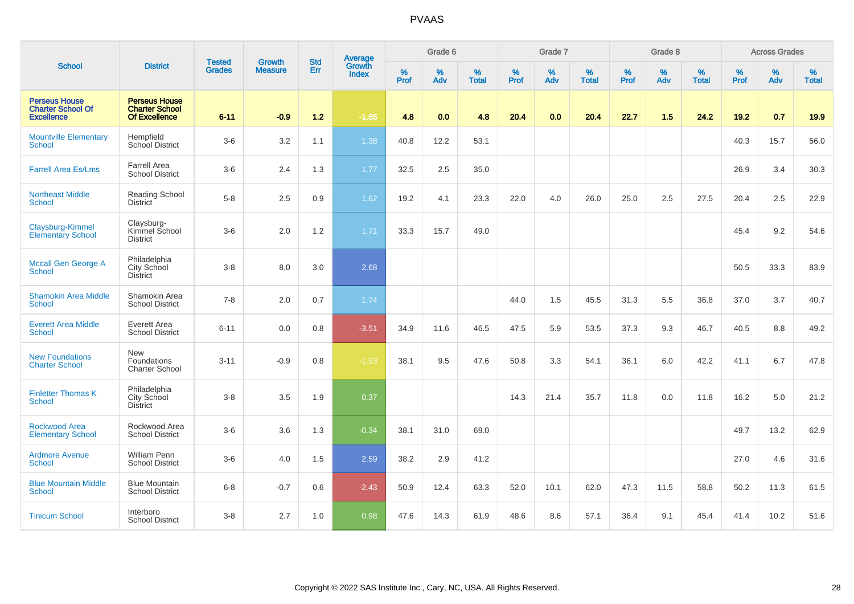|                                                                       |                                                                |                                |                                 | <b>Std</b> |                                          |                     | Grade 6     |                   |                     | Grade 7         |                   |                     | Grade 8  |                   |                     | <b>Across Grades</b> |                   |
|-----------------------------------------------------------------------|----------------------------------------------------------------|--------------------------------|---------------------------------|------------|------------------------------------------|---------------------|-------------|-------------------|---------------------|-----------------|-------------------|---------------------|----------|-------------------|---------------------|----------------------|-------------------|
| <b>School</b>                                                         | <b>District</b>                                                | <b>Tested</b><br><b>Grades</b> | <b>Growth</b><br><b>Measure</b> | Err        | <b>Average</b><br>Growth<br><b>Index</b> | $\%$<br><b>Prof</b> | $\%$<br>Adv | %<br><b>Total</b> | $\%$<br><b>Prof</b> | %<br><b>Adv</b> | %<br><b>Total</b> | $\%$<br><b>Prof</b> | %<br>Adv | %<br><b>Total</b> | $\%$<br><b>Prof</b> | %<br>Adv             | %<br><b>Total</b> |
| <b>Perseus House</b><br><b>Charter School Of</b><br><b>Excellence</b> | <b>Perseus House</b><br><b>Charter School</b><br>Of Excellence | $6 - 11$                       | $-0.9$                          | $1.2$      | $-1.85$                                  | 4.8                 | 0.0         | 4.8               | 20.4                | 0.0             | 20.4              | 22.7                | 1.5      | 24.2              | 19.2                | 0.7                  | 19.9              |
| <b>Mountville Elementary</b><br>School                                | Hempfield<br>School District                                   | $3-6$                          | 3.2                             | 1.1        | 1.38                                     | 40.8                | 12.2        | 53.1              |                     |                 |                   |                     |          |                   | 40.3                | 15.7                 | 56.0              |
| <b>Farrell Area Es/Lms</b>                                            | <b>Farrell Area</b><br><b>School District</b>                  | $3-6$                          | 2.4                             | 1.3        | 1.77                                     | 32.5                | 2.5         | 35.0              |                     |                 |                   |                     |          |                   | 26.9                | 3.4                  | 30.3              |
| <b>Northeast Middle</b><br><b>School</b>                              | Reading School<br><b>District</b>                              | $5-8$                          | 2.5                             | 0.9        | 1.62                                     | 19.2                | 4.1         | 23.3              | 22.0                | 4.0             | 26.0              | 25.0                | 2.5      | 27.5              | 20.4                | 2.5                  | 22.9              |
| Claysburg-Kimmel<br><b>Elementary School</b>                          | Claysburg-<br>Kimmel School<br><b>District</b>                 | $3-6$                          | 2.0                             | $1.2$      | 1.71                                     | 33.3                | 15.7        | 49.0              |                     |                 |                   |                     |          |                   | 45.4                | 9.2                  | 54.6              |
| Mccall Gen George A<br><b>School</b>                                  | Philadelphia<br>City School<br>District                        | $3 - 8$                        | 8.0                             | 3.0        | 2.68                                     |                     |             |                   |                     |                 |                   |                     |          |                   | 50.5                | 33.3                 | 83.9              |
| <b>Shamokin Area Middle</b><br>School                                 | Shamokin Area<br><b>School District</b>                        | $7 - 8$                        | 2.0                             | 0.7        | 1.74                                     |                     |             |                   | 44.0                | 1.5             | 45.5              | 31.3                | 5.5      | 36.8              | 37.0                | 3.7                  | 40.7              |
| <b>Everett Area Middle</b><br><b>School</b>                           | Everett Area<br><b>School District</b>                         | $6 - 11$                       | 0.0                             | 0.8        | $-3.51$                                  | 34.9                | 11.6        | 46.5              | 47.5                | 5.9             | 53.5              | 37.3                | 9.3      | 46.7              | 40.5                | 8.8                  | 49.2              |
| <b>New Foundations</b><br><b>Charter School</b>                       | <b>New</b><br>Foundations<br><b>Charter School</b>             | $3 - 11$                       | $-0.9$                          | 0.8        | $-1.93$                                  | 38.1                | 9.5         | 47.6              | 50.8                | 3.3             | 54.1              | 36.1                | 6.0      | 42.2              | 41.1                | 6.7                  | 47.8              |
| <b>Finletter Thomas K</b><br>School                                   | Philadelphia<br>City School<br><b>District</b>                 | $3 - 8$                        | 3.5                             | 1.9        | 0.37                                     |                     |             |                   | 14.3                | 21.4            | 35.7              | 11.8                | 0.0      | 11.8              | 16.2                | 5.0                  | 21.2              |
| Rockwood Area<br><b>Elementary School</b>                             | Rockwood Area<br><b>School District</b>                        | $3-6$                          | 3.6                             | 1.3        | $-0.34$                                  | 38.1                | 31.0        | 69.0              |                     |                 |                   |                     |          |                   | 49.7                | 13.2                 | 62.9              |
| <b>Ardmore Avenue</b><br><b>School</b>                                | William Penn<br><b>School District</b>                         | $3-6$                          | 4.0                             | 1.5        | 2.59                                     | 38.2                | 2.9         | 41.2              |                     |                 |                   |                     |          |                   | 27.0                | 4.6                  | 31.6              |
| <b>Blue Mountain Middle</b><br><b>School</b>                          | <b>Blue Mountain</b><br><b>School District</b>                 | $6 - 8$                        | $-0.7$                          | 0.6        | $-2.43$                                  | 50.9                | 12.4        | 63.3              | 52.0                | 10.1            | 62.0              | 47.3                | 11.5     | 58.8              | 50.2                | 11.3                 | 61.5              |
| <b>Tinicum School</b>                                                 | Interboro<br><b>School District</b>                            | $3-8$                          | 2.7                             | 1.0        | 0.98                                     | 47.6                | 14.3        | 61.9              | 48.6                | 8.6             | 57.1              | 36.4                | 9.1      | 45.4              | 41.4                | 10.2                 | 51.6              |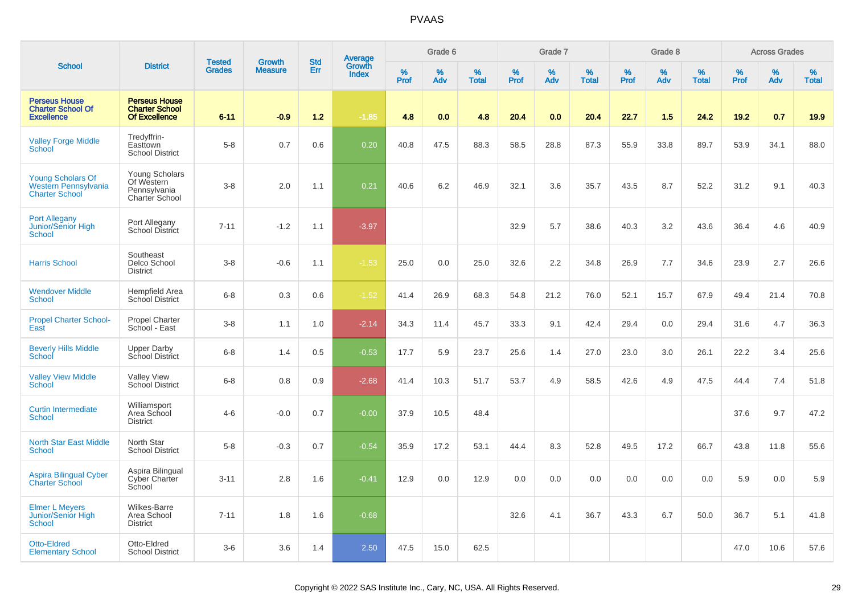|                                                                                  |                                                                       |                                |                                 | <b>Std</b> |                                          |           | Grade 6  |                   |           | Grade 7  |                   |           | Grade 8  |                   |           | <b>Across Grades</b> |                   |
|----------------------------------------------------------------------------------|-----------------------------------------------------------------------|--------------------------------|---------------------------------|------------|------------------------------------------|-----------|----------|-------------------|-----------|----------|-------------------|-----------|----------|-------------------|-----------|----------------------|-------------------|
| <b>School</b>                                                                    | <b>District</b>                                                       | <b>Tested</b><br><b>Grades</b> | <b>Growth</b><br><b>Measure</b> | Err        | <b>Average</b><br>Growth<br><b>Index</b> | %<br>Prof | %<br>Adv | %<br><b>Total</b> | %<br>Prof | %<br>Adv | %<br><b>Total</b> | %<br>Prof | %<br>Adv | %<br><b>Total</b> | %<br>Prof | %<br>Adv             | %<br><b>Total</b> |
| <b>Perseus House</b><br><b>Charter School Of</b><br><b>Excellence</b>            | <b>Perseus House</b><br><b>Charter School</b><br><b>Of Excellence</b> | $6 - 11$                       | $-0.9$                          | 1.2        | $-1.85$                                  | 4.8       | 0.0      | 4.8               | 20.4      | 0.0      | 20.4              | 22.7      | 1.5      | 24.2              | 19.2      | 0.7                  | 19.9              |
| <b>Valley Forge Middle</b><br>School                                             | Tredyffrin-<br>Easttown<br><b>School District</b>                     | $5-8$                          | 0.7                             | 0.6        | 0.20                                     | 40.8      | 47.5     | 88.3              | 58.5      | 28.8     | 87.3              | 55.9      | 33.8     | 89.7              | 53.9      | 34.1                 | 88.0              |
| <b>Young Scholars Of</b><br><b>Western Pennsylvania</b><br><b>Charter School</b> | Young Scholars<br>Of Western<br>Pennsylvania<br>Charter School        | $3 - 8$                        | 2.0                             | 1.1        | 0.21                                     | 40.6      | 6.2      | 46.9              | 32.1      | 3.6      | 35.7              | 43.5      | 8.7      | 52.2              | 31.2      | 9.1                  | 40.3              |
| <b>Port Allegany</b><br>Junior/Senior High<br>School                             | Port Allegany<br>School District                                      | $7 - 11$                       | $-1.2$                          | 1.1        | $-3.97$                                  |           |          |                   | 32.9      | 5.7      | 38.6              | 40.3      | 3.2      | 43.6              | 36.4      | 4.6                  | 40.9              |
| <b>Harris School</b>                                                             | Southeast<br>Delco School<br><b>District</b>                          | $3 - 8$                        | $-0.6$                          | 1.1        | $-1.53$                                  | 25.0      | 0.0      | 25.0              | 32.6      | 2.2      | 34.8              | 26.9      | 7.7      | 34.6              | 23.9      | 2.7                  | 26.6              |
| <b>Wendover Middle</b><br>School                                                 | <b>Hempfield Area</b><br><b>School District</b>                       | $6 - 8$                        | 0.3                             | 0.6        | $-1.52$                                  | 41.4      | 26.9     | 68.3              | 54.8      | 21.2     | 76.0              | 52.1      | 15.7     | 67.9              | 49.4      | 21.4                 | 70.8              |
| <b>Propel Charter School-</b><br>East                                            | <b>Propel Charter</b><br>School - East                                | $3 - 8$                        | 1.1                             | 1.0        | $-2.14$                                  | 34.3      | 11.4     | 45.7              | 33.3      | 9.1      | 42.4              | 29.4      | 0.0      | 29.4              | 31.6      | 4.7                  | 36.3              |
| <b>Beverly Hills Middle</b><br>School                                            | <b>Upper Darby</b><br>School District                                 | $6 - 8$                        | 1.4                             | 0.5        | $-0.53$                                  | 17.7      | 5.9      | 23.7              | 25.6      | 1.4      | 27.0              | 23.0      | 3.0      | 26.1              | 22.2      | 3.4                  | 25.6              |
| <b>Valley View Middle</b><br>School                                              | <b>Valley View</b><br>School District                                 | $6 - 8$                        | 0.8                             | 0.9        | $-2.68$                                  | 41.4      | 10.3     | 51.7              | 53.7      | 4.9      | 58.5              | 42.6      | 4.9      | 47.5              | 44.4      | 7.4                  | 51.8              |
| <b>Curtin Intermediate</b><br><b>School</b>                                      | Williamsport<br>Area School<br><b>District</b>                        | $4-6$                          | $-0.0$                          | 0.7        | $-0.00$                                  | 37.9      | 10.5     | 48.4              |           |          |                   |           |          |                   | 37.6      | 9.7                  | 47.2              |
| <b>North Star East Middle</b><br><b>School</b>                                   | North Star<br><b>School District</b>                                  | $5 - 8$                        | $-0.3$                          | 0.7        | $-0.54$                                  | 35.9      | 17.2     | 53.1              | 44.4      | 8.3      | 52.8              | 49.5      | 17.2     | 66.7              | 43.8      | 11.8                 | 55.6              |
| <b>Aspira Bilingual Cyber</b><br><b>Charter School</b>                           | Aspira Bilingual<br>Cyber Charter<br>School                           | $3 - 11$                       | 2.8                             | 1.6        | $-0.41$                                  | 12.9      | 0.0      | 12.9              | 0.0       | 0.0      | 0.0               | 0.0       | 0.0      | 0.0               | 5.9       | 0.0                  | 5.9               |
| <b>Elmer L Meyers</b><br>Junior/Senior High<br>School                            | Wilkes-Barre<br>Area School<br><b>District</b>                        | $7 - 11$                       | 1.8                             | 1.6        | $-0.68$                                  |           |          |                   | 32.6      | 4.1      | 36.7              | 43.3      | 6.7      | 50.0              | 36.7      | 5.1                  | 41.8              |
| <b>Otto-Eldred</b><br><b>Elementary School</b>                                   | Otto-Eldred<br><b>School District</b>                                 | $3-6$                          | 3.6                             | 1.4        | 2.50                                     | 47.5      | 15.0     | 62.5              |           |          |                   |           |          |                   | 47.0      | 10.6                 | 57.6              |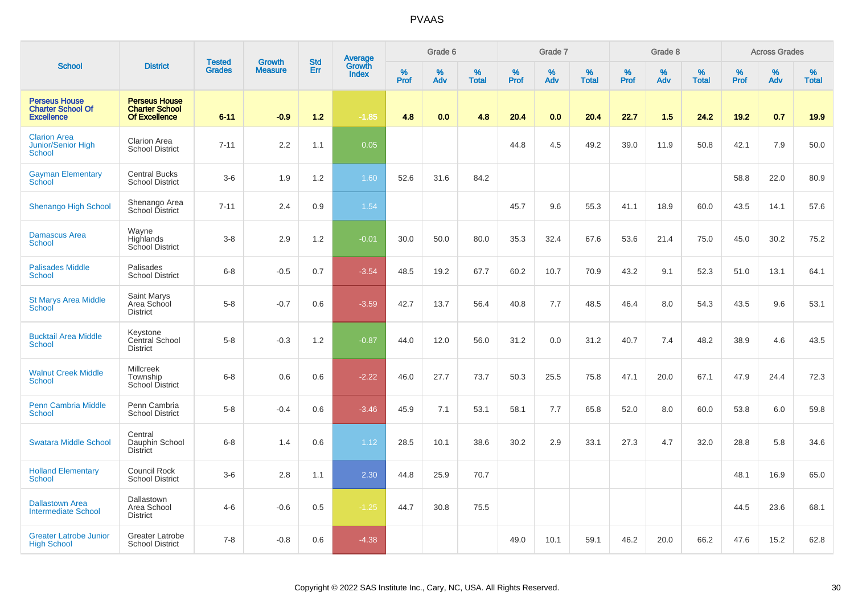|                                                                       |                                                                       | <b>Tested</b> | <b>Growth</b>  | <b>Std</b> |                                          |           | Grade 6     |                   |                  | Grade 7  |                   |           | Grade 8  |                   |              | <b>Across Grades</b> |                   |
|-----------------------------------------------------------------------|-----------------------------------------------------------------------|---------------|----------------|------------|------------------------------------------|-----------|-------------|-------------------|------------------|----------|-------------------|-----------|----------|-------------------|--------------|----------------------|-------------------|
| <b>School</b>                                                         | <b>District</b>                                                       | <b>Grades</b> | <b>Measure</b> | Err        | <b>Average</b><br>Growth<br><b>Index</b> | %<br>Prof | $\%$<br>Adv | %<br><b>Total</b> | %<br><b>Prof</b> | %<br>Adv | %<br><b>Total</b> | %<br>Prof | %<br>Adv | %<br><b>Total</b> | $\%$<br>Prof | %<br>Adv             | %<br><b>Total</b> |
| <b>Perseus House</b><br><b>Charter School Of</b><br><b>Excellence</b> | <b>Perseus House</b><br><b>Charter School</b><br><b>Of Excellence</b> | $6 - 11$      | $-0.9$         | $1.2$      | $-1.85$                                  | 4.8       | 0.0         | 4.8               | 20.4             | 0.0      | 20.4              | 22.7      | 1.5      | 24.2              | 19.2         | 0.7                  | 19.9              |
| <b>Clarion Area</b><br><b>Junior/Senior High</b><br>School            | <b>Clarion Area</b><br><b>School District</b>                         | $7 - 11$      | 2.2            | 1.1        | 0.05                                     |           |             |                   | 44.8             | 4.5      | 49.2              | 39.0      | 11.9     | 50.8              | 42.1         | 7.9                  | 50.0              |
| <b>Gayman Elementary</b><br>School                                    | <b>Central Bucks</b><br><b>School District</b>                        | $3-6$         | 1.9            | 1.2        | 1.60                                     | 52.6      | 31.6        | 84.2              |                  |          |                   |           |          |                   | 58.8         | 22.0                 | 80.9              |
| <b>Shenango High School</b>                                           | Shenango Area<br>School District                                      | $7 - 11$      | 2.4            | 0.9        | 1.54                                     |           |             |                   | 45.7             | 9.6      | 55.3              | 41.1      | 18.9     | 60.0              | 43.5         | 14.1                 | 57.6              |
| <b>Damascus Area</b><br><b>School</b>                                 | Wayne<br>Highlands<br>School District                                 | $3 - 8$       | 2.9            | 1.2        | $-0.01$                                  | 30.0      | 50.0        | 80.0              | 35.3             | 32.4     | 67.6              | 53.6      | 21.4     | 75.0              | 45.0         | 30.2                 | 75.2              |
| <b>Palisades Middle</b><br>School                                     | Palisades<br><b>School District</b>                                   | $6 - 8$       | $-0.5$         | 0.7        | $-3.54$                                  | 48.5      | 19.2        | 67.7              | 60.2             | 10.7     | 70.9              | 43.2      | 9.1      | 52.3              | 51.0         | 13.1                 | 64.1              |
| <b>St Marys Area Middle</b><br>School                                 | Saint Marys<br>Area School<br><b>District</b>                         | $5 - 8$       | $-0.7$         | 0.6        | $-3.59$                                  | 42.7      | 13.7        | 56.4              | 40.8             | 7.7      | 48.5              | 46.4      | 8.0      | 54.3              | 43.5         | 9.6                  | 53.1              |
| <b>Bucktail Area Middle</b><br>School                                 | Keystone<br>Central School<br><b>District</b>                         | $5-8$         | $-0.3$         | 1.2        | $-0.87$                                  | 44.0      | 12.0        | 56.0              | 31.2             | 0.0      | 31.2              | 40.7      | 7.4      | 48.2              | 38.9         | 4.6                  | 43.5              |
| <b>Walnut Creek Middle</b><br><b>School</b>                           | Millcreek<br>Township<br><b>School District</b>                       | $6 - 8$       | 0.6            | 0.6        | $-2.22$                                  | 46.0      | 27.7        | 73.7              | 50.3             | 25.5     | 75.8              | 47.1      | 20.0     | 67.1              | 47.9         | 24.4                 | 72.3              |
| <b>Penn Cambria Middle</b><br><b>School</b>                           | Penn Cambria<br><b>School District</b>                                | $5-8$         | $-0.4$         | 0.6        | $-3.46$                                  | 45.9      | 7.1         | 53.1              | 58.1             | 7.7      | 65.8              | 52.0      | 8.0      | 60.0              | 53.8         | 6.0                  | 59.8              |
| <b>Swatara Middle School</b>                                          | Central<br>Dauphin School<br><b>District</b>                          | $6 - 8$       | 1.4            | 0.6        | 1.12                                     | 28.5      | 10.1        | 38.6              | 30.2             | 2.9      | 33.1              | 27.3      | 4.7      | 32.0              | 28.8         | 5.8                  | 34.6              |
| <b>Holland Elementary</b><br><b>School</b>                            | <b>Council Rock</b><br><b>School District</b>                         | $3-6$         | 2.8            | 1.1        | 2.30                                     | 44.8      | 25.9        | 70.7              |                  |          |                   |           |          |                   | 48.1         | 16.9                 | 65.0              |
| <b>Dallastown Area</b><br><b>Intermediate School</b>                  | Dallastown<br>Area School<br><b>District</b>                          | $4-6$         | $-0.6$         | 0.5        | $-1.25$                                  | 44.7      | 30.8        | 75.5              |                  |          |                   |           |          |                   | 44.5         | 23.6                 | 68.1              |
| <b>Greater Latrobe Junior</b><br><b>High School</b>                   | Greater Latrobe<br><b>School District</b>                             | $7 - 8$       | $-0.8$         | 0.6        | $-4.38$                                  |           |             |                   | 49.0             | 10.1     | 59.1              | 46.2      | 20.0     | 66.2              | 47.6         | 15.2                 | 62.8              |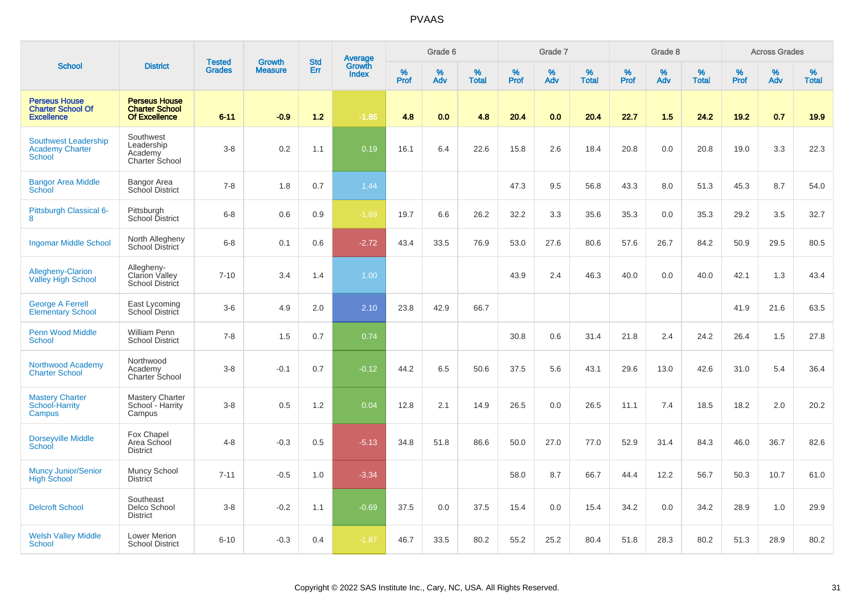|                                                                        |                                                                       | <b>Tested</b> | <b>Growth</b>  | <b>Std</b> | <b>Average</b><br>Growth |           | Grade 6  |                   |                  | Grade 7  |                   |           | Grade 8  |                   |           | <b>Across Grades</b> |                   |
|------------------------------------------------------------------------|-----------------------------------------------------------------------|---------------|----------------|------------|--------------------------|-----------|----------|-------------------|------------------|----------|-------------------|-----------|----------|-------------------|-----------|----------------------|-------------------|
| <b>School</b>                                                          | <b>District</b>                                                       | <b>Grades</b> | <b>Measure</b> | <b>Err</b> | <b>Index</b>             | %<br>Prof | %<br>Adv | %<br><b>Total</b> | %<br><b>Prof</b> | %<br>Adv | %<br><b>Total</b> | %<br>Prof | %<br>Adv | %<br><b>Total</b> | %<br>Prof | %<br>Adv             | %<br><b>Total</b> |
| <b>Perseus House</b><br><b>Charter School Of</b><br><b>Excellence</b>  | <b>Perseus House</b><br><b>Charter School</b><br><b>Of Excellence</b> | $6 - 11$      | $-0.9$         | 1.2        | $-1.85$                  | 4.8       | 0.0      | 4.8               | 20.4             | 0.0      | 20.4              | 22.7      | 1.5      | 24.2              | 19.2      | 0.7                  | 19.9              |
| <b>Southwest Leadership</b><br><b>Academy Charter</b><br><b>School</b> | Southwest<br>Leadership<br>Academy<br>Charter School                  | $3 - 8$       | 0.2            | 1.1        | 0.19                     | 16.1      | 6.4      | 22.6              | 15.8             | 2.6      | 18.4              | 20.8      | 0.0      | 20.8              | 19.0      | 3.3                  | 22.3              |
| <b>Bangor Area Middle</b><br>School                                    | <b>Bangor Area</b><br>School District                                 | $7 - 8$       | 1.8            | 0.7        | 1.44                     |           |          |                   | 47.3             | 9.5      | 56.8              | 43.3      | 8.0      | 51.3              | 45.3      | 8.7                  | 54.0              |
| Pittsburgh Classical 6-<br>8                                           | Pittsburgh<br>School District                                         | $6 - 8$       | 0.6            | 0.9        | $-1.69$                  | 19.7      | 6.6      | 26.2              | 32.2             | 3.3      | 35.6              | 35.3      | 0.0      | 35.3              | 29.2      | 3.5                  | 32.7              |
| <b>Ingomar Middle School</b>                                           | North Allegheny<br><b>School District</b>                             | $6 - 8$       | 0.1            | 0.6        | $-2.72$                  | 43.4      | 33.5     | 76.9              | 53.0             | 27.6     | 80.6              | 57.6      | 26.7     | 84.2              | 50.9      | 29.5                 | 80.5              |
| Allegheny-Clarion<br><b>Valley High School</b>                         | Allegheny-<br><b>Clarion Valley</b><br><b>School District</b>         | $7 - 10$      | 3.4            | 1.4        | 1.00                     |           |          |                   | 43.9             | 2.4      | 46.3              | 40.0      | 0.0      | 40.0              | 42.1      | 1.3                  | 43.4              |
| <b>George A Ferrell</b><br><b>Elementary School</b>                    | East Lycoming<br>School District                                      | $3-6$         | 4.9            | 2.0        | 2.10                     | 23.8      | 42.9     | 66.7              |                  |          |                   |           |          |                   | 41.9      | 21.6                 | 63.5              |
| <b>Penn Wood Middle</b><br>School                                      | William Penn<br><b>School District</b>                                | $7 - 8$       | 1.5            | 0.7        | 0.74                     |           |          |                   | 30.8             | 0.6      | 31.4              | 21.8      | 2.4      | 24.2              | 26.4      | 1.5                  | 27.8              |
| Northwood Academy<br><b>Charter School</b>                             | Northwood<br>Academy<br>Charter School                                | $3 - 8$       | $-0.1$         | 0.7        | $-0.12$                  | 44.2      | 6.5      | 50.6              | 37.5             | 5.6      | 43.1              | 29.6      | 13.0     | 42.6              | 31.0      | 5.4                  | 36.4              |
| <b>Mastery Charter</b><br>School-Harrity<br><b>Campus</b>              | <b>Mastery Charter</b><br>School - Harrity<br>Campus                  | $3-8$         | 0.5            | 1.2        | 0.04                     | 12.8      | 2.1      | 14.9              | 26.5             | 0.0      | 26.5              | 11.1      | 7.4      | 18.5              | 18.2      | 2.0                  | 20.2              |
| Dorseyville Middle<br>School                                           | Fox Chapel<br>Area School<br><b>District</b>                          | $4 - 8$       | $-0.3$         | 0.5        | $-5.13$                  | 34.8      | 51.8     | 86.6              | 50.0             | 27.0     | 77.0              | 52.9      | 31.4     | 84.3              | 46.0      | 36.7                 | 82.6              |
| Muncy Junior/Senior<br><b>High School</b>                              | Muncy School<br>District                                              | $7 - 11$      | $-0.5$         | 1.0        | $-3.34$                  |           |          |                   | 58.0             | 8.7      | 66.7              | 44.4      | 12.2     | 56.7              | 50.3      | 10.7                 | 61.0              |
| <b>Delcroft School</b>                                                 | Southeast<br>Delco School<br><b>District</b>                          | $3 - 8$       | $-0.2$         | 1.1        | $-0.69$                  | 37.5      | 0.0      | 37.5              | 15.4             | 0.0      | 15.4              | 34.2      | 0.0      | 34.2              | 28.9      | 1.0                  | 29.9              |
| <b>Welsh Valley Middle</b><br>School                                   | Lower Merion<br><b>School District</b>                                | $6 - 10$      | $-0.3$         | 0.4        | $-1.87$                  | 46.7      | 33.5     | 80.2              | 55.2             | 25.2     | 80.4              | 51.8      | 28.3     | 80.2              | 51.3      | 28.9                 | 80.2              |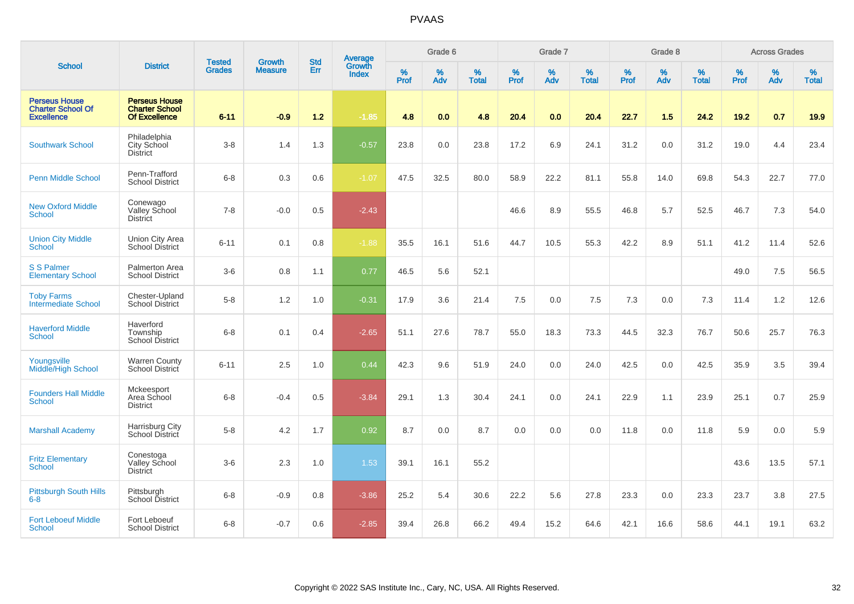|                                                                       |                                                                       |                                | <b>Growth</b>  | <b>Std</b> | <b>Average</b><br>Growth |           | Grade 6  |                   |           | Grade 7  |                   |           | Grade 8  |                   |           | <b>Across Grades</b> |                   |
|-----------------------------------------------------------------------|-----------------------------------------------------------------------|--------------------------------|----------------|------------|--------------------------|-----------|----------|-------------------|-----------|----------|-------------------|-----------|----------|-------------------|-----------|----------------------|-------------------|
| <b>School</b>                                                         | <b>District</b>                                                       | <b>Tested</b><br><b>Grades</b> | <b>Measure</b> | Err        | <b>Index</b>             | %<br>Prof | %<br>Adv | %<br><b>Total</b> | %<br>Prof | %<br>Adv | %<br><b>Total</b> | %<br>Prof | %<br>Adv | %<br><b>Total</b> | %<br>Prof | %<br>Adv             | %<br><b>Total</b> |
| <b>Perseus House</b><br><b>Charter School Of</b><br><b>Excellence</b> | <b>Perseus House</b><br><b>Charter School</b><br><b>Of Excellence</b> | $6 - 11$                       | $-0.9$         | $1.2$      | $-1.85$                  | 4.8       | 0.0      | 4.8               | 20.4      | 0.0      | 20.4              | 22.7      | 1.5      | 24.2              | $19.2$    | 0.7                  | 19.9              |
| <b>Southwark School</b>                                               | Philadelphia<br>City School<br><b>District</b>                        | $3-8$                          | 1.4            | 1.3        | $-0.57$                  | 23.8      | 0.0      | 23.8              | 17.2      | 6.9      | 24.1              | 31.2      | 0.0      | 31.2              | 19.0      | 4.4                  | 23.4              |
| <b>Penn Middle School</b>                                             | Penn-Trafford<br><b>School District</b>                               | $6 - 8$                        | 0.3            | 0.6        | $-1.07$                  | 47.5      | 32.5     | 80.0              | 58.9      | 22.2     | 81.1              | 55.8      | 14.0     | 69.8              | 54.3      | 22.7                 | 77.0              |
| <b>New Oxford Middle</b><br>School                                    | Conewago<br>Valley School<br><b>District</b>                          | $7 - 8$                        | $-0.0$         | 0.5        | $-2.43$                  |           |          |                   | 46.6      | 8.9      | 55.5              | 46.8      | 5.7      | 52.5              | 46.7      | 7.3                  | 54.0              |
| <b>Union City Middle</b><br>School                                    | Union City Area<br><b>School District</b>                             | $6 - 11$                       | 0.1            | 0.8        | $-1.88$                  | 35.5      | 16.1     | 51.6              | 44.7      | 10.5     | 55.3              | 42.2      | 8.9      | 51.1              | 41.2      | 11.4                 | 52.6              |
| <b>S S Palmer</b><br><b>Elementary School</b>                         | Palmerton Area<br><b>School District</b>                              | $3-6$                          | 0.8            | 1.1        | 0.77                     | 46.5      | 5.6      | 52.1              |           |          |                   |           |          |                   | 49.0      | 7.5                  | 56.5              |
| <b>Toby Farms</b><br><b>Intermediate School</b>                       | Chester-Upland<br><b>School District</b>                              | $5-8$                          | 1.2            | 1.0        | $-0.31$                  | 17.9      | 3.6      | 21.4              | 7.5       | 0.0      | 7.5               | 7.3       | 0.0      | 7.3               | 11.4      | 1.2                  | 12.6              |
| <b>Haverford Middle</b><br><b>School</b>                              | Haverford<br>Township<br><b>School District</b>                       | $6 - 8$                        | 0.1            | 0.4        | $-2.65$                  | 51.1      | 27.6     | 78.7              | 55.0      | 18.3     | 73.3              | 44.5      | 32.3     | 76.7              | 50.6      | 25.7                 | 76.3              |
| Youngsville<br>Middle/High School                                     | <b>Warren County</b><br>School District                               | $6 - 11$                       | 2.5            | 1.0        | 0.44                     | 42.3      | 9.6      | 51.9              | 24.0      | 0.0      | 24.0              | 42.5      | 0.0      | 42.5              | 35.9      | 3.5                  | 39.4              |
| <b>Founders Hall Middle</b><br><b>School</b>                          | Mckeesport<br>Area School<br><b>District</b>                          | $6 - 8$                        | $-0.4$         | 0.5        | $-3.84$                  | 29.1      | 1.3      | 30.4              | 24.1      | 0.0      | 24.1              | 22.9      | 1.1      | 23.9              | 25.1      | 0.7                  | 25.9              |
| <b>Marshall Academy</b>                                               | Harrisburg City<br>School District                                    | $5-8$                          | 4.2            | 1.7        | 0.92                     | 8.7       | 0.0      | 8.7               | 0.0       | 0.0      | 0.0               | 11.8      | 0.0      | 11.8              | 5.9       | 0.0                  | 5.9               |
| <b>Fritz Elementary</b><br><b>School</b>                              | Conestoga<br>Valley School<br><b>District</b>                         | $3-6$                          | 2.3            | 1.0        | 1.53                     | 39.1      | 16.1     | 55.2              |           |          |                   |           |          |                   | 43.6      | 13.5                 | 57.1              |
| <b>Pittsburgh South Hills</b><br>$6 - 8$                              | Pittsburgh<br>School District                                         | $6 - 8$                        | $-0.9$         | 0.8        | $-3.86$                  | 25.2      | 5.4      | 30.6              | 22.2      | 5.6      | 27.8              | 23.3      | 0.0      | 23.3              | 23.7      | 3.8                  | 27.5              |
| <b>Fort Leboeuf Middle</b><br><b>School</b>                           | Fort Leboeuf<br><b>School District</b>                                | $6 - 8$                        | $-0.7$         | 0.6        | $-2.85$                  | 39.4      | 26.8     | 66.2              | 49.4      | 15.2     | 64.6              | 42.1      | 16.6     | 58.6              | 44.1      | 19.1                 | 63.2              |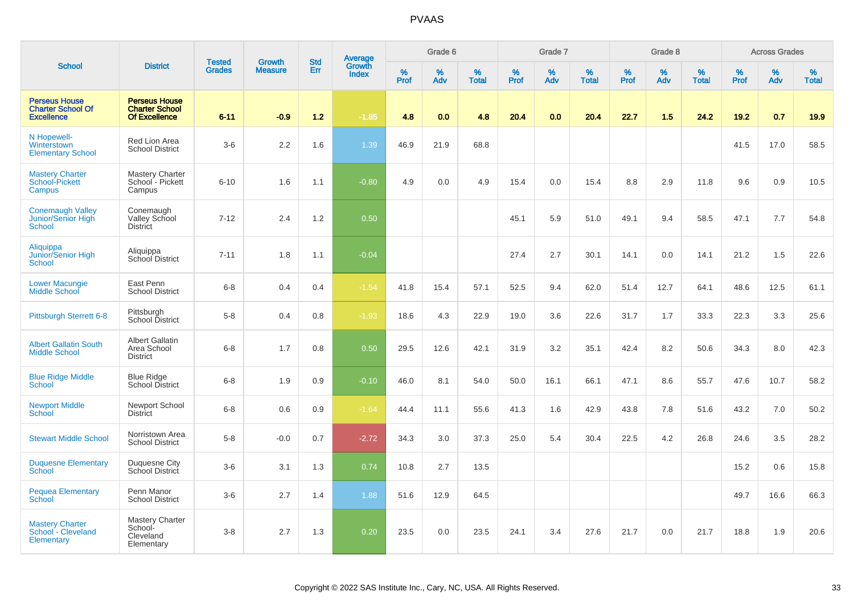|                                                                       |                                                                       | <b>Tested</b> | <b>Growth</b>  | <b>Std</b> |                                          |                  | Grade 6     |                   |           | Grade 7     |                   |           | Grade 8  |                   |              | <b>Across Grades</b> |                   |
|-----------------------------------------------------------------------|-----------------------------------------------------------------------|---------------|----------------|------------|------------------------------------------|------------------|-------------|-------------------|-----------|-------------|-------------------|-----------|----------|-------------------|--------------|----------------------|-------------------|
| <b>School</b>                                                         | <b>District</b>                                                       | <b>Grades</b> | <b>Measure</b> | Err        | <b>Average</b><br>Growth<br><b>Index</b> | %<br><b>Prof</b> | $\%$<br>Adv | %<br><b>Total</b> | %<br>Prof | $\%$<br>Adv | %<br><b>Total</b> | %<br>Prof | %<br>Adv | %<br><b>Total</b> | $\%$<br>Prof | $\%$<br>Adv          | %<br><b>Total</b> |
| <b>Perseus House</b><br><b>Charter School Of</b><br><b>Excellence</b> | <b>Perseus House</b><br><b>Charter School</b><br><b>Of Excellence</b> | $6 - 11$      | $-0.9$         | $1.2$      | $-1.85$                                  | 4.8              | 0.0         | 4.8               | 20.4      | 0.0         | 20.4              | 22.7      | 1.5      | 24.2              | 19.2         | 0.7                  | 19.9              |
| N Hopewell-<br>Winterstown<br><b>Elementary School</b>                | Red Lion Area<br><b>School District</b>                               | $3-6$         | 2.2            | 1.6        | 1.39                                     | 46.9             | 21.9        | 68.8              |           |             |                   |           |          |                   | 41.5         | 17.0                 | 58.5              |
| <b>Mastery Charter</b><br>School-Pickett<br>Campus                    | <b>Mastery Charter</b><br>School - Pickett<br>Campus                  | $6 - 10$      | 1.6            | 1.1        | $-0.80$                                  | 4.9              | 0.0         | 4.9               | 15.4      | 0.0         | 15.4              | 8.8       | 2.9      | 11.8              | 9.6          | 0.9                  | 10.5              |
| <b>Conemaugh Valley</b><br><b>Junior/Senior High</b><br><b>School</b> | Conemaugh<br>Valley School<br><b>District</b>                         | $7 - 12$      | 2.4            | 1.2        | 0.50                                     |                  |             |                   | 45.1      | 5.9         | 51.0              | 49.1      | 9.4      | 58.5              | 47.1         | 7.7                  | 54.8              |
| Aliquippa<br>Junior/Senior High<br><b>School</b>                      | Aliquippa<br>School District                                          | $7 - 11$      | 1.8            | 1.1        | $-0.04$                                  |                  |             |                   | 27.4      | 2.7         | 30.1              | 14.1      | 0.0      | 14.1              | 21.2         | 1.5                  | 22.6              |
| <b>Lower Macungie</b><br>Middle School                                | East Penn<br><b>School District</b>                                   | $6 - 8$       | 0.4            | 0.4        | $-1.54$                                  | 41.8             | 15.4        | 57.1              | 52.5      | 9.4         | 62.0              | 51.4      | 12.7     | 64.1              | 48.6         | 12.5                 | 61.1              |
| Pittsburgh Sterrett 6-8                                               | Pittsburgh<br>School District                                         | $5 - 8$       | 0.4            | 0.8        | $-1.93$                                  | 18.6             | 4.3         | 22.9              | 19.0      | 3.6         | 22.6              | 31.7      | 1.7      | 33.3              | 22.3         | 3.3                  | 25.6              |
| <b>Albert Gallatin South</b><br><b>Middle School</b>                  | <b>Albert Gallatin</b><br>Area School<br><b>District</b>              | $6 - 8$       | 1.7            | 0.8        | 0.50                                     | 29.5             | 12.6        | 42.1              | 31.9      | 3.2         | 35.1              | 42.4      | 8.2      | 50.6              | 34.3         | 8.0                  | 42.3              |
| <b>Blue Ridge Middle</b><br>School                                    | <b>Blue Ridge</b><br><b>School District</b>                           | $6 - 8$       | 1.9            | 0.9        | $-0.10$                                  | 46.0             | 8.1         | 54.0              | 50.0      | 16.1        | 66.1              | 47.1      | 8.6      | 55.7              | 47.6         | 10.7                 | 58.2              |
| <b>Newport Middle</b><br>School                                       | Newport School<br><b>District</b>                                     | $6 - 8$       | 0.6            | 0.9        | $-1.64$                                  | 44.4             | 11.1        | 55.6              | 41.3      | 1.6         | 42.9              | 43.8      | 7.8      | 51.6              | 43.2         | 7.0                  | 50.2              |
| <b>Stewart Middle School</b>                                          | Norristown Area<br><b>School District</b>                             | $5-8$         | $-0.0$         | 0.7        | $-2.72$                                  | 34.3             | 3.0         | 37.3              | 25.0      | 5.4         | 30.4              | 22.5      | 4.2      | 26.8              | 24.6         | 3.5                  | 28.2              |
| <b>Duquesne Elementary</b><br>School                                  | Duquesne City<br>School District                                      | $3-6$         | 3.1            | 1.3        | 0.74                                     | 10.8             | 2.7         | 13.5              |           |             |                   |           |          |                   | 15.2         | 0.6                  | 15.8              |
| <b>Pequea Elementary</b><br>School                                    | Penn Manor<br><b>School District</b>                                  | $3-6$         | 2.7            | 1.4        | 1.88                                     | 51.6             | 12.9        | 64.5              |           |             |                   |           |          |                   | 49.7         | 16.6                 | 66.3              |
| <b>Mastery Charter</b><br>School - Cleveland<br>Elementary            | Mastery Charter<br>School-<br>Cleveland<br>Elementary                 | $3-8$         | 2.7            | 1.3        | 0.20                                     | 23.5             | 0.0         | 23.5              | 24.1      | 3.4         | 27.6              | 21.7      | 0.0      | 21.7              | 18.8         | 1.9                  | 20.6              |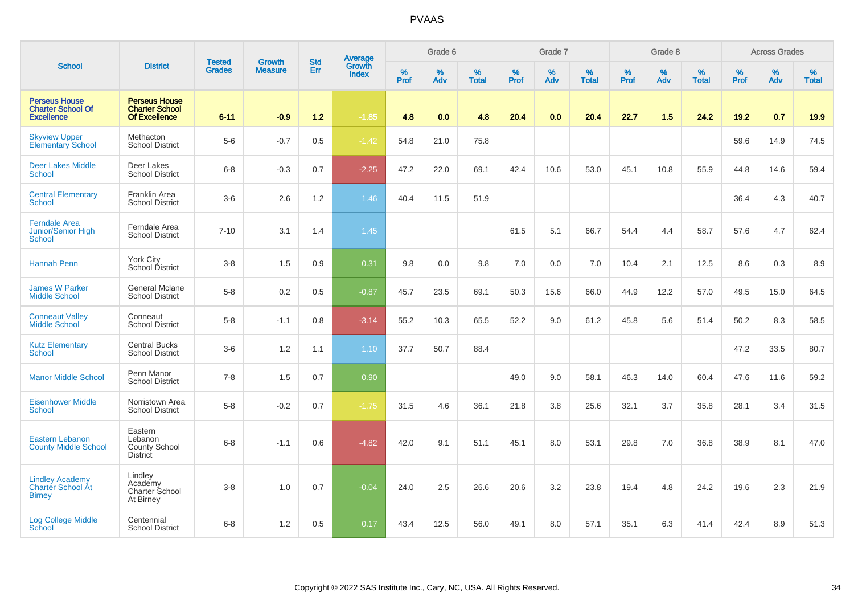|                                                                       |                                                                       |                                |                                 | <b>Std</b> |                                          |                  | Grade 6  |                   |           | Grade 7  |                   |           | Grade 8  |                   |           | <b>Across Grades</b> |                   |
|-----------------------------------------------------------------------|-----------------------------------------------------------------------|--------------------------------|---------------------------------|------------|------------------------------------------|------------------|----------|-------------------|-----------|----------|-------------------|-----------|----------|-------------------|-----------|----------------------|-------------------|
| <b>School</b>                                                         | <b>District</b>                                                       | <b>Tested</b><br><b>Grades</b> | <b>Growth</b><br><b>Measure</b> | Err        | <b>Average</b><br>Growth<br><b>Index</b> | %<br><b>Prof</b> | %<br>Adv | %<br><b>Total</b> | %<br>Prof | %<br>Adv | %<br><b>Total</b> | %<br>Prof | %<br>Adv | %<br><b>Total</b> | %<br>Prof | %<br>Adv             | %<br><b>Total</b> |
| <b>Perseus House</b><br><b>Charter School Of</b><br><b>Excellence</b> | <b>Perseus House</b><br><b>Charter School</b><br><b>Of Excellence</b> | $6 - 11$                       | $-0.9$                          | 1.2        | $-1.85$                                  | 4.8              | 0.0      | 4.8               | 20.4      | 0.0      | 20.4              | 22.7      | 1.5      | 24.2              | 19.2      | 0.7                  | 19.9              |
| <b>Skyview Upper</b><br><b>Elementary School</b>                      | Methacton<br><b>School District</b>                                   | $5-6$                          | $-0.7$                          | 0.5        | $-1.42$                                  | 54.8             | 21.0     | 75.8              |           |          |                   |           |          |                   | 59.6      | 14.9                 | 74.5              |
| <b>Deer Lakes Middle</b><br><b>School</b>                             | Deer Lakes<br><b>School District</b>                                  | $6 - 8$                        | $-0.3$                          | 0.7        | $-2.25$                                  | 47.2             | 22.0     | 69.1              | 42.4      | 10.6     | 53.0              | 45.1      | 10.8     | 55.9              | 44.8      | 14.6                 | 59.4              |
| <b>Central Elementary</b><br><b>School</b>                            | Franklin Area<br><b>School District</b>                               | $3-6$                          | 2.6                             | 1.2        | 1.46                                     | 40.4             | 11.5     | 51.9              |           |          |                   |           |          |                   | 36.4      | 4.3                  | 40.7              |
| <b>Ferndale Area</b><br>Junior/Senior High<br><b>School</b>           | Ferndale Area<br><b>School District</b>                               | $7 - 10$                       | 3.1                             | 1.4        | 1.45                                     |                  |          |                   | 61.5      | 5.1      | 66.7              | 54.4      | 4.4      | 58.7              | 57.6      | 4.7                  | 62.4              |
| <b>Hannah Penn</b>                                                    | <b>York City</b><br>School District                                   | $3 - 8$                        | 1.5                             | 0.9        | 0.31                                     | 9.8              | 0.0      | 9.8               | 7.0       | 0.0      | 7.0               | 10.4      | 2.1      | 12.5              | 8.6       | 0.3                  | 8.9               |
| <b>James W Parker</b><br><b>Middle School</b>                         | <b>General Mclane</b><br><b>School District</b>                       | $5-8$                          | 0.2                             | 0.5        | $-0.87$                                  | 45.7             | 23.5     | 69.1              | 50.3      | 15.6     | 66.0              | 44.9      | 12.2     | 57.0              | 49.5      | 15.0                 | 64.5              |
| <b>Conneaut Valley</b><br><b>Middle School</b>                        | Conneaut<br><b>School District</b>                                    | $5 - 8$                        | $-1.1$                          | 0.8        | $-3.14$                                  | 55.2             | 10.3     | 65.5              | 52.2      | 9.0      | 61.2              | 45.8      | 5.6      | 51.4              | 50.2      | 8.3                  | 58.5              |
| <b>Kutz Elementary</b><br><b>School</b>                               | <b>Central Bucks</b><br><b>School District</b>                        | $3-6$                          | 1.2                             | 1.1        | 1.10                                     | 37.7             | 50.7     | 88.4              |           |          |                   |           |          |                   | 47.2      | 33.5                 | 80.7              |
| <b>Manor Middle School</b>                                            | Penn Manor<br><b>School District</b>                                  | $7 - 8$                        | 1.5                             | 0.7        | 0.90                                     |                  |          |                   | 49.0      | 9.0      | 58.1              | 46.3      | 14.0     | 60.4              | 47.6      | 11.6                 | 59.2              |
| <b>Eisenhower Middle</b><br>School                                    | Norristown Area<br><b>School District</b>                             | $5-8$                          | $-0.2$                          | 0.7        | $-1.75$                                  | 31.5             | 4.6      | 36.1              | 21.8      | 3.8      | 25.6              | 32.1      | 3.7      | 35.8              | 28.1      | 3.4                  | 31.5              |
| <b>Eastern Lebanon</b><br><b>County Middle School</b>                 | Eastern<br>Lebanon<br><b>County School</b><br><b>District</b>         | $6 - 8$                        | $-1.1$                          | 0.6        | $-4.82$                                  | 42.0             | 9.1      | 51.1              | 45.1      | 8.0      | 53.1              | 29.8      | 7.0      | 36.8              | 38.9      | 8.1                  | 47.0              |
| <b>Lindley Academy</b><br><b>Charter School At</b><br><b>Birney</b>   | Lindley<br>Academy<br>Charter School<br>At Birney                     | $3 - 8$                        | 1.0                             | 0.7        | $-0.04$                                  | 24.0             | 2.5      | 26.6              | 20.6      | 3.2      | 23.8              | 19.4      | 4.8      | 24.2              | 19.6      | 2.3                  | 21.9              |
| <b>Log College Middle</b><br><b>School</b>                            | Centennial<br><b>School District</b>                                  | $6 - 8$                        | 1.2                             | 0.5        | 0.17                                     | 43.4             | 12.5     | 56.0              | 49.1      | 8.0      | 57.1              | 35.1      | 6.3      | 41.4              | 42.4      | 8.9                  | 51.3              |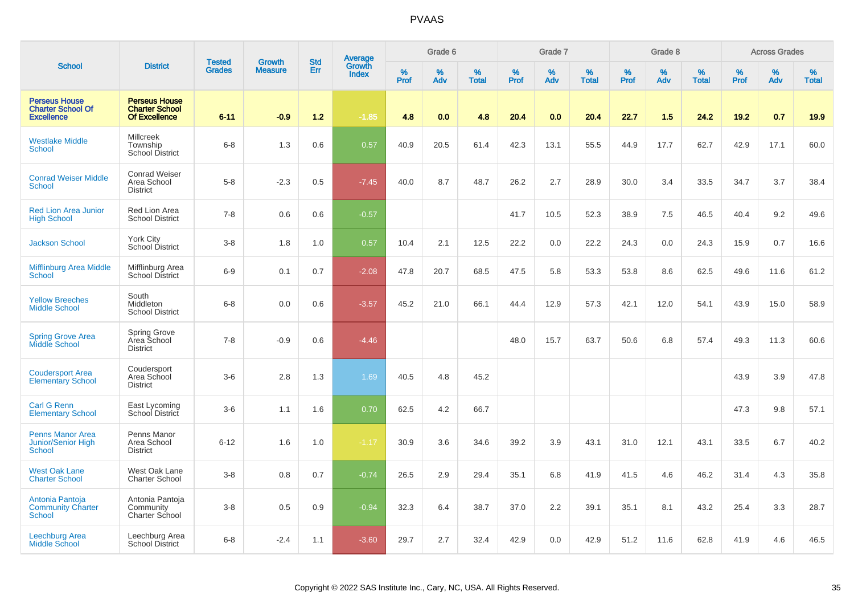|                                                                       |                                                                       |                                |                                 | <b>Std</b> |                                          |           | Grade 6  |                   |           | Grade 7  |                   |           | Grade 8  |                   |           | <b>Across Grades</b> |                   |
|-----------------------------------------------------------------------|-----------------------------------------------------------------------|--------------------------------|---------------------------------|------------|------------------------------------------|-----------|----------|-------------------|-----------|----------|-------------------|-----------|----------|-------------------|-----------|----------------------|-------------------|
| <b>School</b>                                                         | <b>District</b>                                                       | <b>Tested</b><br><b>Grades</b> | <b>Growth</b><br><b>Measure</b> | Err        | <b>Average</b><br>Growth<br><b>Index</b> | %<br>Prof | %<br>Adv | %<br><b>Total</b> | %<br>Prof | %<br>Adv | %<br><b>Total</b> | %<br>Prof | %<br>Adv | %<br><b>Total</b> | %<br>Prof | %<br>Adv             | %<br><b>Total</b> |
| <b>Perseus House</b><br><b>Charter School Of</b><br><b>Excellence</b> | <b>Perseus House</b><br><b>Charter School</b><br><b>Of Excellence</b> | $6 - 11$                       | $-0.9$                          | $1.2$      | $-1.85$                                  | 4.8       | 0.0      | 4.8               | 20.4      | 0.0      | 20.4              | 22.7      | 1.5      | 24.2              | 19.2      | 0.7                  | 19.9              |
| <b>Westlake Middle</b><br><b>School</b>                               | <b>Millcreek</b><br>Township<br>School District                       | $6 - 8$                        | 1.3                             | 0.6        | 0.57                                     | 40.9      | 20.5     | 61.4              | 42.3      | 13.1     | 55.5              | 44.9      | 17.7     | 62.7              | 42.9      | 17.1                 | 60.0              |
| <b>Conrad Weiser Middle</b><br><b>School</b>                          | <b>Conrad Weiser</b><br>Area School<br><b>District</b>                | $5-8$                          | $-2.3$                          | 0.5        | $-7.45$                                  | 40.0      | 8.7      | 48.7              | 26.2      | 2.7      | 28.9              | 30.0      | 3.4      | 33.5              | 34.7      | 3.7                  | 38.4              |
| <b>Red Lion Area Junior</b><br><b>High School</b>                     | Red Lion Area<br><b>School District</b>                               | $7 - 8$                        | 0.6                             | 0.6        | $-0.57$                                  |           |          |                   | 41.7      | 10.5     | 52.3              | 38.9      | 7.5      | 46.5              | 40.4      | 9.2                  | 49.6              |
| <b>Jackson School</b>                                                 | <b>York City</b><br>School District                                   | $3 - 8$                        | 1.8                             | 1.0        | 0.57                                     | 10.4      | 2.1      | 12.5              | 22.2      | 0.0      | 22.2              | 24.3      | 0.0      | 24.3              | 15.9      | 0.7                  | 16.6              |
| <b>Mifflinburg Area Middle</b><br><b>School</b>                       | Mifflinburg Area<br><b>School District</b>                            | $6-9$                          | 0.1                             | 0.7        | $-2.08$                                  | 47.8      | 20.7     | 68.5              | 47.5      | 5.8      | 53.3              | 53.8      | 8.6      | 62.5              | 49.6      | 11.6                 | 61.2              |
| <b>Yellow Breeches</b><br><b>Middle School</b>                        | South<br>Middleton<br><b>School District</b>                          | $6 - 8$                        | 0.0                             | 0.6        | $-3.57$                                  | 45.2      | 21.0     | 66.1              | 44.4      | 12.9     | 57.3              | 42.1      | 12.0     | 54.1              | 43.9      | 15.0                 | 58.9              |
| <b>Spring Grove Area</b><br>Middle School                             | Spring Grove<br>Area School<br><b>District</b>                        | $7 - 8$                        | $-0.9$                          | 0.6        | $-4.46$                                  |           |          |                   | 48.0      | 15.7     | 63.7              | 50.6      | 6.8      | 57.4              | 49.3      | 11.3                 | 60.6              |
| <b>Coudersport Area</b><br><b>Elementary School</b>                   | Coudersport<br>Area School<br><b>District</b>                         | $3-6$                          | 2.8                             | 1.3        | 1.69                                     | 40.5      | 4.8      | 45.2              |           |          |                   |           |          |                   | 43.9      | 3.9                  | 47.8              |
| <b>Carl G Renn</b><br><b>Elementary School</b>                        | East Lycoming<br>School District                                      | $3-6$                          | 1.1                             | 1.6        | 0.70                                     | 62.5      | 4.2      | 66.7              |           |          |                   |           |          |                   | 47.3      | 9.8                  | 57.1              |
| <b>Penns Manor Area</b><br>Junior/Senior High<br>School               | Penns Manor<br>Area School<br><b>District</b>                         | $6 - 12$                       | 1.6                             | 1.0        | $-1.17$                                  | 30.9      | 3.6      | 34.6              | 39.2      | 3.9      | 43.1              | 31.0      | 12.1     | 43.1              | 33.5      | 6.7                  | 40.2              |
| <b>West Oak Lane</b><br><b>Charter School</b>                         | West Oak Lane<br><b>Charter School</b>                                | $3 - 8$                        | 0.8                             | 0.7        | $-0.74$                                  | 26.5      | 2.9      | 29.4              | 35.1      | 6.8      | 41.9              | 41.5      | 4.6      | 46.2              | 31.4      | 4.3                  | 35.8              |
| Antonia Pantoja<br><b>Community Charter</b><br><b>School</b>          | Antonia Pantoja<br>Community<br>Charter School                        | $3 - 8$                        | 0.5                             | 0.9        | $-0.94$                                  | 32.3      | 6.4      | 38.7              | 37.0      | 2.2      | 39.1              | 35.1      | 8.1      | 43.2              | 25.4      | 3.3                  | 28.7              |
| Leechburg Area<br><b>Middle School</b>                                | Leechburg Area<br><b>School District</b>                              | $6 - 8$                        | $-2.4$                          | 1.1        | $-3.60$                                  | 29.7      | 2.7      | 32.4              | 42.9      | 0.0      | 42.9              | 51.2      | 11.6     | 62.8              | 41.9      | 4.6                  | 46.5              |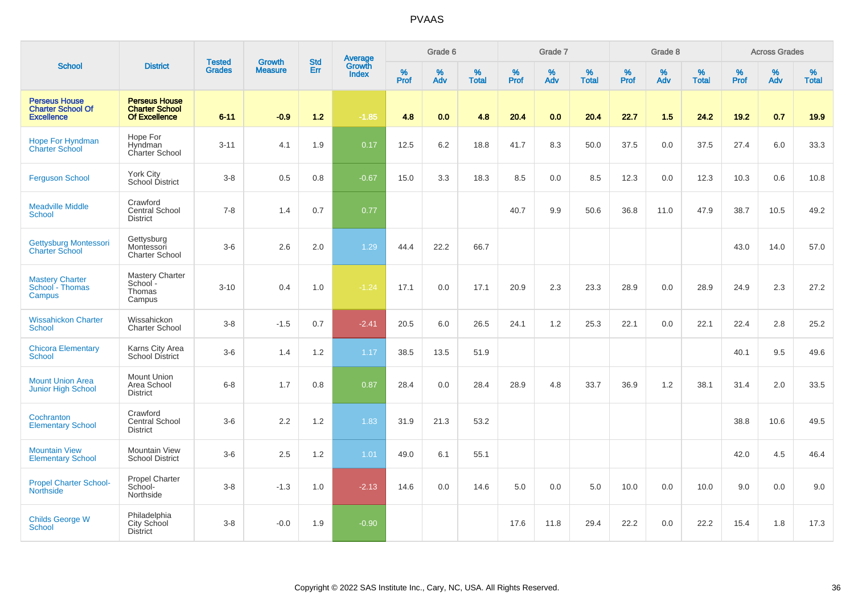| <b>School</b>                                                         | <b>District</b>                                                       | <b>Tested</b><br><b>Grades</b> | <b>Growth</b><br><b>Measure</b> | <b>Std</b><br>Err | <b>Average</b><br>Growth<br><b>Index</b> | Grade 6          |          |                   | Grade 7   |          |                   | Grade 8   |          |                   | <b>Across Grades</b> |          |                   |
|-----------------------------------------------------------------------|-----------------------------------------------------------------------|--------------------------------|---------------------------------|-------------------|------------------------------------------|------------------|----------|-------------------|-----------|----------|-------------------|-----------|----------|-------------------|----------------------|----------|-------------------|
|                                                                       |                                                                       |                                |                                 |                   |                                          | %<br><b>Prof</b> | %<br>Adv | %<br><b>Total</b> | %<br>Prof | %<br>Adv | %<br><b>Total</b> | %<br>Prof | %<br>Adv | %<br><b>Total</b> | $\%$<br><b>Prof</b>  | %<br>Adv | %<br><b>Total</b> |
| <b>Perseus House</b><br><b>Charter School Of</b><br><b>Excellence</b> | <b>Perseus House</b><br><b>Charter School</b><br><b>Of Excellence</b> | $6 - 11$                       | $-0.9$                          | $1.2$             | $-1.85$                                  | 4.8              | 0.0      | 4.8               | 20.4      | 0.0      | 20.4              | 22.7      | 1.5      | 24.2              | 19.2                 | 0.7      | 19.9              |
| <b>Hope For Hyndman</b><br><b>Charter School</b>                      | Hope For<br>Hyndman<br>Charter School                                 | $3 - 11$                       | 4.1                             | 1.9               | 0.17                                     | 12.5             | 6.2      | 18.8              | 41.7      | 8.3      | 50.0              | 37.5      | 0.0      | 37.5              | 27.4                 | 6.0      | 33.3              |
| <b>Ferguson School</b>                                                | York City<br>School District                                          | $3 - 8$                        | 0.5                             | 0.8               | $-0.67$                                  | 15.0             | 3.3      | 18.3              | 8.5       | 0.0      | 8.5               | 12.3      | 0.0      | 12.3              | 10.3                 | 0.6      | 10.8              |
| <b>Meadville Middle</b><br><b>School</b>                              | Crawford<br>Central School<br><b>District</b>                         | $7 - 8$                        | 1.4                             | 0.7               | 0.77                                     |                  |          |                   | 40.7      | 9.9      | 50.6              | 36.8      | 11.0     | 47.9              | 38.7                 | 10.5     | 49.2              |
| <b>Gettysburg Montessori</b><br><b>Charter School</b>                 | Gettysburg<br>Montessori<br><b>Charter School</b>                     | $3-6$                          | 2.6                             | 2.0               | 1.29                                     | 44.4             | 22.2     | 66.7              |           |          |                   |           |          |                   | 43.0                 | 14.0     | 57.0              |
| <b>Mastery Charter</b><br>School - Thomas<br>Campus                   | Mastery Charter<br>School-<br>Thomas<br>Campus                        | $3 - 10$                       | 0.4                             | 1.0               | $-1.24$                                  | 17.1             | 0.0      | 17.1              | 20.9      | 2.3      | 23.3              | 28.9      | 0.0      | 28.9              | 24.9                 | 2.3      | 27.2              |
| <b>Wissahickon Charter</b><br><b>School</b>                           | Wissahickon<br><b>Charter School</b>                                  | $3 - 8$                        | $-1.5$                          | 0.7               | $-2.41$                                  | 20.5             | 6.0      | 26.5              | 24.1      | 1.2      | 25.3              | 22.1      | 0.0      | 22.1              | 22.4                 | 2.8      | 25.2              |
| <b>Chicora Elementary</b><br><b>School</b>                            | Karns City Area<br><b>School District</b>                             | $3-6$                          | 1.4                             | 1.2               | 1.17                                     | 38.5             | 13.5     | 51.9              |           |          |                   |           |          |                   | 40.1                 | 9.5      | 49.6              |
| <b>Mount Union Area</b><br>Junior High School                         | <b>Mount Union</b><br>Area School<br><b>District</b>                  | $6 - 8$                        | 1.7                             | 0.8               | 0.87                                     | 28.4             | 0.0      | 28.4              | 28.9      | 4.8      | 33.7              | 36.9      | 1.2      | 38.1              | 31.4                 | 2.0      | 33.5              |
| Cochranton<br><b>Elementary School</b>                                | Crawford<br><b>Central School</b><br><b>District</b>                  | $3-6$                          | 2.2                             | 1.2               | 1.83                                     | 31.9             | 21.3     | 53.2              |           |          |                   |           |          |                   | 38.8                 | 10.6     | 49.5              |
| <b>Mountain View</b><br><b>Elementary School</b>                      | Mountain View<br><b>School District</b>                               | $3-6$                          | 2.5                             | 1.2               | 1.01                                     | 49.0             | 6.1      | 55.1              |           |          |                   |           |          |                   | 42.0                 | 4.5      | 46.4              |
| <b>Propel Charter School-</b><br><b>Northside</b>                     | <b>Propel Charter</b><br>School-<br>Northside                         | $3-8$                          | $-1.3$                          | 1.0               | $-2.13$                                  | 14.6             | 0.0      | 14.6              | 5.0       | 0.0      | 5.0               | 10.0      | 0.0      | 10.0              | 9.0                  | 0.0      | 9.0               |
| <b>Childs George W</b><br>School                                      | Philadelphia<br>City School<br><b>District</b>                        | $3-8$                          | $-0.0$                          | 1.9               | $-0.90$                                  |                  |          |                   | 17.6      | 11.8     | 29.4              | 22.2      | 0.0      | 22.2              | 15.4                 | 1.8      | 17.3              |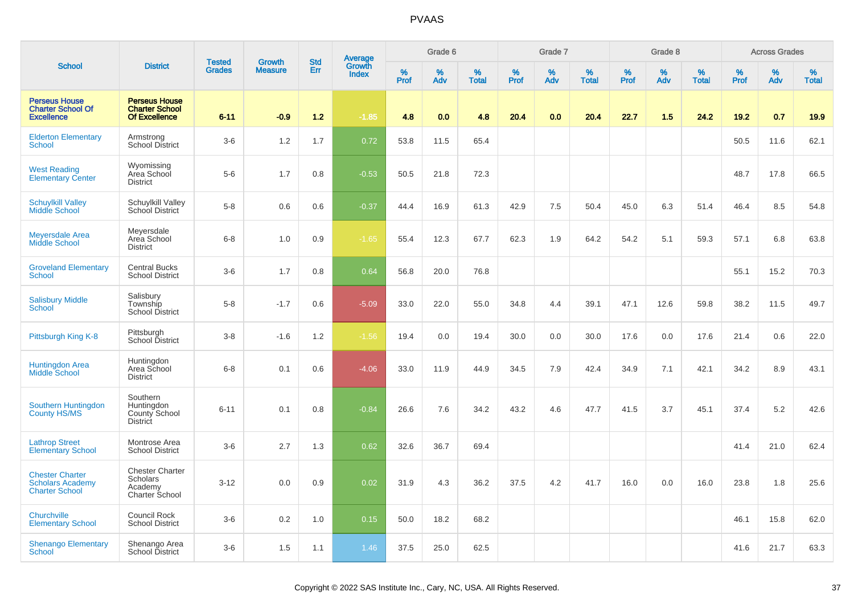|                                                                            |                                                                               |                                |                                 | <b>Std</b> |                                          |           | Grade 6  |                   |           | Grade 7  |                   |           | Grade 8  |                   |           | <b>Across Grades</b> |                   |
|----------------------------------------------------------------------------|-------------------------------------------------------------------------------|--------------------------------|---------------------------------|------------|------------------------------------------|-----------|----------|-------------------|-----------|----------|-------------------|-----------|----------|-------------------|-----------|----------------------|-------------------|
| <b>School</b>                                                              | <b>District</b>                                                               | <b>Tested</b><br><b>Grades</b> | <b>Growth</b><br><b>Measure</b> | Err        | <b>Average</b><br>Growth<br><b>Index</b> | %<br>Prof | %<br>Adv | %<br><b>Total</b> | %<br>Prof | %<br>Adv | %<br><b>Total</b> | %<br>Prof | %<br>Adv | %<br><b>Total</b> | %<br>Prof | %<br>Adv             | %<br><b>Total</b> |
| <b>Perseus House</b><br><b>Charter School Of</b><br><b>Excellence</b>      | <b>Perseus House</b><br><b>Charter School</b><br><b>Of Excellence</b>         | $6 - 11$                       | $-0.9$                          | 1.2        | $-1.85$                                  | 4.8       | 0.0      | 4.8               | 20.4      | 0.0      | 20.4              | 22.7      | 1.5      | 24.2              | 19.2      | 0.7                  | 19.9              |
| <b>Elderton Elementary</b><br><b>School</b>                                | Armstrong<br>School District                                                  | $3-6$                          | 1.2                             | 1.7        | 0.72                                     | 53.8      | 11.5     | 65.4              |           |          |                   |           |          |                   | 50.5      | 11.6                 | 62.1              |
| <b>West Reading</b><br><b>Elementary Center</b>                            | Wyomissing<br>Area School<br><b>District</b>                                  | $5-6$                          | 1.7                             | 0.8        | $-0.53$                                  | 50.5      | 21.8     | 72.3              |           |          |                   |           |          |                   | 48.7      | 17.8                 | 66.5              |
| <b>Schuylkill Valley</b><br>Middle School                                  | Schuylkill Valley<br>School District                                          | $5-8$                          | 0.6                             | 0.6        | $-0.37$                                  | 44.4      | 16.9     | 61.3              | 42.9      | 7.5      | 50.4              | 45.0      | 6.3      | 51.4              | 46.4      | 8.5                  | 54.8              |
| <b>Meyersdale Area</b><br><b>Middle School</b>                             | Meyersdale<br>Area School<br><b>District</b>                                  | $6 - 8$                        | 1.0                             | 0.9        | $-1.65$                                  | 55.4      | 12.3     | 67.7              | 62.3      | 1.9      | 64.2              | 54.2      | 5.1      | 59.3              | 57.1      | 6.8                  | 63.8              |
| <b>Groveland Elementary</b><br>School                                      | <b>Central Bucks</b><br><b>School District</b>                                | $3-6$                          | 1.7                             | 0.8        | 0.64                                     | 56.8      | 20.0     | 76.8              |           |          |                   |           |          |                   | 55.1      | 15.2                 | 70.3              |
| <b>Salisbury Middle</b><br>School                                          | Salisbury<br>Township<br><b>School District</b>                               | $5-8$                          | $-1.7$                          | 0.6        | $-5.09$                                  | 33.0      | 22.0     | 55.0              | 34.8      | 4.4      | 39.1              | 47.1      | 12.6     | 59.8              | 38.2      | 11.5                 | 49.7              |
| Pittsburgh King K-8                                                        | Pittsburgh<br>School District                                                 | $3 - 8$                        | $-1.6$                          | 1.2        | $-1.56$                                  | 19.4      | 0.0      | 19.4              | 30.0      | 0.0      | 30.0              | 17.6      | 0.0      | 17.6              | 21.4      | 0.6                  | 22.0              |
| <b>Huntingdon Area</b><br><b>Middle School</b>                             | Huntingdon<br>Area School<br><b>District</b>                                  | $6 - 8$                        | 0.1                             | 0.6        | $-4.06$                                  | 33.0      | 11.9     | 44.9              | 34.5      | 7.9      | 42.4              | 34.9      | 7.1      | 42.1              | 34.2      | 8.9                  | 43.1              |
| Southern Huntingdon<br><b>County HS/MS</b>                                 | Southern<br>Huntingdon<br>County School<br><b>District</b>                    | $6 - 11$                       | 0.1                             | 0.8        | $-0.84$                                  | 26.6      | 7.6      | 34.2              | 43.2      | 4.6      | 47.7              | 41.5      | 3.7      | 45.1              | 37.4      | 5.2                  | 42.6              |
| <b>Lathrop Street</b><br><b>Elementary School</b>                          | Montrose Area<br><b>School District</b>                                       | $3-6$                          | 2.7                             | 1.3        | 0.62                                     | 32.6      | 36.7     | 69.4              |           |          |                   |           |          |                   | 41.4      | 21.0                 | 62.4              |
| <b>Chester Charter</b><br><b>Scholars Academy</b><br><b>Charter School</b> | <b>Chester Charter</b><br><b>Scholars</b><br>Academy<br><b>Charter School</b> | $3 - 12$                       | 0.0                             | 0.9        | 0.02                                     | 31.9      | 4.3      | 36.2              | 37.5      | 4.2      | 41.7              | 16.0      | 0.0      | 16.0              | 23.8      | 1.8                  | 25.6              |
| Churchville<br><b>Elementary School</b>                                    | <b>Council Rock</b><br><b>School District</b>                                 | $3-6$                          | 0.2                             | 1.0        | 0.15                                     | 50.0      | 18.2     | 68.2              |           |          |                   |           |          |                   | 46.1      | 15.8                 | 62.0              |
| <b>Shenango Elementary</b><br>School                                       | Shenango Area<br>School District                                              | $3-6$                          | 1.5                             | 1.1        | 1.46                                     | 37.5      | 25.0     | 62.5              |           |          |                   |           |          |                   | 41.6      | 21.7                 | 63.3              |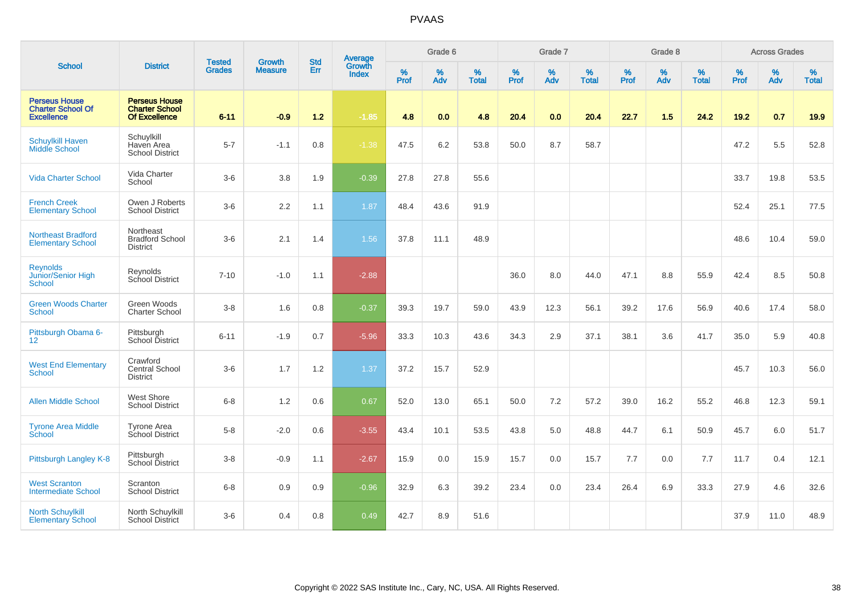|                                                                       |                                                                |                                |                                 | <b>Std</b> |                                          |                     | Grade 6     |                   |                     | Grade 7         |                   |                     | Grade 8  |                   |                     | <b>Across Grades</b> |                   |
|-----------------------------------------------------------------------|----------------------------------------------------------------|--------------------------------|---------------------------------|------------|------------------------------------------|---------------------|-------------|-------------------|---------------------|-----------------|-------------------|---------------------|----------|-------------------|---------------------|----------------------|-------------------|
| <b>School</b>                                                         | <b>District</b>                                                | <b>Tested</b><br><b>Grades</b> | <b>Growth</b><br><b>Measure</b> | Err        | <b>Average</b><br>Growth<br><b>Index</b> | $\%$<br><b>Prof</b> | $\%$<br>Adv | %<br><b>Total</b> | $\%$<br><b>Prof</b> | %<br><b>Adv</b> | %<br><b>Total</b> | $\%$<br><b>Prof</b> | %<br>Adv | %<br><b>Total</b> | $\%$<br><b>Prof</b> | $\%$<br>Adv          | %<br><b>Total</b> |
| <b>Perseus House</b><br><b>Charter School Of</b><br><b>Excellence</b> | <b>Perseus House</b><br><b>Charter School</b><br>Of Excellence | $6 - 11$                       | $-0.9$                          | $1.2$      | $-1.85$                                  | 4.8                 | 0.0         | 4.8               | 20.4                | 0.0             | 20.4              | 22.7                | 1.5      | 24.2              | 19.2                | 0.7                  | 19.9              |
| <b>Schuylkill Haven</b><br>Middle School                              | Schuylkill<br>Haven Area<br><b>School District</b>             | $5 - 7$                        | $-1.1$                          | 0.8        | $-1.38$                                  | 47.5                | 6.2         | 53.8              | 50.0                | 8.7             | 58.7              |                     |          |                   | 47.2                | 5.5                  | 52.8              |
| <b>Vida Charter School</b>                                            | Vida Charter<br>School                                         | $3-6$                          | 3.8                             | 1.9        | $-0.39$                                  | 27.8                | 27.8        | 55.6              |                     |                 |                   |                     |          |                   | 33.7                | 19.8                 | 53.5              |
| <b>French Creek</b><br><b>Elementary School</b>                       | Owen J Roberts<br><b>School District</b>                       | $3-6$                          | 2.2                             | 1.1        | 1.87                                     | 48.4                | 43.6        | 91.9              |                     |                 |                   |                     |          |                   | 52.4                | 25.1                 | 77.5              |
| <b>Northeast Bradford</b><br><b>Elementary School</b>                 | Northeast<br><b>Bradford School</b><br><b>District</b>         | $3-6$                          | 2.1                             | 1.4        | 1.56                                     | 37.8                | 11.1        | 48.9              |                     |                 |                   |                     |          |                   | 48.6                | 10.4                 | 59.0              |
| <b>Reynolds</b><br>Junior/Senior High<br>School                       | Reynolds<br>School District                                    | $7 - 10$                       | $-1.0$                          | 1.1        | $-2.88$                                  |                     |             |                   | 36.0                | 8.0             | 44.0              | 47.1                | 8.8      | 55.9              | 42.4                | 8.5                  | 50.8              |
| <b>Green Woods Charter</b><br><b>School</b>                           | Green Woods<br><b>Charter School</b>                           | $3 - 8$                        | 1.6                             | 0.8        | $-0.37$                                  | 39.3                | 19.7        | 59.0              | 43.9                | 12.3            | 56.1              | 39.2                | 17.6     | 56.9              | 40.6                | 17.4                 | 58.0              |
| Pittsburgh Obama 6-<br>12                                             | Pittsburgh<br>School District                                  | $6 - 11$                       | $-1.9$                          | 0.7        | $-5.96$                                  | 33.3                | 10.3        | 43.6              | 34.3                | 2.9             | 37.1              | 38.1                | 3.6      | 41.7              | 35.0                | 5.9                  | 40.8              |
| <b>West End Elementary</b><br>School                                  | Crawford<br>Central School<br><b>District</b>                  | $3-6$                          | 1.7                             | 1.2        | 1.37                                     | 37.2                | 15.7        | 52.9              |                     |                 |                   |                     |          |                   | 45.7                | 10.3                 | 56.0              |
| <b>Allen Middle School</b>                                            | <b>West Shore</b><br><b>School District</b>                    | $6 - 8$                        | 1.2                             | 0.6        | 0.67                                     | 52.0                | 13.0        | 65.1              | 50.0                | 7.2             | 57.2              | 39.0                | 16.2     | 55.2              | 46.8                | 12.3                 | 59.1              |
| <b>Tyrone Area Middle</b><br>School                                   | <b>Tyrone Area</b><br>School District                          | $5-8$                          | $-2.0$                          | 0.6        | $-3.55$                                  | 43.4                | 10.1        | 53.5              | 43.8                | 5.0             | 48.8              | 44.7                | 6.1      | 50.9              | 45.7                | 6.0                  | 51.7              |
| Pittsburgh Langley K-8                                                | Pittsburgh<br>School District                                  | $3 - 8$                        | $-0.9$                          | 1.1        | $-2.67$                                  | 15.9                | 0.0         | 15.9              | 15.7                | 0.0             | 15.7              | 7.7                 | 0.0      | 7.7               | 11.7                | 0.4                  | 12.1              |
| <b>West Scranton</b><br><b>Intermediate School</b>                    | Scranton<br><b>School District</b>                             | $6 - 8$                        | 0.9                             | 0.9        | $-0.96$                                  | 32.9                | 6.3         | 39.2              | 23.4                | 0.0             | 23.4              | 26.4                | 6.9      | 33.3              | 27.9                | 4.6                  | 32.6              |
| <b>North Schuylkill</b><br><b>Elementary School</b>                   | North Schuylkill<br><b>School District</b>                     | $3-6$                          | 0.4                             | 0.8        | 0.49                                     | 42.7                | 8.9         | 51.6              |                     |                 |                   |                     |          |                   | 37.9                | 11.0                 | 48.9              |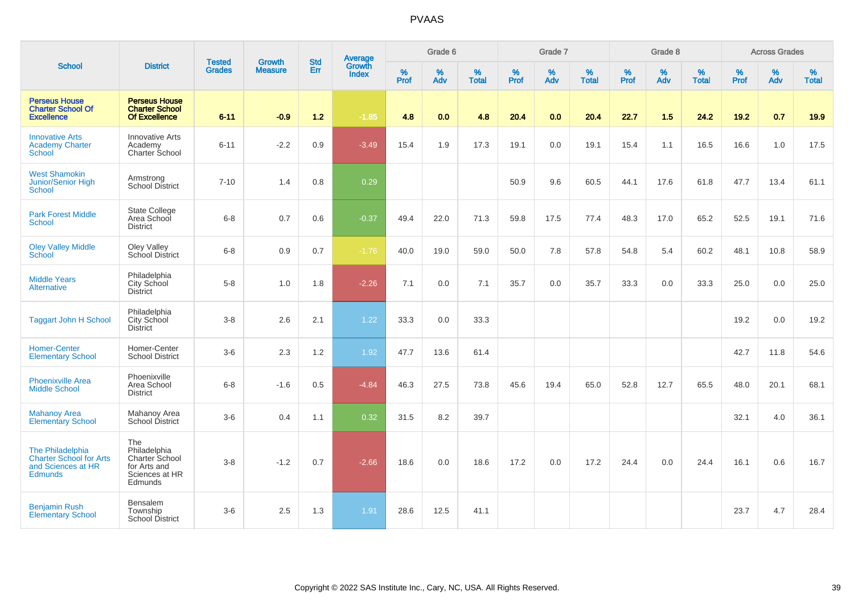|                                                                                            |                                                                                    |                                | <b>Growth</b>  | <b>Std</b> |                                          |                  | Grade 6  |                   |           | Grade 7  |                   |                  | Grade 8  |                   |           | <b>Across Grades</b> |                   |
|--------------------------------------------------------------------------------------------|------------------------------------------------------------------------------------|--------------------------------|----------------|------------|------------------------------------------|------------------|----------|-------------------|-----------|----------|-------------------|------------------|----------|-------------------|-----------|----------------------|-------------------|
| <b>School</b>                                                                              | <b>District</b>                                                                    | <b>Tested</b><br><b>Grades</b> | <b>Measure</b> | Err        | <b>Average</b><br>Growth<br><b>Index</b> | %<br><b>Prof</b> | %<br>Adv | %<br><b>Total</b> | %<br>Prof | %<br>Adv | %<br><b>Total</b> | %<br><b>Prof</b> | %<br>Adv | %<br><b>Total</b> | %<br>Prof | %<br>Adv             | %<br><b>Total</b> |
| <b>Perseus House</b><br><b>Charter School Of</b><br><b>Excellence</b>                      | <b>Perseus House</b><br><b>Charter School</b><br>Of Excellence                     | $6 - 11$                       | $-0.9$         | 1.2        | $-1.85$                                  | 4.8              | 0.0      | 4.8               | 20.4      | 0.0      | 20.4              | 22.7             | 1.5      | 24.2              | 19.2      | 0.7                  | 19.9              |
| <b>Innovative Arts</b><br><b>Academy Charter</b><br><b>School</b>                          | <b>Innovative Arts</b><br>Academy<br><b>Charter School</b>                         | $6 - 11$                       | $-2.2$         | 0.9        | $-3.49$                                  | 15.4             | 1.9      | 17.3              | 19.1      | 0.0      | 19.1              | 15.4             | 1.1      | 16.5              | 16.6      | 1.0                  | 17.5              |
| <b>West Shamokin</b><br><b>Junior/Senior High</b><br><b>School</b>                         | Armstrong<br><b>School District</b>                                                | $7 - 10$                       | 1.4            | 0.8        | 0.29                                     |                  |          |                   | 50.9      | 9.6      | 60.5              | 44.1             | 17.6     | 61.8              | 47.7      | 13.4                 | 61.1              |
| <b>Park Forest Middle</b><br><b>School</b>                                                 | <b>State College</b><br>Area School<br><b>District</b>                             | $6 - 8$                        | 0.7            | 0.6        | $-0.37$                                  | 49.4             | 22.0     | 71.3              | 59.8      | 17.5     | 77.4              | 48.3             | 17.0     | 65.2              | 52.5      | 19.1                 | 71.6              |
| <b>Oley Valley Middle</b><br>School                                                        | Oley Valley<br>School District                                                     | $6 - 8$                        | 0.9            | 0.7        | $-1.76$                                  | 40.0             | 19.0     | 59.0              | 50.0      | 7.8      | 57.8              | 54.8             | 5.4      | 60.2              | 48.1      | 10.8                 | 58.9              |
| <b>Middle Years</b><br><b>Alternative</b>                                                  | Philadelphia<br>City School<br><b>District</b>                                     | $5-8$                          | 1.0            | 1.8        | $-2.26$                                  | 7.1              | 0.0      | 7.1               | 35.7      | 0.0      | 35.7              | 33.3             | 0.0      | 33.3              | 25.0      | 0.0                  | 25.0              |
| <b>Taggart John H School</b>                                                               | Philadelphia<br>City School<br><b>District</b>                                     | $3 - 8$                        | 2.6            | 2.1        | 1.22                                     | 33.3             | 0.0      | 33.3              |           |          |                   |                  |          |                   | 19.2      | 0.0                  | 19.2              |
| <b>Homer-Center</b><br><b>Elementary School</b>                                            | Homer-Center<br><b>School District</b>                                             | $3-6$                          | 2.3            | 1.2        | 1.92                                     | 47.7             | 13.6     | 61.4              |           |          |                   |                  |          |                   | 42.7      | 11.8                 | 54.6              |
| <b>Phoenixville Area</b><br><b>Middle School</b>                                           | Phoenixville<br>Area School<br><b>District</b>                                     | $6 - 8$                        | $-1.6$         | 0.5        | $-4.84$                                  | 46.3             | 27.5     | 73.8              | 45.6      | 19.4     | 65.0              | 52.8             | 12.7     | 65.5              | 48.0      | 20.1                 | 68.1              |
| <b>Mahanoy Area</b><br><b>Elementary School</b>                                            | Mahanoy Area<br>School District                                                    | $3-6$                          | 0.4            | 1.1        | 0.32                                     | 31.5             | 8.2      | 39.7              |           |          |                   |                  |          |                   | 32.1      | 4.0                  | 36.1              |
| The Philadelphia<br><b>Charter School for Arts</b><br>and Sciences at HR<br><b>Edmunds</b> | The<br>Philadelphia<br>Charter School<br>for Arts and<br>Sciences at HR<br>Edmunds | $3 - 8$                        | $-1.2$         | 0.7        | $-2.66$                                  | 18.6             | 0.0      | 18.6              | 17.2      | 0.0      | 17.2              | 24.4             | 0.0      | 24.4              | 16.1      | 0.6                  | 16.7              |
| <b>Benjamin Rush</b><br><b>Elementary School</b>                                           | Bensalem<br>Township<br><b>School District</b>                                     | $3-6$                          | 2.5            | 1.3        | 1.91                                     | 28.6             | 12.5     | 41.1              |           |          |                   |                  |          |                   | 23.7      | 4.7                  | 28.4              |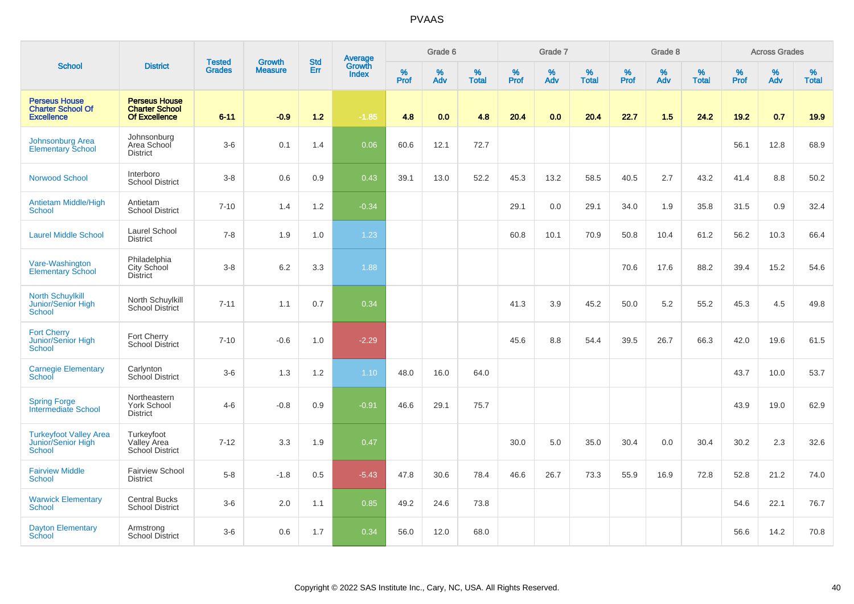|                                                                       |                                                                       |                                |                          | <b>Std</b> |                                          |           | Grade 6     |                   |           | Grade 7  |                   |           | Grade 8  |                   |           | <b>Across Grades</b> |                   |
|-----------------------------------------------------------------------|-----------------------------------------------------------------------|--------------------------------|--------------------------|------------|------------------------------------------|-----------|-------------|-------------------|-----------|----------|-------------------|-----------|----------|-------------------|-----------|----------------------|-------------------|
| <b>School</b>                                                         | <b>District</b>                                                       | <b>Tested</b><br><b>Grades</b> | Growth<br><b>Measure</b> | Err        | <b>Average</b><br>Growth<br><b>Index</b> | %<br>Prof | $\%$<br>Adv | %<br><b>Total</b> | %<br>Prof | %<br>Adv | %<br><b>Total</b> | %<br>Prof | %<br>Adv | %<br><b>Total</b> | %<br>Prof | %<br>Adv             | %<br><b>Total</b> |
| <b>Perseus House</b><br><b>Charter School Of</b><br><b>Excellence</b> | <b>Perseus House</b><br><b>Charter School</b><br><b>Of Excellence</b> | $6 - 11$                       | $-0.9$                   | $1.2$      | $-1.85$                                  | 4.8       | 0.0         | 4.8               | 20.4      | 0.0      | 20.4              | 22.7      | 1.5      | 24.2              | 19.2      | 0.7                  | 19.9              |
| <b>Johnsonburg Area</b><br><b>Elementary School</b>                   | Johnsonburg<br>Area School<br><b>District</b>                         | $3-6$                          | 0.1                      | 1.4        | 0.06                                     | 60.6      | 12.1        | 72.7              |           |          |                   |           |          |                   | 56.1      | 12.8                 | 68.9              |
| <b>Norwood School</b>                                                 | Interboro<br><b>School District</b>                                   | $3 - 8$                        | 0.6                      | 0.9        | 0.43                                     | 39.1      | 13.0        | 52.2              | 45.3      | 13.2     | 58.5              | 40.5      | 2.7      | 43.2              | 41.4      | 8.8                  | 50.2              |
| Antietam Middle/High<br><b>School</b>                                 | Antietam<br><b>School District</b>                                    | $7 - 10$                       | 1.4                      | $1.2\,$    | $-0.34$                                  |           |             |                   | 29.1      | 0.0      | 29.1              | 34.0      | 1.9      | 35.8              | 31.5      | 0.9                  | 32.4              |
| <b>Laurel Middle School</b>                                           | Laurel School<br><b>District</b>                                      | $7 - 8$                        | 1.9                      | 1.0        | 1.23                                     |           |             |                   | 60.8      | 10.1     | 70.9              | 50.8      | 10.4     | 61.2              | 56.2      | 10.3                 | 66.4              |
| Vare-Washington<br><b>Elementary School</b>                           | Philadelphia<br>City School<br><b>District</b>                        | $3 - 8$                        | $6.2\,$                  | $3.3\,$    | 1.88                                     |           |             |                   |           |          |                   | 70.6      | 17.6     | 88.2              | 39.4      | 15.2                 | 54.6              |
| <b>North Schuylkill</b><br>Junior/Senior High<br><b>School</b>        | North Schuylkill<br>School District                                   | $7 - 11$                       | 1.1                      | 0.7        | 0.34                                     |           |             |                   | 41.3      | 3.9      | 45.2              | 50.0      | 5.2      | 55.2              | 45.3      | 4.5                  | 49.8              |
| <b>Fort Cherry</b><br>Junior/Senior High<br><b>School</b>             | Fort Cherry<br>School District                                        | $7 - 10$                       | $-0.6$                   | 1.0        | $-2.29$                                  |           |             |                   | 45.6      | 8.8      | 54.4              | 39.5      | 26.7     | 66.3              | 42.0      | 19.6                 | 61.5              |
| <b>Carnegie Elementary</b><br>School                                  | Carlynton<br>School District                                          | $3-6$                          | 1.3                      | 1.2        | 1.10                                     | 48.0      | 16.0        | 64.0              |           |          |                   |           |          |                   | 43.7      | 10.0                 | 53.7              |
| <b>Spring Forge</b><br><b>Intermediate School</b>                     | Northeastern<br>York School<br><b>District</b>                        | $4 - 6$                        | $-0.8$                   | 0.9        | $-0.91$                                  | 46.6      | 29.1        | 75.7              |           |          |                   |           |          |                   | 43.9      | 19.0                 | 62.9              |
| <b>Turkeyfoot Valley Area</b><br>Junior/Senior High<br>School         | Turkeyfoot<br>Valley Area<br>School District                          | $7 - 12$                       | 3.3                      | 1.9        | 0.47                                     |           |             |                   | 30.0      | 5.0      | 35.0              | 30.4      | 0.0      | 30.4              | 30.2      | 2.3                  | 32.6              |
| <b>Fairview Middle</b><br>School                                      | <b>Fairview School</b><br><b>District</b>                             | $5 - 8$                        | $-1.8$                   | 0.5        | $-5.43$                                  | 47.8      | 30.6        | 78.4              | 46.6      | 26.7     | 73.3              | 55.9      | 16.9     | 72.8              | 52.8      | 21.2                 | 74.0              |
| <b>Warwick Elementary</b><br><b>School</b>                            | <b>Central Bucks</b><br><b>School District</b>                        | $3-6$                          | 2.0                      | 1.1        | 0.85                                     | 49.2      | 24.6        | 73.8              |           |          |                   |           |          |                   | 54.6      | 22.1                 | 76.7              |
| <b>Dayton Elementary</b><br>School                                    | Armstrong<br><b>School District</b>                                   | $3-6$                          | 0.6                      | 1.7        | 0.34                                     | 56.0      | 12.0        | 68.0              |           |          |                   |           |          |                   | 56.6      | 14.2                 | 70.8              |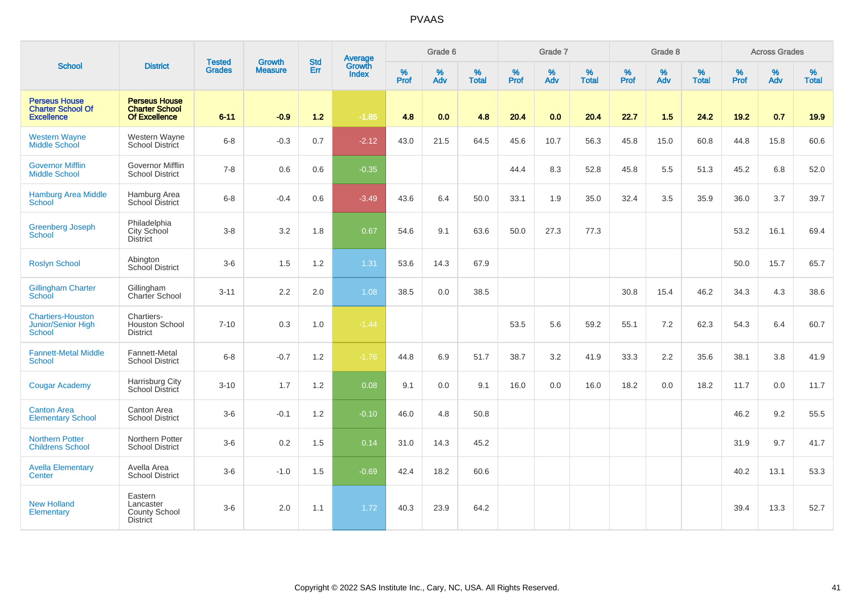| <b>School</b><br><b>Perseus House</b><br><b>Charter School Of</b><br><b>Excellence</b><br><b>Western Wayne</b><br>Middle School<br><b>Governor Mifflin</b><br><b>Middle School</b><br><b>Hamburg Area Middle</b><br><b>School</b><br><b>Greenberg Joseph</b><br><b>School</b><br><b>Roslyn School</b><br><b>Gillingham Charter</b><br>School<br><b>Chartiers-Houston</b> |                                                                       |                                | <b>Growth</b>  | <b>Std</b> |                                          |                  | Grade 6     |                   |                  | Grade 7     |                   |                     | Grade 8     |                   |           | <b>Across Grades</b> |                   |
|--------------------------------------------------------------------------------------------------------------------------------------------------------------------------------------------------------------------------------------------------------------------------------------------------------------------------------------------------------------------------|-----------------------------------------------------------------------|--------------------------------|----------------|------------|------------------------------------------|------------------|-------------|-------------------|------------------|-------------|-------------------|---------------------|-------------|-------------------|-----------|----------------------|-------------------|
|                                                                                                                                                                                                                                                                                                                                                                          | <b>District</b>                                                       | <b>Tested</b><br><b>Grades</b> | <b>Measure</b> | Err        | <b>Average</b><br>Growth<br><b>Index</b> | %<br><b>Prof</b> | $\%$<br>Adv | %<br><b>Total</b> | %<br><b>Prof</b> | $\%$<br>Adv | %<br><b>Total</b> | $\%$<br><b>Prof</b> | $\%$<br>Adv | %<br><b>Total</b> | %<br>Prof | $\%$<br>Adv          | %<br><b>Total</b> |
|                                                                                                                                                                                                                                                                                                                                                                          | <b>Perseus House</b><br><b>Charter School</b><br><b>Of Excellence</b> | $6 - 11$                       | $-0.9$         | $1.2$      | $-1.85$                                  | 4.8              | 0.0         | 4.8               | 20.4             | 0.0         | 20.4              | 22.7                | 1.5         | 24.2              | 19.2      | 0.7                  | 19.9              |
|                                                                                                                                                                                                                                                                                                                                                                          | Western Wayne<br><b>School District</b>                               | $6 - 8$                        | $-0.3$         | 0.7        | $-2.12$                                  | 43.0             | 21.5        | 64.5              | 45.6             | 10.7        | 56.3              | 45.8                | 15.0        | 60.8              | 44.8      | 15.8                 | 60.6              |
|                                                                                                                                                                                                                                                                                                                                                                          | Governor Mifflin<br><b>School District</b>                            | $7 - 8$                        | 0.6            | 0.6        | $-0.35$                                  |                  |             |                   | 44.4             | 8.3         | 52.8              | 45.8                | 5.5         | 51.3              | 45.2      | 6.8                  | 52.0              |
|                                                                                                                                                                                                                                                                                                                                                                          | Hamburg Area<br>School District                                       | $6 - 8$                        | $-0.4$         | 0.6        | $-3.49$                                  | 43.6             | 6.4         | 50.0              | 33.1             | 1.9         | 35.0              | 32.4                | 3.5         | 35.9              | 36.0      | 3.7                  | 39.7              |
|                                                                                                                                                                                                                                                                                                                                                                          | Philadelphia<br>City School<br><b>District</b>                        | $3-8$                          | 3.2            | 1.8        | 0.67                                     | 54.6             | 9.1         | 63.6              | 50.0             | 27.3        | 77.3              |                     |             |                   | 53.2      | 16.1                 | 69.4              |
|                                                                                                                                                                                                                                                                                                                                                                          | Abington<br>School District                                           | $3-6$                          | 1.5            | 1.2        | 1.31                                     | 53.6             | 14.3        | 67.9              |                  |             |                   |                     |             |                   | 50.0      | 15.7                 | 65.7              |
|                                                                                                                                                                                                                                                                                                                                                                          | Gillingham<br>Charter School                                          | $3 - 11$                       | 2.2            | 2.0        | 1.08                                     | 38.5             | 0.0         | 38.5              |                  |             |                   | 30.8                | 15.4        | 46.2              | 34.3      | 4.3                  | 38.6              |
| <b>Junior/Senior High</b><br><b>School</b>                                                                                                                                                                                                                                                                                                                               | Chartiers-<br>Houston School<br><b>District</b>                       | $7 - 10$                       | 0.3            | 1.0        | $-1.44$                                  |                  |             |                   | 53.5             | 5.6         | 59.2              | 55.1                | 7.2         | 62.3              | 54.3      | 6.4                  | 60.7              |
| <b>Fannett-Metal Middle</b><br><b>School</b>                                                                                                                                                                                                                                                                                                                             | Fannett-Metal<br><b>School District</b>                               | $6 - 8$                        | $-0.7$         | 1.2        | $-1.76$                                  | 44.8             | 6.9         | 51.7              | 38.7             | 3.2         | 41.9              | 33.3                | 2.2         | 35.6              | 38.1      | 3.8                  | 41.9              |
| <b>Cougar Academy</b>                                                                                                                                                                                                                                                                                                                                                    | Harrisburg City<br>School District                                    | $3 - 10$                       | 1.7            | 1.2        | 0.08                                     | 9.1              | 0.0         | 9.1               | 16.0             | 0.0         | 16.0              | 18.2                | 0.0         | 18.2              | 11.7      | 0.0                  | 11.7              |
| <b>Canton Area</b><br><b>Elementary School</b>                                                                                                                                                                                                                                                                                                                           | Canton Area<br><b>School District</b>                                 | $3-6$                          | $-0.1$         | 1.2        | $-0.10$                                  | 46.0             | 4.8         | 50.8              |                  |             |                   |                     |             |                   | 46.2      | 9.2                  | 55.5              |
| <b>Northern Potter</b><br><b>Childrens School</b>                                                                                                                                                                                                                                                                                                                        | Northern Potter<br><b>School District</b>                             | $3-6$                          | 0.2            | 1.5        | 0.14                                     | 31.0             | 14.3        | 45.2              |                  |             |                   |                     |             |                   | 31.9      | 9.7                  | 41.7              |
| <b>Avella Elementary</b><br>Center                                                                                                                                                                                                                                                                                                                                       | Avella Area<br><b>School District</b>                                 | $3-6$                          | $-1.0$         | 1.5        | $-0.69$                                  | 42.4             | 18.2        | 60.6              |                  |             |                   |                     |             |                   | 40.2      | 13.1                 | 53.3              |
| <b>New Holland</b><br><b>Elementary</b>                                                                                                                                                                                                                                                                                                                                  | Eastern<br>Lancaster<br>County School<br><b>District</b>              | $3-6$                          | 2.0            | 1.1        | 1.72                                     | 40.3             | 23.9        | 64.2              |                  |             |                   |                     |             |                   | 39.4      | 13.3                 | 52.7              |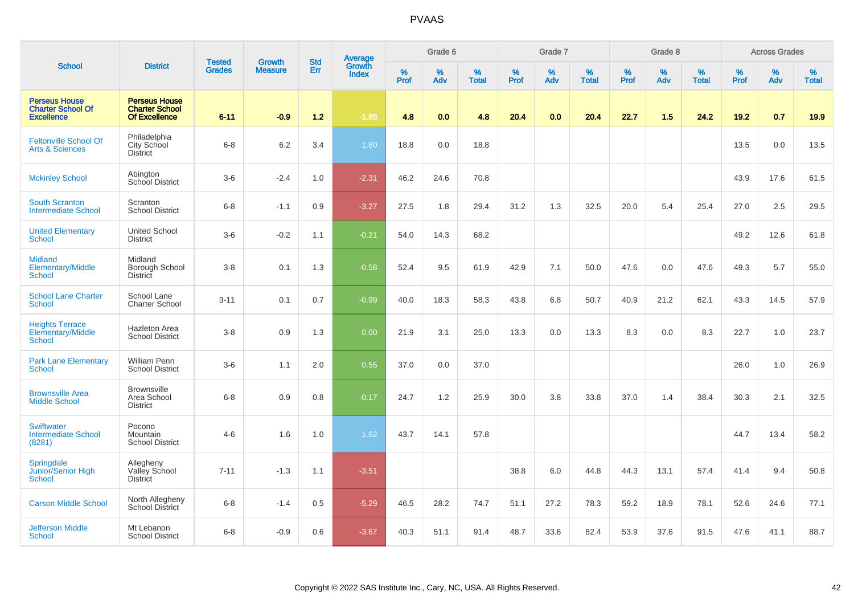|                                                                       |                                                                       |                                | <b>Growth</b>  | <b>Std</b> |                                          |           | Grade 6     |                   |           | Grade 7  |                   |           | Grade 8  |                   |           | <b>Across Grades</b> |                   |
|-----------------------------------------------------------------------|-----------------------------------------------------------------------|--------------------------------|----------------|------------|------------------------------------------|-----------|-------------|-------------------|-----------|----------|-------------------|-----------|----------|-------------------|-----------|----------------------|-------------------|
| <b>School</b>                                                         | <b>District</b>                                                       | <b>Tested</b><br><b>Grades</b> | <b>Measure</b> | Err        | <b>Average</b><br>Growth<br><b>Index</b> | %<br>Prof | $\%$<br>Adv | %<br><b>Total</b> | %<br>Prof | %<br>Adv | %<br><b>Total</b> | %<br>Prof | %<br>Adv | %<br><b>Total</b> | %<br>Prof | %<br>Adv             | %<br><b>Total</b> |
| <b>Perseus House</b><br><b>Charter School Of</b><br><b>Excellence</b> | <b>Perseus House</b><br><b>Charter School</b><br><b>Of Excellence</b> | $6 - 11$                       | $-0.9$         | $1.2$      | $-1.85$                                  | 4.8       | 0.0         | 4.8               | 20.4      | 0.0      | 20.4              | 22.7      | 1.5      | 24.2              | 19.2      | 0.7                  | 19.9              |
| <b>Feltonville School Of</b><br><b>Arts &amp; Sciences</b>            | Philadelphia<br>City School<br><b>District</b>                        | $6 - 8$                        | 6.2            | 3.4        | 1.80                                     | 18.8      | 0.0         | 18.8              |           |          |                   |           |          |                   | 13.5      | 0.0                  | 13.5              |
| <b>Mckinley School</b>                                                | Abington<br><b>School District</b>                                    | $3 - 6$                        | $-2.4$         | 1.0        | $-2.31$                                  | 46.2      | 24.6        | 70.8              |           |          |                   |           |          |                   | 43.9      | 17.6                 | 61.5              |
| <b>South Scranton</b><br><b>Intermediate School</b>                   | Scranton<br><b>School District</b>                                    | $6 - 8$                        | $-1.1$         | 0.9        | $-3.27$                                  | 27.5      | 1.8         | 29.4              | 31.2      | 1.3      | 32.5              | 20.0      | 5.4      | 25.4              | 27.0      | 2.5                  | 29.5              |
| <b>United Elementary</b><br><b>School</b>                             | <b>United School</b><br><b>District</b>                               | $3-6$                          | $-0.2$         | 1.1        | $-0.21$                                  | 54.0      | 14.3        | 68.2              |           |          |                   |           |          |                   | 49.2      | 12.6                 | 61.8              |
| <b>Midland</b><br>Elementary/Middle<br>School                         | Midland<br>Borough School<br><b>District</b>                          | $3 - 8$                        | 0.1            | 1.3        | $-0.58$                                  | 52.4      | 9.5         | 61.9              | 42.9      | 7.1      | 50.0              | 47.6      | 0.0      | 47.6              | 49.3      | 5.7                  | 55.0              |
| <b>School Lane Charter</b><br><b>School</b>                           | School Lane<br><b>Charter School</b>                                  | $3 - 11$                       | 0.1            | 0.7        | $-0.99$                                  | 40.0      | 18.3        | 58.3              | 43.8      | 6.8      | 50.7              | 40.9      | 21.2     | 62.1              | 43.3      | 14.5                 | 57.9              |
| <b>Heights Terrace</b><br>Elementary/Middle<br>School                 | <b>Hazleton Area</b><br><b>School District</b>                        | $3-8$                          | 0.9            | 1.3        | 0.00                                     | 21.9      | 3.1         | 25.0              | 13.3      | 0.0      | 13.3              | 8.3       | 0.0      | 8.3               | 22.7      | 1.0                  | 23.7              |
| <b>Park Lane Elementary</b><br>School                                 | <b>William Penn</b><br><b>School District</b>                         | $3-6$                          | 1.1            | 2.0        | 0.55                                     | 37.0      | 0.0         | 37.0              |           |          |                   |           |          |                   | 26.0      | 1.0                  | 26.9              |
| <b>Brownsville Area</b><br><b>Middle School</b>                       | <b>Brownsville</b><br>Area School<br><b>District</b>                  | $6 - 8$                        | 0.9            | 0.8        | $-0.17$                                  | 24.7      | 1.2         | 25.9              | 30.0      | 3.8      | 33.8              | 37.0      | 1.4      | 38.4              | 30.3      | 2.1                  | 32.5              |
| <b>Swiftwater</b><br><b>Intermediate School</b><br>(8281)             | Pocono<br>Mountain<br><b>School District</b>                          | $4 - 6$                        | 1.6            | 1.0        | 1.62                                     | 43.7      | 14.1        | 57.8              |           |          |                   |           |          |                   | 44.7      | 13.4                 | 58.2              |
| Springdale<br>Junior/Senior High<br>School                            | Allegheny<br>Valley School<br><b>District</b>                         | $7 - 11$                       | $-1.3$         | 1.1        | $-3.51$                                  |           |             |                   | 38.8      | 6.0      | 44.8              | 44.3      | 13.1     | 57.4              | 41.4      | 9.4                  | 50.8              |
| <b>Carson Middle School</b>                                           | North Allegheny<br>School District                                    | $6 - 8$                        | $-1.4$         | 0.5        | $-5.29$                                  | 46.5      | 28.2        | 74.7              | 51.1      | 27.2     | 78.3              | 59.2      | 18.9     | 78.1              | 52.6      | 24.6                 | 77.1              |
| <b>Jefferson Middle</b><br>School                                     | Mt Lebanon<br><b>School District</b>                                  | $6 - 8$                        | $-0.9$         | 0.6        | $-3.67$                                  | 40.3      | 51.1        | 91.4              | 48.7      | 33.6     | 82.4              | 53.9      | 37.6     | 91.5              | 47.6      | 41.1                 | 88.7              |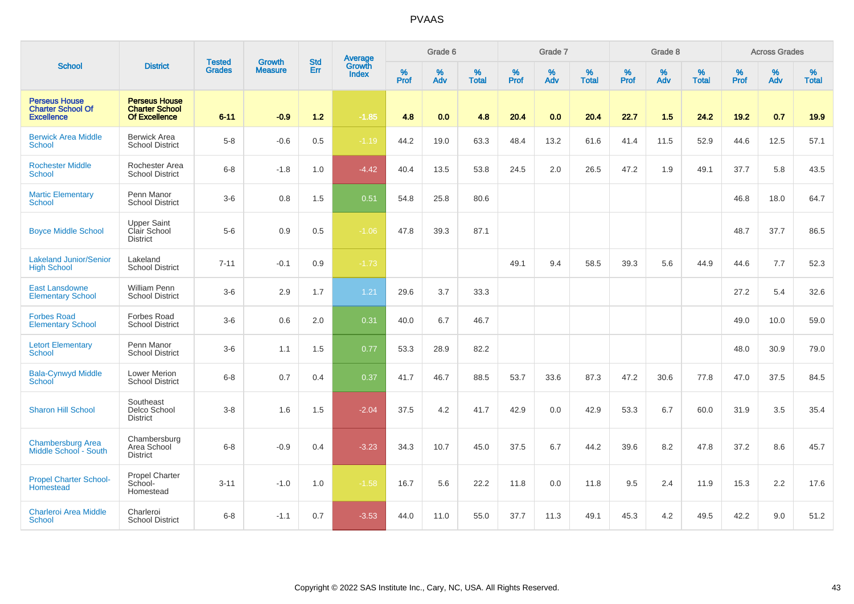|                                                                       |                                                                |                                | <b>Growth</b>  | <b>Std</b> | <b>Average</b><br>Growth |                  | Grade 6  |                   |                  | Grade 7  |                   |                  | Grade 8  |                   |                  | <b>Across Grades</b> |                   |
|-----------------------------------------------------------------------|----------------------------------------------------------------|--------------------------------|----------------|------------|--------------------------|------------------|----------|-------------------|------------------|----------|-------------------|------------------|----------|-------------------|------------------|----------------------|-------------------|
| <b>School</b>                                                         | <b>District</b>                                                | <b>Tested</b><br><b>Grades</b> | <b>Measure</b> | Err        | <b>Index</b>             | %<br><b>Prof</b> | %<br>Adv | %<br><b>Total</b> | %<br><b>Prof</b> | %<br>Adv | %<br><b>Total</b> | %<br><b>Prof</b> | %<br>Adv | %<br><b>Total</b> | %<br><b>Prof</b> | %<br>Adv             | %<br><b>Total</b> |
| <b>Perseus House</b><br><b>Charter School Of</b><br><b>Excellence</b> | <b>Perseus House</b><br><b>Charter School</b><br>Of Excellence | $6 - 11$                       | $-0.9$         | $1.2$      | $-1.85$                  | 4.8              | 0.0      | 4.8               | 20.4             | 0.0      | 20.4              | 22.7             | 1.5      | 24.2              | 19.2             | 0.7                  | 19.9              |
| <b>Berwick Area Middle</b><br><b>School</b>                           | <b>Berwick Area</b><br><b>School District</b>                  | $5-8$                          | $-0.6$         | 0.5        | $-1.19$                  | 44.2             | 19.0     | 63.3              | 48.4             | 13.2     | 61.6              | 41.4             | 11.5     | 52.9              | 44.6             | 12.5                 | 57.1              |
| <b>Rochester Middle</b><br><b>School</b>                              | Rochester Area<br><b>School District</b>                       | $6 - 8$                        | $-1.8$         | 1.0        | $-4.42$                  | 40.4             | 13.5     | 53.8              | 24.5             | 2.0      | 26.5              | 47.2             | 1.9      | 49.1              | 37.7             | 5.8                  | 43.5              |
| <b>Martic Elementary</b><br><b>School</b>                             | Penn Manor<br><b>School District</b>                           | $3-6$                          | $0.8\,$        | 1.5        | 0.51                     | 54.8             | 25.8     | 80.6              |                  |          |                   |                  |          |                   | 46.8             | 18.0                 | 64.7              |
| <b>Boyce Middle School</b>                                            | Upper Saint<br>Clair School<br><b>District</b>                 | $5-6$                          | 0.9            | 0.5        | $-1.06$                  | 47.8             | 39.3     | 87.1              |                  |          |                   |                  |          |                   | 48.7             | 37.7                 | 86.5              |
| <b>Lakeland Junior/Senior</b><br><b>High School</b>                   | Lakeland<br><b>School District</b>                             | $7 - 11$                       | $-0.1$         | 0.9        | $-1.73$                  |                  |          |                   | 49.1             | 9.4      | 58.5              | 39.3             | 5.6      | 44.9              | 44.6             | 7.7                  | 52.3              |
| <b>East Lansdowne</b><br><b>Elementary School</b>                     | <b>William Penn</b><br><b>School District</b>                  | $3-6$                          | 2.9            | 1.7        | 1.21                     | 29.6             | 3.7      | 33.3              |                  |          |                   |                  |          |                   | 27.2             | 5.4                  | 32.6              |
| <b>Forbes Road</b><br><b>Elementary School</b>                        | Forbes Road<br><b>School District</b>                          | $3-6$                          | 0.6            | 2.0        | 0.31                     | 40.0             | 6.7      | 46.7              |                  |          |                   |                  |          |                   | 49.0             | 10.0                 | 59.0              |
| <b>Letort Elementary</b><br>School                                    | Penn Manor<br><b>School District</b>                           | $3-6$                          | 1.1            | 1.5        | 0.77                     | 53.3             | 28.9     | 82.2              |                  |          |                   |                  |          |                   | 48.0             | 30.9                 | 79.0              |
| <b>Bala-Cynwyd Middle</b><br>School                                   | <b>Lower Merion</b><br>School District                         | $6 - 8$                        | 0.7            | 0.4        | 0.37                     | 41.7             | 46.7     | 88.5              | 53.7             | 33.6     | 87.3              | 47.2             | 30.6     | 77.8              | 47.0             | 37.5                 | 84.5              |
| <b>Sharon Hill School</b>                                             | Southeast<br>Delco School<br><b>District</b>                   | $3 - 8$                        | 1.6            | 1.5        | $-2.04$                  | 37.5             | 4.2      | 41.7              | 42.9             | 0.0      | 42.9              | 53.3             | 6.7      | 60.0              | 31.9             | 3.5                  | 35.4              |
| <b>Chambersburg Area</b><br>Middle School - South                     | Chambersburg<br>Area School<br><b>District</b>                 | $6 - 8$                        | $-0.9$         | 0.4        | $-3.23$                  | 34.3             | 10.7     | 45.0              | 37.5             | 6.7      | 44.2              | 39.6             | 8.2      | 47.8              | 37.2             | 8.6                  | 45.7              |
| <b>Propel Charter School-</b><br>Homestead                            | <b>Propel Charter</b><br>School-<br>Homestead                  | $3 - 11$                       | $-1.0$         | 1.0        | $-1.58$                  | 16.7             | 5.6      | 22.2              | 11.8             | 0.0      | 11.8              | 9.5              | 2.4      | 11.9              | 15.3             | 2.2                  | 17.6              |
| <b>Charleroi Area Middle</b><br>School                                | Charleroi<br><b>School District</b>                            | $6 - 8$                        | $-1.1$         | 0.7        | $-3.53$                  | 44.0             | 11.0     | 55.0              | 37.7             | 11.3     | 49.1              | 45.3             | 4.2      | 49.5              | 42.2             | 9.0                  | 51.2              |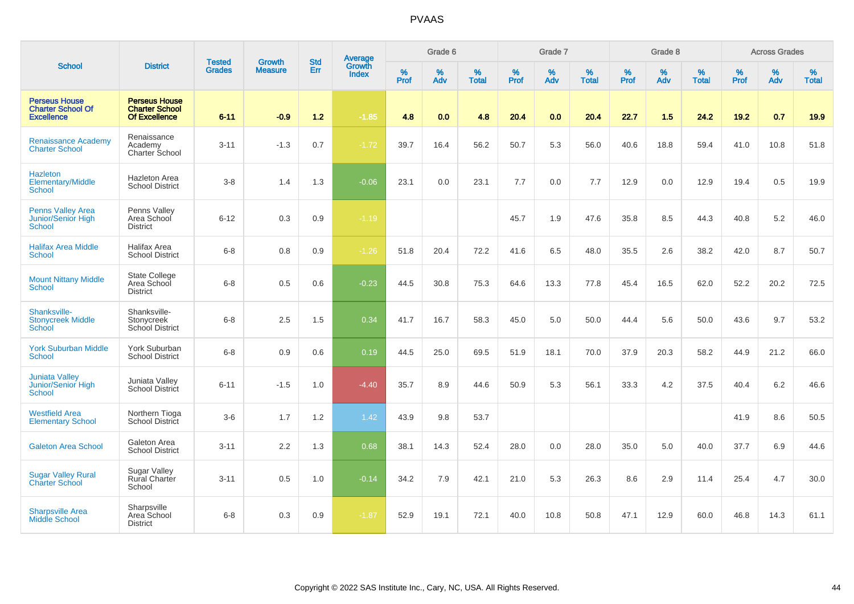|                                                                       |                                                                       |                                |                                 |                   |                                          |                  | Grade 6  |                   |           | Grade 7  |                   |                  | Grade 8  |                   |           | <b>Across Grades</b> |                   |
|-----------------------------------------------------------------------|-----------------------------------------------------------------------|--------------------------------|---------------------------------|-------------------|------------------------------------------|------------------|----------|-------------------|-----------|----------|-------------------|------------------|----------|-------------------|-----------|----------------------|-------------------|
| <b>School</b>                                                         | <b>District</b>                                                       | <b>Tested</b><br><b>Grades</b> | <b>Growth</b><br><b>Measure</b> | <b>Std</b><br>Err | <b>Average</b><br>Growth<br><b>Index</b> | %<br><b>Prof</b> | %<br>Adv | %<br><b>Total</b> | %<br>Prof | %<br>Adv | %<br><b>Total</b> | %<br><b>Prof</b> | %<br>Adv | %<br><b>Total</b> | %<br>Prof | %<br>Adv             | %<br><b>Total</b> |
| <b>Perseus House</b><br><b>Charter School Of</b><br><b>Excellence</b> | <b>Perseus House</b><br><b>Charter School</b><br><b>Of Excellence</b> | $6 - 11$                       | $-0.9$                          | 1.2               | $-1.85$                                  | 4.8              | 0.0      | 4.8               | 20.4      | 0.0      | 20.4              | 22.7             | 1.5      | 24.2              | 19.2      | 0.7                  | 19.9              |
| <b>Renaissance Academy</b><br><b>Charter School</b>                   | Renaissance<br>Academy<br>Charter School                              | $3 - 11$                       | $-1.3$                          | 0.7               | $-1.72$                                  | 39.7             | 16.4     | 56.2              | 50.7      | 5.3      | 56.0              | 40.6             | 18.8     | 59.4              | 41.0      | 10.8                 | 51.8              |
| <b>Hazleton</b><br>Elementary/Middle<br><b>School</b>                 | <b>Hazleton Area</b><br><b>School District</b>                        | $3-8$                          | 1.4                             | 1.3               | $-0.06$                                  | 23.1             | 0.0      | 23.1              | 7.7       | 0.0      | 7.7               | 12.9             | 0.0      | 12.9              | 19.4      | 0.5                  | 19.9              |
| <b>Penns Valley Area</b><br>Junior/Senior High<br><b>School</b>       | Penns Valley<br>Area School<br><b>District</b>                        | $6 - 12$                       | 0.3                             | 0.9               | $-1.19$                                  |                  |          |                   | 45.7      | 1.9      | 47.6              | 35.8             | 8.5      | 44.3              | 40.8      | 5.2                  | 46.0              |
| <b>Halifax Area Middle</b><br><b>School</b>                           | Halifax Area<br><b>School District</b>                                | $6 - 8$                        | 0.8                             | 0.9               | $-1.26$                                  | 51.8             | 20.4     | 72.2              | 41.6      | 6.5      | 48.0              | 35.5             | 2.6      | 38.2              | 42.0      | 8.7                  | 50.7              |
| <b>Mount Nittany Middle</b><br><b>School</b>                          | <b>State College</b><br>Area School<br><b>District</b>                | $6 - 8$                        | 0.5                             | 0.6               | $-0.23$                                  | 44.5             | 30.8     | 75.3              | 64.6      | 13.3     | 77.8              | 45.4             | 16.5     | 62.0              | 52.2      | 20.2                 | 72.5              |
| Shanksville-<br><b>Stonycreek Middle</b><br>School                    | Shanksville-<br>Stonycreek<br>School District                         | $6 - 8$                        | 2.5                             | 1.5               | 0.34                                     | 41.7             | 16.7     | 58.3              | 45.0      | 5.0      | 50.0              | 44.4             | 5.6      | 50.0              | 43.6      | 9.7                  | 53.2              |
| <b>York Suburban Middle</b><br><b>School</b>                          | York Suburban<br><b>School District</b>                               | $6 - 8$                        | 0.9                             | 0.6               | 0.19                                     | 44.5             | 25.0     | 69.5              | 51.9      | 18.1     | 70.0              | 37.9             | 20.3     | 58.2              | 44.9      | 21.2                 | 66.0              |
| <b>Juniata Valley</b><br>Junior/Senior High<br><b>School</b>          | Juniata Valley<br><b>School District</b>                              | $6 - 11$                       | $-1.5$                          | 1.0               | $-4.40$                                  | 35.7             | 8.9      | 44.6              | 50.9      | 5.3      | 56.1              | 33.3             | 4.2      | 37.5              | 40.4      | 6.2                  | 46.6              |
| <b>Westfield Area</b><br><b>Elementary School</b>                     | Northern Tioga<br>School District                                     | $3-6$                          | 1.7                             | 1.2               | 1.42                                     | 43.9             | 9.8      | 53.7              |           |          |                   |                  |          |                   | 41.9      | 8.6                  | 50.5              |
| <b>Galeton Area School</b>                                            | Galeton Area<br><b>School District</b>                                | $3 - 11$                       | 2.2                             | 1.3               | 0.68                                     | 38.1             | 14.3     | 52.4              | 28.0      | 0.0      | 28.0              | 35.0             | 5.0      | 40.0              | 37.7      | 6.9                  | 44.6              |
| <b>Sugar Valley Rural</b><br><b>Charter School</b>                    | <b>Sugar Valley</b><br><b>Rural Charter</b><br>School                 | $3 - 11$                       | 0.5                             | 1.0               | $-0.14$                                  | 34.2             | 7.9      | 42.1              | 21.0      | 5.3      | 26.3              | 8.6              | 2.9      | 11.4              | 25.4      | 4.7                  | 30.0              |
| <b>Sharpsville Area</b><br><b>Middle School</b>                       | Sharpsville<br>Area School<br><b>District</b>                         | $6 - 8$                        | 0.3                             | 0.9               | $-1.87$                                  | 52.9             | 19.1     | 72.1              | 40.0      | 10.8     | 50.8              | 47.1             | 12.9     | 60.0              | 46.8      | 14.3                 | 61.1              |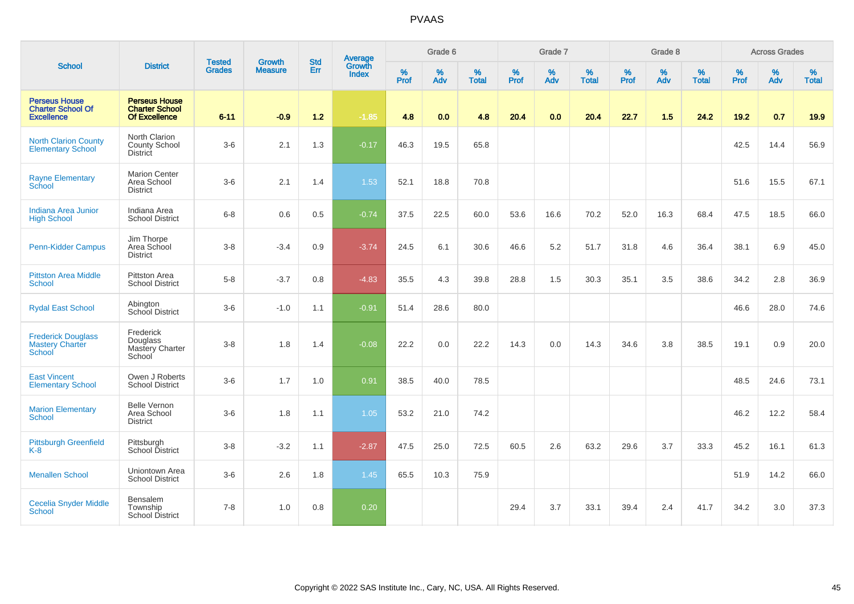|                                                                       |                                                                       | <b>Tested</b> | <b>Growth</b>  | <b>Std</b> | <b>Average</b><br>Growth |           | Grade 6  |                   |                  | Grade 7         |                   |                  | Grade 8  |                   |                  | <b>Across Grades</b> |                   |
|-----------------------------------------------------------------------|-----------------------------------------------------------------------|---------------|----------------|------------|--------------------------|-----------|----------|-------------------|------------------|-----------------|-------------------|------------------|----------|-------------------|------------------|----------------------|-------------------|
| <b>School</b>                                                         | <b>District</b>                                                       | <b>Grades</b> | <b>Measure</b> | Err        | <b>Index</b>             | %<br>Prof | %<br>Adv | %<br><b>Total</b> | %<br><b>Prof</b> | %<br><b>Adv</b> | %<br><b>Total</b> | %<br><b>Prof</b> | %<br>Adv | %<br><b>Total</b> | %<br><b>Prof</b> | %<br>Adv             | %<br><b>Total</b> |
| <b>Perseus House</b><br><b>Charter School Of</b><br><b>Excellence</b> | <b>Perseus House</b><br><b>Charter School</b><br><b>Of Excellence</b> | $6 - 11$      | $-0.9$         | $1.2$      | $-1.85$                  | 4.8       | 0.0      | 4.8               | 20.4             | 0.0             | 20.4              | 22.7             | 1.5      | 24.2              | 19.2             | 0.7                  | 19.9              |
| <b>North Clarion County</b><br><b>Elementary School</b>               | North Clarion<br><b>County School</b><br><b>District</b>              | $3-6$         | 2.1            | 1.3        | $-0.17$                  | 46.3      | 19.5     | 65.8              |                  |                 |                   |                  |          |                   | 42.5             | 14.4                 | 56.9              |
| <b>Rayne Elementary</b><br>School                                     | <b>Marion Center</b><br>Area School<br><b>District</b>                | $3-6$         | 2.1            | 1.4        | 1.53                     | 52.1      | 18.8     | 70.8              |                  |                 |                   |                  |          |                   | 51.6             | 15.5                 | 67.1              |
| Indiana Area Junior<br><b>High School</b>                             | Indiana Area<br><b>School District</b>                                | $6 - 8$       | 0.6            | 0.5        | $-0.74$                  | 37.5      | 22.5     | 60.0              | 53.6             | 16.6            | 70.2              | 52.0             | 16.3     | 68.4              | 47.5             | 18.5                 | 66.0              |
| Penn-Kidder Campus                                                    | Jim Thorpe<br>Area School<br><b>District</b>                          | $3 - 8$       | $-3.4$         | 0.9        | $-3.74$                  | 24.5      | 6.1      | 30.6              | 46.6             | 5.2             | 51.7              | 31.8             | 4.6      | 36.4              | 38.1             | 6.9                  | 45.0              |
| <b>Pittston Area Middle</b><br><b>School</b>                          | Pittston Area<br><b>School District</b>                               | $5-8$         | $-3.7$         | 0.8        | $-4.83$                  | 35.5      | 4.3      | 39.8              | 28.8             | 1.5             | 30.3              | 35.1             | 3.5      | 38.6              | 34.2             | 2.8                  | 36.9              |
| <b>Rydal East School</b>                                              | Abington<br>School District                                           | $3-6$         | $-1.0$         | 1.1        | $-0.91$                  | 51.4      | 28.6     | 80.0              |                  |                 |                   |                  |          |                   | 46.6             | 28.0                 | 74.6              |
| <b>Frederick Douglass</b><br><b>Mastery Charter</b><br>School         | Frederick<br>Douglass<br>Mastery Charter<br>School                    | $3 - 8$       | 1.8            | 1.4        | $-0.08$                  | 22.2      | 0.0      | 22.2              | 14.3             | 0.0             | 14.3              | 34.6             | 3.8      | 38.5              | 19.1             | 0.9                  | 20.0              |
| <b>East Vincent</b><br><b>Elementary School</b>                       | Owen J Roberts<br><b>School District</b>                              | $3-6$         | 1.7            | 1.0        | 0.91                     | 38.5      | 40.0     | 78.5              |                  |                 |                   |                  |          |                   | 48.5             | 24.6                 | 73.1              |
| <b>Marion Elementary</b><br><b>School</b>                             | <b>Belle Vernon</b><br>Area School<br><b>District</b>                 | $3-6$         | 1.8            | 1.1        | 1.05                     | 53.2      | 21.0     | 74.2              |                  |                 |                   |                  |          |                   | 46.2             | 12.2                 | 58.4              |
| <b>Pittsburgh Greenfield</b><br>$K-8$                                 | Pittsburgh<br>School District                                         | $3 - 8$       | $-3.2$         | 1.1        | $-2.87$                  | 47.5      | 25.0     | 72.5              | 60.5             | 2.6             | 63.2              | 29.6             | 3.7      | 33.3              | 45.2             | 16.1                 | 61.3              |
| <b>Menallen School</b>                                                | Uniontown Area<br><b>School District</b>                              | $3-6$         | 2.6            | 1.8        | 1.45                     | 65.5      | 10.3     | 75.9              |                  |                 |                   |                  |          |                   | 51.9             | 14.2                 | 66.0              |
| <b>Cecelia Snyder Middle</b><br><b>School</b>                         | Bensalem<br>Township<br><b>School District</b>                        | $7 - 8$       | 1.0            | 0.8        | 0.20                     |           |          |                   | 29.4             | 3.7             | 33.1              | 39.4             | 2.4      | 41.7              | 34.2             | 3.0                  | 37.3              |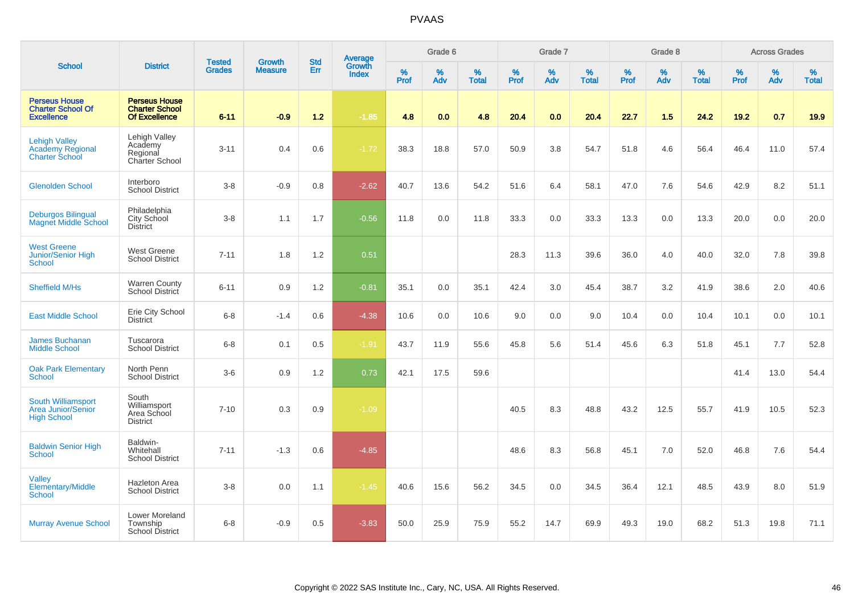|                                                                          |                                                                       |                                | <b>Growth</b>  | <b>Std</b> |                                          |           | Grade 6  |                   |           | Grade 7  |                   |           | Grade 8  |                   |           | <b>Across Grades</b> |                   |
|--------------------------------------------------------------------------|-----------------------------------------------------------------------|--------------------------------|----------------|------------|------------------------------------------|-----------|----------|-------------------|-----------|----------|-------------------|-----------|----------|-------------------|-----------|----------------------|-------------------|
| <b>School</b>                                                            | <b>District</b>                                                       | <b>Tested</b><br><b>Grades</b> | <b>Measure</b> | Err        | <b>Average</b><br>Growth<br><b>Index</b> | %<br>Prof | %<br>Adv | %<br><b>Total</b> | %<br>Prof | %<br>Adv | %<br><b>Total</b> | %<br>Prof | %<br>Adv | %<br><b>Total</b> | %<br>Prof | %<br>Adv             | %<br><b>Total</b> |
| <b>Perseus House</b><br><b>Charter School Of</b><br><b>Excellence</b>    | <b>Perseus House</b><br><b>Charter School</b><br><b>Of Excellence</b> | $6 - 11$                       | $-0.9$         | $1.2$      | $-1.85$                                  | 4.8       | 0.0      | 4.8               | 20.4      | 0.0      | 20.4              | 22.7      | 1.5      | 24.2              | 19.2      | 0.7                  | 19.9              |
| <b>Lehigh Valley</b><br><b>Academy Regional</b><br><b>Charter School</b> | Lehigh Valley<br>Academy<br>Regional<br>Charter School                | $3 - 11$                       | 0.4            | 0.6        | $-1.72$                                  | 38.3      | 18.8     | 57.0              | 50.9      | 3.8      | 54.7              | 51.8      | 4.6      | 56.4              | 46.4      | 11.0                 | 57.4              |
| <b>Glenolden School</b>                                                  | Interboro<br><b>School District</b>                                   | $3 - 8$                        | $-0.9$         | 0.8        | $-2.62$                                  | 40.7      | 13.6     | 54.2              | 51.6      | 6.4      | 58.1              | 47.0      | 7.6      | 54.6              | 42.9      | 8.2                  | 51.1              |
| <b>Deburgos Bilingual</b><br><b>Magnet Middle School</b>                 | Philadelphia<br>City School<br><b>District</b>                        | $3 - 8$                        | 1.1            | 1.7        | $-0.56$                                  | 11.8      | 0.0      | 11.8              | 33.3      | 0.0      | 33.3              | 13.3      | 0.0      | 13.3              | 20.0      | 0.0                  | 20.0              |
| <b>West Greene</b><br>Junior/Senior High<br>School                       | <b>West Greene</b><br><b>School District</b>                          | $7 - 11$                       | 1.8            | 1.2        | 0.51                                     |           |          |                   | 28.3      | 11.3     | 39.6              | 36.0      | 4.0      | 40.0              | 32.0      | 7.8                  | 39.8              |
| <b>Sheffield M/Hs</b>                                                    | <b>Warren County</b><br>School District                               | $6 - 11$                       | 0.9            | 1.2        | $-0.81$                                  | 35.1      | 0.0      | 35.1              | 42.4      | 3.0      | 45.4              | 38.7      | 3.2      | 41.9              | 38.6      | 2.0                  | 40.6              |
| <b>East Middle School</b>                                                | Erie City School<br><b>District</b>                                   | $6 - 8$                        | $-1.4$         | 0.6        | $-4.38$                                  | 10.6      | 0.0      | 10.6              | 9.0       | 0.0      | 9.0               | 10.4      | 0.0      | 10.4              | 10.1      | 0.0                  | 10.1              |
| <b>James Buchanan</b><br><b>Middle School</b>                            | Tuscarora<br><b>School District</b>                                   | $6 - 8$                        | 0.1            | 0.5        | $-1.91$                                  | 43.7      | 11.9     | 55.6              | 45.8      | 5.6      | 51.4              | 45.6      | 6.3      | 51.8              | 45.1      | 7.7                  | 52.8              |
| <b>Oak Park Elementary</b><br>School                                     | North Penn<br><b>School District</b>                                  | $3-6$                          | 0.9            | 1.2        | 0.73                                     | 42.1      | 17.5     | 59.6              |           |          |                   |           |          |                   | 41.4      | 13.0                 | 54.4              |
| South Williamsport<br><b>Area Junior/Senior</b><br><b>High School</b>    | South<br>Williamsport<br>Area School<br><b>District</b>               | $7 - 10$                       | 0.3            | 0.9        | $-1.09$                                  |           |          |                   | 40.5      | 8.3      | 48.8              | 43.2      | 12.5     | 55.7              | 41.9      | 10.5                 | 52.3              |
| <b>Baldwin Senior High</b><br><b>School</b>                              | Baldwin-<br>Whitehall<br><b>School District</b>                       | $7 - 11$                       | $-1.3$         | 0.6        | $-4.85$                                  |           |          |                   | 48.6      | 8.3      | 56.8              | 45.1      | 7.0      | 52.0              | 46.8      | 7.6                  | 54.4              |
| <b>Valley</b><br>Elementary/Middle<br>School                             | Hazleton Area<br><b>School District</b>                               | $3 - 8$                        | 0.0            | 1.1        | $-1.45$                                  | 40.6      | 15.6     | 56.2              | 34.5      | 0.0      | 34.5              | 36.4      | 12.1     | 48.5              | 43.9      | 8.0                  | 51.9              |
| <b>Murray Avenue School</b>                                              | Lower Moreland<br>Township<br><b>School District</b>                  | $6-8$                          | $-0.9$         | 0.5        | $-3.83$                                  | 50.0      | 25.9     | 75.9              | 55.2      | 14.7     | 69.9              | 49.3      | 19.0     | 68.2              | 51.3      | 19.8                 | 71.1              |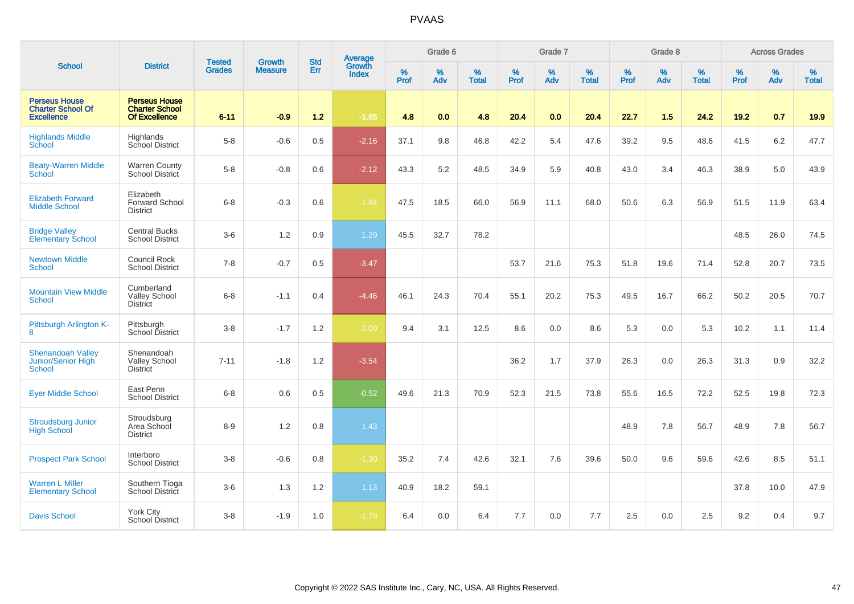|                                                                       |                                                                |                                | <b>Growth</b>  | <b>Std</b> | <b>Average</b><br>Growth |           | Grade 6     |                   |                  | Grade 7  |                   |           | Grade 8  |                   |                  | <b>Across Grades</b> |                   |
|-----------------------------------------------------------------------|----------------------------------------------------------------|--------------------------------|----------------|------------|--------------------------|-----------|-------------|-------------------|------------------|----------|-------------------|-----------|----------|-------------------|------------------|----------------------|-------------------|
| <b>School</b>                                                         | <b>District</b>                                                | <b>Tested</b><br><b>Grades</b> | <b>Measure</b> | Err        | <b>Index</b>             | %<br>Prof | $\%$<br>Adv | %<br><b>Total</b> | %<br><b>Prof</b> | %<br>Adv | %<br><b>Total</b> | %<br>Prof | %<br>Adv | %<br><b>Total</b> | %<br><b>Prof</b> | %<br>Adv             | %<br><b>Total</b> |
| <b>Perseus House</b><br><b>Charter School Of</b><br><b>Excellence</b> | <b>Perseus House</b><br><b>Charter School</b><br>Of Excellence | $6 - 11$                       | $-0.9$         | $1.2$      | $-1.85$                  | 4.8       | 0.0         | 4.8               | 20.4             | 0.0      | 20.4              | 22.7      | 1.5      | 24.2              | 19.2             | 0.7                  | 19.9              |
| <b>Highlands Middle</b><br>School                                     | Highlands<br>School District                                   | $5-8$                          | $-0.6$         | $0.5\,$    | $-2.16$                  | 37.1      | 9.8         | 46.8              | 42.2             | 5.4      | 47.6              | 39.2      | 9.5      | 48.6              | 41.5             | $6.2\,$              | 47.7              |
| <b>Beaty-Warren Middle</b><br>School                                  | <b>Warren County</b><br>School District                        | $5-8$                          | $-0.8$         | 0.6        | $-2.12$                  | 43.3      | 5.2         | 48.5              | 34.9             | 5.9      | 40.8              | 43.0      | 3.4      | 46.3              | 38.9             | 5.0                  | 43.9              |
| <b>Elizabeth Forward</b><br><b>Middle School</b>                      | Elizabeth<br><b>Forward School</b><br><b>District</b>          | $6 - 8$                        | $-0.3$         | 0.6        | $-1.84$                  | 47.5      | 18.5        | 66.0              | 56.9             | 11.1     | 68.0              | 50.6      | 6.3      | 56.9              | 51.5             | 11.9                 | 63.4              |
| <b>Bridge Valley</b><br><b>Elementary School</b>                      | <b>Central Bucks</b><br><b>School District</b>                 | $3-6$                          | 1.2            | 0.9        | 1.29                     | 45.5      | 32.7        | 78.2              |                  |          |                   |           |          |                   | 48.5             | 26.0                 | 74.5              |
| <b>Newtown Middle</b><br>School                                       | Council Rock<br><b>School District</b>                         | $7 - 8$                        | $-0.7$         | 0.5        | $-3.47$                  |           |             |                   | 53.7             | 21.6     | 75.3              | 51.8      | 19.6     | 71.4              | 52.8             | 20.7                 | 73.5              |
| <b>Mountain View Middle</b><br><b>School</b>                          | Cumberland<br><b>Valley School</b><br><b>District</b>          | $6 - 8$                        | $-1.1$         | 0.4        | $-4.46$                  | 46.1      | 24.3        | 70.4              | 55.1             | 20.2     | 75.3              | 49.5      | 16.7     | 66.2              | 50.2             | 20.5                 | 70.7              |
| Pittsburgh Arlington K-<br>8                                          | Pittsburgh<br>School District                                  | $3 - 8$                        | $-1.7$         | 1.2        | $-2.00$                  | 9.4       | 3.1         | 12.5              | 8.6              | 0.0      | 8.6               | 5.3       | 0.0      | 5.3               | 10.2             | 1.1                  | 11.4              |
| <b>Shenandoah Valley</b><br>Junior/Senior High<br>School              | Shenandoah<br><b>Valley School</b><br><b>District</b>          | $7 - 11$                       | $-1.8$         | 1.2        | $-3.54$                  |           |             |                   | 36.2             | 1.7      | 37.9              | 26.3      | 0.0      | 26.3              | 31.3             | 0.9                  | 32.2              |
| <b>Eyer Middle School</b>                                             | East Penn<br><b>School District</b>                            | $6 - 8$                        | 0.6            | 0.5        | $-0.52$                  | 49.6      | 21.3        | 70.9              | 52.3             | 21.5     | 73.8              | 55.6      | 16.5     | 72.2              | 52.5             | 19.8                 | 72.3              |
| <b>Stroudsburg Junior</b><br><b>High School</b>                       | Stroudsburg<br>Area School<br><b>District</b>                  | $8 - 9$                        | 1.2            | 0.8        | 1.43                     |           |             |                   |                  |          |                   | 48.9      | 7.8      | 56.7              | 48.9             | 7.8                  | 56.7              |
| <b>Prospect Park School</b>                                           | Interboro<br><b>School District</b>                            | $3 - 8$                        | $-0.6$         | 0.8        | $-1.30$                  | 35.2      | 7.4         | 42.6              | 32.1             | 7.6      | 39.6              | 50.0      | 9.6      | 59.6              | 42.6             | 8.5                  | 51.1              |
| <b>Warren L Miller</b><br><b>Elementary School</b>                    | Southern Tioga<br>School District                              | $3-6$                          | 1.3            | 1.2        | 1.13                     | 40.9      | 18.2        | 59.1              |                  |          |                   |           |          |                   | 37.8             | 10.0                 | 47.9              |
| <b>Davis School</b>                                                   | York City<br>School District                                   | $3-8$                          | $-1.9$         | 1.0        | $-1.78$                  | 6.4       | 0.0         | 6.4               | 7.7              | 0.0      | 7.7               | 2.5       | 0.0      | 2.5               | 9.2              | 0.4                  | 9.7               |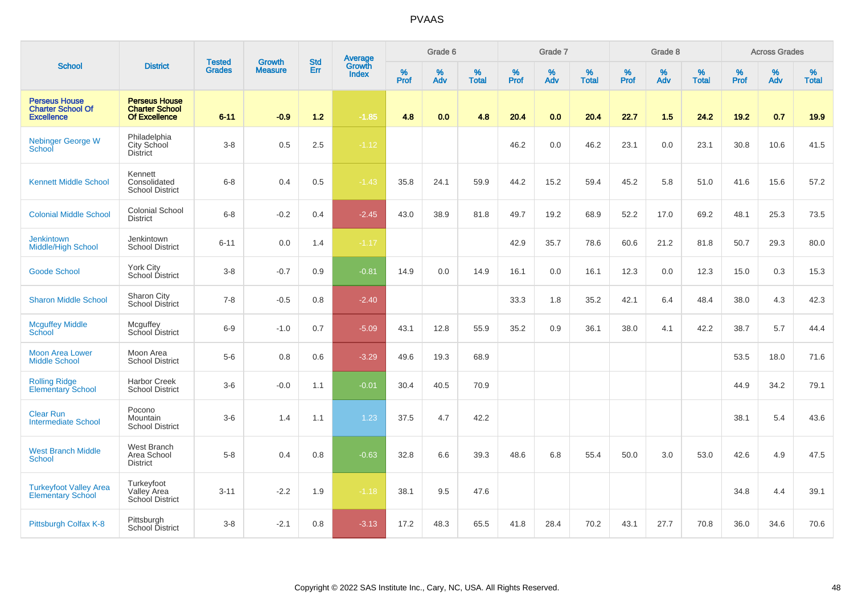|                                                                       |                                                                       |                                | <b>Growth</b>  | <b>Std</b> |                                          |           | Grade 6     |                   |           | Grade 7  |                   |           | Grade 8  |                   |           | <b>Across Grades</b> |                   |
|-----------------------------------------------------------------------|-----------------------------------------------------------------------|--------------------------------|----------------|------------|------------------------------------------|-----------|-------------|-------------------|-----------|----------|-------------------|-----------|----------|-------------------|-----------|----------------------|-------------------|
| <b>School</b>                                                         | <b>District</b>                                                       | <b>Tested</b><br><b>Grades</b> | <b>Measure</b> | Err        | <b>Average</b><br>Growth<br><b>Index</b> | %<br>Prof | $\%$<br>Adv | %<br><b>Total</b> | %<br>Prof | %<br>Adv | %<br><b>Total</b> | %<br>Prof | %<br>Adv | %<br><b>Total</b> | %<br>Prof | %<br>Adv             | %<br><b>Total</b> |
| <b>Perseus House</b><br><b>Charter School Of</b><br><b>Excellence</b> | <b>Perseus House</b><br><b>Charter School</b><br><b>Of Excellence</b> | $6 - 11$                       | $-0.9$         | $1.2$      | $-1.85$                                  | 4.8       | 0.0         | 4.8               | 20.4      | 0.0      | 20.4              | 22.7      | 1.5      | 24.2              | 19.2      | 0.7                  | 19.9              |
| Nebinger George W<br>School                                           | Philadelphia<br>City School<br><b>District</b>                        | $3 - 8$                        | 0.5            | 2.5        | $-1.12$                                  |           |             |                   | 46.2      | 0.0      | 46.2              | 23.1      | 0.0      | 23.1              | 30.8      | 10.6                 | 41.5              |
| <b>Kennett Middle School</b>                                          | Kennett<br>Consolidated<br><b>School District</b>                     | $6 - 8$                        | 0.4            | 0.5        | $-1.43$                                  | 35.8      | 24.1        | 59.9              | 44.2      | 15.2     | 59.4              | 45.2      | 5.8      | 51.0              | 41.6      | 15.6                 | 57.2              |
| <b>Colonial Middle School</b>                                         | <b>Colonial School</b><br><b>District</b>                             | $6 - 8$                        | $-0.2$         | 0.4        | $-2.45$                                  | 43.0      | 38.9        | 81.8              | 49.7      | 19.2     | 68.9              | 52.2      | 17.0     | 69.2              | 48.1      | 25.3                 | 73.5              |
| <b>Jenkintown</b><br><b>Middle/High School</b>                        | Jenkintown<br><b>School District</b>                                  | $6 - 11$                       | 0.0            | 1.4        | $-1.17$                                  |           |             |                   | 42.9      | 35.7     | 78.6              | 60.6      | 21.2     | 81.8              | 50.7      | 29.3                 | 80.0              |
| <b>Goode School</b>                                                   | York City<br>School District                                          | $3 - 8$                        | $-0.7$         | 0.9        | $-0.81$                                  | 14.9      | 0.0         | 14.9              | 16.1      | 0.0      | 16.1              | 12.3      | 0.0      | 12.3              | 15.0      | 0.3                  | 15.3              |
| <b>Sharon Middle School</b>                                           | Sharon City<br>School District                                        | $7 - 8$                        | $-0.5$         | 0.8        | $-2.40$                                  |           |             |                   | 33.3      | 1.8      | 35.2              | 42.1      | 6.4      | 48.4              | 38.0      | 4.3                  | 42.3              |
| <b>Mcguffey Middle</b><br><b>School</b>                               | Mcguffey<br>School District                                           | $6-9$                          | $-1.0$         | 0.7        | $-5.09$                                  | 43.1      | 12.8        | 55.9              | 35.2      | 0.9      | 36.1              | 38.0      | 4.1      | 42.2              | 38.7      | 5.7                  | 44.4              |
| <b>Moon Area Lower</b><br><b>Middle School</b>                        | Moon Area<br><b>School District</b>                                   | $5-6$                          | 0.8            | 0.6        | $-3.29$                                  | 49.6      | 19.3        | 68.9              |           |          |                   |           |          |                   | 53.5      | 18.0                 | 71.6              |
| <b>Rolling Ridge</b><br><b>Elementary School</b>                      | <b>Harbor Creek</b><br><b>School District</b>                         | $3-6$                          | $-0.0$         | 1.1        | $-0.01$                                  | 30.4      | 40.5        | 70.9              |           |          |                   |           |          |                   | 44.9      | 34.2                 | 79.1              |
| <b>Clear Run</b><br><b>Intermediate School</b>                        | Pocono<br>Mountain<br><b>School District</b>                          | $3-6$                          | 1.4            | 1.1        | 1.23                                     | 37.5      | 4.7         | 42.2              |           |          |                   |           |          |                   | 38.1      | 5.4                  | 43.6              |
| <b>West Branch Middle</b><br>School                                   | West Branch<br>Area School<br><b>District</b>                         | $5 - 8$                        | 0.4            | 0.8        | $-0.63$                                  | 32.8      | 6.6         | 39.3              | 48.6      | 6.8      | 55.4              | 50.0      | 3.0      | 53.0              | 42.6      | 4.9                  | 47.5              |
| <b>Turkeyfoot Valley Area</b><br><b>Elementary School</b>             | Turkeyfoot<br>Valley Area<br>School District                          | $3 - 11$                       | $-2.2$         | 1.9        | $-1.18$                                  | 38.1      | 9.5         | 47.6              |           |          |                   |           |          |                   | 34.8      | 4.4                  | 39.1              |
| Pittsburgh Colfax K-8                                                 | Pittsburgh<br><b>School District</b>                                  | $3 - 8$                        | $-2.1$         | 0.8        | $-3.13$                                  | 17.2      | 48.3        | 65.5              | 41.8      | 28.4     | 70.2              | 43.1      | 27.7     | 70.8              | 36.0      | 34.6                 | 70.6              |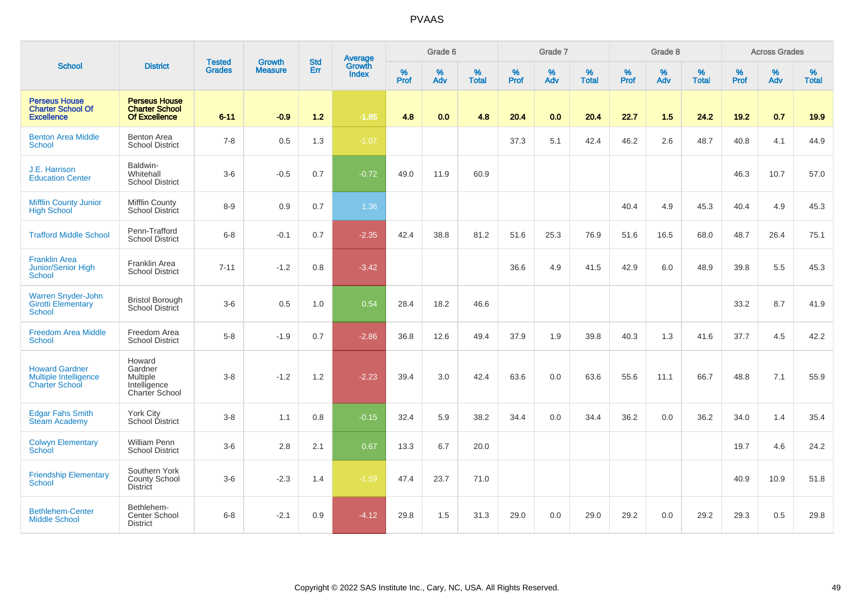|                                                                         |                                                                        |                                |                                 | <b>Std</b> |                                          |           | Grade 6  |                   |           | Grade 7  |                   |           | Grade 8  |                   |           | <b>Across Grades</b> |                   |
|-------------------------------------------------------------------------|------------------------------------------------------------------------|--------------------------------|---------------------------------|------------|------------------------------------------|-----------|----------|-------------------|-----------|----------|-------------------|-----------|----------|-------------------|-----------|----------------------|-------------------|
| <b>School</b>                                                           | <b>District</b>                                                        | <b>Tested</b><br><b>Grades</b> | <b>Growth</b><br><b>Measure</b> | Err        | <b>Average</b><br>Growth<br><b>Index</b> | %<br>Prof | %<br>Adv | %<br><b>Total</b> | %<br>Prof | %<br>Adv | %<br><b>Total</b> | %<br>Prof | %<br>Adv | %<br><b>Total</b> | %<br>Prof | %<br>Adv             | %<br><b>Total</b> |
| <b>Perseus House</b><br><b>Charter School Of</b><br><b>Excellence</b>   | <b>Perseus House</b><br><b>Charter School</b><br><b>Of Excellence</b>  | $6 - 11$                       | $-0.9$                          | $1.2$      | $-1.85$                                  | 4.8       | 0.0      | 4.8               | 20.4      | 0.0      | 20.4              | 22.7      | 1.5      | 24.2              | 19.2      | 0.7                  | 19.9              |
| <b>Benton Area Middle</b><br><b>School</b>                              | <b>Benton Area</b><br><b>School District</b>                           | $7 - 8$                        | 0.5                             | 1.3        | $-1.07$                                  |           |          |                   | 37.3      | 5.1      | 42.4              | 46.2      | 2.6      | 48.7              | 40.8      | 4.1                  | 44.9              |
| J.E. Harrison<br><b>Education Center</b>                                | Baldwin-<br>Whitehall<br><b>School District</b>                        | $3-6$                          | $-0.5$                          | 0.7        | $-0.72$                                  | 49.0      | 11.9     | 60.9              |           |          |                   |           |          |                   | 46.3      | 10.7                 | 57.0              |
| <b>Mifflin County Junior</b><br><b>High School</b>                      | <b>Mifflin County</b><br><b>School District</b>                        | $8 - 9$                        | 0.9                             | 0.7        | 1.36                                     |           |          |                   |           |          |                   | 40.4      | 4.9      | 45.3              | 40.4      | 4.9                  | 45.3              |
| <b>Trafford Middle School</b>                                           | Penn-Trafford<br><b>School District</b>                                | $6 - 8$                        | $-0.1$                          | 0.7        | $-2.35$                                  | 42.4      | 38.8     | 81.2              | 51.6      | 25.3     | 76.9              | 51.6      | 16.5     | 68.0              | 48.7      | 26.4                 | 75.1              |
| <b>Franklin Area</b><br><b>Junior/Senior High</b><br><b>School</b>      | <b>Franklin Area</b><br><b>School District</b>                         | $7 - 11$                       | $-1.2$                          | 0.8        | $-3.42$                                  |           |          |                   | 36.6      | 4.9      | 41.5              | 42.9      | 6.0      | 48.9              | 39.8      | 5.5                  | 45.3              |
| <b>Warren Snyder-John</b><br><b>Girotti Elementary</b><br>School        | <b>Bristol Borough</b><br>School District                              | $3-6$                          | 0.5                             | 1.0        | 0.54                                     | 28.4      | 18.2     | 46.6              |           |          |                   |           |          |                   | 33.2      | 8.7                  | 41.9              |
| <b>Freedom Area Middle</b><br>School                                    | Freedom Area<br><b>School District</b>                                 | $5-8$                          | $-1.9$                          | 0.7        | $-2.86$                                  | 36.8      | 12.6     | 49.4              | 37.9      | 1.9      | 39.8              | 40.3      | 1.3      | 41.6              | 37.7      | 4.5                  | 42.2              |
| <b>Howard Gardner</b><br>Multiple Intelligence<br><b>Charter School</b> | Howard<br>Gardner<br><b>Multiple</b><br>Intelligence<br>Charter School | $3 - 8$                        | $-1.2$                          | 1.2        | $-2.23$                                  | 39.4      | 3.0      | 42.4              | 63.6      | 0.0      | 63.6              | 55.6      | 11.1     | 66.7              | 48.8      | 7.1                  | 55.9              |
| <b>Edgar Fahs Smith</b><br><b>Steam Academy</b>                         | York City<br>School District                                           | $3 - 8$                        | 1.1                             | 0.8        | $-0.15$                                  | 32.4      | 5.9      | 38.2              | 34.4      | 0.0      | 34.4              | 36.2      | 0.0      | 36.2              | 34.0      | 1.4                  | 35.4              |
| <b>Colwyn Elementary</b><br><b>School</b>                               | <b>William Penn</b><br><b>School District</b>                          | $3-6$                          | 2.8                             | 2.1        | 0.67                                     | 13.3      | 6.7      | 20.0              |           |          |                   |           |          |                   | 19.7      | 4.6                  | 24.2              |
| <b>Friendship Elementary</b><br>School                                  | Southern York<br>County School<br><b>District</b>                      | $3-6$                          | $-2.3$                          | 1.4        | $-1.59$                                  | 47.4      | 23.7     | 71.0              |           |          |                   |           |          |                   | 40.9      | 10.9                 | 51.8              |
| <b>Bethlehem-Center</b><br><b>Middle School</b>                         | Bethlehem-<br>Center School<br><b>District</b>                         | $6 - 8$                        | $-2.1$                          | 0.9        | $-4.12$                                  | 29.8      | 1.5      | 31.3              | 29.0      | 0.0      | 29.0              | 29.2      | 0.0      | 29.2              | 29.3      | 0.5                  | 29.8              |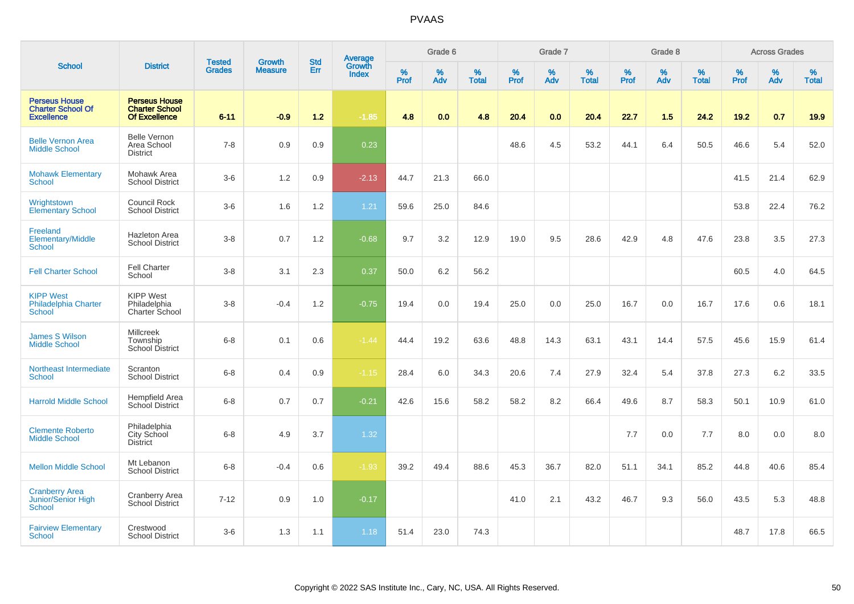|                                                                       |                                                                       |                                |                                 | <b>Std</b> |                                          |                  | Grade 6  |                   |                  | Grade 7  |                   |           | Grade 8     |                   |           | <b>Across Grades</b> |                   |
|-----------------------------------------------------------------------|-----------------------------------------------------------------------|--------------------------------|---------------------------------|------------|------------------------------------------|------------------|----------|-------------------|------------------|----------|-------------------|-----------|-------------|-------------------|-----------|----------------------|-------------------|
| <b>School</b>                                                         | <b>District</b>                                                       | <b>Tested</b><br><b>Grades</b> | <b>Growth</b><br><b>Measure</b> | Err        | <b>Average</b><br>Growth<br><b>Index</b> | %<br><b>Prof</b> | %<br>Adv | %<br><b>Total</b> | %<br><b>Prof</b> | %<br>Adv | %<br><b>Total</b> | %<br>Prof | $\%$<br>Adv | %<br><b>Total</b> | %<br>Prof | %<br>Adv             | %<br><b>Total</b> |
| <b>Perseus House</b><br><b>Charter School Of</b><br><b>Excellence</b> | <b>Perseus House</b><br><b>Charter School</b><br><b>Of Excellence</b> | $6 - 11$                       | $-0.9$                          | 1.2        | $-1.85$                                  | 4.8              | 0.0      | 4.8               | 20.4             | 0.0      | 20.4              | 22.7      | 1.5         | 24.2              | 19.2      | 0.7                  | 19.9              |
| <b>Belle Vernon Area</b><br><b>Middle School</b>                      | <b>Belle Vernon</b><br>Area School<br><b>District</b>                 | $7 - 8$                        | 0.9                             | 0.9        | 0.23                                     |                  |          |                   | 48.6             | 4.5      | 53.2              | 44.1      | 6.4         | 50.5              | 46.6      | 5.4                  | 52.0              |
| <b>Mohawk Elementary</b><br><b>School</b>                             | Mohawk Area<br><b>School District</b>                                 | $3-6$                          | 1.2                             | 0.9        | $-2.13$                                  | 44.7             | 21.3     | 66.0              |                  |          |                   |           |             |                   | 41.5      | 21.4                 | 62.9              |
| Wrightstown<br><b>Elementary School</b>                               | Council Rock<br><b>School District</b>                                | $3-6$                          | 1.6                             | 1.2        | 1.21                                     | 59.6             | 25.0     | 84.6              |                  |          |                   |           |             |                   | 53.8      | 22.4                 | 76.2              |
| Freeland<br>Elementary/Middle<br>School                               | <b>Hazleton Area</b><br><b>School District</b>                        | $3 - 8$                        | 0.7                             | 1.2        | $-0.68$                                  | 9.7              | 3.2      | 12.9              | 19.0             | 9.5      | 28.6              | 42.9      | 4.8         | 47.6              | 23.8      | 3.5                  | 27.3              |
| <b>Fell Charter School</b>                                            | Fell Charter<br>School                                                | $3-8$                          | 3.1                             | 2.3        | 0.37                                     | 50.0             | 6.2      | 56.2              |                  |          |                   |           |             |                   | 60.5      | 4.0                  | 64.5              |
| <b>KIPP West</b><br><b>Philadelphia Charter</b><br>School             | <b>KIPP West</b><br>Philadelphia<br>Charter School                    | $3-8$                          | $-0.4$                          | 1.2        | $-0.75$                                  | 19.4             | 0.0      | 19.4              | 25.0             | 0.0      | 25.0              | 16.7      | 0.0         | 16.7              | 17.6      | 0.6                  | 18.1              |
| <b>James S Wilson</b><br><b>Middle School</b>                         | <b>Millcreek</b><br>Township<br>School District                       | $6 - 8$                        | 0.1                             | 0.6        | $-1.44$                                  | 44.4             | 19.2     | 63.6              | 48.8             | 14.3     | 63.1              | 43.1      | 14.4        | 57.5              | 45.6      | 15.9                 | 61.4              |
| Northeast Intermediate<br>School                                      | Scranton<br><b>School District</b>                                    | $6 - 8$                        | 0.4                             | 0.9        | $-1.15$                                  | 28.4             | 6.0      | 34.3              | 20.6             | 7.4      | 27.9              | 32.4      | 5.4         | 37.8              | 27.3      | 6.2                  | 33.5              |
| <b>Harrold Middle School</b>                                          | Hempfield Area<br>School District                                     | $6 - 8$                        | 0.7                             | 0.7        | $-0.21$                                  | 42.6             | 15.6     | 58.2              | 58.2             | 8.2      | 66.4              | 49.6      | 8.7         | 58.3              | 50.1      | 10.9                 | 61.0              |
| <b>Clemente Roberto</b><br><b>Middle School</b>                       | Philadelphia<br>City School<br>District                               | $6 - 8$                        | 4.9                             | 3.7        | 1.32                                     |                  |          |                   |                  |          |                   | 7.7       | 0.0         | 7.7               | 8.0       | 0.0                  | 8.0               |
| <b>Mellon Middle School</b>                                           | Mt Lebanon<br><b>School District</b>                                  | $6 - 8$                        | $-0.4$                          | 0.6        | $-1.93$                                  | 39.2             | 49.4     | 88.6              | 45.3             | 36.7     | 82.0              | 51.1      | 34.1        | 85.2              | 44.8      | 40.6                 | 85.4              |
| <b>Cranberry Area</b><br>Junior/Senior High<br>School                 | Cranberry Area<br>School District                                     | $7 - 12$                       | 0.9                             | 1.0        | $-0.17$                                  |                  |          |                   | 41.0             | 2.1      | 43.2              | 46.7      | 9.3         | 56.0              | 43.5      | 5.3                  | 48.8              |
| <b>Fairview Elementary</b><br>School                                  | Crestwood<br><b>School District</b>                                   | $3-6$                          | 1.3                             | 1.1        | 1.18                                     | 51.4             | 23.0     | 74.3              |                  |          |                   |           |             |                   | 48.7      | 17.8                 | 66.5              |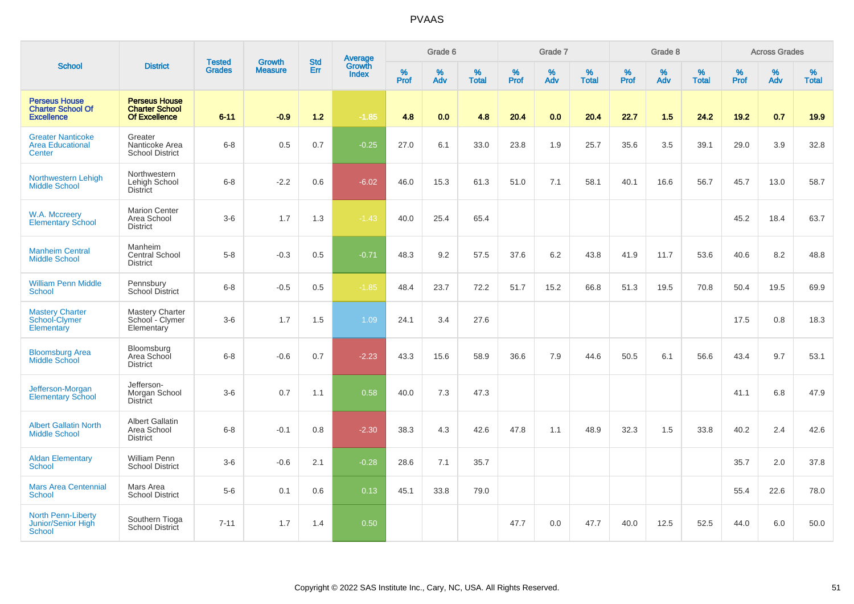|                                                                       |                                                                       |                                | <b>Growth</b>  | <b>Std</b> |                                          |           | Grade 6  |                   |           | Grade 7  |                   |           | Grade 8  |                   |           | <b>Across Grades</b> |                   |
|-----------------------------------------------------------------------|-----------------------------------------------------------------------|--------------------------------|----------------|------------|------------------------------------------|-----------|----------|-------------------|-----------|----------|-------------------|-----------|----------|-------------------|-----------|----------------------|-------------------|
| <b>School</b>                                                         | <b>District</b>                                                       | <b>Tested</b><br><b>Grades</b> | <b>Measure</b> | Err        | <b>Average</b><br>Growth<br><b>Index</b> | %<br>Prof | %<br>Adv | %<br><b>Total</b> | %<br>Prof | %<br>Adv | %<br><b>Total</b> | %<br>Prof | %<br>Adv | %<br><b>Total</b> | %<br>Prof | %<br>Adv             | %<br><b>Total</b> |
| <b>Perseus House</b><br><b>Charter School Of</b><br><b>Excellence</b> | <b>Perseus House</b><br><b>Charter School</b><br><b>Of Excellence</b> | $6 - 11$                       | $-0.9$         | 1.2        | $-1.85$                                  | 4.8       | 0.0      | 4.8               | 20.4      | 0.0      | 20.4              | 22.7      | 1.5      | 24.2              | 19.2      | 0.7                  | 19.9              |
| <b>Greater Nanticoke</b><br><b>Area Educational</b><br>Center         | Greater<br>Nanticoke Area<br><b>School District</b>                   | $6 - 8$                        | 0.5            | 0.7        | $-0.25$                                  | 27.0      | 6.1      | 33.0              | 23.8      | 1.9      | 25.7              | 35.6      | 3.5      | 39.1              | 29.0      | 3.9                  | 32.8              |
| Northwestern Lehigh<br><b>Middle School</b>                           | Northwestern<br>Lehigh School<br><b>District</b>                      | $6 - 8$                        | $-2.2$         | 0.6        | $-6.02$                                  | 46.0      | 15.3     | 61.3              | 51.0      | 7.1      | 58.1              | 40.1      | 16.6     | 56.7              | 45.7      | 13.0                 | 58.7              |
| W.A. Mccreery<br><b>Elementary School</b>                             | <b>Marion Center</b><br>Area School<br><b>District</b>                | $3-6$                          | 1.7            | 1.3        | $-1.43$                                  | 40.0      | 25.4     | 65.4              |           |          |                   |           |          |                   | 45.2      | 18.4                 | 63.7              |
| <b>Manheim Central</b><br><b>Middle School</b>                        | Manheim<br>Central School<br><b>District</b>                          | $5-8$                          | $-0.3$         | 0.5        | $-0.71$                                  | 48.3      | 9.2      | 57.5              | 37.6      | 6.2      | 43.8              | 41.9      | 11.7     | 53.6              | 40.6      | 8.2                  | 48.8              |
| <b>William Penn Middle</b><br><b>School</b>                           | Pennsbury<br><b>School District</b>                                   | $6-8$                          | $-0.5$         | 0.5        | $-1.85$                                  | 48.4      | 23.7     | 72.2              | 51.7      | 15.2     | 66.8              | 51.3      | 19.5     | 70.8              | 50.4      | 19.5                 | 69.9              |
| <b>Mastery Charter</b><br>School-Clymer<br>Elementary                 | Mastery Charter<br>School - Clymer<br>Elementary                      | $3-6$                          | 1.7            | 1.5        | 1.09                                     | 24.1      | 3.4      | 27.6              |           |          |                   |           |          |                   | 17.5      | 0.8                  | 18.3              |
| <b>Bloomsburg Area</b><br><b>Middle School</b>                        | Bloomsburg<br>Area School<br><b>District</b>                          | $6-8$                          | $-0.6$         | 0.7        | $-2.23$                                  | 43.3      | 15.6     | 58.9              | 36.6      | 7.9      | 44.6              | 50.5      | 6.1      | 56.6              | 43.4      | 9.7                  | 53.1              |
| Jefferson-Morgan<br><b>Elementary School</b>                          | Jefferson-<br>Morgan School<br><b>District</b>                        | $3-6$                          | 0.7            | 1.1        | 0.58                                     | 40.0      | 7.3      | 47.3              |           |          |                   |           |          |                   | 41.1      | 6.8                  | 47.9              |
| <b>Albert Gallatin North</b><br><b>Middle School</b>                  | <b>Albert Gallatin</b><br>Area School<br><b>District</b>              | $6-8$                          | $-0.1$         | 0.8        | $-2.30$                                  | 38.3      | 4.3      | 42.6              | 47.8      | 1.1      | 48.9              | 32.3      | 1.5      | 33.8              | 40.2      | 2.4                  | 42.6              |
| <b>Aldan Elementary</b><br><b>School</b>                              | <b>William Penn</b><br><b>School District</b>                         | $3-6$                          | $-0.6$         | 2.1        | $-0.28$                                  | 28.6      | 7.1      | 35.7              |           |          |                   |           |          |                   | 35.7      | 2.0                  | 37.8              |
| <b>Mars Area Centennial</b><br>School                                 | Mars Area<br><b>School District</b>                                   | $5-6$                          | 0.1            | 0.6        | 0.13                                     | 45.1      | 33.8     | 79.0              |           |          |                   |           |          |                   | 55.4      | 22.6                 | 78.0              |
| <b>North Penn-Liberty</b><br>Junior/Senior High<br>School             | Southern Tioga<br><b>School District</b>                              | $7 - 11$                       | 1.7            | 1.4        | 0.50                                     |           |          |                   | 47.7      | 0.0      | 47.7              | 40.0      | 12.5     | 52.5              | 44.0      | 6.0                  | 50.0              |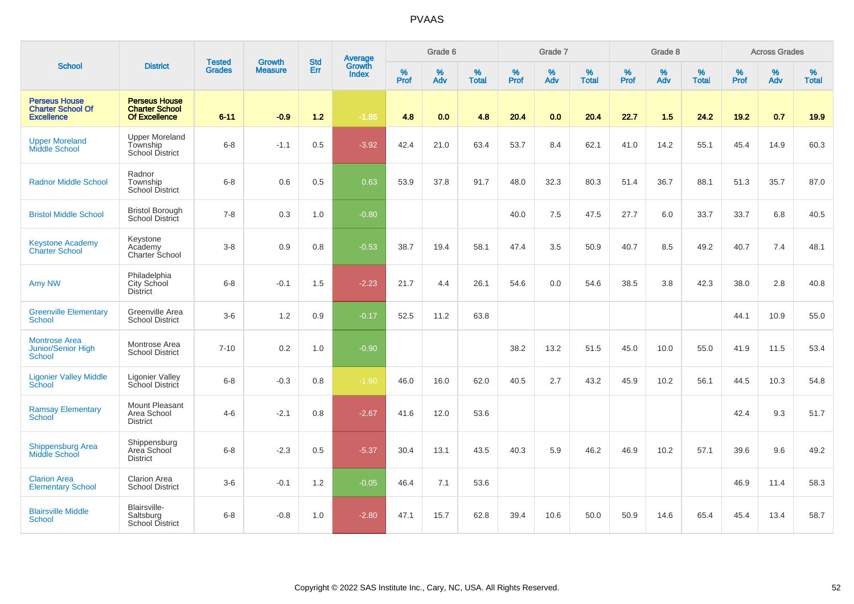|                                                                       |                                                                |                                |                                 | <b>Std</b> |                                          |                  | Grade 6  |                   |           | Grade 7  |                   |           | Grade 8  |                   |           | <b>Across Grades</b> |                   |
|-----------------------------------------------------------------------|----------------------------------------------------------------|--------------------------------|---------------------------------|------------|------------------------------------------|------------------|----------|-------------------|-----------|----------|-------------------|-----------|----------|-------------------|-----------|----------------------|-------------------|
| <b>School</b>                                                         | <b>District</b>                                                | <b>Tested</b><br><b>Grades</b> | <b>Growth</b><br><b>Measure</b> | Err        | <b>Average</b><br>Growth<br><b>Index</b> | %<br><b>Prof</b> | %<br>Adv | %<br><b>Total</b> | %<br>Prof | %<br>Adv | %<br><b>Total</b> | %<br>Prof | %<br>Adv | %<br><b>Total</b> | %<br>Prof | %<br>Adv             | %<br><b>Total</b> |
| <b>Perseus House</b><br><b>Charter School Of</b><br><b>Excellence</b> | <b>Perseus House</b><br><b>Charter School</b><br>Of Excellence | $6 - 11$                       | $-0.9$                          | 1.2        | $-1.85$                                  | 4.8              | 0.0      | 4.8               | 20.4      | 0.0      | 20.4              | 22.7      | 1.5      | 24.2              | 19.2      | 0.7                  | 19.9              |
| <b>Upper Moreland</b><br><b>Middle School</b>                         | <b>Upper Moreland</b><br>Township<br><b>School District</b>    | $6 - 8$                        | $-1.1$                          | 0.5        | $-3.92$                                  | 42.4             | 21.0     | 63.4              | 53.7      | 8.4      | 62.1              | 41.0      | 14.2     | 55.1              | 45.4      | 14.9                 | 60.3              |
| <b>Radnor Middle School</b>                                           | Radnor<br>Township<br>School District                          | $6 - 8$                        | 0.6                             | 0.5        | 0.63                                     | 53.9             | 37.8     | 91.7              | 48.0      | 32.3     | 80.3              | 51.4      | 36.7     | 88.1              | 51.3      | 35.7                 | 87.0              |
| <b>Bristol Middle School</b>                                          | <b>Bristol Borough</b><br>School District                      | $7 - 8$                        | 0.3                             | 1.0        | $-0.80$                                  |                  |          |                   | 40.0      | 7.5      | 47.5              | 27.7      | 6.0      | 33.7              | 33.7      | 6.8                  | 40.5              |
| <b>Keystone Academy</b><br><b>Charter School</b>                      | Keystone<br>Academy<br>Charter School                          | $3-8$                          | 0.9                             | 0.8        | $-0.53$                                  | 38.7             | 19.4     | 58.1              | 47.4      | 3.5      | 50.9              | 40.7      | 8.5      | 49.2              | 40.7      | 7.4                  | 48.1              |
| Amy NW                                                                | Philadelphia<br>City School<br><b>District</b>                 | $6 - 8$                        | $-0.1$                          | 1.5        | $-2.23$                                  | 21.7             | 4.4      | 26.1              | 54.6      | 0.0      | 54.6              | 38.5      | 3.8      | 42.3              | 38.0      | 2.8                  | 40.8              |
| <b>Greenville Elementary</b><br>School                                | Greenville Area<br><b>School District</b>                      | $3-6$                          | 1.2                             | 0.9        | $-0.17$                                  | 52.5             | 11.2     | 63.8              |           |          |                   |           |          |                   | 44.1      | 10.9                 | 55.0              |
| <b>Montrose Area</b><br><b>Junior/Senior High</b><br>School           | Montrose Area<br><b>School District</b>                        | $7 - 10$                       | 0.2                             | 1.0        | $-0.90$                                  |                  |          |                   | 38.2      | 13.2     | 51.5              | 45.0      | 10.0     | 55.0              | 41.9      | 11.5                 | 53.4              |
| <b>Ligonier Valley Middle</b><br>School                               | Ligonier Valley<br>School District                             | $6 - 8$                        | $-0.3$                          | 0.8        | $-1.60$                                  | 46.0             | 16.0     | 62.0              | 40.5      | 2.7      | 43.2              | 45.9      | 10.2     | 56.1              | 44.5      | 10.3                 | 54.8              |
| <b>Ramsay Elementary</b><br><b>School</b>                             | Mount Pleasant<br>Area School<br><b>District</b>               | $4 - 6$                        | $-2.1$                          | 0.8        | $-2.67$                                  | 41.6             | 12.0     | 53.6              |           |          |                   |           |          |                   | 42.4      | 9.3                  | 51.7              |
| <b>Shippensburg Area</b><br>Middle School                             | Shippensburg<br>Area School<br><b>District</b>                 | $6 - 8$                        | $-2.3$                          | 0.5        | $-5.37$                                  | 30.4             | 13.1     | 43.5              | 40.3      | 5.9      | 46.2              | 46.9      | 10.2     | 57.1              | 39.6      | 9.6                  | 49.2              |
| <b>Clarion Area</b><br><b>Elementary School</b>                       | <b>Clarion Area</b><br><b>School District</b>                  | $3-6$                          | $-0.1$                          | 1.2        | $-0.05$                                  | 46.4             | 7.1      | 53.6              |           |          |                   |           |          |                   | 46.9      | 11.4                 | 58.3              |
| <b>Blairsville Middle</b><br><b>School</b>                            | Blairsville-<br>Saltsburg<br><b>School District</b>            | $6 - 8$                        | $-0.8$                          | 1.0        | $-2.80$                                  | 47.1             | 15.7     | 62.8              | 39.4      | 10.6     | 50.0              | 50.9      | 14.6     | 65.4              | 45.4      | 13.4                 | 58.7              |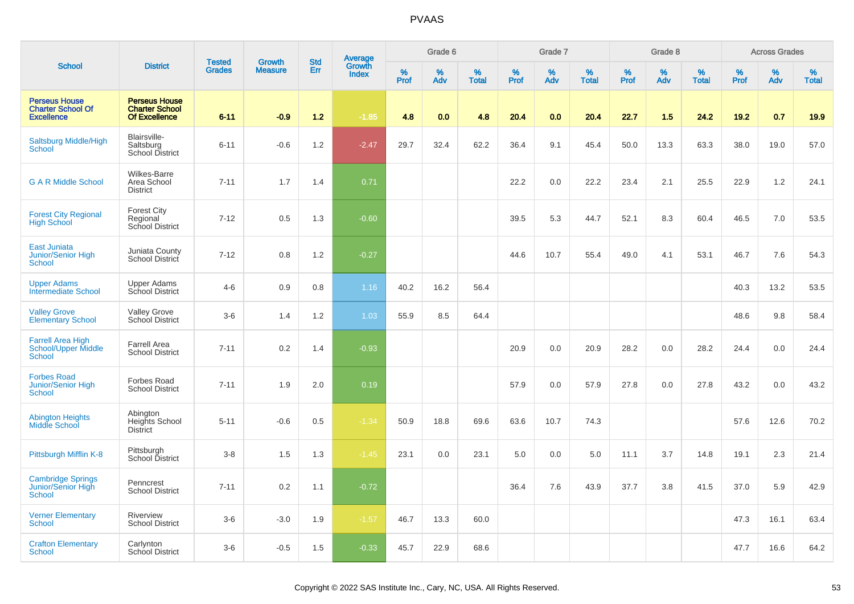|                                                                       |                                                                       |                                |                                 | <b>Std</b> |                                          |           | Grade 6  |                   |           | Grade 7  |                   |           | Grade 8  |                   |              | <b>Across Grades</b> |                   |
|-----------------------------------------------------------------------|-----------------------------------------------------------------------|--------------------------------|---------------------------------|------------|------------------------------------------|-----------|----------|-------------------|-----------|----------|-------------------|-----------|----------|-------------------|--------------|----------------------|-------------------|
| <b>School</b>                                                         | <b>District</b>                                                       | <b>Tested</b><br><b>Grades</b> | <b>Growth</b><br><b>Measure</b> | Err        | <b>Average</b><br>Growth<br><b>Index</b> | %<br>Prof | %<br>Adv | %<br><b>Total</b> | %<br>Prof | %<br>Adv | %<br><b>Total</b> | %<br>Prof | %<br>Adv | %<br><b>Total</b> | $\%$<br>Prof | %<br>Adv             | %<br><b>Total</b> |
| <b>Perseus House</b><br><b>Charter School Of</b><br><b>Excellence</b> | <b>Perseus House</b><br><b>Charter School</b><br><b>Of Excellence</b> | $6 - 11$                       | $-0.9$                          | 1.2        | $-1.85$                                  | 4.8       | 0.0      | 4.8               | 20.4      | 0.0      | 20.4              | 22.7      | 1.5      | 24.2              | 19.2         | 0.7                  | 19.9              |
| <b>Saltsburg Middle/High</b><br><b>School</b>                         | Blairsville-<br>Saltsburg<br><b>School District</b>                   | $6 - 11$                       | $-0.6$                          | 1.2        | $-2.47$                                  | 29.7      | 32.4     | 62.2              | 36.4      | 9.1      | 45.4              | 50.0      | 13.3     | 63.3              | 38.0         | 19.0                 | 57.0              |
| <b>G A R Middle School</b>                                            | Wilkes-Barre<br>Area School<br><b>District</b>                        | $7 - 11$                       | 1.7                             | 1.4        | 0.71                                     |           |          |                   | 22.2      | 0.0      | 22.2              | 23.4      | 2.1      | 25.5              | 22.9         | 1.2                  | 24.1              |
| <b>Forest City Regional</b><br><b>High School</b>                     | <b>Forest City</b><br>Regional<br>School District                     | $7 - 12$                       | 0.5                             | 1.3        | $-0.60$                                  |           |          |                   | 39.5      | 5.3      | 44.7              | 52.1      | 8.3      | 60.4              | 46.5         | 7.0                  | 53.5              |
| <b>East Juniata</b><br>Junior/Senior High<br><b>School</b>            | Juniata County<br>School District                                     | $7 - 12$                       | 0.8                             | 1.2        | $-0.27$                                  |           |          |                   | 44.6      | 10.7     | 55.4              | 49.0      | 4.1      | 53.1              | 46.7         | 7.6                  | 54.3              |
| <b>Upper Adams</b><br><b>Intermediate School</b>                      | <b>Upper Adams</b><br>School District                                 | $4 - 6$                        | 0.9                             | 0.8        | 1.16                                     | 40.2      | 16.2     | 56.4              |           |          |                   |           |          |                   | 40.3         | 13.2                 | 53.5              |
| <b>Valley Grove</b><br><b>Elementary School</b>                       | <b>Valley Grove</b><br>School District                                | $3-6$                          | 1.4                             | 1.2        | 1.03                                     | 55.9      | 8.5      | 64.4              |           |          |                   |           |          |                   | 48.6         | 9.8                  | 58.4              |
| <b>Farrell Area High</b><br>School/Upper Middle<br><b>School</b>      | <b>Farrell Area</b><br><b>School District</b>                         | $7 - 11$                       | 0.2                             | 1.4        | $-0.93$                                  |           |          |                   | 20.9      | 0.0      | 20.9              | 28.2      | 0.0      | 28.2              | 24.4         | 0.0                  | 24.4              |
| <b>Forbes Road</b><br>Junior/Senior High<br>School                    | <b>Forbes Road</b><br><b>School District</b>                          | $7 - 11$                       | 1.9                             | 2.0        | 0.19                                     |           |          |                   | 57.9      | 0.0      | 57.9              | 27.8      | 0.0      | 27.8              | 43.2         | 0.0                  | 43.2              |
| <b>Abington Heights</b><br>Middle School                              | Abington<br>Heights School<br><b>District</b>                         | $5 - 11$                       | $-0.6$                          | 0.5        | $-1.34$                                  | 50.9      | 18.8     | 69.6              | 63.6      | 10.7     | 74.3              |           |          |                   | 57.6         | 12.6                 | 70.2              |
| Pittsburgh Mifflin K-8                                                | Pittsburgh<br>School District                                         | $3-8$                          | 1.5                             | 1.3        | $-1.45$                                  | 23.1      | 0.0      | 23.1              | 5.0       | 0.0      | 5.0               | 11.1      | 3.7      | 14.8              | 19.1         | 2.3                  | 21.4              |
| <b>Cambridge Springs</b><br>Junior/Senior High<br><b>School</b>       | Penncrest<br><b>School District</b>                                   | $7 - 11$                       | 0.2                             | 1.1        | $-0.72$                                  |           |          |                   | 36.4      | 7.6      | 43.9              | 37.7      | 3.8      | 41.5              | 37.0         | 5.9                  | 42.9              |
| <b>Verner Elementary</b><br><b>School</b>                             | Riverview<br><b>School District</b>                                   | $3-6$                          | $-3.0$                          | 1.9        | $-1.57$                                  | 46.7      | 13.3     | 60.0              |           |          |                   |           |          |                   | 47.3         | 16.1                 | 63.4              |
| <b>Crafton Elementary</b><br><b>School</b>                            | Carlynton<br>School District                                          | $3-6$                          | $-0.5$                          | 1.5        | $-0.33$                                  | 45.7      | 22.9     | 68.6              |           |          |                   |           |          |                   | 47.7         | 16.6                 | 64.2              |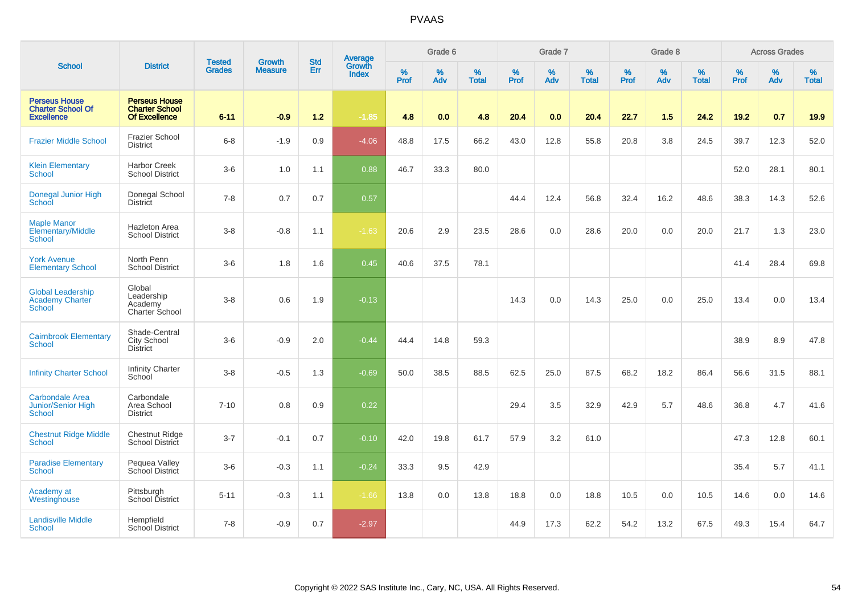|                                                                       |                                                                       |                                |                                 | <b>Std</b> |                                          |                  | Grade 6  |                   |           | Grade 7  |                   |           | Grade 8  |                   |              | <b>Across Grades</b> |                   |
|-----------------------------------------------------------------------|-----------------------------------------------------------------------|--------------------------------|---------------------------------|------------|------------------------------------------|------------------|----------|-------------------|-----------|----------|-------------------|-----------|----------|-------------------|--------------|----------------------|-------------------|
| <b>School</b>                                                         | <b>District</b>                                                       | <b>Tested</b><br><b>Grades</b> | <b>Growth</b><br><b>Measure</b> | Err        | <b>Average</b><br>Growth<br><b>Index</b> | %<br><b>Prof</b> | %<br>Adv | %<br><b>Total</b> | %<br>Prof | %<br>Adv | %<br><b>Total</b> | %<br>Prof | %<br>Adv | %<br><b>Total</b> | $\%$<br>Prof | %<br>Adv             | %<br><b>Total</b> |
| <b>Perseus House</b><br><b>Charter School Of</b><br><b>Excellence</b> | <b>Perseus House</b><br><b>Charter School</b><br><b>Of Excellence</b> | $6 - 11$                       | $-0.9$                          | $1.2$      | $-1.85$                                  | 4.8              | 0.0      | 4.8               | 20.4      | 0.0      | 20.4              | 22.7      | 1.5      | 24.2              | 19.2         | 0.7                  | 19.9              |
| <b>Frazier Middle School</b>                                          | <b>Frazier School</b><br><b>District</b>                              | $6-8$                          | $-1.9$                          | 0.9        | $-4.06$                                  | 48.8             | 17.5     | 66.2              | 43.0      | 12.8     | 55.8              | 20.8      | 3.8      | 24.5              | 39.7         | 12.3                 | 52.0              |
| <b>Klein Elementary</b><br><b>School</b>                              | <b>Harbor Creek</b><br><b>School District</b>                         | $3-6$                          | 1.0                             | 1.1        | 0.88                                     | 46.7             | 33.3     | 80.0              |           |          |                   |           |          |                   | 52.0         | 28.1                 | 80.1              |
| Donegal Junior High<br>School                                         | Donegal School<br><b>District</b>                                     | $7 - 8$                        | 0.7                             | 0.7        | 0.57                                     |                  |          |                   | 44.4      | 12.4     | 56.8              | 32.4      | 16.2     | 48.6              | 38.3         | 14.3                 | 52.6              |
| <b>Maple Manor</b><br>Elementary/Middle<br>School                     | <b>Hazleton Area</b><br><b>School District</b>                        | $3-8$                          | $-0.8$                          | 1.1        | $-1.63$                                  | 20.6             | 2.9      | 23.5              | 28.6      | 0.0      | 28.6              | 20.0      | 0.0      | 20.0              | 21.7         | 1.3                  | 23.0              |
| <b>York Avenue</b><br><b>Elementary School</b>                        | North Penn<br><b>School District</b>                                  | $3-6$                          | 1.8                             | 1.6        | 0.45                                     | 40.6             | 37.5     | 78.1              |           |          |                   |           |          |                   | 41.4         | 28.4                 | 69.8              |
| <b>Global Leadership</b><br>Academy Charter<br><b>School</b>          | Global<br>Leadership<br>Academy<br>Charter School                     | $3-8$                          | 0.6                             | 1.9        | $-0.13$                                  |                  |          |                   | 14.3      | 0.0      | 14.3              | 25.0      | 0.0      | 25.0              | 13.4         | 0.0                  | 13.4              |
| <b>Cairnbrook Elementary</b><br>School                                | Shade-Central<br>City School<br>District                              | $3-6$                          | $-0.9$                          | 2.0        | $-0.44$                                  | 44.4             | 14.8     | 59.3              |           |          |                   |           |          |                   | 38.9         | 8.9                  | 47.8              |
| <b>Infinity Charter School</b>                                        | <b>Infinity Charter</b><br>School                                     | $3 - 8$                        | $-0.5$                          | 1.3        | $-0.69$                                  | 50.0             | 38.5     | 88.5              | 62.5      | 25.0     | 87.5              | 68.2      | 18.2     | 86.4              | 56.6         | 31.5                 | 88.1              |
| <b>Carbondale Area</b><br><b>Junior/Senior High</b><br>School         | Carbondale<br>Area School<br><b>District</b>                          | $7 - 10$                       | 0.8                             | 0.9        | 0.22                                     |                  |          |                   | 29.4      | 3.5      | 32.9              | 42.9      | 5.7      | 48.6              | 36.8         | 4.7                  | 41.6              |
| <b>Chestnut Ridge Middle</b><br><b>School</b>                         | Chestnut Ridge<br><b>School District</b>                              | $3 - 7$                        | $-0.1$                          | 0.7        | $-0.10$                                  | 42.0             | 19.8     | 61.7              | 57.9      | 3.2      | 61.0              |           |          |                   | 47.3         | 12.8                 | 60.1              |
| <b>Paradise Elementary</b><br>School                                  | Pequea Valley<br>School District                                      | $3-6$                          | $-0.3$                          | 1.1        | $-0.24$                                  | 33.3             | 9.5      | 42.9              |           |          |                   |           |          |                   | 35.4         | 5.7                  | 41.1              |
| Academy at<br>Westinghouse                                            | Pittsburgh<br>School District                                         | $5 - 11$                       | $-0.3$                          | 1.1        | $-1.66$                                  | 13.8             | 0.0      | 13.8              | 18.8      | 0.0      | 18.8              | 10.5      | 0.0      | 10.5              | 14.6         | 0.0                  | 14.6              |
| <b>Landisville Middle</b><br><b>School</b>                            | Hempfield<br><b>School District</b>                                   | $7 - 8$                        | $-0.9$                          | 0.7        | $-2.97$                                  |                  |          |                   | 44.9      | 17.3     | 62.2              | 54.2      | 13.2     | 67.5              | 49.3         | 15.4                 | 64.7              |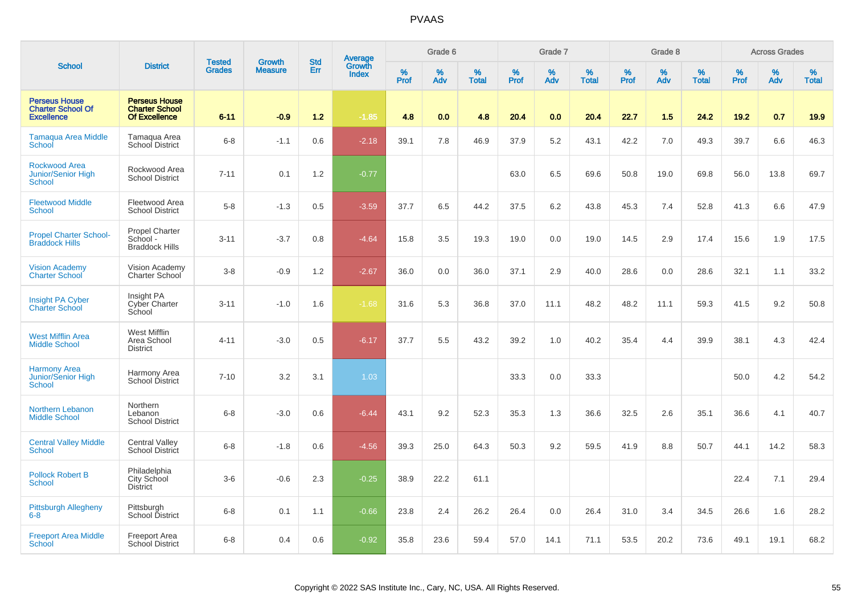|                                                                       |                                                                       | <b>Tested</b> | <b>Growth</b>  | <b>Std</b> |                                   |                  | Grade 6     |                   |                  | Grade 7  |                   |           | Grade 8  |                   |              | <b>Across Grades</b> |                   |
|-----------------------------------------------------------------------|-----------------------------------------------------------------------|---------------|----------------|------------|-----------------------------------|------------------|-------------|-------------------|------------------|----------|-------------------|-----------|----------|-------------------|--------------|----------------------|-------------------|
| <b>School</b>                                                         | <b>District</b>                                                       | <b>Grades</b> | <b>Measure</b> | Err        | Average<br>Growth<br><b>Index</b> | %<br><b>Prof</b> | $\%$<br>Adv | %<br><b>Total</b> | %<br><b>Prof</b> | %<br>Adv | %<br><b>Total</b> | %<br>Prof | %<br>Adv | %<br><b>Total</b> | $\%$<br>Prof | %<br>Adv             | %<br><b>Total</b> |
| <b>Perseus House</b><br><b>Charter School Of</b><br><b>Excellence</b> | <b>Perseus House</b><br><b>Charter School</b><br><b>Of Excellence</b> | $6 - 11$      | $-0.9$         | 1.2        | $-1.85$                           | 4.8              | 0.0         | 4.8               | 20.4             | 0.0      | 20.4              | 22.7      | 1.5      | 24.2              | 19.2         | 0.7                  | 19.9              |
| <b>Tamaqua Area Middle</b><br>School                                  | Tamagua Area<br>School District                                       | $6 - 8$       | $-1.1$         | 0.6        | $-2.18$                           | 39.1             | 7.8         | 46.9              | 37.9             | 5.2      | 43.1              | 42.2      | 7.0      | 49.3              | 39.7         | 6.6                  | 46.3              |
| <b>Rockwood Area</b><br>Junior/Senior High<br><b>School</b>           | Rockwood Area<br><b>School District</b>                               | $7 - 11$      | 0.1            | 1.2        | $-0.77$                           |                  |             |                   | 63.0             | 6.5      | 69.6              | 50.8      | 19.0     | 69.8              | 56.0         | 13.8                 | 69.7              |
| <b>Fleetwood Middle</b><br>School                                     | Fleetwood Area<br><b>School District</b>                              | $5-8$         | $-1.3$         | 0.5        | $-3.59$                           | 37.7             | 6.5         | 44.2              | 37.5             | 6.2      | 43.8              | 45.3      | 7.4      | 52.8              | 41.3         | 6.6                  | 47.9              |
| <b>Propel Charter School-</b><br><b>Braddock Hills</b>                | <b>Propel Charter</b><br>School -<br><b>Braddock Hills</b>            | $3 - 11$      | $-3.7$         | 0.8        | $-4.64$                           | 15.8             | 3.5         | 19.3              | 19.0             | 0.0      | 19.0              | 14.5      | 2.9      | 17.4              | 15.6         | 1.9                  | 17.5              |
| <b>Vision Academy</b><br><b>Charter School</b>                        | Vision Academy<br>Charter School                                      | $3 - 8$       | $-0.9$         | 1.2        | $-2.67$                           | 36.0             | 0.0         | 36.0              | 37.1             | 2.9      | 40.0              | 28.6      | 0.0      | 28.6              | 32.1         | 1.1                  | 33.2              |
| <b>Insight PA Cyber</b><br><b>Charter School</b>                      | Insight PA<br><b>Cyber Charter</b><br>School                          | $3 - 11$      | $-1.0$         | 1.6        | $-1.68$                           | 31.6             | 5.3         | 36.8              | 37.0             | 11.1     | 48.2              | 48.2      | 11.1     | 59.3              | 41.5         | 9.2                  | 50.8              |
| <b>West Mifflin Area</b><br><b>Middle School</b>                      | West Mifflin<br>Area School<br><b>District</b>                        | $4 - 11$      | $-3.0$         | 0.5        | $-6.17$                           | 37.7             | 5.5         | 43.2              | 39.2             | 1.0      | 40.2              | 35.4      | 4.4      | 39.9              | 38.1         | 4.3                  | 42.4              |
| <b>Harmony Area</b><br>Junior/Senior High<br>School                   | Harmony Area<br>School District                                       | $7 - 10$      | 3.2            | 3.1        | 1.03                              |                  |             |                   | 33.3             | 0.0      | 33.3              |           |          |                   | 50.0         | 4.2                  | 54.2              |
| <b>Northern Lebanon</b><br><b>Middle School</b>                       | Northern<br>Lebanon<br><b>School District</b>                         | $6 - 8$       | $-3.0$         | 0.6        | $-6.44$                           | 43.1             | 9.2         | 52.3              | 35.3             | 1.3      | 36.6              | 32.5      | 2.6      | 35.1              | 36.6         | 4.1                  | 40.7              |
| <b>Central Valley Middle</b><br>School                                | <b>Central Valley</b><br>School District                              | $6 - 8$       | $-1.8$         | 0.6        | $-4.56$                           | 39.3             | 25.0        | 64.3              | 50.3             | 9.2      | 59.5              | 41.9      | 8.8      | 50.7              | 44.1         | 14.2                 | 58.3              |
| <b>Pollock Robert B</b><br><b>School</b>                              | Philadelphia<br>City School<br><b>District</b>                        | $3-6$         | $-0.6$         | 2.3        | $-0.25$                           | 38.9             | 22.2        | 61.1              |                  |          |                   |           |          |                   | 22.4         | 7.1                  | 29.4              |
| <b>Pittsburgh Allegheny</b><br>$6 - 8$                                | Pittsburgh<br>School District                                         | $6 - 8$       | 0.1            | 1.1        | $-0.66$                           | 23.8             | 2.4         | 26.2              | 26.4             | 0.0      | 26.4              | 31.0      | 3.4      | 34.5              | 26.6         | 1.6                  | 28.2              |
| <b>Freeport Area Middle</b><br>School                                 | <b>Freeport Area</b><br>School District                               | $6 - 8$       | 0.4            | 0.6        | $-0.92$                           | 35.8             | 23.6        | 59.4              | 57.0             | 14.1     | 71.1              | 53.5      | 20.2     | 73.6              | 49.1         | 19.1                 | 68.2              |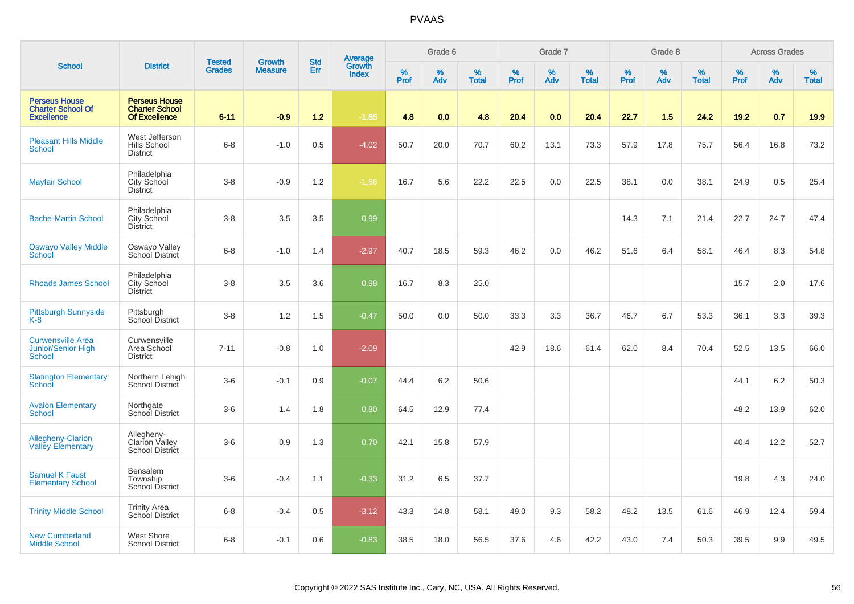|                                                                        |                                                                       | <b>Tested</b> | <b>Growth</b>  | <b>Std</b> |                                          |                  | Grade 6  |                   |           | Grade 7  |                   |              | Grade 8  |                   |              | <b>Across Grades</b> |                   |
|------------------------------------------------------------------------|-----------------------------------------------------------------------|---------------|----------------|------------|------------------------------------------|------------------|----------|-------------------|-----------|----------|-------------------|--------------|----------|-------------------|--------------|----------------------|-------------------|
| <b>School</b>                                                          | <b>District</b>                                                       | <b>Grades</b> | <b>Measure</b> | Err        | <b>Average</b><br>Growth<br><b>Index</b> | %<br><b>Prof</b> | %<br>Adv | %<br><b>Total</b> | %<br>Prof | %<br>Adv | %<br><b>Total</b> | $\%$<br>Prof | %<br>Adv | %<br><b>Total</b> | $\%$<br>Prof | $\%$<br>Adv          | %<br><b>Total</b> |
| <b>Perseus House</b><br><b>Charter School Of</b><br><b>Excellence</b>  | <b>Perseus House</b><br><b>Charter School</b><br><b>Of Excellence</b> | $6 - 11$      | $-0.9$         | $1.2$      | $-1.85$                                  | 4.8              | 0.0      | 4.8               | 20.4      | 0.0      | 20.4              | 22.7         | 1.5      | 24.2              | 19.2         | 0.7                  | 19.9              |
| <b>Pleasant Hills Middle</b><br>School                                 | West Jefferson<br>Hills School<br><b>District</b>                     | $6 - 8$       | $-1.0$         | 0.5        | $-4.02$                                  | 50.7             | 20.0     | 70.7              | 60.2      | 13.1     | 73.3              | 57.9         | 17.8     | 75.7              | 56.4         | 16.8                 | 73.2              |
| <b>Mayfair School</b>                                                  | Philadelphia<br>City School<br><b>District</b>                        | $3 - 8$       | $-0.9$         | 1.2        | $-1.66$                                  | 16.7             | 5.6      | 22.2              | 22.5      | 0.0      | 22.5              | 38.1         | 0.0      | 38.1              | 24.9         | 0.5                  | 25.4              |
| <b>Bache-Martin School</b>                                             | Philadelphia<br>City School<br><b>District</b>                        | $3-8$         | 3.5            | 3.5        | 0.99                                     |                  |          |                   |           |          |                   | 14.3         | 7.1      | 21.4              | 22.7         | 24.7                 | 47.4              |
| <b>Oswayo Valley Middle</b><br>School                                  | Oswayo Valley<br>School District                                      | $6 - 8$       | $-1.0$         | 1.4        | $-2.97$                                  | 40.7             | 18.5     | 59.3              | 46.2      | 0.0      | 46.2              | 51.6         | 6.4      | 58.1              | 46.4         | 8.3                  | 54.8              |
| <b>Rhoads James School</b>                                             | Philadelphia<br>City School<br>District                               | $3 - 8$       | 3.5            | 3.6        | 0.98                                     | 16.7             | 8.3      | 25.0              |           |          |                   |              |          |                   | 15.7         | 2.0                  | 17.6              |
| <b>Pittsburgh Sunnyside</b><br>$K-8$                                   | Pittsburgh<br>School District                                         | $3-8$         | 1.2            | 1.5        | $-0.47$                                  | 50.0             | 0.0      | 50.0              | 33.3      | 3.3      | 36.7              | 46.7         | 6.7      | 53.3              | 36.1         | 3.3                  | 39.3              |
| <b>Curwensville Area</b><br><b>Junior/Senior High</b><br><b>School</b> | Curwensville<br>Area School<br><b>District</b>                        | $7 - 11$      | $-0.8$         | 1.0        | $-2.09$                                  |                  |          |                   | 42.9      | 18.6     | 61.4              | 62.0         | 8.4      | 70.4              | 52.5         | 13.5                 | 66.0              |
| <b>Slatington Elementary</b><br>School                                 | Northern Lehigh<br>School District                                    | $3-6$         | $-0.1$         | 0.9        | $-0.07$                                  | 44.4             | 6.2      | 50.6              |           |          |                   |              |          |                   | 44.1         | 6.2                  | 50.3              |
| <b>Avalon Elementary</b><br><b>School</b>                              | Northgate<br>School District                                          | $3-6$         | 1.4            | 1.8        | 0.80                                     | 64.5             | 12.9     | 77.4              |           |          |                   |              |          |                   | 48.2         | 13.9                 | 62.0              |
| <b>Allegheny-Clarion</b><br><b>Valley Elementary</b>                   | Allegheny-<br>Clarion Valley<br><b>School District</b>                | $3-6$         | 0.9            | 1.3        | 0.70                                     | 42.1             | 15.8     | 57.9              |           |          |                   |              |          |                   | 40.4         | 12.2                 | 52.7              |
| <b>Samuel K Faust</b><br><b>Elementary School</b>                      | Bensalem<br>Township<br>School District                               | $3-6$         | $-0.4$         | 1.1        | $-0.33$                                  | 31.2             | 6.5      | 37.7              |           |          |                   |              |          |                   | 19.8         | 4.3                  | 24.0              |
| <b>Trinity Middle School</b>                                           | <b>Trinity Area</b><br>School District                                | $6 - 8$       | $-0.4$         | 0.5        | $-3.12$                                  | 43.3             | 14.8     | 58.1              | 49.0      | 9.3      | 58.2              | 48.2         | 13.5     | 61.6              | 46.9         | 12.4                 | 59.4              |
| <b>New Cumberland</b><br><b>Middle School</b>                          | West Shore<br><b>School District</b>                                  | $6 - 8$       | $-0.1$         | 0.6        | $-0.83$                                  | 38.5             | 18.0     | 56.5              | 37.6      | 4.6      | 42.2              | 43.0         | 7.4      | 50.3              | 39.5         | 9.9                  | 49.5              |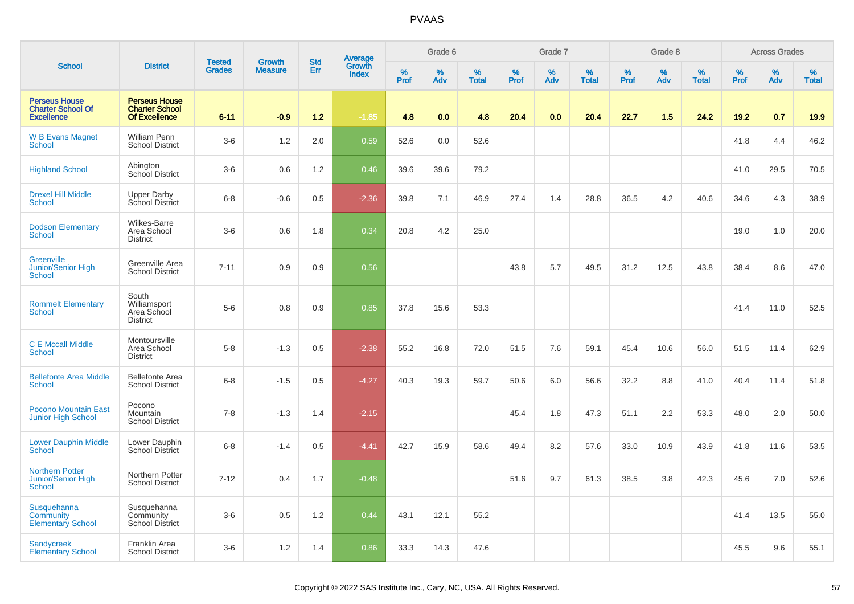|                                                                       |                                                                | <b>Tested</b> | <b>Growth</b>  | <b>Std</b> |                                          |                  | Grade 6     |                   |           | Grade 7  |                   |              | Grade 8  |                   |              | <b>Across Grades</b> |                   |
|-----------------------------------------------------------------------|----------------------------------------------------------------|---------------|----------------|------------|------------------------------------------|------------------|-------------|-------------------|-----------|----------|-------------------|--------------|----------|-------------------|--------------|----------------------|-------------------|
| <b>School</b>                                                         | <b>District</b>                                                | <b>Grades</b> | <b>Measure</b> | Err        | <b>Average</b><br>Growth<br><b>Index</b> | %<br><b>Prof</b> | $\%$<br>Adv | %<br><b>Total</b> | %<br>Prof | %<br>Adv | %<br><b>Total</b> | $\%$<br>Prof | %<br>Adv | %<br><b>Total</b> | $\%$<br>Prof | %<br>Adv             | %<br><b>Total</b> |
| <b>Perseus House</b><br><b>Charter School Of</b><br><b>Excellence</b> | <b>Perseus House</b><br><b>Charter School</b><br>Of Excellence | $6 - 11$      | $-0.9$         | 1.2        | $-1.85$                                  | 4.8              | 0.0         | 4.8               | 20.4      | 0.0      | 20.4              | 22.7         | 1.5      | 24.2              | 19.2         | 0.7                  | 19.9              |
| <b>W B Evans Magnet</b><br>School                                     | William Penn<br><b>School District</b>                         | $3-6$         | 1.2            | 2.0        | 0.59                                     | 52.6             | 0.0         | 52.6              |           |          |                   |              |          |                   | 41.8         | 4.4                  | 46.2              |
| <b>Highland School</b>                                                | Abington<br>School District                                    | $3-6$         | 0.6            | 1.2        | 0.46                                     | 39.6             | 39.6        | 79.2              |           |          |                   |              |          |                   | 41.0         | 29.5                 | 70.5              |
| <b>Drexel Hill Middle</b><br>School                                   | <b>Upper Darby</b><br>School District                          | $6 - 8$       | $-0.6$         | 0.5        | $-2.36$                                  | 39.8             | 7.1         | 46.9              | 27.4      | 1.4      | 28.8              | 36.5         | 4.2      | 40.6              | 34.6         | 4.3                  | 38.9              |
| <b>Dodson Elementary</b><br><b>School</b>                             | Wilkes-Barre<br>Area School<br><b>District</b>                 | $3-6$         | 0.6            | 1.8        | 0.34                                     | 20.8             | 4.2         | 25.0              |           |          |                   |              |          |                   | 19.0         | 1.0                  | 20.0              |
| Greenville<br>Junior/Senior High<br>School                            | Greenville Area<br><b>School District</b>                      | $7 - 11$      | 0.9            | 0.9        | 0.56                                     |                  |             |                   | 43.8      | 5.7      | 49.5              | 31.2         | 12.5     | 43.8              | 38.4         | 8.6                  | 47.0              |
| <b>Rommelt Elementary</b><br>School                                   | South<br>Williamsport<br>Area School<br><b>District</b>        | $5-6$         | 0.8            | 0.9        | 0.85                                     | 37.8             | 15.6        | 53.3              |           |          |                   |              |          |                   | 41.4         | 11.0                 | 52.5              |
| <b>C E Mccall Middle</b><br><b>School</b>                             | Montoursville<br>Area School<br><b>District</b>                | $5-8$         | $-1.3$         | 0.5        | $-2.38$                                  | 55.2             | 16.8        | 72.0              | 51.5      | 7.6      | 59.1              | 45.4         | 10.6     | 56.0              | 51.5         | 11.4                 | 62.9              |
| <b>Bellefonte Area Middle</b><br><b>School</b>                        | <b>Bellefonte Area</b><br><b>School District</b>               | $6 - 8$       | $-1.5$         | 0.5        | $-4.27$                                  | 40.3             | 19.3        | 59.7              | 50.6      | 6.0      | 56.6              | 32.2         | 8.8      | 41.0              | 40.4         | 11.4                 | 51.8              |
| <b>Pocono Mountain East</b><br><b>Junior High School</b>              | Pocono<br>Mountain<br><b>School District</b>                   | $7 - 8$       | $-1.3$         | 1.4        | $-2.15$                                  |                  |             |                   | 45.4      | 1.8      | 47.3              | 51.1         | 2.2      | 53.3              | 48.0         | 2.0                  | 50.0              |
| <b>Lower Dauphin Middle</b><br>School                                 | Lower Dauphin<br><b>School District</b>                        | $6 - 8$       | $-1.4$         | 0.5        | $-4.41$                                  | 42.7             | 15.9        | 58.6              | 49.4      | 8.2      | 57.6              | 33.0         | 10.9     | 43.9              | 41.8         | 11.6                 | 53.5              |
| <b>Northern Potter</b><br>Junior/Senior High<br>School                | Northern Potter<br><b>School District</b>                      | $7 - 12$      | 0.4            | 1.7        | $-0.48$                                  |                  |             |                   | 51.6      | 9.7      | 61.3              | 38.5         | 3.8      | 42.3              | 45.6         | 7.0                  | 52.6              |
| Susquehanna<br>Community<br><b>Elementary School</b>                  | Susquehanna<br>Community<br><b>School District</b>             | $3-6$         | 0.5            | 1.2        | 0.44                                     | 43.1             | 12.1        | 55.2              |           |          |                   |              |          |                   | 41.4         | 13.5                 | 55.0              |
| <b>Sandycreek</b><br><b>Elementary School</b>                         | <b>Franklin Area</b><br><b>School District</b>                 | $3-6$         | 1.2            | 1.4        | 0.86                                     | 33.3             | 14.3        | 47.6              |           |          |                   |              |          |                   | 45.5         | 9.6                  | 55.1              |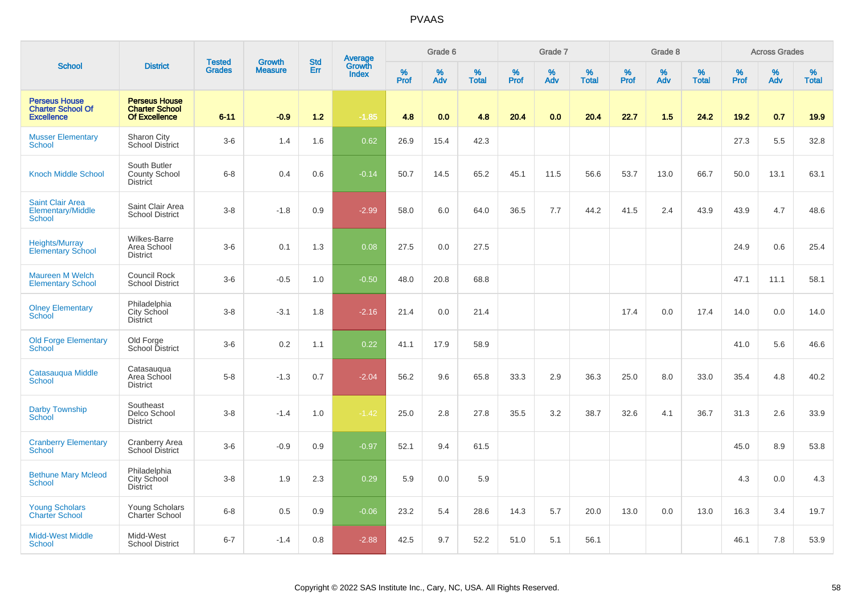|                                                                       |                                                                | <b>Tested</b> | <b>Growth</b>  | <b>Std</b> |                                          |           | Grade 6     |                   |                  | Grade 7  |                   |           | Grade 8  |                   |              | <b>Across Grades</b> |                   |
|-----------------------------------------------------------------------|----------------------------------------------------------------|---------------|----------------|------------|------------------------------------------|-----------|-------------|-------------------|------------------|----------|-------------------|-----------|----------|-------------------|--------------|----------------------|-------------------|
| <b>School</b>                                                         | <b>District</b>                                                | <b>Grades</b> | <b>Measure</b> | Err        | <b>Average</b><br>Growth<br><b>Index</b> | %<br>Prof | $\%$<br>Adv | %<br><b>Total</b> | %<br><b>Prof</b> | %<br>Adv | %<br><b>Total</b> | %<br>Prof | %<br>Adv | %<br><b>Total</b> | $\%$<br>Prof | $\%$<br>Adv          | %<br><b>Total</b> |
| <b>Perseus House</b><br><b>Charter School Of</b><br><b>Excellence</b> | <b>Perseus House</b><br><b>Charter School</b><br>Of Excellence | $6 - 11$      | $-0.9$         | $1.2$      | $-1.85$                                  | 4.8       | 0.0         | 4.8               | 20.4             | 0.0      | 20.4              | 22.7      | 1.5      | 24.2              | 19.2         | 0.7                  | 19.9              |
| <b>Musser Elementary</b><br><b>School</b>                             | Sharon City<br><b>School District</b>                          | $3-6$         | 1.4            | 1.6        | 0.62                                     | 26.9      | 15.4        | 42.3              |                  |          |                   |           |          |                   | 27.3         | 5.5                  | 32.8              |
| <b>Knoch Middle School</b>                                            | South Butler<br><b>County School</b><br><b>District</b>        | $6 - 8$       | 0.4            | 0.6        | $-0.14$                                  | 50.7      | 14.5        | 65.2              | 45.1             | 11.5     | 56.6              | 53.7      | 13.0     | 66.7              | 50.0         | 13.1                 | 63.1              |
| <b>Saint Clair Area</b><br>Elementary/Middle<br><b>School</b>         | Saint Clair Area<br><b>School District</b>                     | $3-8$         | $-1.8$         | 0.9        | $-2.99$                                  | 58.0      | 6.0         | 64.0              | 36.5             | 7.7      | 44.2              | 41.5      | 2.4      | 43.9              | 43.9         | 4.7                  | 48.6              |
| <b>Heights/Murray</b><br><b>Elementary School</b>                     | <b>Wilkes-Barre</b><br>Area School<br><b>District</b>          | $3-6$         | 0.1            | 1.3        | 0.08                                     | 27.5      | 0.0         | 27.5              |                  |          |                   |           |          |                   | 24.9         | 0.6                  | 25.4              |
| <b>Maureen M Welch</b><br><b>Elementary School</b>                    | <b>Council Rock</b><br><b>School District</b>                  | $3-6$         | $-0.5$         | 1.0        | $-0.50$                                  | 48.0      | 20.8        | 68.8              |                  |          |                   |           |          |                   | 47.1         | 11.1                 | 58.1              |
| <b>Olney Elementary</b><br><b>School</b>                              | Philadelphia<br>City School<br><b>District</b>                 | $3 - 8$       | $-3.1$         | 1.8        | $-2.16$                                  | 21.4      | 0.0         | 21.4              |                  |          |                   | 17.4      | 0.0      | 17.4              | 14.0         | 0.0                  | 14.0              |
| <b>Old Forge Elementary</b><br><b>School</b>                          | Old Forge<br><b>School District</b>                            | $3-6$         | 0.2            | 1.1        | 0.22                                     | 41.1      | 17.9        | 58.9              |                  |          |                   |           |          |                   | 41.0         | 5.6                  | 46.6              |
| Catasauqua Middle<br><b>School</b>                                    | Catasauqua<br>Area School<br><b>District</b>                   | $5-8$         | $-1.3$         | 0.7        | $-2.04$                                  | 56.2      | 9.6         | 65.8              | 33.3             | 2.9      | 36.3              | 25.0      | 8.0      | 33.0              | 35.4         | 4.8                  | 40.2              |
| <b>Darby Township</b><br><b>School</b>                                | Southeast<br>Delco School<br><b>District</b>                   | $3-8$         | $-1.4$         | 1.0        | $-1.42$                                  | 25.0      | 2.8         | 27.8              | 35.5             | 3.2      | 38.7              | 32.6      | 4.1      | 36.7              | 31.3         | 2.6                  | 33.9              |
| <b>Cranberry Elementary</b><br><b>School</b>                          | <b>Cranberry Area</b><br>School District                       | $3-6$         | $-0.9$         | 0.9        | $-0.97$                                  | 52.1      | 9.4         | 61.5              |                  |          |                   |           |          |                   | 45.0         | 8.9                  | 53.8              |
| <b>Bethune Mary Mcleod</b><br>School                                  | Philadelphia<br>City School<br><b>District</b>                 | $3-8$         | 1.9            | 2.3        | 0.29                                     | 5.9       | 0.0         | 5.9               |                  |          |                   |           |          |                   | 4.3          | 0.0                  | 4.3               |
| <b>Young Scholars</b><br><b>Charter School</b>                        | Young Scholars<br>Charter School                               | $6 - 8$       | 0.5            | 0.9        | $-0.06$                                  | 23.2      | 5.4         | 28.6              | 14.3             | 5.7      | 20.0              | 13.0      | 0.0      | 13.0              | 16.3         | 3.4                  | 19.7              |
| <b>Midd-West Middle</b><br><b>School</b>                              | Midd-West<br><b>School District</b>                            | $6 - 7$       | $-1.4$         | 0.8        | $-2.88$                                  | 42.5      | 9.7         | 52.2              | 51.0             | 5.1      | 56.1              |           |          |                   | 46.1         | 7.8                  | 53.9              |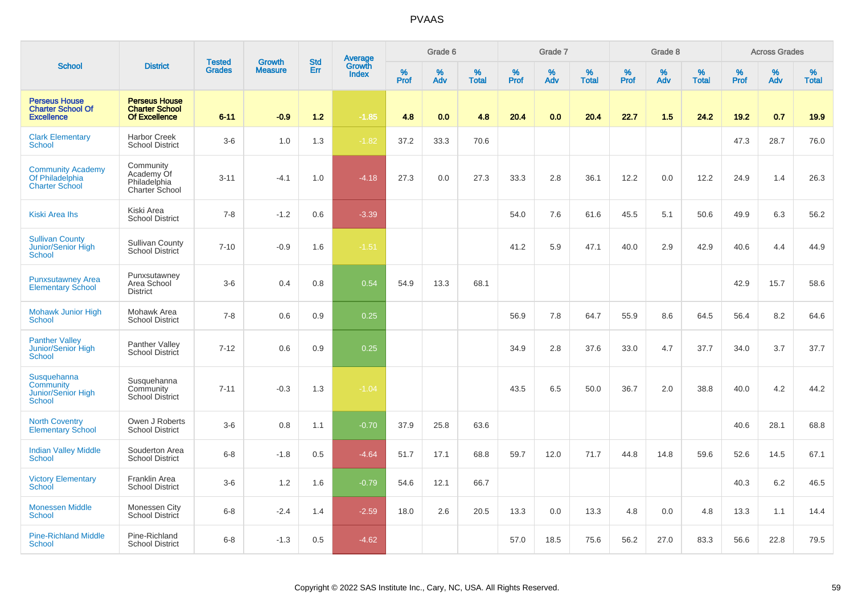|                                                                       |                                                                       | <b>Tested</b> | <b>Growth</b>  | <b>Std</b> |                                   |           | Grade 6  |                   |           | Grade 7  |                   |           | Grade 8  |                   |              | <b>Across Grades</b> |                   |
|-----------------------------------------------------------------------|-----------------------------------------------------------------------|---------------|----------------|------------|-----------------------------------|-----------|----------|-------------------|-----------|----------|-------------------|-----------|----------|-------------------|--------------|----------------------|-------------------|
| <b>School</b>                                                         | <b>District</b>                                                       | <b>Grades</b> | <b>Measure</b> | Err        | Average<br>Growth<br><b>Index</b> | %<br>Prof | %<br>Adv | %<br><b>Total</b> | %<br>Prof | %<br>Adv | %<br><b>Total</b> | %<br>Prof | %<br>Adv | %<br><b>Total</b> | $\%$<br>Prof | $\%$<br>Adv          | %<br><b>Total</b> |
| <b>Perseus House</b><br><b>Charter School Of</b><br><b>Excellence</b> | <b>Perseus House</b><br><b>Charter School</b><br><b>Of Excellence</b> | $6 - 11$      | $-0.9$         | $1.2$      | $-1.85$                           | 4.8       | 0.0      | 4.8               | 20.4      | 0.0      | 20.4              | 22.7      | 1.5      | 24.2              | 19.2         | 0.7                  | 19.9              |
| <b>Clark Elementary</b><br>School                                     | <b>Harbor Creek</b><br><b>School District</b>                         | $3-6$         | 1.0            | 1.3        | $-1.82$                           | 37.2      | 33.3     | 70.6              |           |          |                   |           |          |                   | 47.3         | 28.7                 | 76.0              |
| <b>Community Academy</b><br>Of Philadelphia<br><b>Charter School</b>  | Community<br>Academy Of<br>Philadelphia<br>Charter School             | $3 - 11$      | $-4.1$         | 1.0        | $-4.18$                           | 27.3      | 0.0      | 27.3              | 33.3      | 2.8      | 36.1              | 12.2      | 0.0      | 12.2              | 24.9         | 1.4                  | 26.3              |
| Kiski Area Ihs                                                        | Kiski Area<br><b>School District</b>                                  | $7 - 8$       | $-1.2$         | 0.6        | $-3.39$                           |           |          |                   | 54.0      | 7.6      | 61.6              | 45.5      | 5.1      | 50.6              | 49.9         | 6.3                  | 56.2              |
| <b>Sullivan County</b><br>Junior/Senior High<br>School                | <b>Sullivan County</b><br><b>School District</b>                      | $7 - 10$      | $-0.9$         | 1.6        | $-1.51$                           |           |          |                   | 41.2      | 5.9      | 47.1              | 40.0      | 2.9      | 42.9              | 40.6         | 4.4                  | 44.9              |
| <b>Punxsutawney Area</b><br><b>Elementary School</b>                  | Punxsutawney<br>Area School<br><b>District</b>                        | $3-6$         | 0.4            | 0.8        | 0.54                              | 54.9      | 13.3     | 68.1              |           |          |                   |           |          |                   | 42.9         | 15.7                 | 58.6              |
| <b>Mohawk Junior High</b><br><b>School</b>                            | Mohawk Area<br><b>School District</b>                                 | $7 - 8$       | 0.6            | 0.9        | 0.25                              |           |          |                   | 56.9      | 7.8      | 64.7              | 55.9      | 8.6      | 64.5              | 56.4         | 8.2                  | 64.6              |
| <b>Panther Valley</b><br>Junior/Senior High<br><b>School</b>          | Panther Valley<br><b>School District</b>                              | $7 - 12$      | 0.6            | 0.9        | 0.25                              |           |          |                   | 34.9      | 2.8      | 37.6              | 33.0      | 4.7      | 37.7              | 34.0         | 3.7                  | 37.7              |
| Susquehanna<br>Community<br>Junior/Senior High<br>School              | Susquehanna<br>Community<br><b>School District</b>                    | $7 - 11$      | $-0.3$         | 1.3        | $-1.04$                           |           |          |                   | 43.5      | 6.5      | 50.0              | 36.7      | 2.0      | 38.8              | 40.0         | 4.2                  | 44.2              |
| <b>North Coventry</b><br><b>Elementary School</b>                     | Owen J Roberts<br><b>School District</b>                              | $3-6$         | 0.8            | 1.1        | $-0.70$                           | 37.9      | 25.8     | 63.6              |           |          |                   |           |          |                   | 40.6         | 28.1                 | 68.8              |
| <b>Indian Valley Middle</b><br><b>School</b>                          | Souderton Area<br><b>School District</b>                              | $6 - 8$       | $-1.8$         | 0.5        | $-4.64$                           | 51.7      | 17.1     | 68.8              | 59.7      | 12.0     | 71.7              | 44.8      | 14.8     | 59.6              | 52.6         | 14.5                 | 67.1              |
| <b>Victory Elementary</b><br>School                                   | Franklin Area<br><b>School District</b>                               | $3-6$         | 1.2            | 1.6        | $-0.79$                           | 54.6      | 12.1     | 66.7              |           |          |                   |           |          |                   | 40.3         | 6.2                  | 46.5              |
| <b>Monessen Middle</b><br><b>School</b>                               | Monessen City<br>School District                                      | $6 - 8$       | $-2.4$         | 1.4        | $-2.59$                           | 18.0      | 2.6      | 20.5              | 13.3      | 0.0      | 13.3              | 4.8       | 0.0      | 4.8               | 13.3         | 1.1                  | 14.4              |
| <b>Pine-Richland Middle</b><br>School                                 | Pine-Richland<br><b>School District</b>                               | $6 - 8$       | $-1.3$         | 0.5        | $-4.62$                           |           |          |                   | 57.0      | 18.5     | 75.6              | 56.2      | 27.0     | 83.3              | 56.6         | 22.8                 | 79.5              |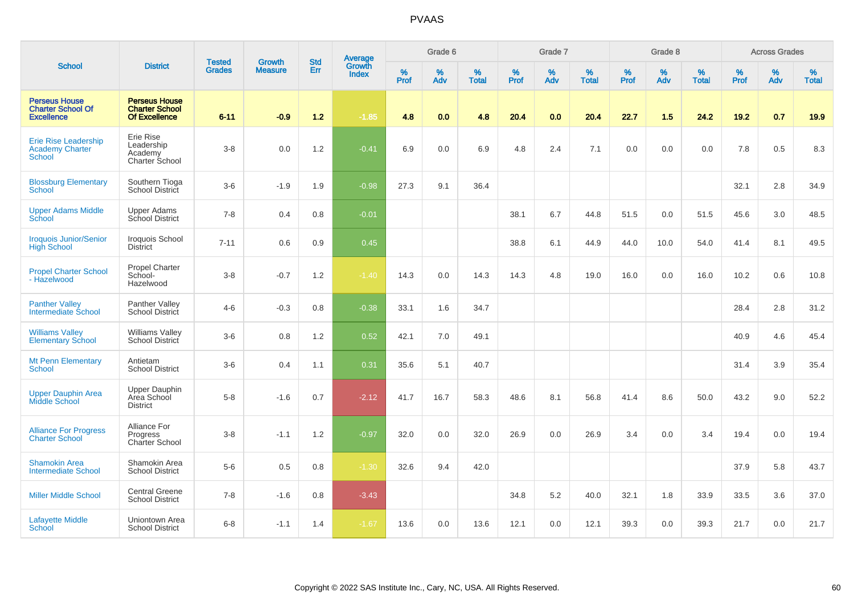|                                                                        |                                                                       |                                | <b>Growth</b>  | <b>Std</b> | <b>Average</b><br>Growth |           | Grade 6  |                   |           | Grade 7  |                   |           | Grade 8  |                   |           | <b>Across Grades</b> |                   |
|------------------------------------------------------------------------|-----------------------------------------------------------------------|--------------------------------|----------------|------------|--------------------------|-----------|----------|-------------------|-----------|----------|-------------------|-----------|----------|-------------------|-----------|----------------------|-------------------|
| <b>School</b>                                                          | <b>District</b>                                                       | <b>Tested</b><br><b>Grades</b> | <b>Measure</b> | <b>Err</b> | <b>Index</b>             | %<br>Prof | %<br>Adv | %<br><b>Total</b> | %<br>Prof | %<br>Adv | %<br><b>Total</b> | %<br>Prof | %<br>Adv | %<br><b>Total</b> | %<br>Prof | $\%$<br>Adv          | %<br><b>Total</b> |
| <b>Perseus House</b><br><b>Charter School Of</b><br><b>Excellence</b>  | <b>Perseus House</b><br><b>Charter School</b><br><b>Of Excellence</b> | $6 - 11$                       | $-0.9$         | $1.2$      | $-1.85$                  | 4.8       | 0.0      | 4.8               | 20.4      | 0.0      | 20.4              | 22.7      | 1.5      | 24.2              | 19.2      | 0.7                  | 19.9              |
| <b>Erie Rise Leadership</b><br><b>Academy Charter</b><br><b>School</b> | Erie Rise<br>Leadership<br>Academy<br>Charter School                  | $3 - 8$                        | 0.0            | 1.2        | $-0.41$                  | 6.9       | 0.0      | 6.9               | 4.8       | 2.4      | 7.1               | 0.0       | 0.0      | 0.0               | 7.8       | 0.5                  | 8.3               |
| <b>Blossburg Elementary</b><br>School                                  | Southern Tioga<br>School District                                     | $3-6$                          | $-1.9$         | 1.9        | $-0.98$                  | 27.3      | 9.1      | 36.4              |           |          |                   |           |          |                   | 32.1      | 2.8                  | 34.9              |
| <b>Upper Adams Middle</b><br>School                                    | Upper Adams<br>School District                                        | $7 - 8$                        | 0.4            | 0.8        | $-0.01$                  |           |          |                   | 38.1      | 6.7      | 44.8              | 51.5      | 0.0      | 51.5              | 45.6      | 3.0                  | 48.5              |
| <b>Iroquois Junior/Senior</b><br><b>High School</b>                    | Iroquois School<br><b>District</b>                                    | $7 - 11$                       | 0.6            | 0.9        | 0.45                     |           |          |                   | 38.8      | 6.1      | 44.9              | 44.0      | 10.0     | 54.0              | 41.4      | 8.1                  | 49.5              |
| <b>Propel Charter School</b><br>- Hazelwood                            | Propel Charter<br>School-<br>Hazelwood                                | $3 - 8$                        | $-0.7$         | 1.2        | $-1.40$                  | 14.3      | 0.0      | 14.3              | 14.3      | 4.8      | 19.0              | 16.0      | 0.0      | 16.0              | 10.2      | 0.6                  | 10.8              |
| <b>Panther Valley</b><br>Intermediate School                           | Panther Valley<br>School District                                     | $4 - 6$                        | $-0.3$         | 0.8        | $-0.38$                  | 33.1      | 1.6      | 34.7              |           |          |                   |           |          |                   | 28.4      | 2.8                  | 31.2              |
| <b>Williams Valley</b><br><b>Elementary School</b>                     | <b>Williams Valley</b><br>School District                             | $3-6$                          | 0.8            | 1.2        | 0.52                     | 42.1      | 7.0      | 49.1              |           |          |                   |           |          |                   | 40.9      | 4.6                  | 45.4              |
| <b>Mt Penn Elementary</b><br>School                                    | Antietam<br><b>School District</b>                                    | $3-6$                          | 0.4            | 1.1        | 0.31                     | 35.6      | 5.1      | 40.7              |           |          |                   |           |          |                   | 31.4      | 3.9                  | 35.4              |
| <b>Upper Dauphin Area</b><br>Middle School                             | <b>Upper Dauphin</b><br>Area School<br><b>District</b>                | $5-8$                          | $-1.6$         | 0.7        | $-2.12$                  | 41.7      | 16.7     | 58.3              | 48.6      | 8.1      | 56.8              | 41.4      | 8.6      | 50.0              | 43.2      | 9.0                  | 52.2              |
| <b>Alliance For Progress</b><br><b>Charter School</b>                  | Alliance For<br>Progress<br>Charter School                            | $3 - 8$                        | $-1.1$         | 1.2        | $-0.97$                  | 32.0      | 0.0      | 32.0              | 26.9      | 0.0      | 26.9              | 3.4       | 0.0      | 3.4               | 19.4      | 0.0                  | 19.4              |
| <b>Shamokin Area</b><br><b>Intermediate School</b>                     | Shamokin Area<br><b>School District</b>                               | $5-6$                          | 0.5            | 0.8        | $-1.30$                  | 32.6      | 9.4      | 42.0              |           |          |                   |           |          |                   | 37.9      | 5.8                  | 43.7              |
| <b>Miller Middle School</b>                                            | Central Greene<br><b>School District</b>                              | $7 - 8$                        | $-1.6$         | 0.8        | $-3.43$                  |           |          |                   | 34.8      | 5.2      | 40.0              | 32.1      | 1.8      | 33.9              | 33.5      | 3.6                  | 37.0              |
| <b>Lafayette Middle</b><br>School                                      | Uniontown Area<br><b>School District</b>                              | $6 - 8$                        | $-1.1$         | 1.4        | $-1.67$                  | 13.6      | 0.0      | 13.6              | 12.1      | 0.0      | 12.1              | 39.3      | 0.0      | 39.3              | 21.7      | 0.0                  | 21.7              |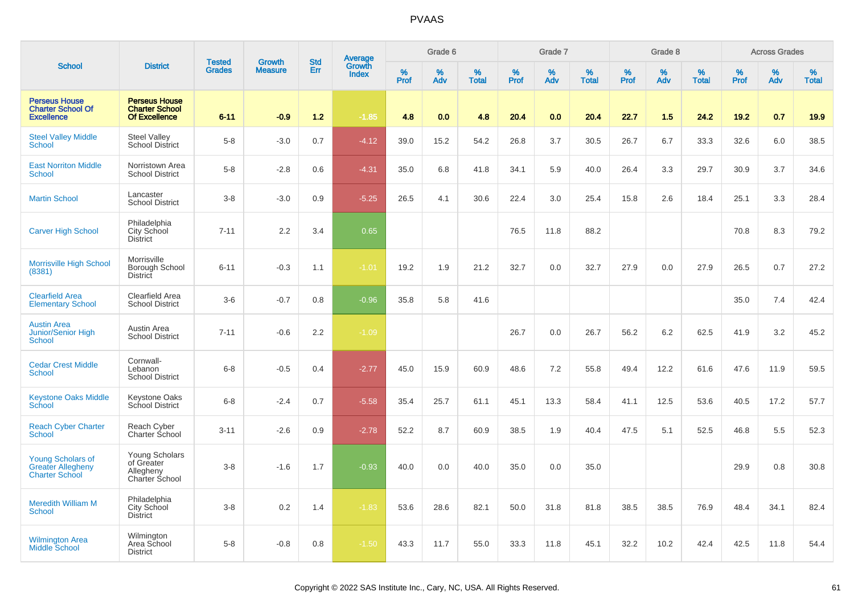|                                                                               |                                                                       |                                |                                 | <b>Std</b> |                                          |                  | Grade 6  |                   |                  | Grade 7  |                   |           | Grade 8  |                   |           | <b>Across Grades</b> |                   |
|-------------------------------------------------------------------------------|-----------------------------------------------------------------------|--------------------------------|---------------------------------|------------|------------------------------------------|------------------|----------|-------------------|------------------|----------|-------------------|-----------|----------|-------------------|-----------|----------------------|-------------------|
| <b>School</b>                                                                 | <b>District</b>                                                       | <b>Tested</b><br><b>Grades</b> | <b>Growth</b><br><b>Measure</b> | Err        | <b>Average</b><br>Growth<br><b>Index</b> | %<br><b>Prof</b> | %<br>Adv | %<br><b>Total</b> | %<br><b>Prof</b> | %<br>Adv | %<br><b>Total</b> | %<br>Prof | %<br>Adv | %<br><b>Total</b> | %<br>Prof | %<br>Adv             | %<br><b>Total</b> |
| <b>Perseus House</b><br><b>Charter School Of</b><br><b>Excellence</b>         | <b>Perseus House</b><br><b>Charter School</b><br><b>Of Excellence</b> | $6 - 11$                       | $-0.9$                          | 1.2        | $-1.85$                                  | 4.8              | 0.0      | 4.8               | 20.4             | 0.0      | 20.4              | 22.7      | 1.5      | 24.2              | 19.2      | 0.7                  | 19.9              |
| <b>Steel Valley Middle</b><br><b>School</b>                                   | <b>Steel Valley</b><br><b>School District</b>                         | $5-8$                          | $-3.0$                          | 0.7        | $-4.12$                                  | 39.0             | 15.2     | 54.2              | 26.8             | 3.7      | 30.5              | 26.7      | 6.7      | 33.3              | 32.6      | 6.0                  | 38.5              |
| <b>East Norriton Middle</b><br>School                                         | Norristown Area<br><b>School District</b>                             | $5-8$                          | $-2.8$                          | 0.6        | $-4.31$                                  | 35.0             | 6.8      | 41.8              | 34.1             | 5.9      | 40.0              | 26.4      | 3.3      | 29.7              | 30.9      | 3.7                  | 34.6              |
| <b>Martin School</b>                                                          | Lancaster<br><b>School District</b>                                   | $3 - 8$                        | $-3.0$                          | 0.9        | $-5.25$                                  | 26.5             | 4.1      | 30.6              | 22.4             | 3.0      | 25.4              | 15.8      | 2.6      | 18.4              | 25.1      | 3.3                  | 28.4              |
| <b>Carver High School</b>                                                     | Philadelphia<br>City School<br><b>District</b>                        | $7 - 11$                       | 2.2                             | 3.4        | 0.65                                     |                  |          |                   | 76.5             | 11.8     | 88.2              |           |          |                   | 70.8      | 8.3                  | 79.2              |
| Morrisville High School<br>(8381)                                             | Morrisville<br>Borough School<br><b>District</b>                      | $6 - 11$                       | $-0.3$                          | 1.1        | $-1.01$                                  | 19.2             | 1.9      | 21.2              | 32.7             | 0.0      | 32.7              | 27.9      | 0.0      | 27.9              | 26.5      | 0.7                  | 27.2              |
| <b>Clearfield Area</b><br><b>Elementary School</b>                            | Clearfield Area<br><b>School District</b>                             | $3-6$                          | $-0.7$                          | 0.8        | $-0.96$                                  | 35.8             | 5.8      | 41.6              |                  |          |                   |           |          |                   | 35.0      | 7.4                  | 42.4              |
| <b>Austin Area</b><br><b>Junior/Senior High</b><br>School                     | Austin Area<br><b>School District</b>                                 | $7 - 11$                       | $-0.6$                          | 2.2        | $-1.09$                                  |                  |          |                   | 26.7             | 0.0      | 26.7              | 56.2      | 6.2      | 62.5              | 41.9      | 3.2                  | 45.2              |
| <b>Cedar Crest Middle</b><br><b>School</b>                                    | Cornwall-<br>Lebanon<br><b>School District</b>                        | $6 - 8$                        | $-0.5$                          | 0.4        | $-2.77$                                  | 45.0             | 15.9     | 60.9              | 48.6             | 7.2      | 55.8              | 49.4      | 12.2     | 61.6              | 47.6      | 11.9                 | 59.5              |
| <b>Keystone Oaks Middle</b><br>School                                         | <b>Keystone Oaks</b><br>School District                               | $6 - 8$                        | $-2.4$                          | 0.7        | $-5.58$                                  | 35.4             | 25.7     | 61.1              | 45.1             | 13.3     | 58.4              | 41.1      | 12.5     | 53.6              | 40.5      | 17.2                 | 57.7              |
| <b>Reach Cyber Charter</b><br>School                                          | Reach Cyber<br>Charter Śchool                                         | $3 - 11$                       | $-2.6$                          | 0.9        | $-2.78$                                  | 52.2             | 8.7      | 60.9              | 38.5             | 1.9      | 40.4              | 47.5      | 5.1      | 52.5              | 46.8      | 5.5                  | 52.3              |
| <b>Young Scholars of</b><br><b>Greater Allegheny</b><br><b>Charter School</b> | Young Scholars<br>of Greater<br>Allegheny<br>Charter School           | $3 - 8$                        | $-1.6$                          | 1.7        | $-0.93$                                  | 40.0             | 0.0      | 40.0              | 35.0             | 0.0      | 35.0              |           |          |                   | 29.9      | 0.8                  | 30.8              |
| <b>Meredith William M</b><br><b>School</b>                                    | Philadelphia<br>City School<br><b>District</b>                        | $3 - 8$                        | 0.2                             | 1.4        | $-1.83$                                  | 53.6             | 28.6     | 82.1              | 50.0             | 31.8     | 81.8              | 38.5      | 38.5     | 76.9              | 48.4      | 34.1                 | 82.4              |
| <b>Wilmington Area</b><br><b>Middle School</b>                                | Wilmington<br>Area School<br><b>District</b>                          | $5 - 8$                        | $-0.8$                          | 0.8        | $-1.50$                                  | 43.3             | 11.7     | 55.0              | 33.3             | 11.8     | 45.1              | 32.2      | 10.2     | 42.4              | 42.5      | 11.8                 | 54.4              |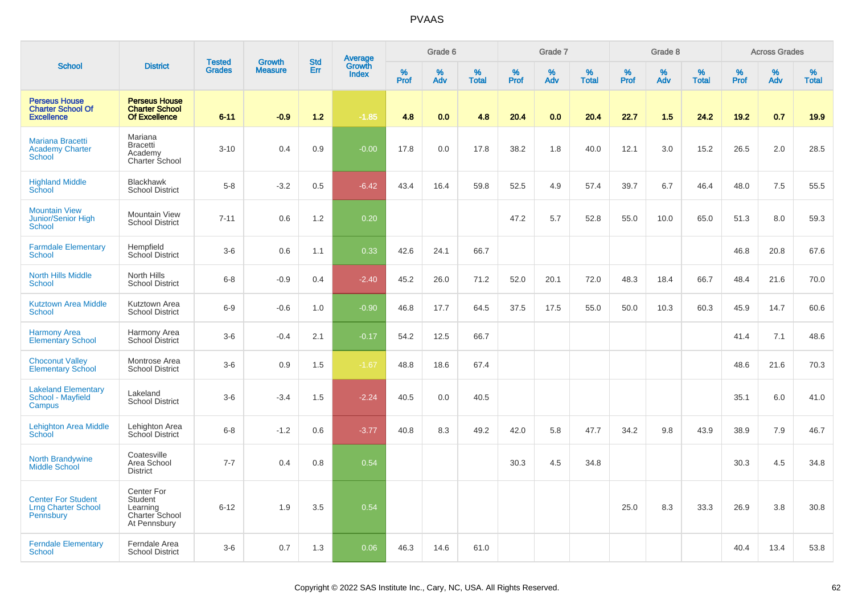|                                                                       |                                                                            |                                |                                 | <b>Std</b> |                                          |                  | Grade 6  |                   |           | Grade 7  |                   |           | Grade 8  |                   |           | <b>Across Grades</b> |                   |
|-----------------------------------------------------------------------|----------------------------------------------------------------------------|--------------------------------|---------------------------------|------------|------------------------------------------|------------------|----------|-------------------|-----------|----------|-------------------|-----------|----------|-------------------|-----------|----------------------|-------------------|
| <b>School</b>                                                         | <b>District</b>                                                            | <b>Tested</b><br><b>Grades</b> | <b>Growth</b><br><b>Measure</b> | <b>Err</b> | <b>Average</b><br>Growth<br><b>Index</b> | %<br><b>Prof</b> | %<br>Adv | %<br><b>Total</b> | %<br>Prof | %<br>Adv | %<br><b>Total</b> | %<br>Prof | %<br>Adv | %<br><b>Total</b> | %<br>Prof | %<br>Adv             | %<br><b>Total</b> |
| <b>Perseus House</b><br><b>Charter School Of</b><br><b>Excellence</b> | <b>Perseus House</b><br><b>Charter School</b><br><b>Of Excellence</b>      | $6 - 11$                       | $-0.9$                          | 1.2        | $-1.85$                                  | 4.8              | 0.0      | 4.8               | 20.4      | 0.0      | 20.4              | 22.7      | 1.5      | 24.2              | 19.2      | 0.7                  | 19.9              |
| Mariana Bracetti<br><b>Academy Charter</b><br>School                  | Mariana<br><b>Bracetti</b><br>Academy<br>Charter School                    | $3 - 10$                       | 0.4                             | 0.9        | $-0.00$                                  | 17.8             | 0.0      | 17.8              | 38.2      | 1.8      | 40.0              | 12.1      | 3.0      | 15.2              | 26.5      | 2.0                  | 28.5              |
| <b>Highland Middle</b><br>School                                      | <b>Blackhawk</b><br><b>School District</b>                                 | $5-8$                          | $-3.2$                          | 0.5        | $-6.42$                                  | 43.4             | 16.4     | 59.8              | 52.5      | 4.9      | 57.4              | 39.7      | 6.7      | 46.4              | 48.0      | 7.5                  | 55.5              |
| <b>Mountain View</b><br>Junior/Senior High<br>School                  | <b>Mountain View</b><br><b>School District</b>                             | $7 - 11$                       | 0.6                             | 1.2        | 0.20                                     |                  |          |                   | 47.2      | 5.7      | 52.8              | 55.0      | 10.0     | 65.0              | 51.3      | 8.0                  | 59.3              |
| <b>Farmdale Elementary</b><br><b>School</b>                           | Hempfield<br><b>School District</b>                                        | $3-6$                          | 0.6                             | 1.1        | 0.33                                     | 42.6             | 24.1     | 66.7              |           |          |                   |           |          |                   | 46.8      | 20.8                 | 67.6              |
| <b>North Hills Middle</b><br><b>School</b>                            | North Hills<br><b>School District</b>                                      | $6 - 8$                        | $-0.9$                          | 0.4        | $-2.40$                                  | 45.2             | 26.0     | 71.2              | 52.0      | 20.1     | 72.0              | 48.3      | 18.4     | 66.7              | 48.4      | 21.6                 | 70.0              |
| <b>Kutztown Area Middle</b><br>School                                 | Kutztown Area<br><b>School District</b>                                    | $6-9$                          | $-0.6$                          | 1.0        | $-0.90$                                  | 46.8             | 17.7     | 64.5              | 37.5      | 17.5     | 55.0              | 50.0      | 10.3     | 60.3              | 45.9      | 14.7                 | 60.6              |
| <b>Harmony Area</b><br><b>Elementary School</b>                       | Harmony Area<br>School District                                            | $3-6$                          | $-0.4$                          | 2.1        | $-0.17$                                  | 54.2             | 12.5     | 66.7              |           |          |                   |           |          |                   | 41.4      | 7.1                  | 48.6              |
| <b>Choconut Valley</b><br><b>Elementary School</b>                    | Montrose Area<br><b>School District</b>                                    | $3-6$                          | 0.9                             | 1.5        | $-1.67$                                  | 48.8             | 18.6     | 67.4              |           |          |                   |           |          |                   | 48.6      | 21.6                 | 70.3              |
| <b>Lakeland Elementary</b><br>School - Mayfield<br>Campus             | Lakeland<br><b>School District</b>                                         | $3-6$                          | $-3.4$                          | 1.5        | $-2.24$                                  | 40.5             | 0.0      | 40.5              |           |          |                   |           |          |                   | 35.1      | 6.0                  | 41.0              |
| Lehighton Area Middle<br>School                                       | Lehighton Area<br>School District                                          | $6 - 8$                        | $-1.2$                          | 0.6        | $-3.77$                                  | 40.8             | 8.3      | 49.2              | 42.0      | 5.8      | 47.7              | 34.2      | 9.8      | 43.9              | 38.9      | 7.9                  | 46.7              |
| <b>North Brandywine</b><br><b>Middle School</b>                       | Coatesville<br>Area School<br><b>District</b>                              | $7 - 7$                        | 0.4                             | 0.8        | 0.54                                     |                  |          |                   | 30.3      | 4.5      | 34.8              |           |          |                   | 30.3      | 4.5                  | 34.8              |
| <b>Center For Student</b><br><b>Lrng Charter School</b><br>Pennsbury  | Center For<br><b>Student</b><br>Learning<br>Charter School<br>At Pennsbury | $6 - 12$                       | 1.9                             | 3.5        | 0.54                                     |                  |          |                   |           |          |                   | 25.0      | 8.3      | 33.3              | 26.9      | 3.8                  | 30.8              |
| <b>Ferndale Elementary</b><br>School                                  | Ferndale Area<br><b>School District</b>                                    | $3-6$                          | 0.7                             | 1.3        | 0.06                                     | 46.3             | 14.6     | 61.0              |           |          |                   |           |          |                   | 40.4      | 13.4                 | 53.8              |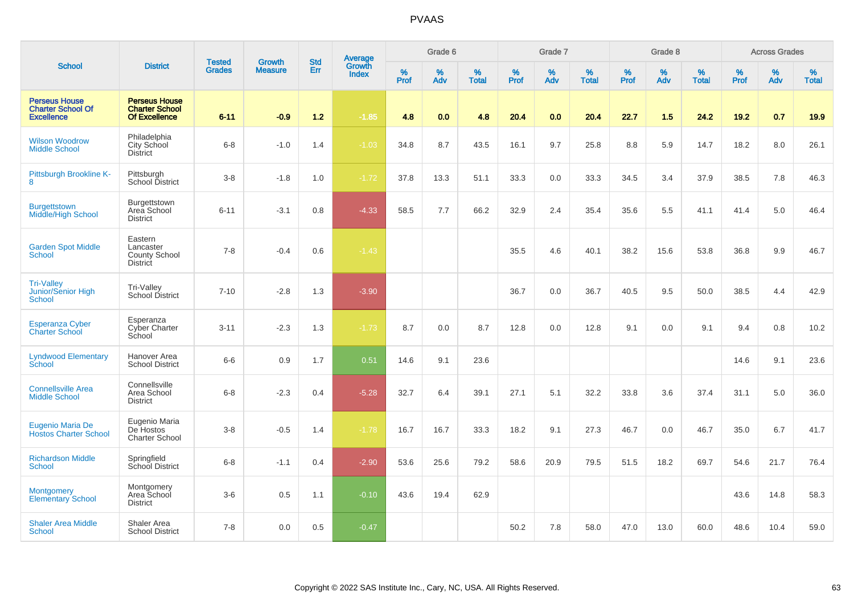|                                                                       |                                                                       |                                | <b>Growth</b>  | <b>Std</b> |                                          |                  | Grade 6     |                   |                  | Grade 7  |                   |           | Grade 8  |                   |           | <b>Across Grades</b> |                   |
|-----------------------------------------------------------------------|-----------------------------------------------------------------------|--------------------------------|----------------|------------|------------------------------------------|------------------|-------------|-------------------|------------------|----------|-------------------|-----------|----------|-------------------|-----------|----------------------|-------------------|
| <b>School</b>                                                         | <b>District</b>                                                       | <b>Tested</b><br><b>Grades</b> | <b>Measure</b> | Err        | <b>Average</b><br>Growth<br><b>Index</b> | %<br><b>Prof</b> | $\%$<br>Adv | %<br><b>Total</b> | %<br><b>Prof</b> | %<br>Adv | %<br><b>Total</b> | %<br>Prof | %<br>Adv | %<br><b>Total</b> | %<br>Prof | $\%$<br>Adv          | %<br><b>Total</b> |
| <b>Perseus House</b><br><b>Charter School Of</b><br><b>Excellence</b> | <b>Perseus House</b><br><b>Charter School</b><br><b>Of Excellence</b> | $6 - 11$                       | $-0.9$         | $1.2$      | $-1.85$                                  | 4.8              | 0.0         | 4.8               | 20.4             | 0.0      | 20.4              | 22.7      | 1.5      | 24.2              | 19.2      | 0.7                  | 19.9              |
| <b>Wilson Woodrow</b><br><b>Middle School</b>                         | Philadelphia<br>City School<br><b>District</b>                        | $6 - 8$                        | $-1.0$         | 1.4        | $-1.03$                                  | 34.8             | 8.7         | 43.5              | 16.1             | 9.7      | 25.8              | 8.8       | 5.9      | 14.7              | 18.2      | 8.0                  | 26.1              |
| Pittsburgh Brookline K-<br>8                                          | Pittsburgh<br>School District                                         | $3 - 8$                        | $-1.8$         | 1.0        | $-1.72$                                  | 37.8             | 13.3        | 51.1              | 33.3             | 0.0      | 33.3              | 34.5      | 3.4      | 37.9              | 38.5      | 7.8                  | 46.3              |
| <b>Burgettstown</b><br>Middle/High School                             | Burgettstown<br>Area School<br><b>District</b>                        | $6 - 11$                       | $-3.1$         | 0.8        | $-4.33$                                  | 58.5             | 7.7         | 66.2              | 32.9             | 2.4      | 35.4              | 35.6      | 5.5      | 41.1              | 41.4      | 5.0                  | 46.4              |
| <b>Garden Spot Middle</b><br>School                                   | Eastern<br>Lancaster<br>County School<br><b>District</b>              | $7 - 8$                        | $-0.4$         | 0.6        | $-1.43$                                  |                  |             |                   | 35.5             | 4.6      | 40.1              | 38.2      | 15.6     | 53.8              | 36.8      | 9.9                  | 46.7              |
| <b>Tri-Valley</b><br>Junior/Senior High<br><b>School</b>              | Tri-Valley<br>School District                                         | $7 - 10$                       | $-2.8$         | 1.3        | $-3.90$                                  |                  |             |                   | 36.7             | 0.0      | 36.7              | 40.5      | 9.5      | 50.0              | 38.5      | 4.4                  | 42.9              |
| <b>Esperanza Cyber</b><br><b>Charter School</b>                       | Esperanza<br><b>Cyber Charter</b><br>School                           | $3 - 11$                       | $-2.3$         | 1.3        | $-1.73$                                  | 8.7              | 0.0         | 8.7               | 12.8             | 0.0      | 12.8              | 9.1       | 0.0      | 9.1               | 9.4       | 0.8                  | 10.2              |
| <b>Lyndwood Elementary</b><br>School                                  | Hanover Area<br><b>School District</b>                                | $6-6$                          | 0.9            | 1.7        | 0.51                                     | 14.6             | 9.1         | 23.6              |                  |          |                   |           |          |                   | 14.6      | 9.1                  | 23.6              |
| <b>Connellsville Area</b><br><b>Middle School</b>                     | Connellsville<br>Area School<br><b>District</b>                       | $6 - 8$                        | $-2.3$         | 0.4        | $-5.28$                                  | 32.7             | 6.4         | 39.1              | 27.1             | 5.1      | 32.2              | 33.8      | 3.6      | 37.4              | 31.1      | 5.0                  | 36.0              |
| Eugenio Maria De<br><b>Hostos Charter School</b>                      | Eugenio Maria<br>De Hostos<br><b>Charter School</b>                   | $3 - 8$                        | $-0.5$         | 1.4        | $-1.78$                                  | 16.7             | 16.7        | 33.3              | 18.2             | 9.1      | 27.3              | 46.7      | 0.0      | 46.7              | 35.0      | 6.7                  | 41.7              |
| <b>Richardson Middle</b><br><b>School</b>                             | Springfield<br>School District                                        | $6 - 8$                        | $-1.1$         | 0.4        | $-2.90$                                  | 53.6             | 25.6        | 79.2              | 58.6             | 20.9     | 79.5              | 51.5      | 18.2     | 69.7              | 54.6      | 21.7                 | 76.4              |
| <b>Montgomery</b><br><b>Elementary School</b>                         | Montgomery<br>Area School<br><b>District</b>                          | $3-6$                          | 0.5            | 1.1        | $-0.10$                                  | 43.6             | 19.4        | 62.9              |                  |          |                   |           |          |                   | 43.6      | 14.8                 | 58.3              |
| <b>Shaler Area Middle</b><br>School                                   | <b>Shaler Area</b><br><b>School District</b>                          | $7 - 8$                        | 0.0            | 0.5        | $-0.47$                                  |                  |             |                   | 50.2             | 7.8      | 58.0              | 47.0      | 13.0     | 60.0              | 48.6      | 10.4                 | 59.0              |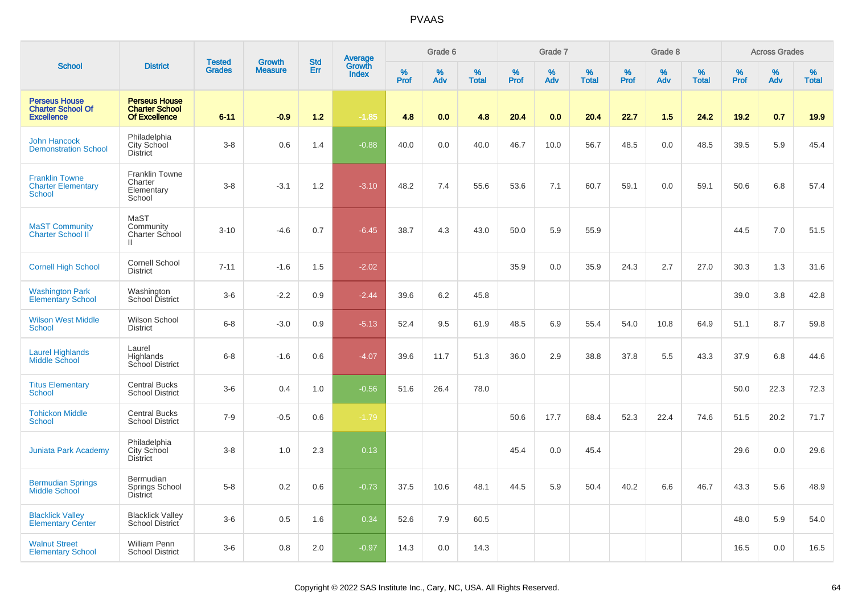|                                                                       |                                                                       | <b>Tested</b> | <b>Growth</b>  | <b>Std</b> |                                          |           | Grade 6  |                   |           | Grade 7  |                   |           | Grade 8  |                   |           | <b>Across Grades</b> |                   |
|-----------------------------------------------------------------------|-----------------------------------------------------------------------|---------------|----------------|------------|------------------------------------------|-----------|----------|-------------------|-----------|----------|-------------------|-----------|----------|-------------------|-----------|----------------------|-------------------|
| <b>School</b>                                                         | <b>District</b>                                                       | <b>Grades</b> | <b>Measure</b> | <b>Err</b> | <b>Average</b><br>Growth<br><b>Index</b> | %<br>Prof | %<br>Adv | %<br><b>Total</b> | %<br>Prof | %<br>Adv | %<br><b>Total</b> | %<br>Prof | %<br>Adv | %<br><b>Total</b> | %<br>Prof | %<br>Adv             | %<br><b>Total</b> |
| <b>Perseus House</b><br><b>Charter School Of</b><br><b>Excellence</b> | <b>Perseus House</b><br><b>Charter School</b><br><b>Of Excellence</b> | $6 - 11$      | $-0.9$         | $1.2$      | $-1.85$                                  | 4.8       | 0.0      | 4.8               | 20.4      | 0.0      | 20.4              | 22.7      | 1.5      | 24.2              | 19.2      | 0.7                  | 19.9              |
| <b>John Hancock</b><br><b>Demonstration School</b>                    | Philadelphia<br>City School<br><b>District</b>                        | $3-8$         | 0.6            | 1.4        | $-0.88$                                  | 40.0      | 0.0      | 40.0              | 46.7      | 10.0     | 56.7              | 48.5      | 0.0      | 48.5              | 39.5      | 5.9                  | 45.4              |
| <b>Franklin Towne</b><br><b>Charter Elementary</b><br><b>School</b>   | Franklin Towne<br>Charter<br>Elementary<br>School                     | $3-8$         | $-3.1$         | 1.2        | $-3.10$                                  | 48.2      | 7.4      | 55.6              | 53.6      | 7.1      | 60.7              | 59.1      | 0.0      | 59.1              | 50.6      | 6.8                  | 57.4              |
| <b>MaST Community</b><br><b>Charter School II</b>                     | MaST<br>Community<br>Charter School<br>$\mathbf{H}$                   | $3 - 10$      | $-4.6$         | 0.7        | $-6.45$                                  | 38.7      | 4.3      | 43.0              | 50.0      | 5.9      | 55.9              |           |          |                   | 44.5      | 7.0                  | 51.5              |
| <b>Cornell High School</b>                                            | Cornell School<br><b>District</b>                                     | $7 - 11$      | $-1.6$         | 1.5        | $-2.02$                                  |           |          |                   | 35.9      | 0.0      | 35.9              | 24.3      | 2.7      | 27.0              | 30.3      | 1.3                  | 31.6              |
| <b>Washington Park</b><br><b>Elementary School</b>                    | Washington<br>School District                                         | $3-6$         | $-2.2$         | 0.9        | $-2.44$                                  | 39.6      | 6.2      | 45.8              |           |          |                   |           |          |                   | 39.0      | 3.8                  | 42.8              |
| <b>Wilson West Middle</b><br><b>School</b>                            | Wilson School<br><b>District</b>                                      | $6 - 8$       | $-3.0$         | 0.9        | $-5.13$                                  | 52.4      | 9.5      | 61.9              | 48.5      | 6.9      | 55.4              | 54.0      | 10.8     | 64.9              | 51.1      | 8.7                  | 59.8              |
| <b>Laurel Highlands</b><br>Middle School                              | Laurel<br>Highlands<br>School District                                | $6 - 8$       | $-1.6$         | 0.6        | $-4.07$                                  | 39.6      | 11.7     | 51.3              | 36.0      | 2.9      | 38.8              | 37.8      | 5.5      | 43.3              | 37.9      | 6.8                  | 44.6              |
| <b>Titus Elementary</b><br><b>School</b>                              | <b>Central Bucks</b><br><b>School District</b>                        | $3-6$         | 0.4            | 1.0        | $-0.56$                                  | 51.6      | 26.4     | 78.0              |           |          |                   |           |          |                   | 50.0      | 22.3                 | 72.3              |
| <b>Tohickon Middle</b><br>School                                      | <b>Central Bucks</b><br><b>School District</b>                        | $7 - 9$       | $-0.5$         | 0.6        | $-1.79$                                  |           |          |                   | 50.6      | 17.7     | 68.4              | 52.3      | 22.4     | 74.6              | 51.5      | 20.2                 | 71.7              |
| <b>Juniata Park Academy</b>                                           | Philadelphia<br>City School<br><b>District</b>                        | $3 - 8$       | 1.0            | 2.3        | 0.13                                     |           |          |                   | 45.4      | 0.0      | 45.4              |           |          |                   | 29.6      | 0.0                  | 29.6              |
| <b>Bermudian Springs</b><br><b>Middle School</b>                      | Bermudian<br>Springs School<br><b>District</b>                        | $5-8$         | 0.2            | 0.6        | $-0.73$                                  | 37.5      | 10.6     | 48.1              | 44.5      | 5.9      | 50.4              | 40.2      | 6.6      | 46.7              | 43.3      | 5.6                  | 48.9              |
| <b>Blacklick Valley</b><br><b>Elementary Center</b>                   | <b>Blacklick Valley</b><br>School District                            | $3-6$         | 0.5            | 1.6        | 0.34                                     | 52.6      | 7.9      | 60.5              |           |          |                   |           |          |                   | 48.0      | 5.9                  | 54.0              |
| <b>Walnut Street</b><br><b>Elementary School</b>                      | <b>William Penn</b><br><b>School District</b>                         | $3-6$         | 0.8            | 2.0        | $-0.97$                                  | 14.3      | 0.0      | 14.3              |           |          |                   |           |          |                   | 16.5      | 0.0                  | 16.5              |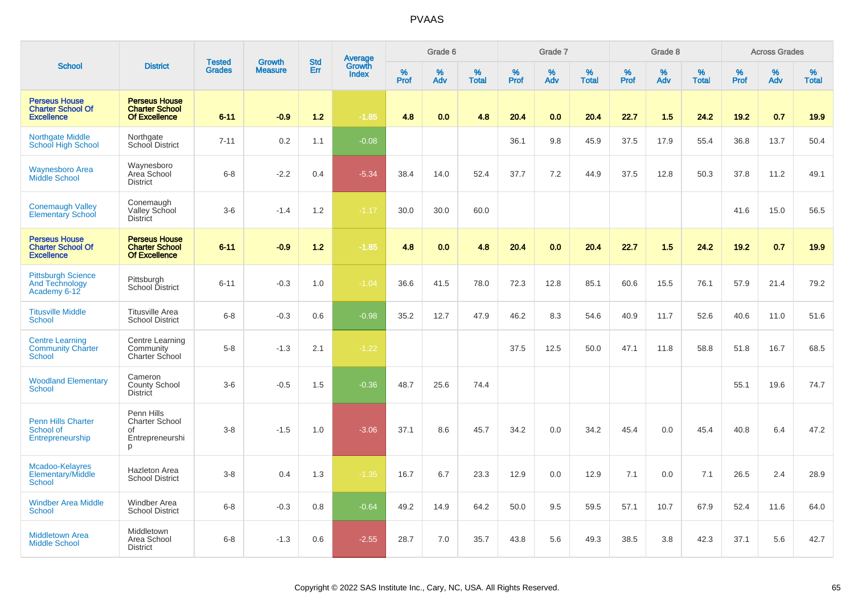|                                                                       |                                                                       | <b>Tested</b> | <b>Growth</b>  | <b>Std</b> |                                   |                  | Grade 6  |                   |                  | Grade 7  |                   |                     | Grade 8  |                   |                     | <b>Across Grades</b> |                   |
|-----------------------------------------------------------------------|-----------------------------------------------------------------------|---------------|----------------|------------|-----------------------------------|------------------|----------|-------------------|------------------|----------|-------------------|---------------------|----------|-------------------|---------------------|----------------------|-------------------|
| <b>School</b>                                                         | <b>District</b>                                                       | <b>Grades</b> | <b>Measure</b> | Err        | Average<br>Growth<br><b>Index</b> | %<br><b>Prof</b> | %<br>Adv | %<br><b>Total</b> | %<br><b>Prof</b> | %<br>Adv | %<br><b>Total</b> | $\%$<br><b>Prof</b> | %<br>Adv | %<br><b>Total</b> | $\%$<br><b>Prof</b> | %<br>Adv             | %<br><b>Total</b> |
| <b>Perseus House</b><br><b>Charter School Of</b><br><b>Excellence</b> | <b>Perseus House</b><br><b>Charter School</b><br><b>Of Excellence</b> | $6 - 11$      | $-0.9$         | 1.2        | $-1.85$                           | 4.8              | 0.0      | 4.8               | 20.4             | 0.0      | 20.4              | 22.7                | 1.5      | 24.2              | 19.2                | 0.7                  | 19.9              |
| <b>Northgate Middle</b><br><b>School High School</b>                  | Northgate<br>School District                                          | $7 - 11$      | 0.2            | 1.1        | $-0.08$                           |                  |          |                   | 36.1             | 9.8      | 45.9              | 37.5                | 17.9     | 55.4              | 36.8                | 13.7                 | 50.4              |
| <b>Waynesboro Area</b><br><b>Middle School</b>                        | Waynesboro<br>Area School<br><b>District</b>                          | $6 - 8$       | $-2.2$         | 0.4        | $-5.34$                           | 38.4             | 14.0     | 52.4              | 37.7             | 7.2      | 44.9              | 37.5                | 12.8     | 50.3              | 37.8                | 11.2                 | 49.1              |
| <b>Conemaugh Valley</b><br><b>Elementary School</b>                   | Conemaugh<br>Valley School<br><b>District</b>                         | $3-6$         | $-1.4$         | 1.2        | $-1.17$                           | 30.0             | 30.0     | 60.0              |                  |          |                   |                     |          |                   | 41.6                | 15.0                 | 56.5              |
| <b>Perseus House</b><br><b>Charter School Of</b><br><b>Excellence</b> | <b>Perseus House</b><br><b>Charter School</b><br><b>Of Excellence</b> | $6 - 11$      | $-0.9$         | 1.2        | $-1.85$                           | 4.8              | 0.0      | 4.8               | 20.4             | 0.0      | 20.4              | 22.7                | 1.5      | 24.2              | 19.2                | 0.7                  | 19.9              |
| <b>Pittsburgh Science</b><br><b>And Technology</b><br>Academy 6-12    | Pittsburgh<br>School District                                         | $6 - 11$      | $-0.3$         | 1.0        | $-1.04$                           | 36.6             | 41.5     | 78.0              | 72.3             | 12.8     | 85.1              | 60.6                | 15.5     | 76.1              | 57.9                | 21.4                 | 79.2              |
| <b>Titusville Middle</b><br><b>School</b>                             | <b>Titusville Area</b><br><b>School District</b>                      | $6 - 8$       | $-0.3$         | 0.6        | $-0.98$                           | 35.2             | 12.7     | 47.9              | 46.2             | 8.3      | 54.6              | 40.9                | 11.7     | 52.6              | 40.6                | 11.0                 | 51.6              |
| <b>Centre Learning</b><br><b>Community Charter</b><br>School          | Centre Learning<br>Community<br><b>Charter School</b>                 | $5 - 8$       | $-1.3$         | 2.1        | $-1.22$                           |                  |          |                   | 37.5             | 12.5     | 50.0              | 47.1                | 11.8     | 58.8              | 51.8                | 16.7                 | 68.5              |
| <b>Woodland Elementary</b><br>School                                  | Cameron<br><b>County School</b><br><b>District</b>                    | $3-6$         | $-0.5$         | 1.5        | $-0.36$                           | 48.7             | 25.6     | 74.4              |                  |          |                   |                     |          |                   | 55.1                | 19.6                 | 74.7              |
| <b>Penn Hills Charter</b><br>School of<br>Entrepreneurship            | Penn Hills<br>Charter School<br>of<br>Entrepreneurshi<br>D            | $3 - 8$       | $-1.5$         | 1.0        | $-3.06$                           | 37.1             | 8.6      | 45.7              | 34.2             | 0.0      | 34.2              | 45.4                | 0.0      | 45.4              | 40.8                | 6.4                  | 47.2              |
| Mcadoo-Kelayres<br><b>Elementary/Middle</b><br><b>School</b>          | Hazleton Area<br><b>School District</b>                               | $3 - 8$       | 0.4            | 1.3        | $-1.35$                           | 16.7             | 6.7      | 23.3              | 12.9             | 0.0      | 12.9              | 7.1                 | 0.0      | 7.1               | 26.5                | 2.4                  | 28.9              |
| <b>Windber Area Middle</b><br><b>School</b>                           | Windber Area<br><b>School District</b>                                | $6 - 8$       | $-0.3$         | 0.8        | $-0.64$                           | 49.2             | 14.9     | 64.2              | 50.0             | 9.5      | 59.5              | 57.1                | 10.7     | 67.9              | 52.4                | 11.6                 | 64.0              |
| <b>Middletown Area</b><br><b>Middle School</b>                        | Middletown<br>Area School<br><b>District</b>                          | $6 - 8$       | $-1.3$         | 0.6        | $-2.55$                           | 28.7             | 7.0      | 35.7              | 43.8             | 5.6      | 49.3              | 38.5                | 3.8      | 42.3              | 37.1                | 5.6                  | 42.7              |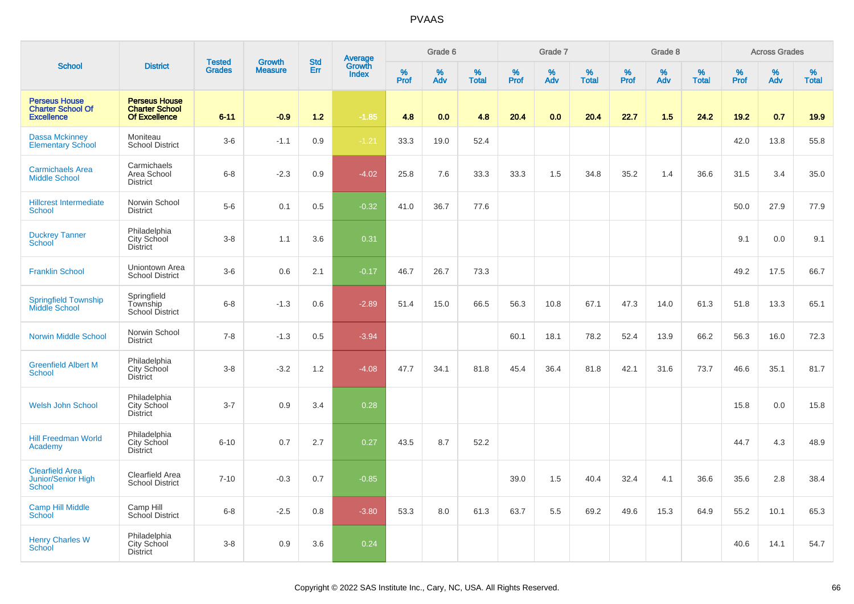|                                                                       |                                                                |                                |                          | <b>Std</b> |                                          |           | Grade 6  |                   |                  | Grade 7  |                   |           | Grade 8  |                   |              | <b>Across Grades</b> |                   |
|-----------------------------------------------------------------------|----------------------------------------------------------------|--------------------------------|--------------------------|------------|------------------------------------------|-----------|----------|-------------------|------------------|----------|-------------------|-----------|----------|-------------------|--------------|----------------------|-------------------|
| <b>School</b>                                                         | <b>District</b>                                                | <b>Tested</b><br><b>Grades</b> | Growth<br><b>Measure</b> | Err        | <b>Average</b><br>Growth<br><b>Index</b> | %<br>Prof | %<br>Adv | %<br><b>Total</b> | %<br><b>Prof</b> | %<br>Adv | %<br><b>Total</b> | %<br>Prof | %<br>Adv | %<br><b>Total</b> | $\%$<br>Prof | %<br>Adv             | %<br><b>Total</b> |
| <b>Perseus House</b><br><b>Charter School Of</b><br><b>Excellence</b> | <b>Perseus House</b><br><b>Charter School</b><br>Of Excellence | $6 - 11$                       | $-0.9$                   | $1.2$      | $-1.85$                                  | 4.8       | 0.0      | 4.8               | 20.4             | 0.0      | 20.4              | 22.7      | 1.5      | 24.2              | 19.2         | 0.7                  | 19.9              |
| <b>Dassa Mckinney</b><br><b>Elementary School</b>                     | Moniteau<br><b>School District</b>                             | $3-6$                          | $-1.1$                   | 0.9        | $-1.21$                                  | 33.3      | 19.0     | 52.4              |                  |          |                   |           |          |                   | 42.0         | 13.8                 | 55.8              |
| <b>Carmichaels Area</b><br><b>Middle School</b>                       | Carmichaels<br>Area School<br><b>District</b>                  | $6 - 8$                        | $-2.3$                   | 0.9        | $-4.02$                                  | 25.8      | 7.6      | 33.3              | 33.3             | 1.5      | 34.8              | 35.2      | 1.4      | 36.6              | 31.5         | 3.4                  | 35.0              |
| <b>Hillcrest Intermediate</b><br>School                               | Norwin School<br><b>District</b>                               | $5-6$                          | 0.1                      | 0.5        | $-0.32$                                  | 41.0      | 36.7     | 77.6              |                  |          |                   |           |          |                   | 50.0         | 27.9                 | 77.9              |
| <b>Duckrey Tanner</b><br><b>School</b>                                | Philadelphia<br>City School<br><b>District</b>                 | $3-8$                          | 1.1                      | 3.6        | 0.31                                     |           |          |                   |                  |          |                   |           |          |                   | 9.1          | 0.0                  | 9.1               |
| <b>Franklin School</b>                                                | Uniontown Area<br><b>School District</b>                       | $3-6$                          | 0.6                      | 2.1        | $-0.17$                                  | 46.7      | 26.7     | 73.3              |                  |          |                   |           |          |                   | 49.2         | 17.5                 | 66.7              |
| <b>Springfield Township</b><br>Middle School                          | Springfield<br>Township<br>School District                     | $6 - 8$                        | $-1.3$                   | 0.6        | $-2.89$                                  | 51.4      | 15.0     | 66.5              | 56.3             | 10.8     | 67.1              | 47.3      | 14.0     | 61.3              | 51.8         | 13.3                 | 65.1              |
| <b>Norwin Middle School</b>                                           | Norwin School<br><b>District</b>                               | $7 - 8$                        | $-1.3$                   | 0.5        | $-3.94$                                  |           |          |                   | 60.1             | 18.1     | 78.2              | 52.4      | 13.9     | 66.2              | 56.3         | 16.0                 | 72.3              |
| <b>Greenfield Albert M</b><br>School                                  | Philadelphia<br>City School<br><b>District</b>                 | $3-8$                          | $-3.2$                   | 1.2        | $-4.08$                                  | 47.7      | 34.1     | 81.8              | 45.4             | 36.4     | 81.8              | 42.1      | 31.6     | 73.7              | 46.6         | 35.1                 | 81.7              |
| <b>Welsh John School</b>                                              | Philadelphia<br>City School<br><b>District</b>                 | $3 - 7$                        | 0.9                      | 3.4        | 0.28                                     |           |          |                   |                  |          |                   |           |          |                   | 15.8         | 0.0                  | 15.8              |
| <b>Hill Freedman World</b><br>Academy                                 | Philadelphia<br>City School<br><b>District</b>                 | $6 - 10$                       | 0.7                      | 2.7        | 0.27                                     | 43.5      | 8.7      | 52.2              |                  |          |                   |           |          |                   | 44.7         | 4.3                  | 48.9              |
| <b>Clearfield Area</b><br>Junior/Senior High<br><b>School</b>         | Clearfield Area<br><b>School District</b>                      | $7 - 10$                       | $-0.3$                   | 0.7        | $-0.85$                                  |           |          |                   | 39.0             | 1.5      | 40.4              | 32.4      | 4.1      | 36.6              | 35.6         | 2.8                  | 38.4              |
| <b>Camp Hill Middle</b><br>School                                     | Camp Hill<br>School District                                   | $6 - 8$                        | $-2.5$                   | 0.8        | $-3.80$                                  | 53.3      | 8.0      | 61.3              | 63.7             | 5.5      | 69.2              | 49.6      | 15.3     | 64.9              | 55.2         | 10.1                 | 65.3              |
| <b>Henry Charles W</b><br>School                                      | Philadelphia<br>City School<br><b>District</b>                 | $3 - 8$                        | 0.9                      | 3.6        | 0.24                                     |           |          |                   |                  |          |                   |           |          |                   | 40.6         | 14.1                 | 54.7              |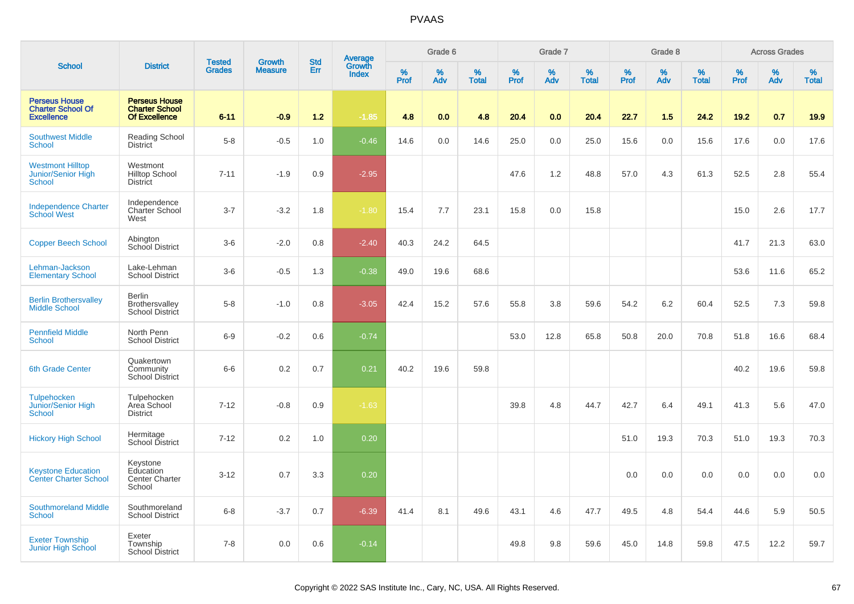|                                                                       |                                                                       |                                |                                 | <b>Std</b> |                                          |           | Grade 6  |                   |           | Grade 7  |                   |           | Grade 8  |                   |           | <b>Across Grades</b> |                   |
|-----------------------------------------------------------------------|-----------------------------------------------------------------------|--------------------------------|---------------------------------|------------|------------------------------------------|-----------|----------|-------------------|-----------|----------|-------------------|-----------|----------|-------------------|-----------|----------------------|-------------------|
| <b>School</b>                                                         | <b>District</b>                                                       | <b>Tested</b><br><b>Grades</b> | <b>Growth</b><br><b>Measure</b> | <b>Err</b> | <b>Average</b><br>Growth<br><b>Index</b> | %<br>Prof | %<br>Adv | %<br><b>Total</b> | %<br>Prof | %<br>Adv | %<br><b>Total</b> | %<br>Prof | %<br>Adv | %<br><b>Total</b> | %<br>Prof | %<br>Adv             | %<br><b>Total</b> |
| <b>Perseus House</b><br><b>Charter School Of</b><br><b>Excellence</b> | <b>Perseus House</b><br><b>Charter School</b><br><b>Of Excellence</b> | $6 - 11$                       | $-0.9$                          | $1.2$      | $-1.85$                                  | 4.8       | 0.0      | 4.8               | 20.4      | 0.0      | 20.4              | 22.7      | 1.5      | 24.2              | 19.2      | 0.7                  | 19.9              |
| <b>Southwest Middle</b><br>School                                     | Reading School<br><b>District</b>                                     | $5-8$                          | $-0.5$                          | 1.0        | $-0.46$                                  | 14.6      | 0.0      | 14.6              | 25.0      | 0.0      | 25.0              | 15.6      | 0.0      | 15.6              | 17.6      | 0.0                  | 17.6              |
| <b>Westmont Hilltop</b><br>Junior/Senior High<br><b>School</b>        | Westmont<br><b>Hilltop School</b><br><b>District</b>                  | $7 - 11$                       | $-1.9$                          | 0.9        | $-2.95$                                  |           |          |                   | 47.6      | 1.2      | 48.8              | 57.0      | 4.3      | 61.3              | 52.5      | 2.8                  | 55.4              |
| <b>Independence Charter</b><br><b>School West</b>                     | Independence<br>Charter School<br>West                                | $3 - 7$                        | $-3.2$                          | 1.8        | $-1.80$                                  | 15.4      | 7.7      | 23.1              | 15.8      | 0.0      | 15.8              |           |          |                   | 15.0      | 2.6                  | 17.7              |
| <b>Copper Beech School</b>                                            | Abington<br><b>School District</b>                                    | $3-6$                          | $-2.0$                          | 0.8        | $-2.40$                                  | 40.3      | 24.2     | 64.5              |           |          |                   |           |          |                   | 41.7      | 21.3                 | 63.0              |
| Lehman-Jackson<br><b>Elementary School</b>                            | Lake-Lehman<br><b>School District</b>                                 | $3-6$                          | $-0.5$                          | 1.3        | $-0.38$                                  | 49.0      | 19.6     | 68.6              |           |          |                   |           |          |                   | 53.6      | 11.6                 | 65.2              |
| <b>Berlin Brothersvalley</b><br><b>Middle School</b>                  | <b>Berlin</b><br>Brothersvalley<br>School District                    | $5-8$                          | $-1.0$                          | 0.8        | $-3.05$                                  | 42.4      | 15.2     | 57.6              | 55.8      | 3.8      | 59.6              | 54.2      | 6.2      | 60.4              | 52.5      | 7.3                  | 59.8              |
| <b>Pennfield Middle</b><br>School                                     | North Penn<br><b>School District</b>                                  | $6-9$                          | $-0.2$                          | 0.6        | $-0.74$                                  |           |          |                   | 53.0      | 12.8     | 65.8              | 50.8      | 20.0     | 70.8              | 51.8      | 16.6                 | 68.4              |
| <b>6th Grade Center</b>                                               | Quakertown<br>Community<br><b>School District</b>                     | $6-6$                          | 0.2                             | 0.7        | 0.21                                     | 40.2      | 19.6     | 59.8              |           |          |                   |           |          |                   | 40.2      | 19.6                 | 59.8              |
| Tulpehocken<br>Junior/Senior High<br>School                           | Tulpehocken<br>Area School<br><b>District</b>                         | $7 - 12$                       | $-0.8$                          | 0.9        | $-1.63$                                  |           |          |                   | 39.8      | 4.8      | 44.7              | 42.7      | 6.4      | 49.1              | 41.3      | 5.6                  | 47.0              |
| <b>Hickory High School</b>                                            | Hermitage<br>School District                                          | $7 - 12$                       | 0.2                             | 1.0        | 0.20                                     |           |          |                   |           |          |                   | 51.0      | 19.3     | 70.3              | 51.0      | 19.3                 | 70.3              |
| <b>Keystone Education</b><br><b>Center Charter School</b>             | Keystone<br>Education<br><b>Center Charter</b><br>School              | $3 - 12$                       | 0.7                             | 3.3        | 0.20                                     |           |          |                   |           |          |                   | 0.0       | 0.0      | 0.0               | 0.0       | 0.0                  | 0.0               |
| <b>Southmoreland Middle</b><br>School                                 | Southmoreland<br><b>School District</b>                               | $6 - 8$                        | $-3.7$                          | 0.7        | $-6.39$                                  | 41.4      | 8.1      | 49.6              | 43.1      | 4.6      | 47.7              | 49.5      | 4.8      | 54.4              | 44.6      | 5.9                  | 50.5              |
| <b>Exeter Township</b><br>Junior High School                          | Exeter<br>Township<br><b>School District</b>                          | $7 - 8$                        | 0.0                             | 0.6        | $-0.14$                                  |           |          |                   | 49.8      | 9.8      | 59.6              | 45.0      | 14.8     | 59.8              | 47.5      | 12.2                 | 59.7              |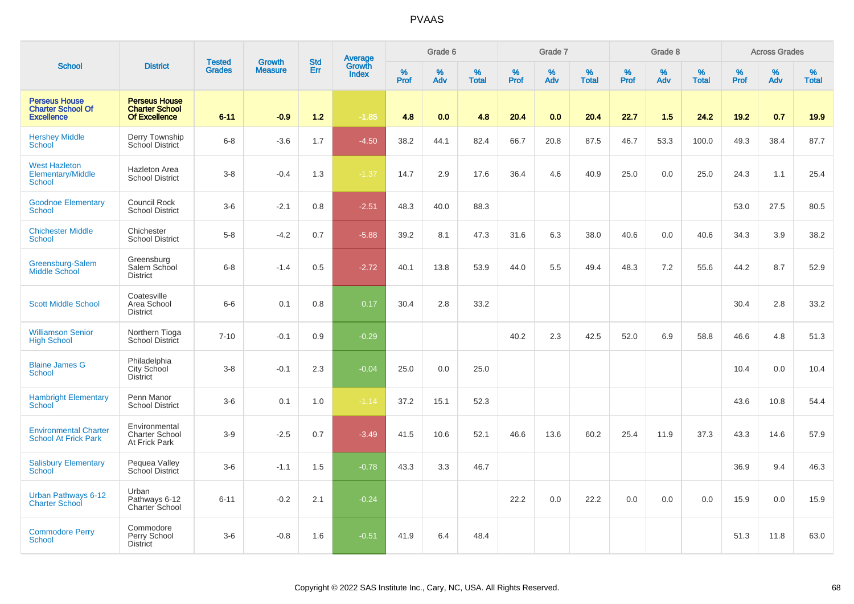|                                                                       |                                                                       | <b>Tested</b> | <b>Growth</b>  | <b>Std</b> |                                   |                  | Grade 6     |                   |                  | Grade 7  |                   |              | Grade 8  |                   |              | <b>Across Grades</b> |                   |
|-----------------------------------------------------------------------|-----------------------------------------------------------------------|---------------|----------------|------------|-----------------------------------|------------------|-------------|-------------------|------------------|----------|-------------------|--------------|----------|-------------------|--------------|----------------------|-------------------|
| <b>School</b>                                                         | <b>District</b>                                                       | <b>Grades</b> | <b>Measure</b> | <b>Err</b> | Average<br>Growth<br><b>Index</b> | %<br><b>Prof</b> | $\%$<br>Adv | %<br><b>Total</b> | %<br><b>Prof</b> | %<br>Adv | %<br><b>Total</b> | $\%$<br>Prof | %<br>Adv | %<br><b>Total</b> | $\%$<br>Prof | $\%$<br>Adv          | %<br><b>Total</b> |
| <b>Perseus House</b><br><b>Charter School Of</b><br><b>Excellence</b> | <b>Perseus House</b><br><b>Charter School</b><br><b>Of Excellence</b> | $6 - 11$      | $-0.9$         | 1.2        | $-1.85$                           | 4.8              | 0.0         | 4.8               | 20.4             | 0.0      | 20.4              | 22.7         | 1.5      | 24.2              | 19.2         | 0.7                  | 19.9              |
| <b>Hershey Middle</b><br>School                                       | Derry Township<br>School District                                     | $6-8$         | $-3.6$         | 1.7        | $-4.50$                           | 38.2             | 44.1        | 82.4              | 66.7             | 20.8     | 87.5              | 46.7         | 53.3     | 100.0             | 49.3         | 38.4                 | 87.7              |
| <b>West Hazleton</b><br>Elementary/Middle<br>School                   | Hazleton Area<br><b>School District</b>                               | $3 - 8$       | $-0.4$         | 1.3        | $-1.37$                           | 14.7             | 2.9         | 17.6              | 36.4             | 4.6      | 40.9              | 25.0         | 0.0      | 25.0              | 24.3         | 1.1                  | 25.4              |
| <b>Goodnoe Elementary</b><br>School                                   | Council Rock<br><b>School District</b>                                | $3-6$         | $-2.1$         | 0.8        | $-2.51$                           | 48.3             | 40.0        | 88.3              |                  |          |                   |              |          |                   | 53.0         | 27.5                 | 80.5              |
| <b>Chichester Middle</b><br>School                                    | Chichester<br><b>School District</b>                                  | $5-8$         | $-4.2$         | 0.7        | $-5.88$                           | 39.2             | 8.1         | 47.3              | 31.6             | 6.3      | 38.0              | 40.6         | 0.0      | 40.6              | 34.3         | 3.9                  | 38.2              |
| Greensburg-Salem<br><b>Middle School</b>                              | Greensburg<br>Salem School<br><b>District</b>                         | $6-8$         | $-1.4$         | 0.5        | $-2.72$                           | 40.1             | 13.8        | 53.9              | 44.0             | 5.5      | 49.4              | 48.3         | 7.2      | 55.6              | 44.2         | 8.7                  | 52.9              |
| <b>Scott Middle School</b>                                            | Coatesville<br>Area School<br><b>District</b>                         | $6-6$         | 0.1            | 0.8        | 0.17                              | 30.4             | 2.8         | 33.2              |                  |          |                   |              |          |                   | 30.4         | 2.8                  | 33.2              |
| <b>Williamson Senior</b><br><b>High School</b>                        | Northern Tioga<br>School District                                     | $7 - 10$      | $-0.1$         | 0.9        | $-0.29$                           |                  |             |                   | 40.2             | 2.3      | 42.5              | 52.0         | 6.9      | 58.8              | 46.6         | 4.8                  | 51.3              |
| <b>Blaine James G</b><br><b>School</b>                                | Philadelphia<br>City School<br><b>District</b>                        | $3 - 8$       | $-0.1$         | 2.3        | $-0.04$                           | 25.0             | 0.0         | 25.0              |                  |          |                   |              |          |                   | 10.4         | 0.0                  | 10.4              |
| <b>Hambright Elementary</b><br>School                                 | Penn Manor<br><b>School District</b>                                  | $3-6$         | 0.1            | 1.0        | $-1.14$                           | 37.2             | 15.1        | 52.3              |                  |          |                   |              |          |                   | 43.6         | 10.8                 | 54.4              |
| <b>Environmental Charter</b><br><b>School At Frick Park</b>           | Environmental<br>Charter School<br>At Frick Park                      | $3-9$         | $-2.5$         | 0.7        | $-3.49$                           | 41.5             | 10.6        | 52.1              | 46.6             | 13.6     | 60.2              | 25.4         | 11.9     | 37.3              | 43.3         | 14.6                 | 57.9              |
| <b>Salisbury Elementary</b><br><b>School</b>                          | Pequea Valley<br>School District                                      | $3-6$         | $-1.1$         | 1.5        | $-0.78$                           | 43.3             | 3.3         | 46.7              |                  |          |                   |              |          |                   | 36.9         | 9.4                  | 46.3              |
| Urban Pathways 6-12<br><b>Charter School</b>                          | Urban<br>Pathways 6-12<br>Charter School                              | $6 - 11$      | $-0.2$         | 2.1        | $-0.24$                           |                  |             |                   | 22.2             | 0.0      | 22.2              | 0.0          | 0.0      | 0.0               | 15.9         | 0.0                  | 15.9              |
| <b>Commodore Perry</b><br>School                                      | Commodore<br>Perry School<br><b>District</b>                          | $3-6$         | $-0.8$         | 1.6        | $-0.51$                           | 41.9             | 6.4         | 48.4              |                  |          |                   |              |          |                   | 51.3         | 11.8                 | 63.0              |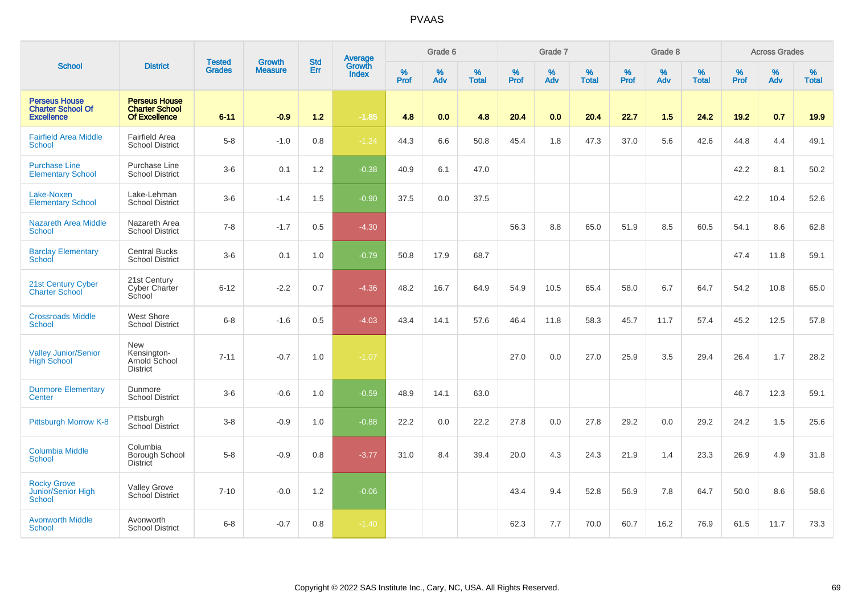|                                                                       |                                                                       |                                |                                 | <b>Std</b> |                                          |                  | Grade 6  |                   |           | Grade 7  |                   |           | Grade 8  |                   |           | <b>Across Grades</b> |                   |
|-----------------------------------------------------------------------|-----------------------------------------------------------------------|--------------------------------|---------------------------------|------------|------------------------------------------|------------------|----------|-------------------|-----------|----------|-------------------|-----------|----------|-------------------|-----------|----------------------|-------------------|
| <b>School</b>                                                         | <b>District</b>                                                       | <b>Tested</b><br><b>Grades</b> | <b>Growth</b><br><b>Measure</b> | Err        | <b>Average</b><br>Growth<br><b>Index</b> | %<br><b>Prof</b> | %<br>Adv | %<br><b>Total</b> | %<br>Prof | %<br>Adv | %<br><b>Total</b> | %<br>Prof | %<br>Adv | %<br><b>Total</b> | %<br>Prof | %<br>Adv             | %<br><b>Total</b> |
| <b>Perseus House</b><br><b>Charter School Of</b><br><b>Excellence</b> | <b>Perseus House</b><br><b>Charter School</b><br><b>Of Excellence</b> | $6 - 11$                       | $-0.9$                          | $1.2$      | $-1.85$                                  | 4.8              | 0.0      | 4.8               | 20.4      | 0.0      | 20.4              | 22.7      | 1.5      | 24.2              | 19.2      | 0.7                  | 19.9              |
| <b>Fairfield Area Middle</b><br><b>School</b>                         | Fairfield Area<br><b>School District</b>                              | $5-8$                          | $-1.0$                          | 0.8        | $-1.24$                                  | 44.3             | 6.6      | 50.8              | 45.4      | 1.8      | 47.3              | 37.0      | 5.6      | 42.6              | 44.8      | 4.4                  | 49.1              |
| <b>Purchase Line</b><br><b>Elementary School</b>                      | Purchase Line<br><b>School District</b>                               | $3-6$                          | 0.1                             | 1.2        | $-0.38$                                  | 40.9             | 6.1      | 47.0              |           |          |                   |           |          |                   | 42.2      | 8.1                  | 50.2              |
| Lake-Noxen<br><b>Elementary School</b>                                | Lake-Lehman<br><b>School District</b>                                 | $3-6$                          | $-1.4$                          | 1.5        | $-0.90$                                  | 37.5             | 0.0      | 37.5              |           |          |                   |           |          |                   | 42.2      | 10.4                 | 52.6              |
| <b>Nazareth Area Middle</b><br><b>School</b>                          | Nazareth Area<br><b>School District</b>                               | $7 - 8$                        | $-1.7$                          | 0.5        | $-4.30$                                  |                  |          |                   | 56.3      | 8.8      | 65.0              | 51.9      | 8.5      | 60.5              | 54.1      | 8.6                  | 62.8              |
| <b>Barclay Elementary</b><br>School                                   | <b>Central Bucks</b><br><b>School District</b>                        | $3-6$                          | 0.1                             | 1.0        | $-0.79$                                  | 50.8             | 17.9     | 68.7              |           |          |                   |           |          |                   | 47.4      | 11.8                 | 59.1              |
| 21st Century Cyber<br><b>Charter School</b>                           | 21st Century<br><b>Cyber Charter</b><br>School                        | $6 - 12$                       | $-2.2$                          | 0.7        | $-4.36$                                  | 48.2             | 16.7     | 64.9              | 54.9      | 10.5     | 65.4              | 58.0      | 6.7      | 64.7              | 54.2      | 10.8                 | 65.0              |
| <b>Crossroads Middle</b><br><b>School</b>                             | West Shore<br><b>School District</b>                                  | $6 - 8$                        | $-1.6$                          | 0.5        | $-4.03$                                  | 43.4             | 14.1     | 57.6              | 46.4      | 11.8     | 58.3              | 45.7      | 11.7     | 57.4              | 45.2      | 12.5                 | 57.8              |
| <b>Valley Junior/Senior</b><br><b>High School</b>                     | <b>New</b><br>Kensington-<br>Arnold School<br><b>District</b>         | $7 - 11$                       | $-0.7$                          | 1.0        | $-1.07$                                  |                  |          |                   | 27.0      | 0.0      | 27.0              | 25.9      | 3.5      | 29.4              | 26.4      | 1.7                  | 28.2              |
| <b>Dunmore Elementary</b><br>Center                                   | Dunmore<br><b>School District</b>                                     | $3-6$                          | $-0.6$                          | 1.0        | $-0.59$                                  | 48.9             | 14.1     | 63.0              |           |          |                   |           |          |                   | 46.7      | 12.3                 | 59.1              |
| Pittsburgh Morrow K-8                                                 | Pittsburgh<br>School District                                         | $3 - 8$                        | $-0.9$                          | 1.0        | $-0.88$                                  | 22.2             | 0.0      | 22.2              | 27.8      | 0.0      | 27.8              | 29.2      | 0.0      | 29.2              | 24.2      | 1.5                  | 25.6              |
| <b>Columbia Middle</b><br>School                                      | Columbia<br>Borough School<br><b>District</b>                         | $5-8$                          | $-0.9$                          | 0.8        | $-3.77$                                  | 31.0             | 8.4      | 39.4              | 20.0      | 4.3      | 24.3              | 21.9      | 1.4      | 23.3              | 26.9      | 4.9                  | 31.8              |
| <b>Rocky Grove</b><br>Junior/Senior High<br>School                    | <b>Valley Grove</b><br>School District                                | $7 - 10$                       | $-0.0$                          | $1.2$      | $-0.06$                                  |                  |          |                   | 43.4      | 9.4      | 52.8              | 56.9      | 7.8      | 64.7              | 50.0      | 8.6                  | 58.6              |
| <b>Avonworth Middle</b><br><b>School</b>                              | Avonworth<br><b>School District</b>                                   | $6 - 8$                        | $-0.7$                          | 0.8        | $-1.40$                                  |                  |          |                   | 62.3      | 7.7      | 70.0              | 60.7      | 16.2     | 76.9              | 61.5      | 11.7                 | 73.3              |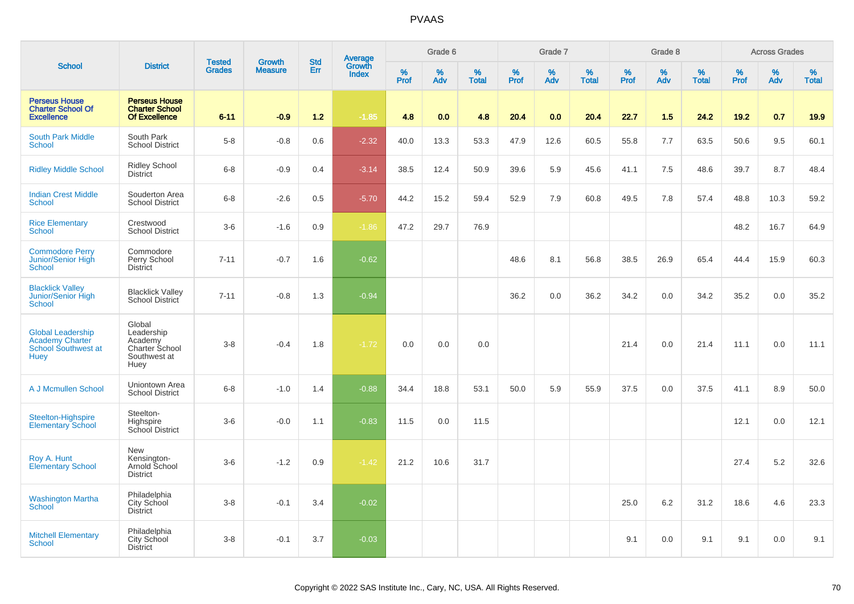|                                                                                   |                                                                           | <b>Tested</b> | <b>Growth</b>  | <b>Std</b> |                                          |                  | Grade 6  |                   |           | Grade 7  |                   |              | Grade 8  |                   |              | <b>Across Grades</b> |                   |
|-----------------------------------------------------------------------------------|---------------------------------------------------------------------------|---------------|----------------|------------|------------------------------------------|------------------|----------|-------------------|-----------|----------|-------------------|--------------|----------|-------------------|--------------|----------------------|-------------------|
| <b>School</b>                                                                     | <b>District</b>                                                           | <b>Grades</b> | <b>Measure</b> | Err        | <b>Average</b><br>Growth<br><b>Index</b> | %<br><b>Prof</b> | %<br>Adv | %<br><b>Total</b> | %<br>Prof | %<br>Adv | %<br><b>Total</b> | $\%$<br>Prof | %<br>Adv | %<br><b>Total</b> | $\%$<br>Prof | $\%$<br>Adv          | %<br><b>Total</b> |
| <b>Perseus House</b><br><b>Charter School Of</b><br><b>Excellence</b>             | <b>Perseus House</b><br><b>Charter School</b><br>Of Excellence            | $6 - 11$      | $-0.9$         | 1.2        | $-1.85$                                  | 4.8              | 0.0      | 4.8               | 20.4      | 0.0      | 20.4              | 22.7         | 1.5      | 24.2              | 19.2         | 0.7                  | 19.9              |
| <b>South Park Middle</b><br><b>School</b>                                         | South Park<br><b>School District</b>                                      | $5-8$         | $-0.8$         | 0.6        | $-2.32$                                  | 40.0             | 13.3     | 53.3              | 47.9      | 12.6     | 60.5              | 55.8         | 7.7      | 63.5              | 50.6         | 9.5                  | 60.1              |
| <b>Ridley Middle School</b>                                                       | <b>Ridley School</b><br><b>District</b>                                   | $6 - 8$       | $-0.9$         | 0.4        | $-3.14$                                  | 38.5             | 12.4     | 50.9              | 39.6      | 5.9      | 45.6              | 41.1         | 7.5      | 48.6              | 39.7         | 8.7                  | 48.4              |
| <b>Indian Crest Middle</b><br><b>School</b>                                       | Souderton Area<br><b>School District</b>                                  | $6-8$         | $-2.6$         | 0.5        | $-5.70$                                  | 44.2             | 15.2     | 59.4              | 52.9      | 7.9      | 60.8              | 49.5         | 7.8      | 57.4              | 48.8         | 10.3                 | 59.2              |
| <b>Rice Elementary</b><br><b>School</b>                                           | Crestwood<br><b>School District</b>                                       | $3-6$         | $-1.6$         | 0.9        | $-1.86$                                  | 47.2             | 29.7     | 76.9              |           |          |                   |              |          |                   | 48.2         | 16.7                 | 64.9              |
| <b>Commodore Perry</b><br>Junior/Senior High<br><b>School</b>                     | Commodore<br>Perry School<br><b>District</b>                              | $7 - 11$      | $-0.7$         | 1.6        | $-0.62$                                  |                  |          |                   | 48.6      | 8.1      | 56.8              | 38.5         | 26.9     | 65.4              | 44.4         | 15.9                 | 60.3              |
| <b>Blacklick Valley</b><br>Junior/Senior High<br>School                           | <b>Blacklick Valley</b><br>School District                                | $7 - 11$      | $-0.8$         | 1.3        | $-0.94$                                  |                  |          |                   | 36.2      | 0.0      | 36.2              | 34.2         | 0.0      | 34.2              | 35.2         | 0.0                  | 35.2              |
| <b>Global Leadership</b><br>Academy Charter<br>School Southwest at<br><b>Huey</b> | Global<br>Leadership<br>Academy<br>Charter School<br>Southwest at<br>Huey | $3-8$         | $-0.4$         | 1.8        | $-1.72$                                  | 0.0              | 0.0      | 0.0               |           |          |                   | 21.4         | 0.0      | 21.4              | 11.1         | 0.0                  | 11.1              |
| A J Mcmullen School                                                               | Uniontown Area<br><b>School District</b>                                  | $6 - 8$       | $-1.0$         | 1.4        | $-0.88$                                  | 34.4             | 18.8     | 53.1              | 50.0      | 5.9      | 55.9              | 37.5         | 0.0      | 37.5              | 41.1         | 8.9                  | 50.0              |
| Steelton-Highspire<br><b>Elementary School</b>                                    | Steelton-<br>Highspire<br>School District                                 | $3-6$         | $-0.0$         | 1.1        | $-0.83$                                  | 11.5             | 0.0      | 11.5              |           |          |                   |              |          |                   | 12.1         | 0.0                  | 12.1              |
| Roy A. Hunt<br><b>Elementary School</b>                                           | New<br>Kensington-<br>Arnold School<br><b>District</b>                    | $3-6$         | $-1.2$         | 0.9        | $-1.42$                                  | 21.2             | 10.6     | 31.7              |           |          |                   |              |          |                   | 27.4         | 5.2                  | 32.6              |
| <b>Washington Martha</b><br><b>School</b>                                         | Philadelphia<br>City School<br><b>District</b>                            | $3 - 8$       | $-0.1$         | 3.4        | $-0.02$                                  |                  |          |                   |           |          |                   | 25.0         | 6.2      | 31.2              | 18.6         | 4.6                  | 23.3              |
| <b>Mitchell Elementary</b><br><b>School</b>                                       | Philadelphia<br><b>City School</b><br><b>District</b>                     | $3 - 8$       | $-0.1$         | 3.7        | $-0.03$                                  |                  |          |                   |           |          |                   | 9.1          | 0.0      | 9.1               | 9.1          | 0.0                  | 9.1               |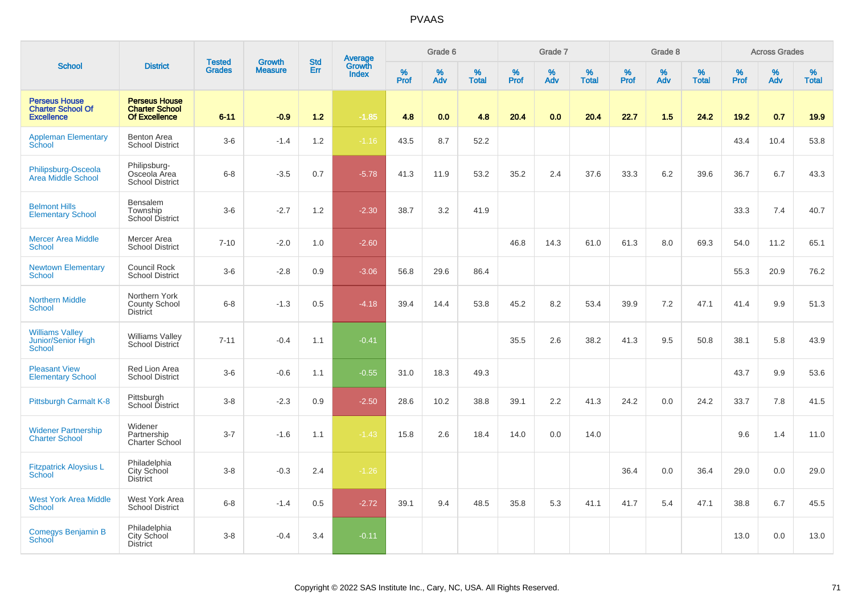|                                                                       |                                                                | <b>Tested</b> | <b>Growth</b>  | <b>Std</b> |                                          |           | Grade 6  |                   |           | Grade 7     |                   |              | Grade 8  |                   |              | <b>Across Grades</b> |                   |
|-----------------------------------------------------------------------|----------------------------------------------------------------|---------------|----------------|------------|------------------------------------------|-----------|----------|-------------------|-----------|-------------|-------------------|--------------|----------|-------------------|--------------|----------------------|-------------------|
| <b>School</b>                                                         | <b>District</b>                                                | <b>Grades</b> | <b>Measure</b> | Err        | <b>Average</b><br>Growth<br><b>Index</b> | %<br>Prof | %<br>Adv | %<br><b>Total</b> | %<br>Prof | $\%$<br>Adv | %<br><b>Total</b> | $\%$<br>Prof | %<br>Adv | %<br><b>Total</b> | $\%$<br>Prof | $\%$<br>Adv          | %<br><b>Total</b> |
| <b>Perseus House</b><br><b>Charter School Of</b><br><b>Excellence</b> | <b>Perseus House</b><br><b>Charter School</b><br>Of Excellence | $6 - 11$      | $-0.9$         | $1.2$      | $-1.85$                                  | 4.8       | 0.0      | 4.8               | 20.4      | 0.0         | 20.4              | 22.7         | 1.5      | 24.2              | 19.2         | 0.7                  | 19.9              |
| <b>Appleman Elementary</b><br>School                                  | <b>Benton Area</b><br><b>School District</b>                   | $3-6$         | $-1.4$         | 1.2        | $-1.16$                                  | 43.5      | 8.7      | 52.2              |           |             |                   |              |          |                   | 43.4         | 10.4                 | 53.8              |
| Philipsburg-Osceola<br>Area Middle School                             | Philipsburg-<br>Osceola Area<br><b>School District</b>         | $6 - 8$       | $-3.5$         | 0.7        | $-5.78$                                  | 41.3      | 11.9     | 53.2              | 35.2      | 2.4         | 37.6              | 33.3         | 6.2      | 39.6              | 36.7         | 6.7                  | 43.3              |
| <b>Belmont Hills</b><br><b>Elementary School</b>                      | Bensalem<br>Township<br><b>School District</b>                 | $3-6$         | $-2.7$         | 1.2        | $-2.30$                                  | 38.7      | 3.2      | 41.9              |           |             |                   |              |          |                   | 33.3         | 7.4                  | 40.7              |
| <b>Mercer Area Middle</b><br><b>School</b>                            | Mercer Area<br><b>School District</b>                          | $7 - 10$      | $-2.0$         | 1.0        | $-2.60$                                  |           |          |                   | 46.8      | 14.3        | 61.0              | 61.3         | 8.0      | 69.3              | 54.0         | 11.2                 | 65.1              |
| <b>Newtown Elementary</b><br>School                                   | Council Rock<br><b>School District</b>                         | $3-6$         | $-2.8$         | 0.9        | $-3.06$                                  | 56.8      | 29.6     | 86.4              |           |             |                   |              |          |                   | 55.3         | 20.9                 | 76.2              |
| <b>Northern Middle</b><br>School                                      | Northern York<br><b>County School</b><br>District              | $6 - 8$       | $-1.3$         | 0.5        | $-4.18$                                  | 39.4      | 14.4     | 53.8              | 45.2      | 8.2         | 53.4              | 39.9         | 7.2      | 47.1              | 41.4         | 9.9                  | 51.3              |
| <b>Williams Valley</b><br>Junior/Senior High<br><b>School</b>         | <b>Williams Valley</b><br>School District                      | $7 - 11$      | $-0.4$         | 1.1        | $-0.41$                                  |           |          |                   | 35.5      | 2.6         | 38.2              | 41.3         | 9.5      | 50.8              | 38.1         | 5.8                  | 43.9              |
| <b>Pleasant View</b><br><b>Elementary School</b>                      | Red Lion Area<br><b>School District</b>                        | $3-6$         | $-0.6$         | 1.1        | $-0.55$                                  | 31.0      | 18.3     | 49.3              |           |             |                   |              |          |                   | 43.7         | 9.9                  | 53.6              |
| Pittsburgh Carmalt K-8                                                | Pittsburgh<br>School District                                  | $3-8$         | $-2.3$         | 0.9        | $-2.50$                                  | 28.6      | 10.2     | 38.8              | 39.1      | 2.2         | 41.3              | 24.2         | 0.0      | 24.2              | 33.7         | 7.8                  | 41.5              |
| <b>Widener Partnership</b><br><b>Charter School</b>                   | Widener<br>Partnership<br>Charter School                       | $3 - 7$       | $-1.6$         | 1.1        | $-1.43$                                  | 15.8      | 2.6      | 18.4              | 14.0      | 0.0         | 14.0              |              |          |                   | 9.6          | 1.4                  | 11.0              |
| <b>Fitzpatrick Aloysius L</b><br><b>School</b>                        | Philadelphia<br>City School<br><b>District</b>                 | $3-8$         | $-0.3$         | 2.4        | $-1.26$                                  |           |          |                   |           |             |                   | 36.4         | 0.0      | 36.4              | 29.0         | 0.0                  | 29.0              |
| <b>West York Area Middle</b><br><b>School</b>                         | West York Area<br><b>School District</b>                       | $6 - 8$       | $-1.4$         | 0.5        | $-2.72$                                  | 39.1      | 9.4      | 48.5              | 35.8      | 5.3         | 41.1              | 41.7         | 5.4      | 47.1              | 38.8         | 6.7                  | 45.5              |
| Comegys Benjamin B<br>School                                          | Philadelphia<br>City School<br><b>District</b>                 | $3-8$         | $-0.4$         | 3.4        | $-0.11$                                  |           |          |                   |           |             |                   |              |          |                   | 13.0         | 0.0                  | 13.0              |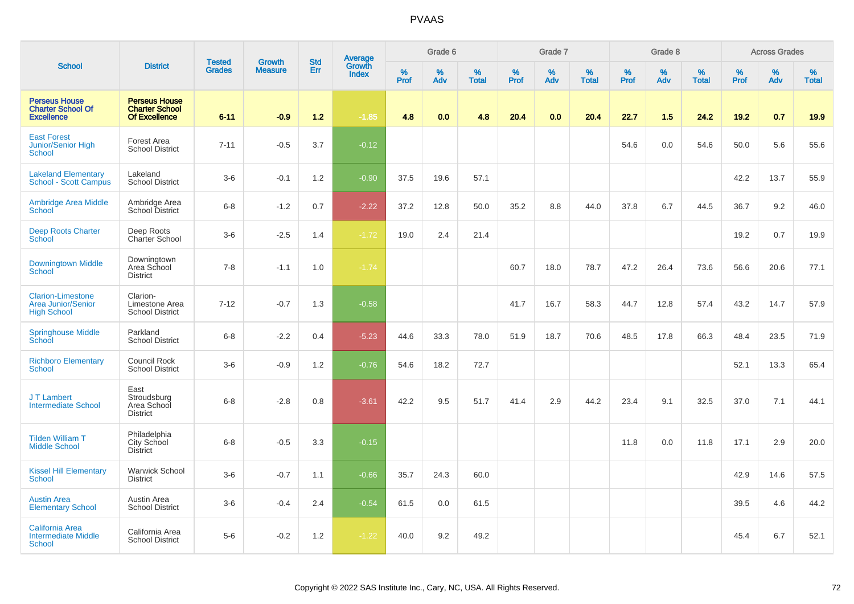|                                                                             |                                                                       | <b>Tested</b> | <b>Growth</b>  | <b>Std</b> |                                          |                  | Grade 6     |                   |           | Grade 7  |                   |              | Grade 8  |                   |              | <b>Across Grades</b> |                   |
|-----------------------------------------------------------------------------|-----------------------------------------------------------------------|---------------|----------------|------------|------------------------------------------|------------------|-------------|-------------------|-----------|----------|-------------------|--------------|----------|-------------------|--------------|----------------------|-------------------|
| <b>School</b>                                                               | <b>District</b>                                                       | <b>Grades</b> | <b>Measure</b> | Err        | <b>Average</b><br>Growth<br><b>Index</b> | %<br><b>Prof</b> | $\%$<br>Adv | %<br><b>Total</b> | %<br>Prof | %<br>Adv | %<br><b>Total</b> | $\%$<br>Prof | %<br>Adv | %<br><b>Total</b> | $\%$<br>Prof | $\%$<br>Adv          | %<br><b>Total</b> |
| <b>Perseus House</b><br><b>Charter School Of</b><br><b>Excellence</b>       | <b>Perseus House</b><br><b>Charter School</b><br><b>Of Excellence</b> | $6 - 11$      | $-0.9$         | 1.2        | $-1.85$                                  | 4.8              | 0.0         | 4.8               | 20.4      | 0.0      | 20.4              | 22.7         | 1.5      | 24.2              | 19.2         | 0.7                  | 19.9              |
| <b>East Forest</b><br>Junior/Senior High<br>School                          | Forest Area<br><b>School District</b>                                 | $7 - 11$      | $-0.5$         | 3.7        | $-0.12$                                  |                  |             |                   |           |          |                   | 54.6         | 0.0      | 54.6              | 50.0         | 5.6                  | 55.6              |
| <b>Lakeland Elementary</b><br>School - Scott Campus                         | Lakeland<br><b>School District</b>                                    | $3-6$         | $-0.1$         | 1.2        | $-0.90$                                  | 37.5             | 19.6        | 57.1              |           |          |                   |              |          |                   | 42.2         | 13.7                 | 55.9              |
| <b>Ambridge Area Middle</b><br>School                                       | Ambridge Area<br>School District                                      | $6-8$         | $-1.2$         | 0.7        | $-2.22$                                  | 37.2             | 12.8        | 50.0              | 35.2      | 8.8      | 44.0              | 37.8         | 6.7      | 44.5              | 36.7         | 9.2                  | 46.0              |
| <b>Deep Roots Charter</b><br><b>School</b>                                  | Deep Roots<br>Charter School                                          | $3-6$         | $-2.5$         | 1.4        | $-1.72$                                  | 19.0             | 2.4         | 21.4              |           |          |                   |              |          |                   | 19.2         | 0.7                  | 19.9              |
| <b>Downingtown Middle</b><br>School                                         | Downingtown<br>Area School<br><b>District</b>                         | $7 - 8$       | $-1.1$         | 1.0        | $-1.74$                                  |                  |             |                   | 60.7      | 18.0     | 78.7              | 47.2         | 26.4     | 73.6              | 56.6         | 20.6                 | 77.1              |
| <b>Clarion-Limestone</b><br><b>Area Junior/Senior</b><br><b>High School</b> | Clarion-<br>Limestone Area<br><b>School District</b>                  | $7 - 12$      | $-0.7$         | 1.3        | $-0.58$                                  |                  |             |                   | 41.7      | 16.7     | 58.3              | 44.7         | 12.8     | 57.4              | 43.2         | 14.7                 | 57.9              |
| <b>Springhouse Middle</b><br>School                                         | Parkland<br><b>School District</b>                                    | $6 - 8$       | $-2.2$         | 0.4        | $-5.23$                                  | 44.6             | 33.3        | 78.0              | 51.9      | 18.7     | 70.6              | 48.5         | 17.8     | 66.3              | 48.4         | 23.5                 | 71.9              |
| <b>Richboro Elementary</b><br><b>School</b>                                 | Council Rock<br><b>School District</b>                                | $3-6$         | $-0.9$         | 1.2        | $-0.76$                                  | 54.6             | 18.2        | 72.7              |           |          |                   |              |          |                   | 52.1         | 13.3                 | 65.4              |
| J T Lambert<br><b>Intermediate School</b>                                   | East<br>Stroudsburg<br>Area School<br><b>District</b>                 | $6 - 8$       | $-2.8$         | 0.8        | $-3.61$                                  | 42.2             | 9.5         | 51.7              | 41.4      | 2.9      | 44.2              | 23.4         | 9.1      | 32.5              | 37.0         | 7.1                  | 44.1              |
| <b>Tilden William T</b><br><b>Middle School</b>                             | Philadelphia<br>City School<br><b>District</b>                        | $6 - 8$       | $-0.5$         | 3.3        | $-0.15$                                  |                  |             |                   |           |          |                   | 11.8         | 0.0      | 11.8              | 17.1         | 2.9                  | 20.0              |
| <b>Kissel Hill Elementary</b><br><b>School</b>                              | <b>Warwick School</b><br><b>District</b>                              | $3-6$         | $-0.7$         | 1.1        | $-0.66$                                  | 35.7             | 24.3        | 60.0              |           |          |                   |              |          |                   | 42.9         | 14.6                 | 57.5              |
| <b>Austin Area</b><br><b>Elementary School</b>                              | Austin Area<br><b>School District</b>                                 | $3-6$         | $-0.4$         | 2.4        | $-0.54$                                  | 61.5             | 0.0         | 61.5              |           |          |                   |              |          |                   | 39.5         | 4.6                  | 44.2              |
| <b>California Area</b><br><b>Intermediate Middle</b><br><b>School</b>       | California Area<br><b>School District</b>                             | $5-6$         | $-0.2$         | 1.2        | $-1.22$                                  | 40.0             | 9.2         | 49.2              |           |          |                   |              |          |                   | 45.4         | 6.7                  | 52.1              |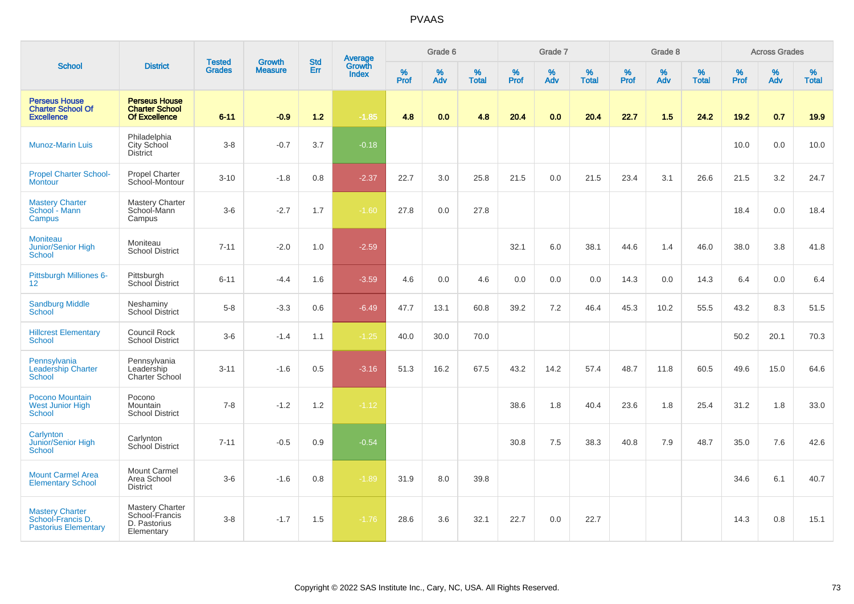|                                                                            |                                                                       |                                | <b>Growth</b>  | <b>Std</b> |                                          |                  | Grade 6  |                   |           | Grade 7  |                   |           | Grade 8  |                   |           | <b>Across Grades</b> |                   |
|----------------------------------------------------------------------------|-----------------------------------------------------------------------|--------------------------------|----------------|------------|------------------------------------------|------------------|----------|-------------------|-----------|----------|-------------------|-----------|----------|-------------------|-----------|----------------------|-------------------|
| <b>School</b>                                                              | <b>District</b>                                                       | <b>Tested</b><br><b>Grades</b> | <b>Measure</b> | Err        | <b>Average</b><br>Growth<br><b>Index</b> | %<br><b>Prof</b> | %<br>Adv | %<br><b>Total</b> | %<br>Prof | %<br>Adv | %<br><b>Total</b> | %<br>Prof | %<br>Adv | %<br><b>Total</b> | %<br>Prof | %<br>Adv             | %<br><b>Total</b> |
| <b>Perseus House</b><br><b>Charter School Of</b><br><b>Excellence</b>      | <b>Perseus House</b><br><b>Charter School</b><br><b>Of Excellence</b> | $6 - 11$                       | $-0.9$         | $1.2$      | $-1.85$                                  | 4.8              | 0.0      | 4.8               | 20.4      | 0.0      | 20.4              | 22.7      | 1.5      | 24.2              | 19.2      | 0.7                  | 19.9              |
| <b>Munoz-Marin Luis</b>                                                    | Philadelphia<br>City School<br><b>District</b>                        | $3 - 8$                        | $-0.7$         | 3.7        | $-0.18$                                  |                  |          |                   |           |          |                   |           |          |                   | 10.0      | 0.0                  | 10.0              |
| <b>Propel Charter School-</b><br><b>Montour</b>                            | <b>Propel Charter</b><br>School-Montour                               | $3 - 10$                       | $-1.8$         | 0.8        | $-2.37$                                  | 22.7             | 3.0      | 25.8              | 21.5      | 0.0      | 21.5              | 23.4      | 3.1      | 26.6              | 21.5      | 3.2                  | 24.7              |
| <b>Mastery Charter</b><br>School - Mann<br>Campus                          | <b>Mastery Charter</b><br>School-Mann<br>Campus                       | $3-6$                          | $-2.7$         | 1.7        | $-1.60$                                  | 27.8             | 0.0      | 27.8              |           |          |                   |           |          |                   | 18.4      | 0.0                  | 18.4              |
| <b>Moniteau</b><br>Junior/Senior High<br>School                            | Moniteau<br><b>School District</b>                                    | $7 - 11$                       | $-2.0$         | 1.0        | $-2.59$                                  |                  |          |                   | 32.1      | 6.0      | 38.1              | 44.6      | 1.4      | 46.0              | 38.0      | 3.8                  | 41.8              |
| Pittsburgh Milliones 6-<br>12 <sup>2</sup>                                 | Pittsburgh<br>School District                                         | $6 - 11$                       | $-4.4$         | 1.6        | $-3.59$                                  | 4.6              | 0.0      | 4.6               | 0.0       | 0.0      | 0.0               | 14.3      | 0.0      | 14.3              | 6.4       | 0.0                  | 6.4               |
| <b>Sandburg Middle</b><br>School                                           | Neshaminy<br><b>School District</b>                                   | $5-8$                          | $-3.3$         | 0.6        | $-6.49$                                  | 47.7             | 13.1     | 60.8              | 39.2      | 7.2      | 46.4              | 45.3      | 10.2     | 55.5              | 43.2      | 8.3                  | 51.5              |
| <b>Hillcrest Elementary</b><br><b>School</b>                               | Council Rock<br><b>School District</b>                                | $3-6$                          | $-1.4$         | 1.1        | $-1.25$                                  | 40.0             | 30.0     | 70.0              |           |          |                   |           |          |                   | 50.2      | 20.1                 | 70.3              |
| Pennsylvania<br><b>Leadership Charter</b><br>School                        | Pennsylvania<br>Leadership<br>Charter School                          | $3 - 11$                       | $-1.6$         | 0.5        | $-3.16$                                  | 51.3             | 16.2     | 67.5              | 43.2      | 14.2     | 57.4              | 48.7      | 11.8     | 60.5              | 49.6      | 15.0                 | 64.6              |
| Pocono Mountain<br><b>West Junior High</b><br>School                       | Pocono<br>Mountain<br><b>School District</b>                          | $7 - 8$                        | $-1.2$         | 1.2        | $-1.12$                                  |                  |          |                   | 38.6      | 1.8      | 40.4              | 23.6      | 1.8      | 25.4              | 31.2      | 1.8                  | 33.0              |
| Carlynton<br>Junior/Senior High<br>School                                  | Carlynton<br>School District                                          | $7 - 11$                       | $-0.5$         | 0.9        | $-0.54$                                  |                  |          |                   | 30.8      | 7.5      | 38.3              | 40.8      | 7.9      | 48.7              | 35.0      | 7.6                  | 42.6              |
| <b>Mount Carmel Area</b><br><b>Elementary School</b>                       | Mount Carmel<br>Area School<br><b>District</b>                        | $3-6$                          | $-1.6$         | 0.8        | $-1.89$                                  | 31.9             | 8.0      | 39.8              |           |          |                   |           |          |                   | 34.6      | 6.1                  | 40.7              |
| <b>Mastery Charter</b><br>School-Francis D.<br><b>Pastorius Elementary</b> | Mastery Charter<br>School-Francis<br>D. Pastorius<br>Elementary       | $3-8$                          | $-1.7$         | 1.5        | $-1.76$                                  | 28.6             | 3.6      | 32.1              | 22.7      | 0.0      | 22.7              |           |          |                   | 14.3      | 0.8                  | 15.1              |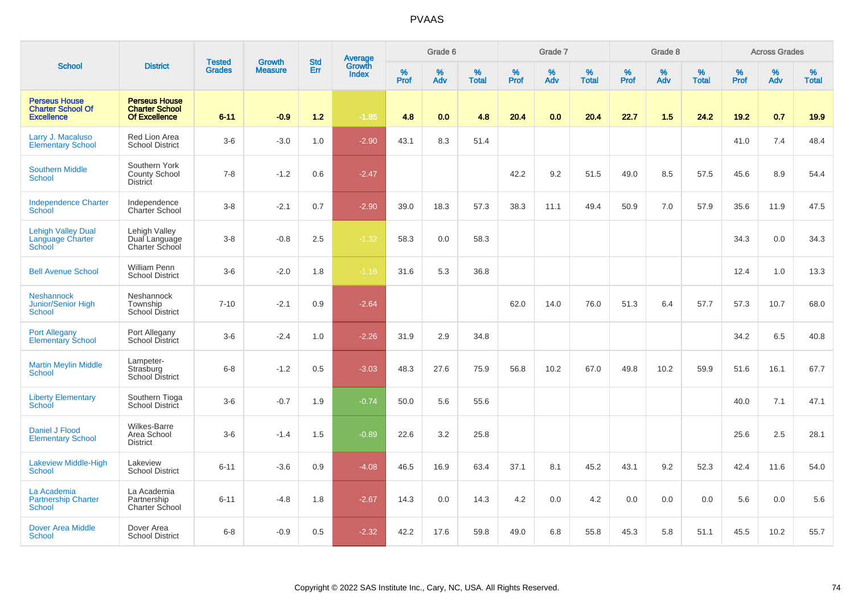|                                                                       |                                                                       |                                | <b>Growth</b>  | <b>Std</b> |                                          |                     | Grade 6     |                   |                     | Grade 7     |                   |              | Grade 8  |                   |              | <b>Across Grades</b> |                   |
|-----------------------------------------------------------------------|-----------------------------------------------------------------------|--------------------------------|----------------|------------|------------------------------------------|---------------------|-------------|-------------------|---------------------|-------------|-------------------|--------------|----------|-------------------|--------------|----------------------|-------------------|
| <b>School</b>                                                         | <b>District</b>                                                       | <b>Tested</b><br><b>Grades</b> | <b>Measure</b> | <b>Err</b> | <b>Average</b><br>Growth<br><b>Index</b> | $\%$<br><b>Prof</b> | $\%$<br>Adv | %<br><b>Total</b> | $\%$<br><b>Prof</b> | $\%$<br>Adv | %<br><b>Total</b> | $\%$<br>Prof | %<br>Adv | %<br><b>Total</b> | $\%$<br>Prof | $\%$<br>Adv          | %<br><b>Total</b> |
| <b>Perseus House</b><br><b>Charter School Of</b><br><b>Excellence</b> | <b>Perseus House</b><br><b>Charter School</b><br><b>Of Excellence</b> | $6 - 11$                       | $-0.9$         | 1.2        | $-1.85$                                  | 4.8                 | 0.0         | 4.8               | 20.4                | 0.0         | 20.4              | 22.7         | 1.5      | 24.2              | 19.2         | 0.7                  | 19.9              |
| Larry J. Macaluso<br><b>Elementary School</b>                         | Red Lion Area<br><b>School District</b>                               | $3-6$                          | $-3.0$         | 1.0        | $-2.90$                                  | 43.1                | 8.3         | 51.4              |                     |             |                   |              |          |                   | 41.0         | 7.4                  | 48.4              |
| <b>Southern Middle</b><br><b>School</b>                               | Southern York<br><b>County School</b><br><b>District</b>              | $7 - 8$                        | $-1.2$         | 0.6        | $-2.47$                                  |                     |             |                   | 42.2                | 9.2         | 51.5              | 49.0         | 8.5      | 57.5              | 45.6         | 8.9                  | 54.4              |
| <b>Independence Charter</b><br>School                                 | Independence<br>Charter School                                        | $3-8$                          | $-2.1$         | 0.7        | $-2.90$                                  | 39.0                | 18.3        | 57.3              | 38.3                | 11.1        | 49.4              | 50.9         | 7.0      | 57.9              | 35.6         | 11.9                 | 47.5              |
| <b>Lehigh Valley Dual</b><br>Language Charter<br>School               | Lehigh Valley<br>Dual Language<br>Charter School                      | $3 - 8$                        | $-0.8$         | 2.5        | $-1.32$                                  | 58.3                | 0.0         | 58.3              |                     |             |                   |              |          |                   | 34.3         | 0.0                  | 34.3              |
| <b>Bell Avenue School</b>                                             | <b>William Penn</b><br><b>School District</b>                         | $3-6$                          | $-2.0$         | 1.8        | $-1.16$                                  | 31.6                | 5.3         | 36.8              |                     |             |                   |              |          |                   | 12.4         | 1.0                  | 13.3              |
| <b>Neshannock</b><br>Junior/Senior High<br>School                     | Neshannock<br>Township<br><b>School District</b>                      | $7 - 10$                       | $-2.1$         | 0.9        | $-2.64$                                  |                     |             |                   | 62.0                | 14.0        | 76.0              | 51.3         | 6.4      | 57.7              | 57.3         | 10.7                 | 68.0              |
| <b>Port Allegany</b><br><b>Elementary School</b>                      | Port Allegany<br>School District                                      | $3-6$                          | $-2.4$         | 1.0        | $-2.26$                                  | 31.9                | 2.9         | 34.8              |                     |             |                   |              |          |                   | 34.2         | 6.5                  | 40.8              |
| <b>Martin Meylin Middle</b><br>School                                 | Lampeter-<br>Strasburg<br>School District                             | $6 - 8$                        | $-1.2$         | 0.5        | $-3.03$                                  | 48.3                | 27.6        | 75.9              | 56.8                | 10.2        | 67.0              | 49.8         | 10.2     | 59.9              | 51.6         | 16.1                 | 67.7              |
| <b>Liberty Elementary</b><br>School                                   | Southern Tioga<br>School District                                     | $3-6$                          | $-0.7$         | 1.9        | $-0.74$                                  | 50.0                | 5.6         | 55.6              |                     |             |                   |              |          |                   | 40.0         | 7.1                  | 47.1              |
| Daniel J Flood<br><b>Elementary School</b>                            | Wilkes-Barre<br>Area School<br><b>District</b>                        | $3-6$                          | $-1.4$         | 1.5        | $-0.89$                                  | 22.6                | 3.2         | 25.8              |                     |             |                   |              |          |                   | 25.6         | 2.5                  | 28.1              |
| <b>Lakeview Middle-High</b><br><b>School</b>                          | Lakeview<br><b>School District</b>                                    | $6 - 11$                       | $-3.6$         | 0.9        | $-4.08$                                  | 46.5                | 16.9        | 63.4              | 37.1                | 8.1         | 45.2              | 43.1         | 9.2      | 52.3              | 42.4         | 11.6                 | 54.0              |
| La Academia<br><b>Partnership Charter</b><br>School                   | La Academia<br>Partnership<br>Charter School                          | $6 - 11$                       | $-4.8$         | 1.8        | $-2.67$                                  | 14.3                | 0.0         | 14.3              | 4.2                 | 0.0         | 4.2               | 0.0          | 0.0      | 0.0               | 5.6          | 0.0                  | 5.6               |
| <b>Dover Area Middle</b><br>School                                    | Dover Area<br><b>School District</b>                                  | $6 - 8$                        | $-0.9$         | 0.5        | $-2.32$                                  | 42.2                | 17.6        | 59.8              | 49.0                | 6.8         | 55.8              | 45.3         | 5.8      | 51.1              | 45.5         | 10.2                 | 55.7              |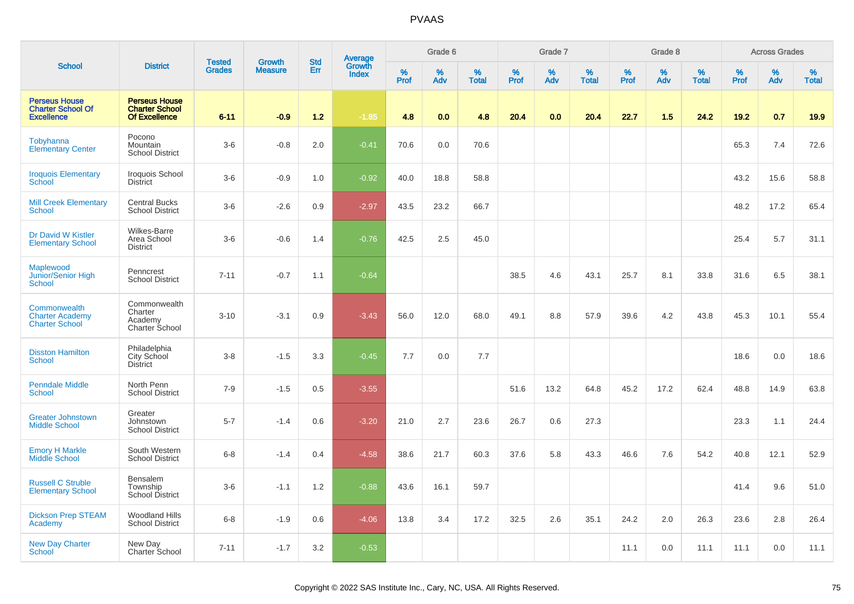|                                                                       |                                                                       |                                |                                 | <b>Std</b> |                                          |           | Grade 6  |                   |           | Grade 7  |                   |           | Grade 8  |                   |           | <b>Across Grades</b> |                   |
|-----------------------------------------------------------------------|-----------------------------------------------------------------------|--------------------------------|---------------------------------|------------|------------------------------------------|-----------|----------|-------------------|-----------|----------|-------------------|-----------|----------|-------------------|-----------|----------------------|-------------------|
| <b>School</b>                                                         | <b>District</b>                                                       | <b>Tested</b><br><b>Grades</b> | <b>Growth</b><br><b>Measure</b> | Err        | <b>Average</b><br>Growth<br><b>Index</b> | %<br>Prof | %<br>Adv | %<br><b>Total</b> | %<br>Prof | %<br>Adv | %<br><b>Total</b> | %<br>Prof | %<br>Adv | %<br><b>Total</b> | %<br>Prof | %<br>Adv             | %<br><b>Total</b> |
| <b>Perseus House</b><br><b>Charter School Of</b><br><b>Excellence</b> | <b>Perseus House</b><br><b>Charter School</b><br><b>Of Excellence</b> | $6 - 11$                       | $-0.9$                          | 1.2        | $-1.85$                                  | 4.8       | 0.0      | 4.8               | 20.4      | 0.0      | 20.4              | 22.7      | 1.5      | 24.2              | 19.2      | 0.7                  | 19.9              |
| Tobyhanna<br><b>Elementary Center</b>                                 | Pocono<br>Mountain<br><b>School District</b>                          | $3-6$                          | $-0.8$                          | 2.0        | $-0.41$                                  | 70.6      | 0.0      | 70.6              |           |          |                   |           |          |                   | 65.3      | 7.4                  | 72.6              |
| <b>Iroquois Elementary</b><br>School                                  | Iroquois School<br><b>District</b>                                    | $3-6$                          | $-0.9$                          | 1.0        | $-0.92$                                  | 40.0      | 18.8     | 58.8              |           |          |                   |           |          |                   | 43.2      | 15.6                 | 58.8              |
| <b>Mill Creek Elementary</b><br>School                                | <b>Central Bucks</b><br><b>School District</b>                        | $3-6$                          | $-2.6$                          | 0.9        | $-2.97$                                  | 43.5      | 23.2     | 66.7              |           |          |                   |           |          |                   | 48.2      | 17.2                 | 65.4              |
| Dr David W Kistler<br><b>Elementary School</b>                        | Wilkes-Barre<br>Area School<br><b>District</b>                        | $3-6$                          | $-0.6$                          | 1.4        | $-0.76$                                  | 42.5      | 2.5      | 45.0              |           |          |                   |           |          |                   | 25.4      | 5.7                  | 31.1              |
| Maplewood<br>Junior/Senior High<br>School                             | Penncrest<br><b>School District</b>                                   | $7 - 11$                       | $-0.7$                          | 1.1        | $-0.64$                                  |           |          |                   | 38.5      | 4.6      | 43.1              | 25.7      | 8.1      | 33.8              | 31.6      | 6.5                  | 38.1              |
| Commonwealth<br><b>Charter Academy</b><br><b>Charter School</b>       | Commonwealth<br>Charter<br>Academy<br>Charter School                  | $3 - 10$                       | $-3.1$                          | 0.9        | $-3.43$                                  | 56.0      | 12.0     | 68.0              | 49.1      | 8.8      | 57.9              | 39.6      | 4.2      | 43.8              | 45.3      | 10.1                 | 55.4              |
| <b>Disston Hamilton</b><br><b>School</b>                              | Philadelphia<br>City School<br><b>District</b>                        | $3 - 8$                        | $-1.5$                          | 3.3        | $-0.45$                                  | 7.7       | 0.0      | 7.7               |           |          |                   |           |          |                   | 18.6      | 0.0                  | 18.6              |
| <b>Penndale Middle</b><br>School                                      | North Penn<br><b>School District</b>                                  | $7 - 9$                        | $-1.5$                          | 0.5        | $-3.55$                                  |           |          |                   | 51.6      | 13.2     | 64.8              | 45.2      | 17.2     | 62.4              | 48.8      | 14.9                 | 63.8              |
| <b>Greater Johnstown</b><br><b>Middle School</b>                      | Greater<br>Johnstown<br><b>School District</b>                        | $5 - 7$                        | $-1.4$                          | 0.6        | $-3.20$                                  | 21.0      | 2.7      | 23.6              | 26.7      | 0.6      | 27.3              |           |          |                   | 23.3      | 1.1                  | 24.4              |
| <b>Emory H Markle</b><br>Middle School                                | South Western<br><b>School District</b>                               | $6 - 8$                        | $-1.4$                          | 0.4        | $-4.58$                                  | 38.6      | 21.7     | 60.3              | 37.6      | 5.8      | 43.3              | 46.6      | 7.6      | 54.2              | 40.8      | 12.1                 | 52.9              |
| <b>Russell C Struble</b><br><b>Elementary School</b>                  | Bensalem<br>Township<br><b>School District</b>                        | $3-6$                          | $-1.1$                          | 1.2        | $-0.88$                                  | 43.6      | 16.1     | 59.7              |           |          |                   |           |          |                   | 41.4      | 9.6                  | 51.0              |
| <b>Dickson Prep STEAM</b><br>Academy                                  | <b>Woodland Hills</b><br><b>School District</b>                       | $6-8$                          | $-1.9$                          | 0.6        | $-4.06$                                  | 13.8      | 3.4      | 17.2              | 32.5      | 2.6      | 35.1              | 24.2      | 2.0      | 26.3              | 23.6      | 2.8                  | 26.4              |
| <b>New Day Charter</b><br>School                                      | New Day<br>Charter School                                             | $7 - 11$                       | $-1.7$                          | 3.2        | $-0.53$                                  |           |          |                   |           |          |                   | 11.1      | 0.0      | 11.1              | 11.1      | 0.0                  | 11.1              |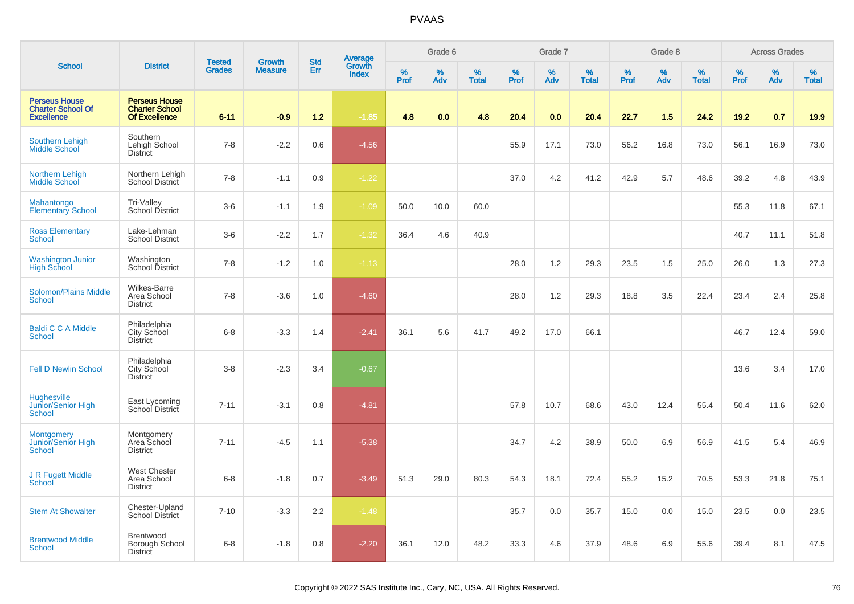|                                                                       |                                                                       |                                |                                 | <b>Std</b> |                                          |           | Grade 6  |                   |           | Grade 7  |                   |           | Grade 8  |                   |           | <b>Across Grades</b> |                   |
|-----------------------------------------------------------------------|-----------------------------------------------------------------------|--------------------------------|---------------------------------|------------|------------------------------------------|-----------|----------|-------------------|-----------|----------|-------------------|-----------|----------|-------------------|-----------|----------------------|-------------------|
| <b>School</b>                                                         | <b>District</b>                                                       | <b>Tested</b><br><b>Grades</b> | <b>Growth</b><br><b>Measure</b> | Err        | <b>Average</b><br>Growth<br><b>Index</b> | %<br>Prof | %<br>Adv | %<br><b>Total</b> | %<br>Prof | %<br>Adv | %<br><b>Total</b> | %<br>Prof | %<br>Adv | %<br><b>Total</b> | %<br>Prof | %<br>Adv             | %<br><b>Total</b> |
| <b>Perseus House</b><br><b>Charter School Of</b><br><b>Excellence</b> | <b>Perseus House</b><br><b>Charter School</b><br><b>Of Excellence</b> | $6 - 11$                       | $-0.9$                          | $1.2$      | $-1.85$                                  | 4.8       | 0.0      | 4.8               | 20.4      | 0.0      | 20.4              | 22.7      | 1.5      | 24.2              | 19.2      | 0.7                  | 19.9              |
| <b>Southern Lehigh</b><br><b>Middle School</b>                        | Southern<br>Lehigh School<br>District                                 | $7 - 8$                        | $-2.2$                          | 0.6        | $-4.56$                                  |           |          |                   | 55.9      | 17.1     | 73.0              | 56.2      | 16.8     | 73.0              | 56.1      | 16.9                 | 73.0              |
| <b>Northern Lehigh</b><br><b>Middle School</b>                        | Northern Lehigh<br>School District                                    | $7 - 8$                        | $-1.1$                          | 0.9        | $-1.22$                                  |           |          |                   | 37.0      | 4.2      | 41.2              | 42.9      | 5.7      | 48.6              | 39.2      | 4.8                  | 43.9              |
| Mahantongo<br><b>Elementary School</b>                                | Tri-Valley<br>School District                                         | $3-6$                          | $-1.1$                          | 1.9        | $-1.09$                                  | 50.0      | 10.0     | 60.0              |           |          |                   |           |          |                   | 55.3      | 11.8                 | 67.1              |
| <b>Ross Elementary</b><br>School                                      | Lake-Lehman<br><b>School District</b>                                 | $3-6$                          | $-2.2$                          | 1.7        | $-1.32$                                  | 36.4      | 4.6      | 40.9              |           |          |                   |           |          |                   | 40.7      | 11.1                 | 51.8              |
| Washington Junior<br>High School                                      | Washington<br>School District                                         | $7 - 8$                        | $-1.2$                          | 1.0        | $-1.13$                                  |           |          |                   | 28.0      | 1.2      | 29.3              | 23.5      | 1.5      | 25.0              | 26.0      | 1.3                  | 27.3              |
| <b>Solomon/Plains Middle</b><br>School                                | Wilkes-Barre<br>Area School<br><b>District</b>                        | $7 - 8$                        | $-3.6$                          | 1.0        | $-4.60$                                  |           |          |                   | 28.0      | 1.2      | 29.3              | 18.8      | 3.5      | 22.4              | 23.4      | 2.4                  | 25.8              |
| <b>Baldi C C A Middle</b><br>School                                   | Philadelphia<br>City School<br><b>District</b>                        | $6 - 8$                        | $-3.3$                          | 1.4        | $-2.41$                                  | 36.1      | 5.6      | 41.7              | 49.2      | 17.0     | 66.1              |           |          |                   | 46.7      | 12.4                 | 59.0              |
| <b>Fell D Newlin School</b>                                           | Philadelphia<br>City School<br><b>District</b>                        | $3 - 8$                        | $-2.3$                          | 3.4        | $-0.67$                                  |           |          |                   |           |          |                   |           |          |                   | 13.6      | 3.4                  | 17.0              |
| Hughesville<br>Junior/Senior High<br>School                           | East Lycoming<br>School District                                      | $7 - 11$                       | $-3.1$                          | 0.8        | $-4.81$                                  |           |          |                   | 57.8      | 10.7     | 68.6              | 43.0      | 12.4     | 55.4              | 50.4      | 11.6                 | 62.0              |
| <b>Montgomery</b><br>Junior/Senior High<br>School                     | Montgomery<br>Area School<br><b>District</b>                          | $7 - 11$                       | $-4.5$                          | 1.1        | $-5.38$                                  |           |          |                   | 34.7      | 4.2      | 38.9              | 50.0      | 6.9      | 56.9              | 41.5      | 5.4                  | 46.9              |
| J R Fugett Middle<br><b>School</b>                                    | <b>West Chester</b><br>Area School<br><b>District</b>                 | $6 - 8$                        | $-1.8$                          | 0.7        | $-3.49$                                  | 51.3      | 29.0     | 80.3              | 54.3      | 18.1     | 72.4              | 55.2      | 15.2     | 70.5              | 53.3      | 21.8                 | 75.1              |
| <b>Stem At Showalter</b>                                              | Chester-Upland<br>School District                                     | $7 - 10$                       | $-3.3$                          | 2.2        | $-1.48$                                  |           |          |                   | 35.7      | 0.0      | 35.7              | 15.0      | 0.0      | 15.0              | 23.5      | 0.0                  | 23.5              |
| <b>Brentwood Middle</b><br>School                                     | Brentwood<br>Borough School<br>District                               | $6 - 8$                        | $-1.8$                          | 0.8        | $-2.20$                                  | 36.1      | 12.0     | 48.2              | 33.3      | 4.6      | 37.9              | 48.6      | 6.9      | 55.6              | 39.4      | 8.1                  | 47.5              |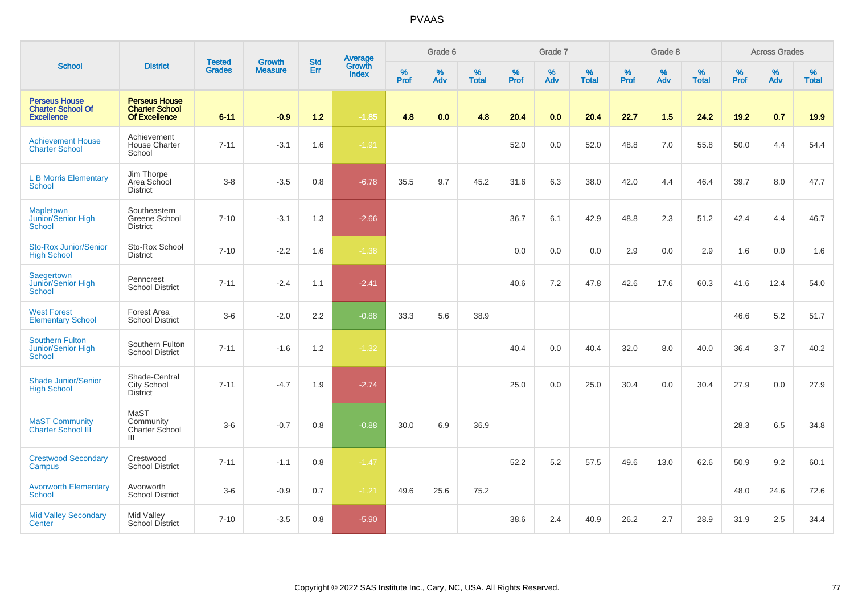|                                                                       |                                                                       |                                |                                 | <b>Std</b> |                                          |                  | Grade 6  |                   |           | Grade 7  |                   |           | Grade 8  |                   |              | <b>Across Grades</b> |                   |
|-----------------------------------------------------------------------|-----------------------------------------------------------------------|--------------------------------|---------------------------------|------------|------------------------------------------|------------------|----------|-------------------|-----------|----------|-------------------|-----------|----------|-------------------|--------------|----------------------|-------------------|
| <b>School</b>                                                         | <b>District</b>                                                       | <b>Tested</b><br><b>Grades</b> | <b>Growth</b><br><b>Measure</b> | Err        | <b>Average</b><br>Growth<br><b>Index</b> | %<br><b>Prof</b> | %<br>Adv | %<br><b>Total</b> | %<br>Prof | %<br>Adv | %<br><b>Total</b> | %<br>Prof | %<br>Adv | %<br><b>Total</b> | $\%$<br>Prof | $\%$<br>Adv          | %<br><b>Total</b> |
| <b>Perseus House</b><br><b>Charter School Of</b><br><b>Excellence</b> | <b>Perseus House</b><br><b>Charter School</b><br><b>Of Excellence</b> | $6 - 11$                       | $-0.9$                          | $1.2$      | $-1.85$                                  | 4.8              | 0.0      | 4.8               | 20.4      | 0.0      | 20.4              | 22.7      | $1.5$    | 24.2              | 19.2         | 0.7                  | 19.9              |
| <b>Achievement House</b><br><b>Charter School</b>                     | Achievement<br><b>House Charter</b><br>School                         | $7 - 11$                       | $-3.1$                          | 1.6        | $-1.91$                                  |                  |          |                   | 52.0      | 0.0      | 52.0              | 48.8      | 7.0      | 55.8              | 50.0         | 4.4                  | 54.4              |
| <b>L B Morris Elementary</b><br><b>School</b>                         | Jim Thorpe<br>Area School<br><b>District</b>                          | $3-8$                          | $-3.5$                          | 0.8        | $-6.78$                                  | 35.5             | 9.7      | 45.2              | 31.6      | 6.3      | 38.0              | 42.0      | 4.4      | 46.4              | 39.7         | 8.0                  | 47.7              |
| <b>Mapletown</b><br>Junior/Senior High<br><b>School</b>               | Southeastern<br>Greene School<br><b>District</b>                      | $7 - 10$                       | $-3.1$                          | 1.3        | $-2.66$                                  |                  |          |                   | 36.7      | 6.1      | 42.9              | 48.8      | 2.3      | 51.2              | 42.4         | 4.4                  | 46.7              |
| <b>Sto-Rox Junior/Senior</b><br><b>High School</b>                    | Sto-Rox School<br><b>District</b>                                     | $7 - 10$                       | $-2.2$                          | 1.6        | $-1.38$                                  |                  |          |                   | 0.0       | 0.0      | 0.0               | 2.9       | 0.0      | 2.9               | 1.6          | 0.0                  | 1.6               |
| Saegertown<br>Junior/Senior High<br><b>School</b>                     | Penncrest<br><b>School District</b>                                   | $7 - 11$                       | $-2.4$                          | 1.1        | $-2.41$                                  |                  |          |                   | 40.6      | 7.2      | 47.8              | 42.6      | 17.6     | 60.3              | 41.6         | 12.4                 | 54.0              |
| <b>West Forest</b><br><b>Elementary School</b>                        | Forest Area<br><b>School District</b>                                 | $3-6$                          | $-2.0$                          | $2.2\,$    | $-0.88$                                  | 33.3             | 5.6      | 38.9              |           |          |                   |           |          |                   | 46.6         | 5.2                  | 51.7              |
| <b>Southern Fulton</b><br>Junior/Senior High<br>School                | Southern Fulton<br><b>School District</b>                             | $7 - 11$                       | $-1.6$                          | 1.2        | $-1.32$                                  |                  |          |                   | 40.4      | 0.0      | 40.4              | 32.0      | 8.0      | 40.0              | 36.4         | 3.7                  | 40.2              |
| <b>Shade Junior/Senior</b><br><b>High School</b>                      | Shade-Central<br>City School<br><b>District</b>                       | $7 - 11$                       | $-4.7$                          | 1.9        | $-2.74$                                  |                  |          |                   | 25.0      | 0.0      | 25.0              | 30.4      | 0.0      | 30.4              | 27.9         | 0.0                  | 27.9              |
| <b>MaST Community</b><br><b>Charter School III</b>                    | MaST<br>Community<br>Charter School<br>Ш                              | $3-6$                          | $-0.7$                          | 0.8        | $-0.88$                                  | 30.0             | 6.9      | 36.9              |           |          |                   |           |          |                   | 28.3         | 6.5                  | 34.8              |
| <b>Crestwood Secondary</b><br>Campus                                  | Crestwood<br><b>School District</b>                                   | $7 - 11$                       | $-1.1$                          | 0.8        | $-1.47$                                  |                  |          |                   | 52.2      | 5.2      | 57.5              | 49.6      | 13.0     | 62.6              | 50.9         | 9.2                  | 60.1              |
| <b>Avonworth Elementary</b><br>School                                 | Avonworth<br><b>School District</b>                                   | $3-6$                          | $-0.9$                          | 0.7        | $-1.21$                                  | 49.6             | 25.6     | 75.2              |           |          |                   |           |          |                   | 48.0         | 24.6                 | 72.6              |
| <b>Mid Valley Secondary</b><br>Center                                 | Mid Valley<br><b>School District</b>                                  | $7 - 10$                       | $-3.5$                          | 0.8        | $-5.90$                                  |                  |          |                   | 38.6      | 2.4      | 40.9              | 26.2      | 2.7      | 28.9              | 31.9         | 2.5                  | 34.4              |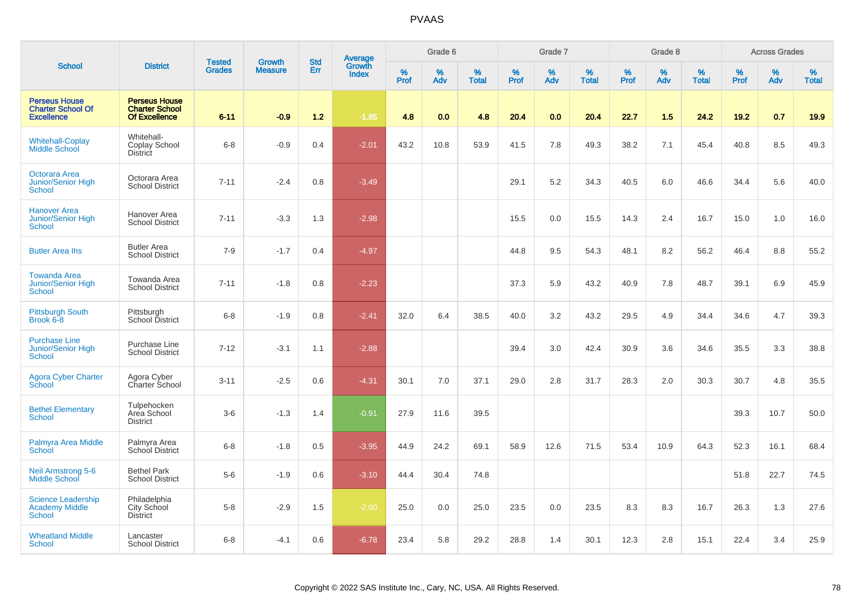|                                                                       |                                                                       | <b>Tested</b> | <b>Growth</b>  | <b>Std</b> |                                   |                  | Grade 6     |                   |           | Grade 7     |                   |           | Grade 8  |                   |              | <b>Across Grades</b> |                   |
|-----------------------------------------------------------------------|-----------------------------------------------------------------------|---------------|----------------|------------|-----------------------------------|------------------|-------------|-------------------|-----------|-------------|-------------------|-----------|----------|-------------------|--------------|----------------------|-------------------|
| <b>School</b>                                                         | <b>District</b>                                                       | <b>Grades</b> | <b>Measure</b> | Err        | Average<br>Growth<br><b>Index</b> | %<br><b>Prof</b> | $\%$<br>Adv | %<br><b>Total</b> | %<br>Prof | $\%$<br>Adv | %<br><b>Total</b> | %<br>Prof | %<br>Adv | %<br><b>Total</b> | $\%$<br>Prof | $\%$<br>Adv          | %<br><b>Total</b> |
| <b>Perseus House</b><br><b>Charter School Of</b><br><b>Excellence</b> | <b>Perseus House</b><br><b>Charter School</b><br><b>Of Excellence</b> | $6 - 11$      | $-0.9$         | $1.2$      | $-1.85$                           | 4.8              | 0.0         | 4.8               | 20.4      | 0.0         | 20.4              | 22.7      | 1.5      | 24.2              | 19.2         | 0.7                  | 19.9              |
| <b>Whitehall-Coplay</b><br>Middle School                              | Whitehall-<br>Coplay School<br><b>District</b>                        | $6 - 8$       | $-0.9$         | 0.4        | $-2.01$                           | 43.2             | 10.8        | 53.9              | 41.5      | 7.8         | 49.3              | 38.2      | 7.1      | 45.4              | 40.8         | 8.5                  | 49.3              |
| <b>Octorara Area</b><br>Junior/Senior High<br>School                  | Octorara Area<br><b>School District</b>                               | $7 - 11$      | $-2.4$         | 0.8        | $-3.49$                           |                  |             |                   | 29.1      | 5.2         | 34.3              | 40.5      | 6.0      | 46.6              | 34.4         | 5.6                  | 40.0              |
| <b>Hanover Area</b><br><b>Junior/Senior High</b><br><b>School</b>     | Hanover Area<br><b>School District</b>                                | $7 - 11$      | $-3.3$         | 1.3        | $-2.98$                           |                  |             |                   | 15.5      | 0.0         | 15.5              | 14.3      | 2.4      | 16.7              | 15.0         | 1.0                  | 16.0              |
| <b>Butler Area lhs</b>                                                | <b>Butler Area</b><br><b>School District</b>                          | $7-9$         | $-1.7$         | 0.4        | $-4.97$                           |                  |             |                   | 44.8      | 9.5         | 54.3              | 48.1      | 8.2      | 56.2              | 46.4         | 8.8                  | 55.2              |
| <b>Towanda Area</b><br>Junior/Senior High<br><b>School</b>            | Towanda Area<br><b>School District</b>                                | $7 - 11$      | $-1.8$         | 0.8        | $-2.23$                           |                  |             |                   | 37.3      | 5.9         | 43.2              | 40.9      | 7.8      | 48.7              | 39.1         | 6.9                  | 45.9              |
| <b>Pittsburgh South</b><br>Brook 6-8                                  | Pittsburgh<br>School District                                         | $6 - 8$       | $-1.9$         | 0.8        | $-2.41$                           | 32.0             | 6.4         | 38.5              | 40.0      | 3.2         | 43.2              | 29.5      | 4.9      | 34.4              | 34.6         | 4.7                  | 39.3              |
| <b>Purchase Line</b><br><b>Junior/Senior High</b><br><b>School</b>    | Purchase Line<br><b>School District</b>                               | $7 - 12$      | $-3.1$         | 1.1        | $-2.88$                           |                  |             |                   | 39.4      | 3.0         | 42.4              | 30.9      | 3.6      | 34.6              | 35.5         | 3.3                  | 38.8              |
| <b>Agora Cyber Charter</b><br>School                                  | Agora Cyber<br>Charter School                                         | $3 - 11$      | $-2.5$         | 0.6        | $-4.31$                           | 30.1             | 7.0         | 37.1              | 29.0      | 2.8         | 31.7              | 28.3      | 2.0      | 30.3              | 30.7         | 4.8                  | 35.5              |
| <b>Bethel Elementary</b><br><b>School</b>                             | Tulpehocken<br>Area School<br><b>District</b>                         | $3-6$         | $-1.3$         | 1.4        | $-0.91$                           | 27.9             | 11.6        | 39.5              |           |             |                   |           |          |                   | 39.3         | 10.7                 | 50.0              |
| Palmyra Area Middle<br>School                                         | Palmyra Area<br>School District                                       | $6 - 8$       | $-1.8$         | 0.5        | $-3.95$                           | 44.9             | 24.2        | 69.1              | 58.9      | 12.6        | 71.5              | 53.4      | 10.9     | 64.3              | 52.3         | 16.1                 | 68.4              |
| <b>Neil Armstrong 5-6</b><br><b>Middle School</b>                     | <b>Bethel Park</b><br><b>School District</b>                          | $5-6$         | $-1.9$         | 0.6        | $-3.10$                           | 44.4             | 30.4        | 74.8              |           |             |                   |           |          |                   | 51.8         | 22.7                 | 74.5              |
| <b>Science Leadership</b><br><b>Academy Middle</b><br><b>School</b>   | Philadelphia<br>City School<br><b>District</b>                        | $5 - 8$       | $-2.9$         | 1.5        | $-2.00$                           | 25.0             | 0.0         | 25.0              | 23.5      | 0.0         | 23.5              | 8.3       | 8.3      | 16.7              | 26.3         | 1.3                  | 27.6              |
| <b>Wheatland Middle</b><br>School                                     | Lancaster<br><b>School District</b>                                   | $6 - 8$       | $-4.1$         | 0.6        | $-6.78$                           | 23.4             | 5.8         | 29.2              | 28.8      | 1.4         | 30.1              | 12.3      | 2.8      | 15.1              | 22.4         | 3.4                  | 25.9              |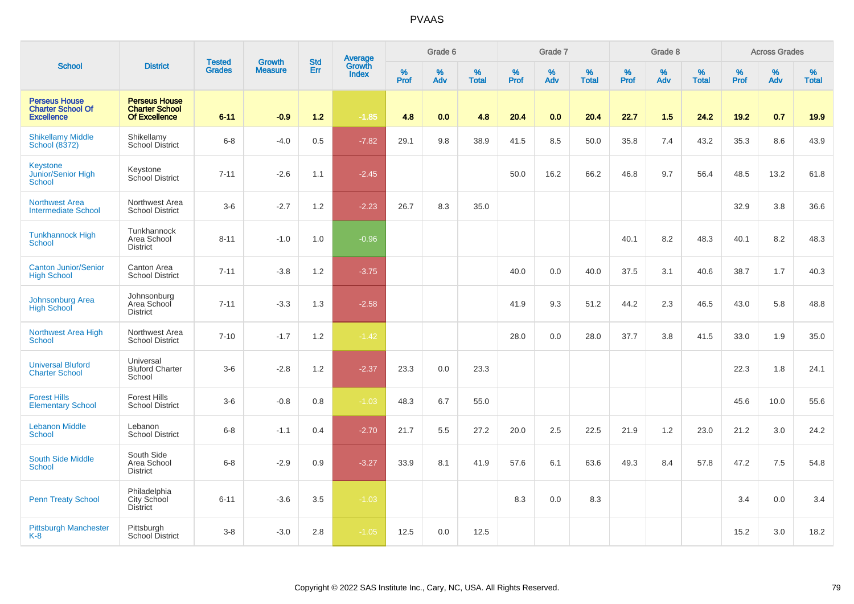|                                                                       |                                                                       |                                |                                 | <b>Std</b> |                                          |                  | Grade 6  |                   |           | Grade 7  |                   |           | Grade 8     |                   |           | <b>Across Grades</b> |                   |
|-----------------------------------------------------------------------|-----------------------------------------------------------------------|--------------------------------|---------------------------------|------------|------------------------------------------|------------------|----------|-------------------|-----------|----------|-------------------|-----------|-------------|-------------------|-----------|----------------------|-------------------|
| <b>School</b>                                                         | <b>District</b>                                                       | <b>Tested</b><br><b>Grades</b> | <b>Growth</b><br><b>Measure</b> | Err        | <b>Average</b><br>Growth<br><b>Index</b> | %<br><b>Prof</b> | %<br>Adv | %<br><b>Total</b> | %<br>Prof | %<br>Adv | %<br><b>Total</b> | %<br>Prof | $\%$<br>Adv | %<br><b>Total</b> | %<br>Prof | %<br>Adv             | %<br><b>Total</b> |
| <b>Perseus House</b><br><b>Charter School Of</b><br><b>Excellence</b> | <b>Perseus House</b><br><b>Charter School</b><br><b>Of Excellence</b> | $6 - 11$                       | $-0.9$                          | $1.2$      | $-1.85$                                  | 4.8              | 0.0      | 4.8               | 20.4      | 0.0      | 20.4              | 22.7      | 1.5         | 24.2              | 19.2      | 0.7                  | 19.9              |
| <b>Shikellamy Middle</b><br>School (8372)                             | Shikellamy<br><b>School District</b>                                  | $6 - 8$                        | $-4.0$                          | 0.5        | $-7.82$                                  | 29.1             | 9.8      | 38.9              | 41.5      | 8.5      | 50.0              | 35.8      | 7.4         | 43.2              | 35.3      | 8.6                  | 43.9              |
| Keystone<br>Junior/Senior High<br>School                              | Keystone<br>School District                                           | $7 - 11$                       | $-2.6$                          | 1.1        | $-2.45$                                  |                  |          |                   | 50.0      | 16.2     | 66.2              | 46.8      | 9.7         | 56.4              | 48.5      | 13.2                 | 61.8              |
| <b>Northwest Area</b><br><b>Intermediate School</b>                   | Northwest Area<br><b>School District</b>                              | $3-6$                          | $-2.7$                          | 1.2        | $-2.23$                                  | 26.7             | 8.3      | 35.0              |           |          |                   |           |             |                   | 32.9      | 3.8                  | 36.6              |
| <b>Tunkhannock High</b><br>School                                     | Tunkhannock<br>Area School<br><b>District</b>                         | $8 - 11$                       | $-1.0$                          | 1.0        | $-0.96$                                  |                  |          |                   |           |          |                   | 40.1      | 8.2         | 48.3              | 40.1      | 8.2                  | 48.3              |
| <b>Canton Junior/Senior</b><br><b>High School</b>                     | Canton Area<br><b>School District</b>                                 | $7 - 11$                       | $-3.8$                          | 1.2        | $-3.75$                                  |                  |          |                   | 40.0      | 0.0      | 40.0              | 37.5      | 3.1         | 40.6              | 38.7      | 1.7                  | 40.3              |
| Johnsonburg Area<br><b>High School</b>                                | Johnsonburg<br>Area School<br><b>District</b>                         | $7 - 11$                       | $-3.3$                          | 1.3        | $-2.58$                                  |                  |          |                   | 41.9      | 9.3      | 51.2              | 44.2      | 2.3         | 46.5              | 43.0      | 5.8                  | 48.8              |
| <b>Northwest Area High</b><br>School                                  | Northwest Area<br><b>School District</b>                              | $7 - 10$                       | $-1.7$                          | 1.2        | $-1.42$                                  |                  |          |                   | 28.0      | 0.0      | 28.0              | 37.7      | 3.8         | 41.5              | 33.0      | 1.9                  | 35.0              |
| <b>Universal Bluford</b><br><b>Charter School</b>                     | Universal<br><b>Bluford Charter</b><br>School                         | $3 - 6$                        | $-2.8$                          | 1.2        | $-2.37$                                  | 23.3             | 0.0      | 23.3              |           |          |                   |           |             |                   | 22.3      | 1.8                  | 24.1              |
| <b>Forest Hills</b><br><b>Elementary School</b>                       | <b>Forest Hills</b><br><b>School District</b>                         | $3-6$                          | $-0.8$                          | 0.8        | $-1.03$                                  | 48.3             | 6.7      | 55.0              |           |          |                   |           |             |                   | 45.6      | 10.0                 | 55.6              |
| <b>Lebanon Middle</b><br>School                                       | Lebanon<br><b>School District</b>                                     | $6 - 8$                        | $-1.1$                          | 0.4        | $-2.70$                                  | 21.7             | 5.5      | 27.2              | 20.0      | 2.5      | 22.5              | 21.9      | 1.2         | 23.0              | 21.2      | 3.0                  | 24.2              |
| South Side Middle<br><b>School</b>                                    | South Side<br>Area School<br><b>District</b>                          | $6 - 8$                        | $-2.9$                          | 0.9        | $-3.27$                                  | 33.9             | 8.1      | 41.9              | 57.6      | 6.1      | 63.6              | 49.3      | 8.4         | 57.8              | 47.2      | 7.5                  | 54.8              |
| <b>Penn Treaty School</b>                                             | Philadelphia<br>City School<br><b>District</b>                        | $6 - 11$                       | $-3.6$                          | 3.5        | $-1.03$                                  |                  |          |                   | 8.3       | 0.0      | 8.3               |           |             |                   | 3.4       | 0.0                  | 3.4               |
| <b>Pittsburgh Manchester</b><br>K-8                                   | Pittsburgh<br>School District                                         | $3 - 8$                        | $-3.0$                          | 2.8        | $-1.05$                                  | 12.5             | 0.0      | 12.5              |           |          |                   |           |             |                   | 15.2      | 3.0                  | 18.2              |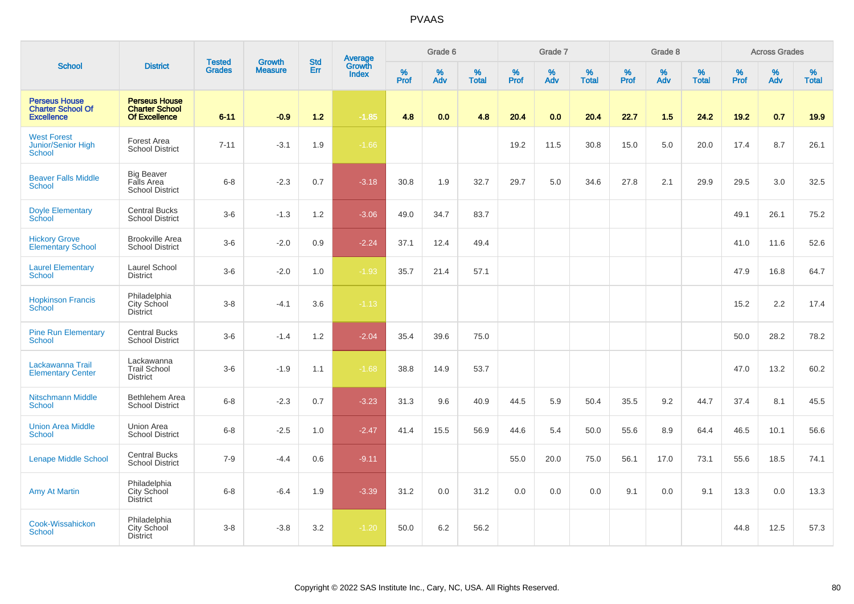|                                                                       |                                                                       |                                |                                 | <b>Std</b> |                                          |                  | Grade 6     |                   |           | Grade 7     |                   |           | Grade 8  |                   |              | <b>Across Grades</b> |                   |
|-----------------------------------------------------------------------|-----------------------------------------------------------------------|--------------------------------|---------------------------------|------------|------------------------------------------|------------------|-------------|-------------------|-----------|-------------|-------------------|-----------|----------|-------------------|--------------|----------------------|-------------------|
| <b>School</b>                                                         | <b>District</b>                                                       | <b>Tested</b><br><b>Grades</b> | <b>Growth</b><br><b>Measure</b> | Err        | <b>Average</b><br>Growth<br><b>Index</b> | %<br><b>Prof</b> | $\%$<br>Adv | %<br><b>Total</b> | %<br>Prof | $\%$<br>Adv | %<br><b>Total</b> | %<br>Prof | %<br>Adv | %<br><b>Total</b> | $\%$<br>Prof | $\%$<br>Adv          | %<br><b>Total</b> |
| <b>Perseus House</b><br><b>Charter School Of</b><br><b>Excellence</b> | <b>Perseus House</b><br><b>Charter School</b><br><b>Of Excellence</b> | $6 - 11$                       | $-0.9$                          | $1.2$      | $-1.85$                                  | 4.8              | 0.0         | 4.8               | 20.4      | 0.0         | 20.4              | 22.7      | 1.5      | 24.2              | 19.2         | 0.7                  | 19.9              |
| <b>West Forest</b><br><b>Junior/Senior High</b><br><b>School</b>      | Forest Area<br><b>School District</b>                                 | $7 - 11$                       | $-3.1$                          | 1.9        | $-1.66$                                  |                  |             |                   | 19.2      | 11.5        | 30.8              | 15.0      | 5.0      | 20.0              | 17.4         | 8.7                  | 26.1              |
| <b>Beaver Falls Middle</b><br><b>School</b>                           | <b>Big Beaver</b><br>Falls Area<br><b>School District</b>             | $6 - 8$                        | $-2.3$                          | 0.7        | $-3.18$                                  | 30.8             | 1.9         | 32.7              | 29.7      | 5.0         | 34.6              | 27.8      | 2.1      | 29.9              | 29.5         | 3.0                  | 32.5              |
| <b>Doyle Elementary</b><br>School                                     | <b>Central Bucks</b><br><b>School District</b>                        | $3-6$                          | $-1.3$                          | 1.2        | $-3.06$                                  | 49.0             | 34.7        | 83.7              |           |             |                   |           |          |                   | 49.1         | 26.1                 | 75.2              |
| <b>Hickory Grove</b><br><b>Elementary School</b>                      | <b>Brookville Area</b><br><b>School District</b>                      | $3-6$                          | $-2.0$                          | 0.9        | $-2.24$                                  | 37.1             | 12.4        | 49.4              |           |             |                   |           |          |                   | 41.0         | 11.6                 | 52.6              |
| <b>Laurel Elementary</b><br>School                                    | Laurel School<br><b>District</b>                                      | $3-6$                          | $-2.0$                          | 1.0        | $-1.93$                                  | 35.7             | 21.4        | 57.1              |           |             |                   |           |          |                   | 47.9         | 16.8                 | 64.7              |
| <b>Hopkinson Francis</b><br><b>School</b>                             | Philadelphia<br>City School<br><b>District</b>                        | $3 - 8$                        | $-4.1$                          | 3.6        | $-1.13$                                  |                  |             |                   |           |             |                   |           |          |                   | 15.2         | 2.2                  | 17.4              |
| <b>Pine Run Elementary</b><br>School                                  | <b>Central Bucks</b><br><b>School District</b>                        | $3-6$                          | $-1.4$                          | 1.2        | $-2.04$                                  | 35.4             | 39.6        | 75.0              |           |             |                   |           |          |                   | 50.0         | 28.2                 | 78.2              |
| Lackawanna Trail<br><b>Elementary Center</b>                          | Lackawanna<br><b>Trail School</b><br><b>District</b>                  | $3-6$                          | $-1.9$                          | 1.1        | $-1.68$                                  | 38.8             | 14.9        | 53.7              |           |             |                   |           |          |                   | 47.0         | 13.2                 | 60.2              |
| <b>Nitschmann Middle</b><br><b>School</b>                             | Bethlehem Area<br><b>School District</b>                              | $6 - 8$                        | $-2.3$                          | 0.7        | $-3.23$                                  | 31.3             | 9.6         | 40.9              | 44.5      | 5.9         | 50.4              | 35.5      | 9.2      | 44.7              | 37.4         | 8.1                  | 45.5              |
| <b>Union Area Middle</b><br>School                                    | Union Area<br><b>School District</b>                                  | $6 - 8$                        | $-2.5$                          | 1.0        | $-2.47$                                  | 41.4             | 15.5        | 56.9              | 44.6      | 5.4         | 50.0              | 55.6      | 8.9      | 64.4              | 46.5         | 10.1                 | 56.6              |
| <b>Lenape Middle School</b>                                           | <b>Central Bucks</b><br><b>School District</b>                        | $7 - 9$                        | $-4.4$                          | 0.6        | $-9.11$                                  |                  |             |                   | 55.0      | 20.0        | 75.0              | 56.1      | 17.0     | 73.1              | 55.6         | 18.5                 | 74.1              |
| <b>Amy At Martin</b>                                                  | Philadelphia<br>City School<br><b>District</b>                        | $6 - 8$                        | $-6.4$                          | 1.9        | $-3.39$                                  | 31.2             | 0.0         | 31.2              | 0.0       | 0.0         | 0.0               | 9.1       | 0.0      | 9.1               | 13.3         | 0.0                  | 13.3              |
| Cook-Wissahickon<br><b>School</b>                                     | Philadelphia<br><b>City School</b><br><b>District</b>                 | $3 - 8$                        | $-3.8$                          | 3.2        | $-1.20$                                  | 50.0             | 6.2         | 56.2              |           |             |                   |           |          |                   | 44.8         | 12.5                 | 57.3              |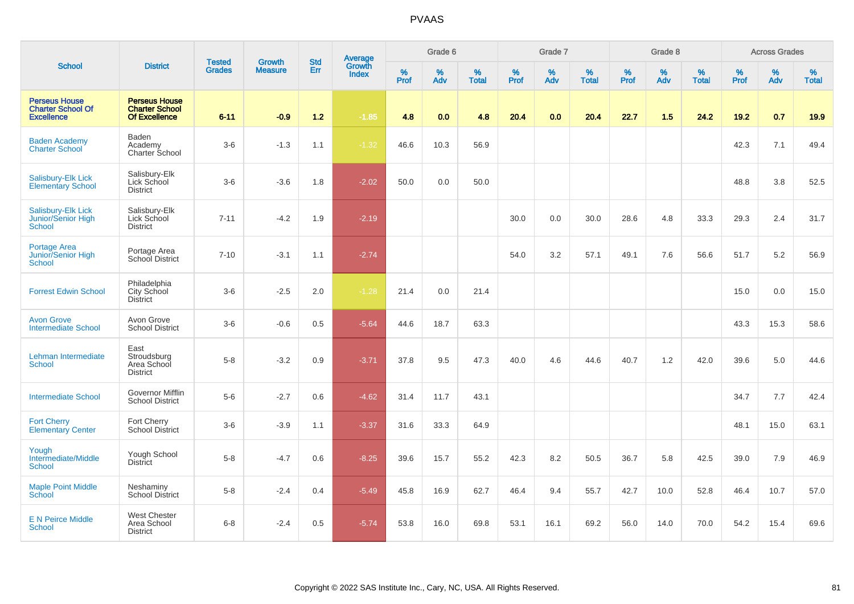|                                                                       |                                                                       |                                | <b>Growth</b>  | <b>Std</b> |                                          |                  | Grade 6  |                   |           | Grade 7  |                   |           | Grade 8  |                   |           | <b>Across Grades</b> |                   |
|-----------------------------------------------------------------------|-----------------------------------------------------------------------|--------------------------------|----------------|------------|------------------------------------------|------------------|----------|-------------------|-----------|----------|-------------------|-----------|----------|-------------------|-----------|----------------------|-------------------|
| <b>School</b>                                                         | <b>District</b>                                                       | <b>Tested</b><br><b>Grades</b> | <b>Measure</b> | Err        | <b>Average</b><br>Growth<br><b>Index</b> | %<br><b>Prof</b> | %<br>Adv | %<br><b>Total</b> | %<br>Prof | %<br>Adv | %<br><b>Total</b> | %<br>Prof | %<br>Adv | %<br><b>Total</b> | %<br>Prof | %<br>Adv             | %<br><b>Total</b> |
| <b>Perseus House</b><br><b>Charter School Of</b><br><b>Excellence</b> | <b>Perseus House</b><br><b>Charter School</b><br><b>Of Excellence</b> | $6 - 11$                       | $-0.9$         | $1.2$      | $-1.85$                                  | 4.8              | 0.0      | 4.8               | 20.4      | 0.0      | 20.4              | 22.7      | 1.5      | 24.2              | 19.2      | 0.7                  | 19.9              |
| <b>Baden Academy</b><br><b>Charter School</b>                         | Baden<br>Academy<br>Charter School                                    | $3-6$                          | $-1.3$         | 1.1        | $-1.32$                                  | 46.6             | 10.3     | 56.9              |           |          |                   |           |          |                   | 42.3      | 7.1                  | 49.4              |
| Salisbury-Elk Lick<br><b>Elementary School</b>                        | Salisbury-Elk<br>Lick School<br><b>District</b>                       | $3-6$                          | $-3.6$         | 1.8        | $-2.02$                                  | 50.0             | 0.0      | 50.0              |           |          |                   |           |          |                   | 48.8      | 3.8                  | 52.5              |
| Salisbury-Elk Lick<br>Junior/Senior High<br>School                    | Salisbury-Elk<br>Lick School<br><b>District</b>                       | $7 - 11$                       | $-4.2$         | 1.9        | $-2.19$                                  |                  |          |                   | 30.0      | 0.0      | 30.0              | 28.6      | 4.8      | 33.3              | 29.3      | 2.4                  | 31.7              |
| Portage Area<br>Junior/Senior High<br><b>School</b>                   | Portage Area<br>School District                                       | $7 - 10$                       | $-3.1$         | 1.1        | $-2.74$                                  |                  |          |                   | 54.0      | 3.2      | 57.1              | 49.1      | 7.6      | 56.6              | 51.7      | 5.2                  | 56.9              |
| <b>Forrest Edwin School</b>                                           | Philadelphia<br>City School<br><b>District</b>                        | $3-6$                          | $-2.5$         | 2.0        | $-1.28$                                  | 21.4             | 0.0      | 21.4              |           |          |                   |           |          |                   | 15.0      | 0.0                  | 15.0              |
| <b>Avon Grove</b><br><b>Intermediate School</b>                       | Avon Grove<br><b>School District</b>                                  | $3-6$                          | $-0.6$         | 0.5        | $-5.64$                                  | 44.6             | 18.7     | 63.3              |           |          |                   |           |          |                   | 43.3      | 15.3                 | 58.6              |
| Lehman Intermediate<br>School                                         | East<br>Stroudsburg<br>Area School<br><b>District</b>                 | $5-8$                          | $-3.2$         | 0.9        | $-3.71$                                  | 37.8             | 9.5      | 47.3              | 40.0      | 4.6      | 44.6              | 40.7      | 1.2      | 42.0              | 39.6      | 5.0                  | 44.6              |
| <b>Intermediate School</b>                                            | Governor Mifflin<br><b>School District</b>                            | $5-6$                          | $-2.7$         | 0.6        | $-4.62$                                  | 31.4             | 11.7     | 43.1              |           |          |                   |           |          |                   | 34.7      | 7.7                  | 42.4              |
| <b>Fort Cherry</b><br><b>Elementary Center</b>                        | Fort Cherry<br><b>School District</b>                                 | $3-6$                          | $-3.9$         | 1.1        | $-3.37$                                  | 31.6             | 33.3     | 64.9              |           |          |                   |           |          |                   | 48.1      | 15.0                 | 63.1              |
| Yough<br>Intermediate/Middle<br><b>School</b>                         | Yough School<br><b>District</b>                                       | $5-8$                          | $-4.7$         | 0.6        | $-8.25$                                  | 39.6             | 15.7     | 55.2              | 42.3      | 8.2      | 50.5              | 36.7      | 5.8      | 42.5              | 39.0      | 7.9                  | 46.9              |
| <b>Maple Point Middle</b><br>School                                   | Neshaminy<br><b>School District</b>                                   | $5-8$                          | $-2.4$         | 0.4        | $-5.49$                                  | 45.8             | 16.9     | 62.7              | 46.4      | 9.4      | 55.7              | 42.7      | 10.0     | 52.8              | 46.4      | 10.7                 | 57.0              |
| <b>E N Peirce Middle</b><br><b>School</b>                             | <b>West Chester</b><br>Area School<br><b>District</b>                 | $6 - 8$                        | $-2.4$         | 0.5        | $-5.74$                                  | 53.8             | 16.0     | 69.8              | 53.1      | 16.1     | 69.2              | 56.0      | 14.0     | 70.0              | 54.2      | 15.4                 | 69.6              |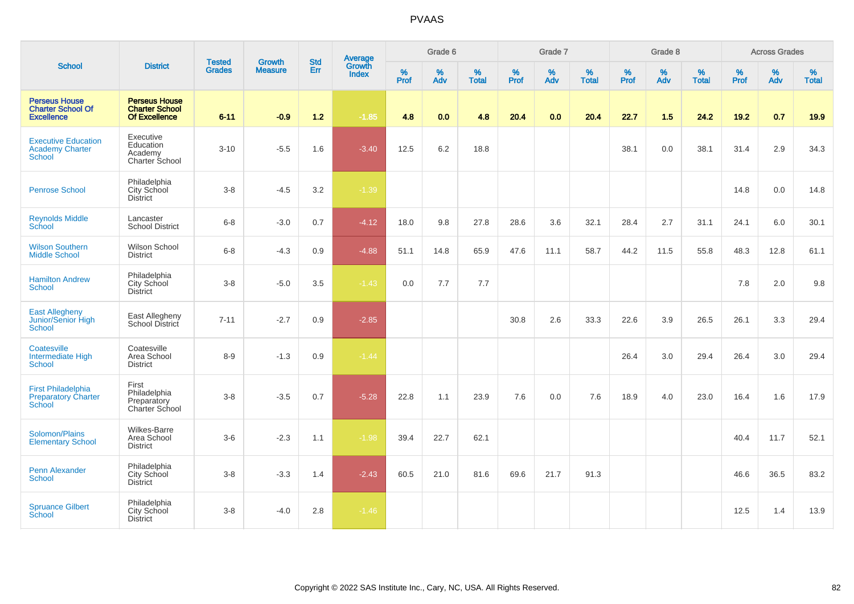|                                                                          |                                                                | <b>Tested</b> | <b>Growth</b>  | <b>Std</b> |                                          |                     | Grade 6     |                   |                  | Grade 7     |                   |                     | Grade 8  |                   |                     | <b>Across Grades</b> |                   |
|--------------------------------------------------------------------------|----------------------------------------------------------------|---------------|----------------|------------|------------------------------------------|---------------------|-------------|-------------------|------------------|-------------|-------------------|---------------------|----------|-------------------|---------------------|----------------------|-------------------|
| <b>School</b>                                                            | <b>District</b>                                                | <b>Grades</b> | <b>Measure</b> | Err        | <b>Average</b><br>Growth<br><b>Index</b> | $\%$<br><b>Prof</b> | $\%$<br>Adv | %<br><b>Total</b> | %<br><b>Prof</b> | $\%$<br>Adv | %<br><b>Total</b> | $\%$<br><b>Prof</b> | %<br>Adv | %<br><b>Total</b> | $\%$<br><b>Prof</b> | $\%$<br>Adv          | %<br><b>Total</b> |
| <b>Perseus House</b><br><b>Charter School Of</b><br><b>Excellence</b>    | <b>Perseus House</b><br><b>Charter School</b><br>Of Excellence | $6 - 11$      | $-0.9$         | $1.2$      | $-1.85$                                  | 4.8                 | 0.0         | 4.8               | 20.4             | 0.0         | 20.4              | 22.7                | 1.5      | 24.2              | 19.2                | 0.7                  | 19.9              |
| <b>Executive Education</b><br><b>Academy Charter</b><br><b>School</b>    | Executive<br>Education<br>Academy<br>Charter School            | $3 - 10$      | $-5.5$         | 1.6        | $-3.40$                                  | 12.5                | 6.2         | 18.8              |                  |             |                   | 38.1                | 0.0      | 38.1              | 31.4                | 2.9                  | 34.3              |
| <b>Penrose School</b>                                                    | Philadelphia<br>City School<br>District                        | $3 - 8$       | $-4.5$         | 3.2        | $-1.39$                                  |                     |             |                   |                  |             |                   |                     |          |                   | 14.8                | 0.0                  | 14.8              |
| <b>Reynolds Middle</b><br>School                                         | Lancaster<br>School District                                   | $6 - 8$       | $-3.0$         | 0.7        | $-4.12$                                  | 18.0                | 9.8         | 27.8              | 28.6             | 3.6         | 32.1              | 28.4                | 2.7      | 31.1              | 24.1                | 6.0                  | 30.1              |
| <b>Wilson Southern</b><br><b>Middle School</b>                           | Wilson School<br><b>District</b>                               | $6 - 8$       | $-4.3$         | 0.9        | $-4.88$                                  | 51.1                | 14.8        | 65.9              | 47.6             | 11.1        | 58.7              | 44.2                | 11.5     | 55.8              | 48.3                | 12.8                 | 61.1              |
| <b>Hamilton Andrew</b><br><b>School</b>                                  | Philadelphia<br>City School<br>District                        | $3-8$         | $-5.0$         | $3.5\,$    | $-1.43$                                  | 0.0                 | 7.7         | 7.7               |                  |             |                   |                     |          |                   | 7.8                 | 2.0                  | 9.8               |
| <b>East Allegheny</b><br>Junior/Senior High<br><b>School</b>             | East Allegheny<br>School District                              | $7 - 11$      | $-2.7$         | 0.9        | $-2.85$                                  |                     |             |                   | 30.8             | 2.6         | 33.3              | 22.6                | 3.9      | 26.5              | 26.1                | 3.3                  | 29.4              |
| Coatesville<br>Intermediate High<br><b>School</b>                        | Coatesville<br>Area School<br><b>District</b>                  | $8 - 9$       | $-1.3$         | 0.9        | $-1.44$                                  |                     |             |                   |                  |             |                   | 26.4                | 3.0      | 29.4              | 26.4                | 3.0                  | 29.4              |
| <b>First Philadelphia</b><br><b>Preparatory Charter</b><br><b>School</b> | First<br>Philadelphia<br>Preparatory<br>Charter School         | $3-8$         | $-3.5$         | 0.7        | $-5.28$                                  | 22.8                | 1.1         | 23.9              | 7.6              | 0.0         | 7.6               | 18.9                | 4.0      | 23.0              | 16.4                | 1.6                  | 17.9              |
| Solomon/Plains<br><b>Elementary School</b>                               | <b>Wilkes-Barre</b><br>Area School<br><b>District</b>          | $3-6$         | $-2.3$         | 1.1        | $-1.98$                                  | 39.4                | 22.7        | 62.1              |                  |             |                   |                     |          |                   | 40.4                | 11.7                 | 52.1              |
| <b>Penn Alexander</b><br>School                                          | Philadelphia<br><b>City School</b><br><b>District</b>          | $3 - 8$       | $-3.3$         | 1.4        | $-2.43$                                  | 60.5                | 21.0        | 81.6              | 69.6             | 21.7        | 91.3              |                     |          |                   | 46.6                | 36.5                 | 83.2              |
| <b>Spruance Gilbert</b><br>School                                        | Philadelphia<br>City School<br><b>District</b>                 | $3-8$         | $-4.0$         | 2.8        | $-1.46$                                  |                     |             |                   |                  |             |                   |                     |          |                   | 12.5                | 1.4                  | 13.9              |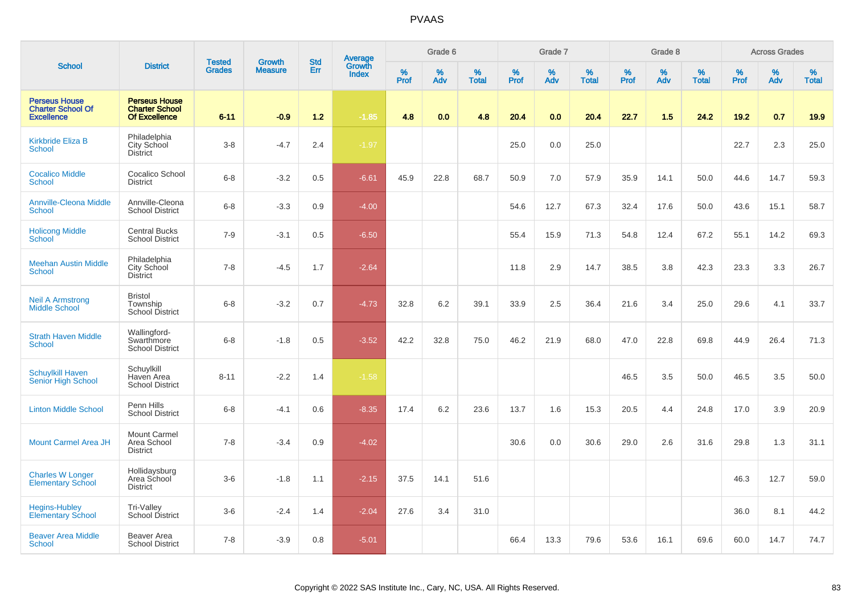|                                                                       |                                                                       | <b>Tested</b> | <b>Growth</b>  | <b>Std</b> |                                          |                  | Grade 6  |                   |           | Grade 7  |                   |              | Grade 8  |                   |              | <b>Across Grades</b> |                   |
|-----------------------------------------------------------------------|-----------------------------------------------------------------------|---------------|----------------|------------|------------------------------------------|------------------|----------|-------------------|-----------|----------|-------------------|--------------|----------|-------------------|--------------|----------------------|-------------------|
| <b>School</b>                                                         | <b>District</b>                                                       | <b>Grades</b> | <b>Measure</b> | Err        | <b>Average</b><br>Growth<br><b>Index</b> | %<br><b>Prof</b> | %<br>Adv | %<br><b>Total</b> | %<br>Prof | %<br>Adv | %<br><b>Total</b> | $\%$<br>Prof | %<br>Adv | %<br><b>Total</b> | $\%$<br>Prof | $\%$<br>Adv          | %<br><b>Total</b> |
| <b>Perseus House</b><br><b>Charter School Of</b><br><b>Excellence</b> | <b>Perseus House</b><br><b>Charter School</b><br><b>Of Excellence</b> | $6 - 11$      | $-0.9$         | $1.2$      | $-1.85$                                  | 4.8              | 0.0      | 4.8               | 20.4      | 0.0      | 20.4              | 22.7         | 1.5      | 24.2              | 19.2         | 0.7                  | 19.9              |
| <b>Kirkbride Eliza B</b><br><b>School</b>                             | Philadelphia<br>City School<br><b>District</b>                        | $3-8$         | $-4.7$         | 2.4        | $-1.97$                                  |                  |          |                   | 25.0      | 0.0      | 25.0              |              |          |                   | 22.7         | 2.3                  | 25.0              |
| <b>Cocalico Middle</b><br><b>School</b>                               | Cocalico School<br><b>District</b>                                    | $6-8$         | $-3.2$         | 0.5        | $-6.61$                                  | 45.9             | 22.8     | 68.7              | 50.9      | 7.0      | 57.9              | 35.9         | 14.1     | 50.0              | 44.6         | 14.7                 | 59.3              |
| <b>Annville-Cleona Middle</b><br><b>School</b>                        | Annville-Cleona<br><b>School District</b>                             | $6 - 8$       | $-3.3$         | 0.9        | $-4.00$                                  |                  |          |                   | 54.6      | 12.7     | 67.3              | 32.4         | 17.6     | 50.0              | 43.6         | 15.1                 | 58.7              |
| <b>Holicong Middle</b><br><b>School</b>                               | <b>Central Bucks</b><br><b>School District</b>                        | $7 - 9$       | $-3.1$         | 0.5        | $-6.50$                                  |                  |          |                   | 55.4      | 15.9     | 71.3              | 54.8         | 12.4     | 67.2              | 55.1         | 14.2                 | 69.3              |
| <b>Meehan Austin Middle</b><br><b>School</b>                          | Philadelphia<br>City School<br><b>District</b>                        | $7 - 8$       | $-4.5$         | 1.7        | $-2.64$                                  |                  |          |                   | 11.8      | 2.9      | 14.7              | 38.5         | 3.8      | 42.3              | 23.3         | 3.3                  | 26.7              |
| <b>Neil A Armstrong</b><br><b>Middle School</b>                       | <b>Bristol</b><br>Township<br>School District                         | $6 - 8$       | $-3.2$         | 0.7        | $-4.73$                                  | 32.8             | 6.2      | 39.1              | 33.9      | 2.5      | 36.4              | 21.6         | 3.4      | 25.0              | 29.6         | 4.1                  | 33.7              |
| <b>Strath Haven Middle</b><br>School                                  | Wallingford-<br>Swarthmore<br><b>School District</b>                  | $6 - 8$       | $-1.8$         | 0.5        | $-3.52$                                  | 42.2             | 32.8     | 75.0              | 46.2      | 21.9     | 68.0              | 47.0         | 22.8     | 69.8              | 44.9         | 26.4                 | 71.3              |
| <b>Schuylkill Haven</b><br><b>Senior High School</b>                  | Schuylkill<br>Haven Area<br><b>School District</b>                    | $8 - 11$      | $-2.2$         | 1.4        | $-1.58$                                  |                  |          |                   |           |          |                   | 46.5         | 3.5      | 50.0              | 46.5         | 3.5                  | 50.0              |
| <b>Linton Middle School</b>                                           | Penn Hills<br><b>School District</b>                                  | $6 - 8$       | $-4.1$         | 0.6        | $-8.35$                                  | 17.4             | 6.2      | 23.6              | 13.7      | 1.6      | 15.3              | 20.5         | 4.4      | 24.8              | 17.0         | 3.9                  | 20.9              |
| <b>Mount Carmel Area JH</b>                                           | Mount Carmel<br>Area School<br><b>District</b>                        | $7 - 8$       | $-3.4$         | 0.9        | $-4.02$                                  |                  |          |                   | 30.6      | 0.0      | 30.6              | 29.0         | 2.6      | 31.6              | 29.8         | 1.3                  | 31.1              |
| <b>Charles W Longer</b><br><b>Elementary School</b>                   | Hollidaysburg<br>Area School<br><b>District</b>                       | $3-6$         | $-1.8$         | 1.1        | $-2.15$                                  | 37.5             | 14.1     | 51.6              |           |          |                   |              |          |                   | 46.3         | 12.7                 | 59.0              |
| <b>Hegins-Hubley</b><br><b>Elementary School</b>                      | Tri-Valley<br>School District                                         | $3-6$         | $-2.4$         | 1.4        | $-2.04$                                  | 27.6             | 3.4      | 31.0              |           |          |                   |              |          |                   | 36.0         | 8.1                  | 44.2              |
| <b>Beaver Area Middle</b><br>School                                   | Beaver Area<br><b>School District</b>                                 | $7 - 8$       | $-3.9$         | 0.8        | $-5.01$                                  |                  |          |                   | 66.4      | 13.3     | 79.6              | 53.6         | 16.1     | 69.6              | 60.0         | 14.7                 | 74.7              |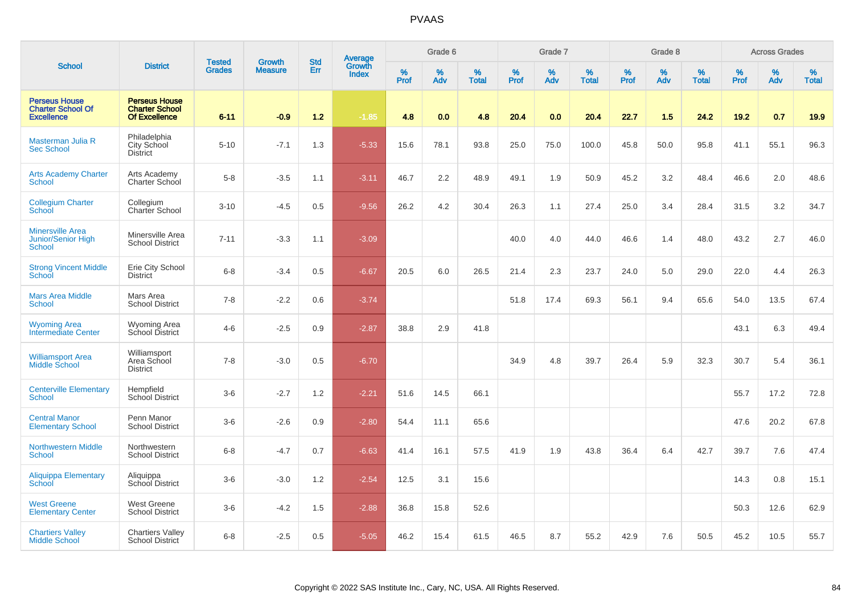|                                                                       |                                                                       | <b>Tested</b> | <b>Growth</b>  | <b>Std</b> |                                          |                  | Grade 6  |                   |           | Grade 7     |                   |                  | Grade 8  |                   |                     | <b>Across Grades</b> |                   |
|-----------------------------------------------------------------------|-----------------------------------------------------------------------|---------------|----------------|------------|------------------------------------------|------------------|----------|-------------------|-----------|-------------|-------------------|------------------|----------|-------------------|---------------------|----------------------|-------------------|
| <b>School</b>                                                         | <b>District</b>                                                       | <b>Grades</b> | <b>Measure</b> | Err        | <b>Average</b><br>Growth<br><b>Index</b> | %<br><b>Prof</b> | %<br>Adv | %<br><b>Total</b> | %<br>Prof | $\%$<br>Adv | %<br><b>Total</b> | %<br><b>Prof</b> | %<br>Adv | %<br><b>Total</b> | $\%$<br><b>Prof</b> | $\%$<br>Adv          | %<br><b>Total</b> |
| <b>Perseus House</b><br><b>Charter School Of</b><br><b>Excellence</b> | <b>Perseus House</b><br><b>Charter School</b><br><b>Of Excellence</b> | $6 - 11$      | $-0.9$         | $1.2$      | $-1.85$                                  | 4.8              | 0.0      | 4.8               | 20.4      | 0.0         | 20.4              | 22.7             | 1.5      | 24.2              | 19.2                | 0.7                  | 19.9              |
| Masterman Julia R<br><b>Sec School</b>                                | Philadelphia<br>City School<br><b>District</b>                        | $5 - 10$      | $-7.1$         | 1.3        | $-5.33$                                  | 15.6             | 78.1     | 93.8              | 25.0      | 75.0        | 100.0             | 45.8             | 50.0     | 95.8              | 41.1                | 55.1                 | 96.3              |
| <b>Arts Academy Charter</b><br>School                                 | Arts Academy<br>Charter School                                        | $5-8$         | $-3.5$         | 1.1        | $-3.11$                                  | 46.7             | 2.2      | 48.9              | 49.1      | 1.9         | 50.9              | 45.2             | 3.2      | 48.4              | 46.6                | 2.0                  | 48.6              |
| <b>Collegium Charter</b><br>School                                    | Collegium<br>Charter School                                           | $3 - 10$      | $-4.5$         | 0.5        | $-9.56$                                  | 26.2             | 4.2      | 30.4              | 26.3      | 1.1         | 27.4              | 25.0             | 3.4      | 28.4              | 31.5                | 3.2                  | 34.7              |
| <b>Minersville Area</b><br>Junior/Senior High<br>School               | Minersville Area<br><b>School District</b>                            | $7 - 11$      | $-3.3$         | 1.1        | $-3.09$                                  |                  |          |                   | 40.0      | 4.0         | 44.0              | 46.6             | 1.4      | 48.0              | 43.2                | 2.7                  | 46.0              |
| <b>Strong Vincent Middle</b><br>School                                | Erie City School<br>District                                          | $6 - 8$       | $-3.4$         | 0.5        | $-6.67$                                  | 20.5             | 6.0      | 26.5              | 21.4      | 2.3         | 23.7              | 24.0             | 5.0      | 29.0              | 22.0                | 4.4                  | 26.3              |
| <b>Mars Area Middle</b><br>School                                     | Mars Area<br><b>School District</b>                                   | $7 - 8$       | $-2.2$         | 0.6        | $-3.74$                                  |                  |          |                   | 51.8      | 17.4        | 69.3              | 56.1             | 9.4      | 65.6              | 54.0                | 13.5                 | 67.4              |
| <b>Wyoming Area</b><br>Intermediate Center                            | Wyoming Area<br>School District                                       | $4-6$         | $-2.5$         | 0.9        | $-2.87$                                  | 38.8             | 2.9      | 41.8              |           |             |                   |                  |          |                   | 43.1                | 6.3                  | 49.4              |
| <b>Williamsport Area</b><br><b>Middle School</b>                      | Williamsport<br>Area School<br><b>District</b>                        | $7 - 8$       | $-3.0$         | 0.5        | $-6.70$                                  |                  |          |                   | 34.9      | 4.8         | 39.7              | 26.4             | 5.9      | 32.3              | 30.7                | 5.4                  | 36.1              |
| <b>Centerville Elementary</b><br><b>School</b>                        | Hempfield<br><b>School District</b>                                   | $3-6$         | $-2.7$         | 1.2        | $-2.21$                                  | 51.6             | 14.5     | 66.1              |           |             |                   |                  |          |                   | 55.7                | 17.2                 | 72.8              |
| <b>Central Manor</b><br><b>Elementary School</b>                      | Penn Manor<br><b>School District</b>                                  | $3-6$         | $-2.6$         | 0.9        | $-2.80$                                  | 54.4             | 11.1     | 65.6              |           |             |                   |                  |          |                   | 47.6                | 20.2                 | 67.8              |
| <b>Northwestern Middle</b><br>School                                  | Northwestern<br><b>School District</b>                                | $6 - 8$       | $-4.7$         | 0.7        | $-6.63$                                  | 41.4             | 16.1     | 57.5              | 41.9      | 1.9         | 43.8              | 36.4             | 6.4      | 42.7              | 39.7                | 7.6                  | 47.4              |
| <b>Aliquippa Elementary</b><br>School                                 | Aliquippa<br>School District                                          | $3-6$         | $-3.0$         | 1.2        | $-2.54$                                  | 12.5             | 3.1      | 15.6              |           |             |                   |                  |          |                   | 14.3                | 0.8                  | 15.1              |
| <b>West Greene</b><br><b>Elementary Center</b>                        | <b>West Greene</b><br><b>School District</b>                          | $3-6$         | $-4.2$         | 1.5        | $-2.88$                                  | 36.8             | 15.8     | 52.6              |           |             |                   |                  |          |                   | 50.3                | 12.6                 | 62.9              |
| <b>Chartiers Valley</b><br><b>Middle School</b>                       | <b>Chartiers Valley</b><br><b>School District</b>                     | $6 - 8$       | $-2.5$         | 0.5        | $-5.05$                                  | 46.2             | 15.4     | 61.5              | 46.5      | 8.7         | 55.2              | 42.9             | 7.6      | 50.5              | 45.2                | 10.5                 | 55.7              |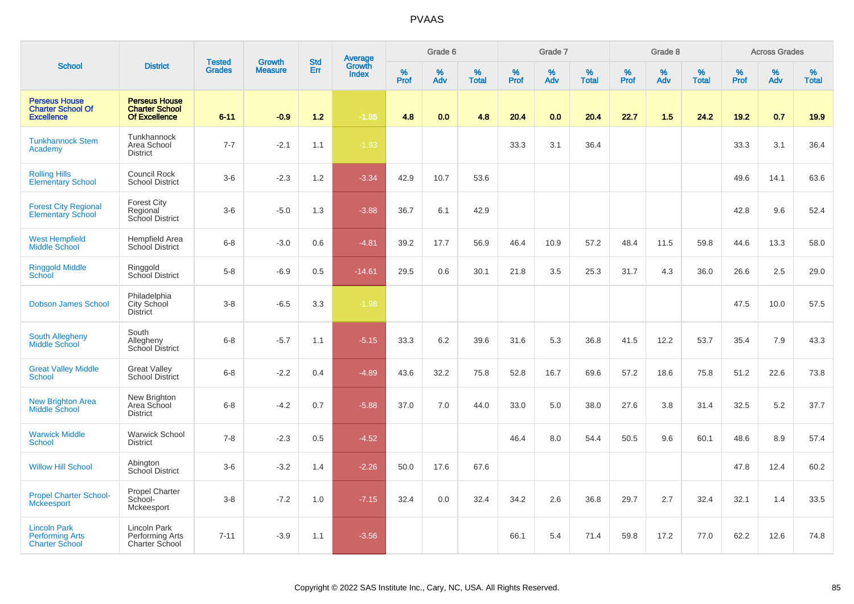|                                                                        |                                                                       | <b>Tested</b> | <b>Growth</b>  | <b>Std</b> |                                   |                  | Grade 6  |                   |           | Grade 7  |                   |              | Grade 8  |                   |              | <b>Across Grades</b> |                   |
|------------------------------------------------------------------------|-----------------------------------------------------------------------|---------------|----------------|------------|-----------------------------------|------------------|----------|-------------------|-----------|----------|-------------------|--------------|----------|-------------------|--------------|----------------------|-------------------|
| <b>School</b>                                                          | <b>District</b>                                                       | <b>Grades</b> | <b>Measure</b> | Err        | Average<br>Growth<br><b>Index</b> | %<br><b>Prof</b> | %<br>Adv | %<br><b>Total</b> | %<br>Prof | %<br>Adv | %<br><b>Total</b> | $\%$<br>Prof | %<br>Adv | %<br><b>Total</b> | $\%$<br>Prof | $\%$<br>Adv          | %<br><b>Total</b> |
| <b>Perseus House</b><br><b>Charter School Of</b><br><b>Excellence</b>  | <b>Perseus House</b><br><b>Charter School</b><br><b>Of Excellence</b> | $6 - 11$      | $-0.9$         | 1.2        | $-1.85$                           | 4.8              | 0.0      | 4.8               | 20.4      | 0.0      | 20.4              | 22.7         | 1.5      | 24.2              | 19.2         | 0.7                  | 19.9              |
| <b>Tunkhannock Stem</b><br>Academy                                     | Tunkhannock<br>Area School<br><b>District</b>                         | $7 - 7$       | $-2.1$         | 1.1        | $-1.93$                           |                  |          |                   | 33.3      | 3.1      | 36.4              |              |          |                   | 33.3         | 3.1                  | 36.4              |
| <b>Rolling Hills</b><br><b>Elementary School</b>                       | Council Rock<br><b>School District</b>                                | $3-6$         | $-2.3$         | 1.2        | $-3.34$                           | 42.9             | 10.7     | 53.6              |           |          |                   |              |          |                   | 49.6         | 14.1                 | 63.6              |
| <b>Forest City Regional</b><br><b>Elementary School</b>                | <b>Forest City</b><br>Regional<br>School District                     | $3-6$         | $-5.0$         | 1.3        | $-3.88$                           | 36.7             | 6.1      | 42.9              |           |          |                   |              |          |                   | 42.8         | 9.6                  | 52.4              |
| <b>West Hempfield</b><br>Middle School                                 | Hempfield Area<br>School District                                     | $6 - 8$       | $-3.0$         | 0.6        | $-4.81$                           | 39.2             | 17.7     | 56.9              | 46.4      | 10.9     | 57.2              | 48.4         | 11.5     | 59.8              | 44.6         | 13.3                 | 58.0              |
| <b>Ringgold Middle</b><br>School                                       | Ringgold<br>School District                                           | $5-8$         | $-6.9$         | 0.5        | $-14.61$                          | 29.5             | 0.6      | 30.1              | 21.8      | 3.5      | 25.3              | 31.7         | 4.3      | 36.0              | 26.6         | 2.5                  | 29.0              |
| <b>Dobson James School</b>                                             | Philadelphia<br>City School<br><b>District</b>                        | $3 - 8$       | $-6.5$         | 3.3        | $-1.98$                           |                  |          |                   |           |          |                   |              |          |                   | 47.5         | 10.0                 | 57.5              |
| <b>South Allegheny</b><br>Middle School                                | South<br>Allegheny<br>School District                                 | $6 - 8$       | $-5.7$         | 1.1        | $-5.15$                           | 33.3             | 6.2      | 39.6              | 31.6      | 5.3      | 36.8              | 41.5         | 12.2     | 53.7              | 35.4         | 7.9                  | 43.3              |
| <b>Great Valley Middle</b><br>School                                   | <b>Great Valley</b><br>School District                                | $6 - 8$       | $-2.2$         | 0.4        | $-4.89$                           | 43.6             | 32.2     | 75.8              | 52.8      | 16.7     | 69.6              | 57.2         | 18.6     | 75.8              | 51.2         | 22.6                 | 73.8              |
| New Brighton Area<br><b>Middle School</b>                              | New Brighton<br>Area School<br><b>District</b>                        | $6 - 8$       | $-4.2$         | 0.7        | $-5.88$                           | 37.0             | 7.0      | 44.0              | 33.0      | 5.0      | 38.0              | 27.6         | 3.8      | 31.4              | 32.5         | 5.2                  | 37.7              |
| <b>Warwick Middle</b><br>School                                        | <b>Warwick School</b><br><b>District</b>                              | $7 - 8$       | $-2.3$         | 0.5        | $-4.52$                           |                  |          |                   | 46.4      | 8.0      | 54.4              | 50.5         | 9.6      | 60.1              | 48.6         | 8.9                  | 57.4              |
| <b>Willow Hill School</b>                                              | Abington<br>School District                                           | $3-6$         | $-3.2$         | 1.4        | $-2.26$                           | 50.0             | 17.6     | 67.6              |           |          |                   |              |          |                   | 47.8         | 12.4                 | 60.2              |
| <b>Propel Charter School-</b><br><b>Mckeesport</b>                     | Propel Charter<br>School-<br>Mckeesport                               | $3-8$         | $-7.2$         | 1.0        | $-7.15$                           | 32.4             | 0.0      | 32.4              | 34.2      | 2.6      | 36.8              | 29.7         | 2.7      | 32.4              | 32.1         | 1.4                  | 33.5              |
| <b>Lincoln Park</b><br><b>Performing Arts</b><br><b>Charter School</b> | Lincoln Park<br>Performing Arts<br><b>Charter School</b>              | $7 - 11$      | $-3.9$         | 1.1        | $-3.56$                           |                  |          |                   | 66.1      | 5.4      | 71.4              | 59.8         | 17.2     | 77.0              | 62.2         | 12.6                 | 74.8              |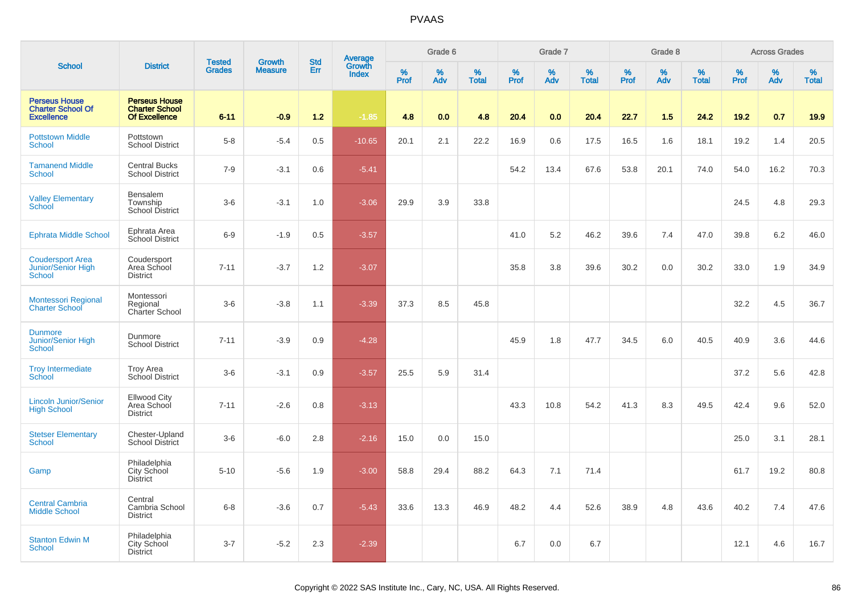|                                                                       |                                                                       | <b>Tested</b> | <b>Growth</b>  | <b>Std</b> |                                          |           | Grade 6  |                   |           | Grade 7  |                   |           | Grade 8  |                   |              | <b>Across Grades</b> |                   |
|-----------------------------------------------------------------------|-----------------------------------------------------------------------|---------------|----------------|------------|------------------------------------------|-----------|----------|-------------------|-----------|----------|-------------------|-----------|----------|-------------------|--------------|----------------------|-------------------|
| <b>School</b>                                                         | <b>District</b>                                                       | <b>Grades</b> | <b>Measure</b> | Err        | <b>Average</b><br>Growth<br><b>Index</b> | %<br>Prof | %<br>Adv | %<br><b>Total</b> | %<br>Prof | %<br>Adv | %<br><b>Total</b> | %<br>Prof | %<br>Adv | %<br><b>Total</b> | $\%$<br>Prof | %<br>Adv             | %<br><b>Total</b> |
| <b>Perseus House</b><br><b>Charter School Of</b><br><b>Excellence</b> | <b>Perseus House</b><br><b>Charter School</b><br><b>Of Excellence</b> | $6 - 11$      | $-0.9$         | $1.2$      | $-1.85$                                  | 4.8       | 0.0      | 4.8               | 20.4      | 0.0      | 20.4              | 22.7      | 1.5      | 24.2              | 19.2         | 0.7                  | 19.9              |
| <b>Pottstown Middle</b><br><b>School</b>                              | Pottstown<br><b>School District</b>                                   | $5-8$         | $-5.4$         | 0.5        | $-10.65$                                 | 20.1      | 2.1      | 22.2              | 16.9      | 0.6      | 17.5              | 16.5      | 1.6      | 18.1              | 19.2         | 1.4                  | 20.5              |
| <b>Tamanend Middle</b><br><b>School</b>                               | <b>Central Bucks</b><br><b>School District</b>                        | $7 - 9$       | $-3.1$         | 0.6        | $-5.41$                                  |           |          |                   | 54.2      | 13.4     | 67.6              | 53.8      | 20.1     | 74.0              | 54.0         | 16.2                 | 70.3              |
| <b>Valley Elementary</b><br><b>School</b>                             | Bensalem<br>Township<br><b>School District</b>                        | $3-6$         | $-3.1$         | 1.0        | $-3.06$                                  | 29.9      | 3.9      | 33.8              |           |          |                   |           |          |                   | 24.5         | 4.8                  | 29.3              |
| <b>Ephrata Middle School</b>                                          | Ephrata Area<br>School District                                       | $6-9$         | $-1.9$         | 0.5        | $-3.57$                                  |           |          |                   | 41.0      | 5.2      | 46.2              | 39.6      | 7.4      | 47.0              | 39.8         | 6.2                  | 46.0              |
| <b>Coudersport Area</b><br>Junior/Senior High<br><b>School</b>        | Coudersport<br>Area School<br><b>District</b>                         | $7 - 11$      | $-3.7$         | 1.2        | $-3.07$                                  |           |          |                   | 35.8      | 3.8      | 39.6              | 30.2      | 0.0      | 30.2              | 33.0         | 1.9                  | 34.9              |
| <b>Montessori Regional</b><br><b>Charter School</b>                   | Montessori<br>Regional<br>Charter School                              | $3-6$         | $-3.8$         | 1.1        | $-3.39$                                  | 37.3      | 8.5      | 45.8              |           |          |                   |           |          |                   | 32.2         | 4.5                  | 36.7              |
| <b>Dunmore</b><br><b>Junior/Senior High</b><br><b>School</b>          | Dunmore<br><b>School District</b>                                     | $7 - 11$      | $-3.9$         | 0.9        | $-4.28$                                  |           |          |                   | 45.9      | 1.8      | 47.7              | 34.5      | 6.0      | 40.5              | 40.9         | 3.6                  | 44.6              |
| <b>Troy Intermediate</b><br><b>School</b>                             | <b>Troy Area</b><br>School District                                   | $3-6$         | $-3.1$         | 0.9        | $-3.57$                                  | 25.5      | 5.9      | 31.4              |           |          |                   |           |          |                   | 37.2         | 5.6                  | 42.8              |
| <b>Lincoln Junior/Senior</b><br><b>High School</b>                    | <b>Ellwood City</b><br>Area School<br><b>District</b>                 | $7 - 11$      | $-2.6$         | 0.8        | $-3.13$                                  |           |          |                   | 43.3      | 10.8     | 54.2              | 41.3      | 8.3      | 49.5              | 42.4         | 9.6                  | 52.0              |
| <b>Stetser Elementary</b><br><b>School</b>                            | Chester-Upland<br><b>School District</b>                              | $3-6$         | $-6.0$         | 2.8        | $-2.16$                                  | 15.0      | 0.0      | 15.0              |           |          |                   |           |          |                   | 25.0         | 3.1                  | 28.1              |
| Gamp                                                                  | Philadelphia<br>City School<br><b>District</b>                        | $5 - 10$      | $-5.6$         | 1.9        | $-3.00$                                  | 58.8      | 29.4     | 88.2              | 64.3      | 7.1      | 71.4              |           |          |                   | 61.7         | 19.2                 | 80.8              |
| <b>Central Cambria</b><br><b>Middle School</b>                        | Central<br>Cambria School<br><b>District</b>                          | $6 - 8$       | $-3.6$         | 0.7        | $-5.43$                                  | 33.6      | 13.3     | 46.9              | 48.2      | 4.4      | 52.6              | 38.9      | 4.8      | 43.6              | 40.2         | 7.4                  | 47.6              |
| <b>Stanton Edwin M</b><br><b>School</b>                               | Philadelphia<br><b>City School</b><br><b>District</b>                 | $3 - 7$       | $-5.2$         | 2.3        | $-2.39$                                  |           |          |                   | 6.7       | 0.0      | 6.7               |           |          |                   | 12.1         | 4.6                  | 16.7              |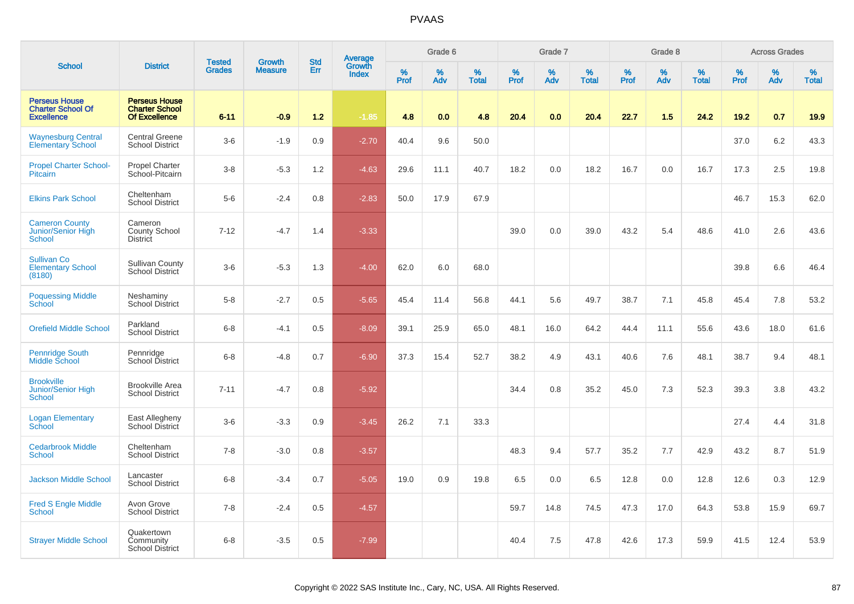|                                                                       |                                                                       | <b>Tested</b> | Growth         | <b>Std</b> | Average<br>Growth |           | Grade 6  |                   |                  | Grade 7  |                   |           | Grade 8  |                   |           | <b>Across Grades</b> |                   |
|-----------------------------------------------------------------------|-----------------------------------------------------------------------|---------------|----------------|------------|-------------------|-----------|----------|-------------------|------------------|----------|-------------------|-----------|----------|-------------------|-----------|----------------------|-------------------|
| <b>School</b>                                                         | <b>District</b>                                                       | <b>Grades</b> | <b>Measure</b> | Err        | <b>Index</b>      | %<br>Prof | %<br>Adv | %<br><b>Total</b> | %<br><b>Prof</b> | %<br>Adv | %<br><b>Total</b> | %<br>Prof | %<br>Adv | %<br><b>Total</b> | %<br>Prof | %<br>Adv             | %<br><b>Total</b> |
| <b>Perseus House</b><br><b>Charter School Of</b><br><b>Excellence</b> | <b>Perseus House</b><br><b>Charter School</b><br><b>Of Excellence</b> | $6 - 11$      | $-0.9$         | 1.2        | $-1.85$           | 4.8       | 0.0      | 4.8               | 20.4             | 0.0      | 20.4              | 22.7      | 1.5      | 24.2              | 19.2      | 0.7                  | 19.9              |
| <b>Waynesburg Central</b><br><b>Elementary School</b>                 | <b>Central Greene</b><br><b>School District</b>                       | $3-6$         | $-1.9$         | 0.9        | $-2.70$           | 40.4      | 9.6      | 50.0              |                  |          |                   |           |          |                   | 37.0      | 6.2                  | 43.3              |
| <b>Propel Charter School-</b><br><b>Pitcairn</b>                      | <b>Propel Charter</b><br>School-Pitcairn                              | $3 - 8$       | $-5.3$         | 1.2        | $-4.63$           | 29.6      | 11.1     | 40.7              | 18.2             | 0.0      | 18.2              | 16.7      | 0.0      | 16.7              | 17.3      | 2.5                  | 19.8              |
| <b>Elkins Park School</b>                                             | Cheltenham<br><b>School District</b>                                  | $5-6$         | $-2.4$         | 0.8        | $-2.83$           | 50.0      | 17.9     | 67.9              |                  |          |                   |           |          |                   | 46.7      | 15.3                 | 62.0              |
| <b>Cameron County</b><br>Junior/Senior High<br><b>School</b>          | Cameron<br><b>County School</b><br><b>District</b>                    | $7 - 12$      | $-4.7$         | 1.4        | $-3.33$           |           |          |                   | 39.0             | 0.0      | 39.0              | 43.2      | 5.4      | 48.6              | 41.0      | 2.6                  | 43.6              |
| <b>Sullivan Co</b><br><b>Elementary School</b><br>(8180)              | <b>Sullivan County</b><br>School District                             | $3-6$         | $-5.3$         | 1.3        | $-4.00$           | 62.0      | 6.0      | 68.0              |                  |          |                   |           |          |                   | 39.8      | 6.6                  | 46.4              |
| <b>Poquessing Middle</b><br>School                                    | Neshaminy<br><b>School District</b>                                   | $5-8$         | $-2.7$         | 0.5        | $-5.65$           | 45.4      | 11.4     | 56.8              | 44.1             | 5.6      | 49.7              | 38.7      | 7.1      | 45.8              | 45.4      | 7.8                  | 53.2              |
| <b>Orefield Middle School</b>                                         | Parkland<br><b>School District</b>                                    | $6 - 8$       | $-4.1$         | 0.5        | $-8.09$           | 39.1      | 25.9     | 65.0              | 48.1             | 16.0     | 64.2              | 44.4      | 11.1     | 55.6              | 43.6      | 18.0                 | 61.6              |
| Pennridge South<br>Middle School                                      | Pennridge<br>School District                                          | $6 - 8$       | $-4.8$         | 0.7        | $-6.90$           | 37.3      | 15.4     | 52.7              | 38.2             | 4.9      | 43.1              | 40.6      | 7.6      | 48.1              | 38.7      | 9.4                  | 48.1              |
| <b>Brookville</b><br><b>Junior/Senior High</b><br>School              | <b>Brookville Area</b><br><b>School District</b>                      | $7 - 11$      | $-4.7$         | 0.8        | $-5.92$           |           |          |                   | 34.4             | 0.8      | 35.2              | 45.0      | 7.3      | 52.3              | 39.3      | 3.8                  | 43.2              |
| <b>Logan Elementary</b><br>School                                     | East Allegheny<br>School District                                     | $3-6$         | $-3.3$         | 0.9        | $-3.45$           | 26.2      | 7.1      | 33.3              |                  |          |                   |           |          |                   | 27.4      | 4.4                  | 31.8              |
| <b>Cedarbrook Middle</b><br>School                                    | Cheltenham<br><b>School District</b>                                  | $7 - 8$       | $-3.0$         | 0.8        | $-3.57$           |           |          |                   | 48.3             | 9.4      | 57.7              | 35.2      | 7.7      | 42.9              | 43.2      | 8.7                  | 51.9              |
| <b>Jackson Middle School</b>                                          | Lancaster<br><b>School District</b>                                   | $6 - 8$       | $-3.4$         | 0.7        | $-5.05$           | 19.0      | 0.9      | 19.8              | 6.5              | 0.0      | 6.5               | 12.8      | 0.0      | 12.8              | 12.6      | 0.3                  | 12.9              |
| <b>Fred S Engle Middle</b><br>School                                  | Avon Grove<br><b>School District</b>                                  | $7 - 8$       | $-2.4$         | 0.5        | $-4.57$           |           |          |                   | 59.7             | 14.8     | 74.5              | 47.3      | 17.0     | 64.3              | 53.8      | 15.9                 | 69.7              |
| <b>Strayer Middle School</b>                                          | Quakertown<br>Community<br><b>School District</b>                     | $6 - 8$       | $-3.5$         | 0.5        | $-7.99$           |           |          |                   | 40.4             | 7.5      | 47.8              | 42.6      | 17.3     | 59.9              | 41.5      | 12.4                 | 53.9              |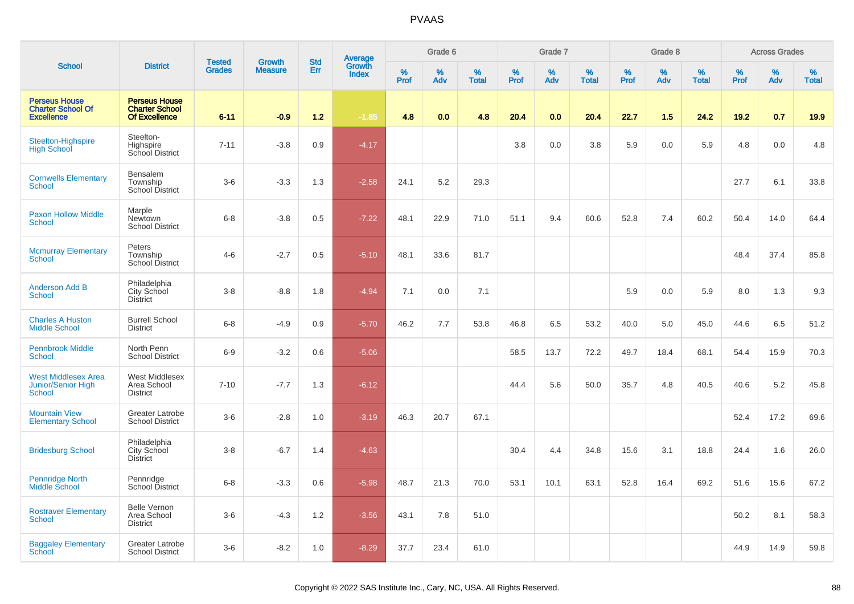|                                                                          |                                                                       | <b>Tested</b> | <b>Growth</b>  | <b>Std</b> |                                          |                  | Grade 6     |                   |                  | Grade 7     |                   |              | Grade 8  |                   |           | <b>Across Grades</b> |                   |
|--------------------------------------------------------------------------|-----------------------------------------------------------------------|---------------|----------------|------------|------------------------------------------|------------------|-------------|-------------------|------------------|-------------|-------------------|--------------|----------|-------------------|-----------|----------------------|-------------------|
| <b>School</b>                                                            | <b>District</b>                                                       | <b>Grades</b> | <b>Measure</b> | Err        | <b>Average</b><br>Growth<br><b>Index</b> | %<br><b>Prof</b> | $\%$<br>Adv | %<br><b>Total</b> | %<br><b>Prof</b> | $\%$<br>Adv | %<br><b>Total</b> | $\%$<br>Prof | %<br>Adv | %<br><b>Total</b> | %<br>Prof | %<br>Adv             | %<br><b>Total</b> |
| <b>Perseus House</b><br><b>Charter School Of</b><br><b>Excellence</b>    | <b>Perseus House</b><br><b>Charter School</b><br><b>Of Excellence</b> | $6 - 11$      | $-0.9$         | 1.2        | $-1.85$                                  | 4.8              | 0.0         | 4.8               | 20.4             | 0.0         | 20.4              | 22.7         | 1.5      | 24.2              | 19.2      | 0.7                  | 19.9              |
| Steelton-Highspire<br><b>High School</b>                                 | Steelton-<br>Highspire<br>School District                             | $7 - 11$      | $-3.8$         | 0.9        | $-4.17$                                  |                  |             |                   | 3.8              | 0.0         | 3.8               | 5.9          | 0.0      | 5.9               | 4.8       | 0.0                  | 4.8               |
| <b>Cornwells Elementary</b><br><b>School</b>                             | Bensalem<br>Township<br><b>School District</b>                        | $3-6$         | $-3.3$         | 1.3        | $-2.58$                                  | 24.1             | 5.2         | 29.3              |                  |             |                   |              |          |                   | 27.7      | 6.1                  | 33.8              |
| <b>Paxon Hollow Middle</b><br><b>School</b>                              | Marple<br>Newtown<br><b>School District</b>                           | $6 - 8$       | $-3.8$         | 0.5        | $-7.22$                                  | 48.1             | 22.9        | 71.0              | 51.1             | 9.4         | 60.6              | 52.8         | 7.4      | 60.2              | 50.4      | 14.0                 | 64.4              |
| <b>Mcmurray Elementary</b><br><b>School</b>                              | Peters<br>Township<br>School District                                 | $4 - 6$       | $-2.7$         | 0.5        | $-5.10$                                  | 48.1             | 33.6        | 81.7              |                  |             |                   |              |          |                   | 48.4      | 37.4                 | 85.8              |
| <b>Anderson Add B</b><br><b>School</b>                                   | Philadelphia<br>City School<br><b>District</b>                        | $3 - 8$       | $-8.8$         | 1.8        | $-4.94$                                  | 7.1              | 0.0         | 7.1               |                  |             |                   | 5.9          | 0.0      | 5.9               | 8.0       | 1.3                  | 9.3               |
| <b>Charles A Huston</b><br><b>Middle School</b>                          | <b>Burrell School</b><br><b>District</b>                              | $6 - 8$       | $-4.9$         | 0.9        | $-5.70$                                  | 46.2             | 7.7         | 53.8              | 46.8             | 6.5         | 53.2              | 40.0         | 5.0      | 45.0              | 44.6      | 6.5                  | 51.2              |
| <b>Pennbrook Middle</b><br><b>School</b>                                 | North Penn<br><b>School District</b>                                  | $6-9$         | $-3.2$         | 0.6        | $-5.06$                                  |                  |             |                   | 58.5             | 13.7        | 72.2              | 49.7         | 18.4     | 68.1              | 54.4      | 15.9                 | 70.3              |
| <b>West Middlesex Area</b><br><b>Junior/Senior High</b><br><b>School</b> | West Middlesex<br>Area School<br><b>District</b>                      | $7 - 10$      | $-7.7$         | 1.3        | $-6.12$                                  |                  |             |                   | 44.4             | 5.6         | 50.0              | 35.7         | 4.8      | 40.5              | 40.6      | 5.2                  | 45.8              |
| <b>Mountain View</b><br><b>Elementary School</b>                         | <b>Greater Latrobe</b><br><b>School District</b>                      | $3-6$         | $-2.8$         | 1.0        | $-3.19$                                  | 46.3             | 20.7        | 67.1              |                  |             |                   |              |          |                   | 52.4      | 17.2                 | 69.6              |
| <b>Bridesburg School</b>                                                 | Philadelphia<br>City School<br><b>District</b>                        | $3 - 8$       | $-6.7$         | 1.4        | $-4.63$                                  |                  |             |                   | 30.4             | 4.4         | 34.8              | 15.6         | 3.1      | 18.8              | 24.4      | 1.6                  | 26.0              |
| Pennridge North<br>Middle School                                         | Pennridge<br>School District                                          | $6 - 8$       | $-3.3$         | 0.6        | $-5.98$                                  | 48.7             | 21.3        | 70.0              | 53.1             | 10.1        | 63.1              | 52.8         | 16.4     | 69.2              | 51.6      | 15.6                 | 67.2              |
| <b>Rostraver Elementary</b><br><b>School</b>                             | <b>Belle Vernon</b><br>Area School<br><b>District</b>                 | $3-6$         | $-4.3$         | 1.2        | $-3.56$                                  | 43.1             | 7.8         | 51.0              |                  |             |                   |              |          |                   | 50.2      | 8.1                  | 58.3              |
| <b>Baggaley Elementary</b><br><b>School</b>                              | Greater Latrobe<br><b>School District</b>                             | $3-6$         | $-8.2$         | 1.0        | $-8.29$                                  | 37.7             | 23.4        | 61.0              |                  |             |                   |              |          |                   | 44.9      | 14.9                 | 59.8              |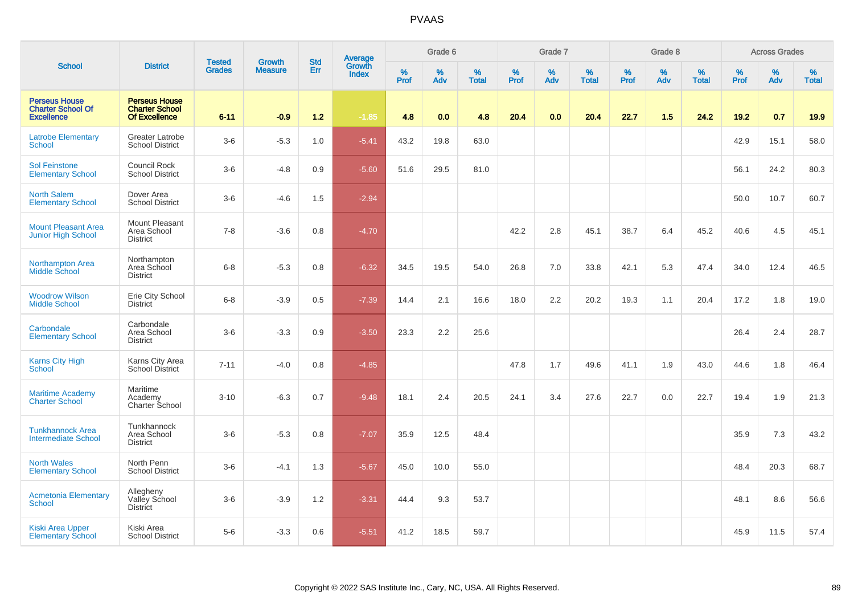|                                                                       |                                                                       |                                |                          | <b>Std</b> |                                          |                  | Grade 6  |                   |           | Grade 7  |                   |           | Grade 8  |                   |           | <b>Across Grades</b> |                   |
|-----------------------------------------------------------------------|-----------------------------------------------------------------------|--------------------------------|--------------------------|------------|------------------------------------------|------------------|----------|-------------------|-----------|----------|-------------------|-----------|----------|-------------------|-----------|----------------------|-------------------|
| <b>School</b>                                                         | <b>District</b>                                                       | <b>Tested</b><br><b>Grades</b> | Growth<br><b>Measure</b> | Err        | <b>Average</b><br>Growth<br><b>Index</b> | %<br><b>Prof</b> | %<br>Adv | %<br><b>Total</b> | %<br>Prof | %<br>Adv | %<br><b>Total</b> | %<br>Prof | %<br>Adv | %<br><b>Total</b> | %<br>Prof | $\%$<br>Adv          | %<br><b>Total</b> |
| <b>Perseus House</b><br><b>Charter School Of</b><br><b>Excellence</b> | <b>Perseus House</b><br><b>Charter School</b><br><b>Of Excellence</b> | $6 - 11$                       | $-0.9$                   | $1.2$      | $-1.85$                                  | 4.8              | 0.0      | 4.8               | 20.4      | 0.0      | 20.4              | 22.7      | 1.5      | 24.2              | 19.2      | 0.7                  | 19.9              |
| <b>Latrobe Elementary</b><br>School                                   | <b>Greater Latrobe</b><br><b>School District</b>                      | $3-6$                          | $-5.3$                   | 1.0        | $-5.41$                                  | 43.2             | 19.8     | 63.0              |           |          |                   |           |          |                   | 42.9      | 15.1                 | 58.0              |
| <b>Sol Feinstone</b><br><b>Elementary School</b>                      | Council Rock<br><b>School District</b>                                | $3-6$                          | $-4.8$                   | 0.9        | $-5.60$                                  | 51.6             | 29.5     | 81.0              |           |          |                   |           |          |                   | 56.1      | 24.2                 | 80.3              |
| <b>North Salem</b><br><b>Elementary School</b>                        | Dover Area<br><b>School District</b>                                  | $3-6$                          | $-4.6$                   | 1.5        | $-2.94$                                  |                  |          |                   |           |          |                   |           |          |                   | 50.0      | 10.7                 | 60.7              |
| <b>Mount Pleasant Area</b><br><b>Junior High School</b>               | <b>Mount Pleasant</b><br>Area School<br><b>District</b>               | $7 - 8$                        | $-3.6$                   | 0.8        | $-4.70$                                  |                  |          |                   | 42.2      | 2.8      | 45.1              | 38.7      | 6.4      | 45.2              | 40.6      | 4.5                  | 45.1              |
| Northampton Area<br><b>Middle School</b>                              | Northampton<br>Area School<br><b>District</b>                         | $6 - 8$                        | $-5.3$                   | 0.8        | $-6.32$                                  | 34.5             | 19.5     | 54.0              | 26.8      | 7.0      | 33.8              | 42.1      | 5.3      | 47.4              | 34.0      | 12.4                 | 46.5              |
| <b>Woodrow Wilson</b><br><b>Middle School</b>                         | Erie City School<br><b>District</b>                                   | $6 - 8$                        | $-3.9$                   | 0.5        | $-7.39$                                  | 14.4             | 2.1      | 16.6              | 18.0      | 2.2      | 20.2              | 19.3      | 1.1      | 20.4              | 17.2      | 1.8                  | 19.0              |
| Carbondale<br><b>Elementary School</b>                                | Carbondale<br>Area School<br><b>District</b>                          | $3-6$                          | $-3.3$                   | 0.9        | $-3.50$                                  | 23.3             | 2.2      | 25.6              |           |          |                   |           |          |                   | 26.4      | 2.4                  | 28.7              |
| Karns City High<br>School                                             | Karns City Area<br>School District                                    | $7 - 11$                       | $-4.0$                   | 0.8        | $-4.85$                                  |                  |          |                   | 47.8      | 1.7      | 49.6              | 41.1      | 1.9      | 43.0              | 44.6      | 1.8                  | 46.4              |
| <b>Maritime Academy</b><br><b>Charter School</b>                      | Maritime<br>Academy<br>Charter School                                 | $3 - 10$                       | $-6.3$                   | 0.7        | $-9.48$                                  | 18.1             | 2.4      | 20.5              | 24.1      | 3.4      | 27.6              | 22.7      | 0.0      | 22.7              | 19.4      | 1.9                  | 21.3              |
| <b>Tunkhannock Area</b><br><b>Intermediate School</b>                 | Tunkhannock<br>Area School<br><b>District</b>                         | $3-6$                          | $-5.3$                   | 0.8        | $-7.07$                                  | 35.9             | 12.5     | 48.4              |           |          |                   |           |          |                   | 35.9      | 7.3                  | 43.2              |
| <b>North Wales</b><br><b>Elementary School</b>                        | North Penn<br><b>School District</b>                                  | $3-6$                          | $-4.1$                   | 1.3        | $-5.67$                                  | 45.0             | 10.0     | 55.0              |           |          |                   |           |          |                   | 48.4      | 20.3                 | 68.7              |
| <b>Acmetonia Elementary</b><br>School                                 | Allegheny<br>Valley School<br><b>District</b>                         | $3-6$                          | $-3.9$                   | 1.2        | $-3.31$                                  | 44.4             | 9.3      | 53.7              |           |          |                   |           |          |                   | 48.1      | 8.6                  | 56.6              |
| <b>Kiski Area Upper</b><br><b>Elementary School</b>                   | Kiski Area<br><b>School District</b>                                  | $5-6$                          | $-3.3$                   | 0.6        | $-5.51$                                  | 41.2             | 18.5     | 59.7              |           |          |                   |           |          |                   | 45.9      | 11.5                 | 57.4              |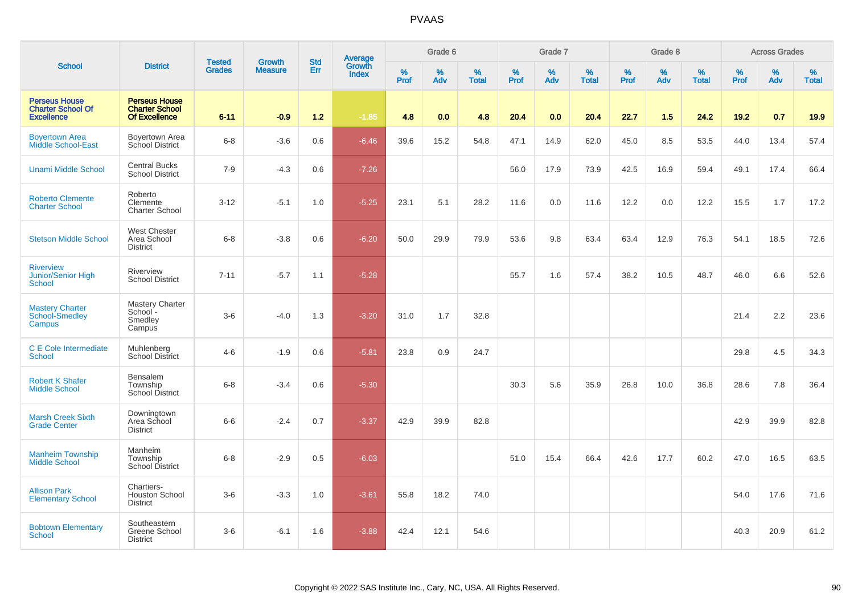|                                                                       |                                                                       |                                |                                 | <b>Std</b> |                                          |                  | Grade 6     |                   |                     | Grade 7  |                   |           | Grade 8  |                   |              | <b>Across Grades</b> |                   |
|-----------------------------------------------------------------------|-----------------------------------------------------------------------|--------------------------------|---------------------------------|------------|------------------------------------------|------------------|-------------|-------------------|---------------------|----------|-------------------|-----------|----------|-------------------|--------------|----------------------|-------------------|
| <b>School</b>                                                         | <b>District</b>                                                       | <b>Tested</b><br><b>Grades</b> | <b>Growth</b><br><b>Measure</b> | Err        | <b>Average</b><br>Growth<br><b>Index</b> | %<br><b>Prof</b> | $\%$<br>Adv | %<br><b>Total</b> | $\%$<br><b>Prof</b> | %<br>Adv | %<br><b>Total</b> | %<br>Prof | %<br>Adv | %<br><b>Total</b> | $\%$<br>Prof | $\%$<br>Adv          | %<br><b>Total</b> |
| <b>Perseus House</b><br><b>Charter School Of</b><br><b>Excellence</b> | <b>Perseus House</b><br><b>Charter School</b><br><b>Of Excellence</b> | $6 - 11$                       | $-0.9$                          | $1.2$      | $-1.85$                                  | 4.8              | 0.0         | 4.8               | 20.4                | 0.0      | 20.4              | 22.7      | 1.5      | 24.2              | 19.2         | 0.7                  | 19.9              |
| <b>Boyertown Area</b><br>Middle School-East                           | Boyertown Area<br>School District                                     | $6 - 8$                        | $-3.6$                          | 0.6        | $-6.46$                                  | 39.6             | 15.2        | 54.8              | 47.1                | 14.9     | 62.0              | 45.0      | 8.5      | 53.5              | 44.0         | 13.4                 | 57.4              |
| <b>Unami Middle School</b>                                            | <b>Central Bucks</b><br><b>School District</b>                        | $7 - 9$                        | $-4.3$                          | 0.6        | $-7.26$                                  |                  |             |                   | 56.0                | 17.9     | 73.9              | 42.5      | 16.9     | 59.4              | 49.1         | 17.4                 | 66.4              |
| <b>Roberto Clemente</b><br><b>Charter School</b>                      | Roberto<br>Clemente<br><b>Charter School</b>                          | $3 - 12$                       | $-5.1$                          | 1.0        | $-5.25$                                  | 23.1             | 5.1         | 28.2              | 11.6                | 0.0      | 11.6              | 12.2      | 0.0      | 12.2              | 15.5         | 1.7                  | 17.2              |
| <b>Stetson Middle School</b>                                          | <b>West Chester</b><br>Area School<br><b>District</b>                 | $6 - 8$                        | $-3.8$                          | 0.6        | $-6.20$                                  | 50.0             | 29.9        | 79.9              | 53.6                | 9.8      | 63.4              | 63.4      | 12.9     | 76.3              | 54.1         | 18.5                 | 72.6              |
| <b>Riverview</b><br>Junior/Senior High<br><b>School</b>               | Riverview<br><b>School District</b>                                   | $7 - 11$                       | $-5.7$                          | 1.1        | $-5.28$                                  |                  |             |                   | 55.7                | 1.6      | 57.4              | 38.2      | 10.5     | 48.7              | 46.0         | 6.6                  | 52.6              |
| <b>Mastery Charter</b><br>School-Smedley<br>Campus                    | Mastery Charter<br>School-<br>Smedley<br>Campus                       | $3-6$                          | $-4.0$                          | 1.3        | $-3.20$                                  | 31.0             | 1.7         | 32.8              |                     |          |                   |           |          |                   | 21.4         | 2.2                  | 23.6              |
| C E Cole Intermediate<br><b>School</b>                                | Muhlenberg<br><b>School District</b>                                  | $4 - 6$                        | $-1.9$                          | 0.6        | $-5.81$                                  | 23.8             | 0.9         | 24.7              |                     |          |                   |           |          |                   | 29.8         | 4.5                  | 34.3              |
| <b>Robert K Shafer</b><br><b>Middle School</b>                        | Bensalem<br>Township<br>School District                               | $6 - 8$                        | $-3.4$                          | 0.6        | $-5.30$                                  |                  |             |                   | 30.3                | 5.6      | 35.9              | 26.8      | 10.0     | 36.8              | 28.6         | 7.8                  | 36.4              |
| <b>Marsh Creek Sixth</b><br><b>Grade Center</b>                       | Downingtown<br>Area School<br><b>District</b>                         | $6-6$                          | $-2.4$                          | 0.7        | $-3.37$                                  | 42.9             | 39.9        | 82.8              |                     |          |                   |           |          |                   | 42.9         | 39.9                 | 82.8              |
| <b>Manheim Township</b><br><b>Middle School</b>                       | Manheim<br>Township<br>School District                                | $6-8$                          | $-2.9$                          | 0.5        | $-6.03$                                  |                  |             |                   | 51.0                | 15.4     | 66.4              | 42.6      | 17.7     | 60.2              | 47.0         | 16.5                 | 63.5              |
| <b>Allison Park</b><br><b>Elementary School</b>                       | Chartiers-<br><b>Houston School</b><br><b>District</b>                | $3-6$                          | $-3.3$                          | 1.0        | $-3.61$                                  | 55.8             | 18.2        | 74.0              |                     |          |                   |           |          |                   | 54.0         | 17.6                 | 71.6              |
| <b>Bobtown Elementary</b><br><b>School</b>                            | Southeastern<br>Greene School<br><b>District</b>                      | $3-6$                          | $-6.1$                          | 1.6        | $-3.88$                                  | 42.4             | 12.1        | 54.6              |                     |          |                   |           |          |                   | 40.3         | 20.9                 | 61.2              |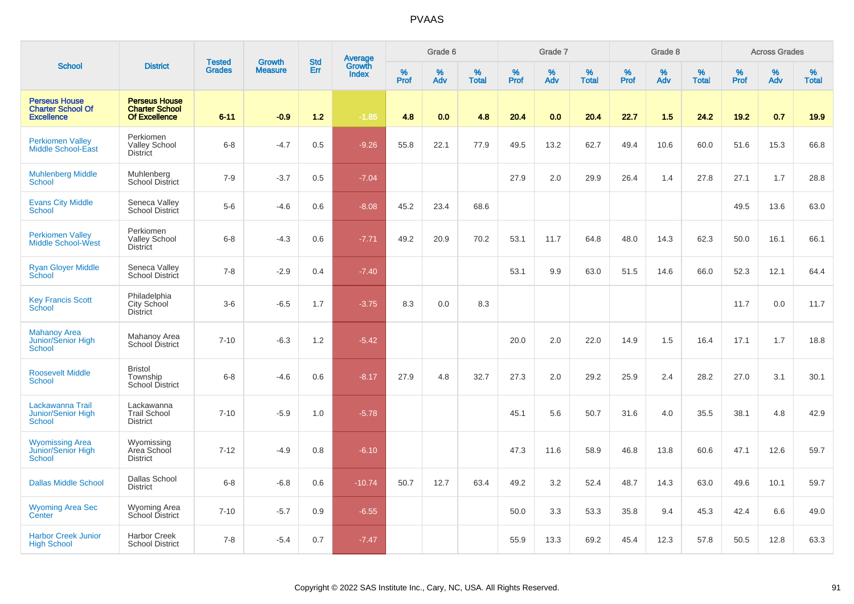|                                                                       |                                                                       | <b>Tested</b> | <b>Growth</b>  | <b>Std</b> |                                          |                  | Grade 6     |                   |           | Grade 7  |                   |           | Grade 8  |                   |              | <b>Across Grades</b> |                   |
|-----------------------------------------------------------------------|-----------------------------------------------------------------------|---------------|----------------|------------|------------------------------------------|------------------|-------------|-------------------|-----------|----------|-------------------|-----------|----------|-------------------|--------------|----------------------|-------------------|
| <b>School</b>                                                         | <b>District</b>                                                       | <b>Grades</b> | <b>Measure</b> | <b>Err</b> | <b>Average</b><br>Growth<br><b>Index</b> | %<br><b>Prof</b> | $\%$<br>Adv | %<br><b>Total</b> | %<br>Prof | %<br>Adv | %<br><b>Total</b> | %<br>Prof | %<br>Adv | %<br><b>Total</b> | $\%$<br>Prof | %<br>Adv             | %<br><b>Total</b> |
| <b>Perseus House</b><br><b>Charter School Of</b><br><b>Excellence</b> | <b>Perseus House</b><br><b>Charter School</b><br><b>Of Excellence</b> | $6 - 11$      | $-0.9$         | 1.2        | $-1.85$                                  | 4.8              | 0.0         | 4.8               | 20.4      | 0.0      | 20.4              | 22.7      | 1.5      | 24.2              | 19.2         | 0.7                  | 19.9              |
| <b>Perkiomen Valley</b><br><b>Middle School-East</b>                  | Perkiomen<br><b>Valley School</b><br><b>District</b>                  | $6 - 8$       | $-4.7$         | 0.5        | $-9.26$                                  | 55.8             | 22.1        | 77.9              | 49.5      | 13.2     | 62.7              | 49.4      | 10.6     | 60.0              | 51.6         | 15.3                 | 66.8              |
| <b>Muhlenberg Middle</b><br>School                                    | Muhlenberg<br><b>School District</b>                                  | $7-9$         | $-3.7$         | 0.5        | $-7.04$                                  |                  |             |                   | 27.9      | 2.0      | 29.9              | 26.4      | 1.4      | 27.8              | 27.1         | 1.7                  | 28.8              |
| <b>Evans City Middle</b><br>School                                    | Seneca Valley<br>School District                                      | $5-6$         | $-4.6$         | 0.6        | $-8.08$                                  | 45.2             | 23.4        | 68.6              |           |          |                   |           |          |                   | 49.5         | 13.6                 | 63.0              |
| <b>Perkiomen Valley</b><br><b>Middle School-West</b>                  | Perkiomen<br><b>Valley School</b><br><b>District</b>                  | $6 - 8$       | $-4.3$         | 0.6        | $-7.71$                                  | 49.2             | 20.9        | 70.2              | 53.1      | 11.7     | 64.8              | 48.0      | 14.3     | 62.3              | 50.0         | 16.1                 | 66.1              |
| <b>Ryan Gloyer Middle</b><br>School                                   | Seneca Valley<br>School District                                      | $7 - 8$       | $-2.9$         | 0.4        | $-7.40$                                  |                  |             |                   | 53.1      | 9.9      | 63.0              | 51.5      | 14.6     | 66.0              | 52.3         | 12.1                 | 64.4              |
| <b>Key Francis Scott</b><br>School                                    | Philadelphia<br>City School<br><b>District</b>                        | $3-6$         | $-6.5$         | 1.7        | $-3.75$                                  | 8.3              | 0.0         | 8.3               |           |          |                   |           |          |                   | 11.7         | 0.0                  | 11.7              |
| <b>Mahanoy Area</b><br>Junior/Senior High<br>School                   | Mahanoy Area<br>School District                                       | $7 - 10$      | $-6.3$         | 1.2        | $-5.42$                                  |                  |             |                   | 20.0      | 2.0      | 22.0              | 14.9      | 1.5      | 16.4              | 17.1         | 1.7                  | 18.8              |
| <b>Roosevelt Middle</b><br><b>School</b>                              | <b>Bristol</b><br>Township<br><b>School District</b>                  | $6 - 8$       | $-4.6$         | 0.6        | $-8.17$                                  | 27.9             | 4.8         | 32.7              | 27.3      | 2.0      | 29.2              | 25.9      | 2.4      | 28.2              | 27.0         | 3.1                  | 30.1              |
| Lackawanna Trail<br>Junior/Senior High<br>School                      | Lackawanna<br><b>Trail School</b><br><b>District</b>                  | $7 - 10$      | $-5.9$         | 1.0        | $-5.78$                                  |                  |             |                   | 45.1      | 5.6      | 50.7              | 31.6      | 4.0      | 35.5              | 38.1         | 4.8                  | 42.9              |
| <b>Wyomissing Area</b><br>Junior/Senior High<br>School                | Wyomissing<br>Area School<br><b>District</b>                          | $7 - 12$      | $-4.9$         | 0.8        | $-6.10$                                  |                  |             |                   | 47.3      | 11.6     | 58.9              | 46.8      | 13.8     | 60.6              | 47.1         | 12.6                 | 59.7              |
| <b>Dallas Middle School</b>                                           | <b>Dallas School</b><br><b>District</b>                               | $6 - 8$       | $-6.8$         | 0.6        | $-10.74$                                 | 50.7             | 12.7        | 63.4              | 49.2      | 3.2      | 52.4              | 48.7      | 14.3     | 63.0              | 49.6         | 10.1                 | 59.7              |
| <b>Wyoming Area Sec</b><br>Center                                     | Wyoming Area<br>School District                                       | $7 - 10$      | $-5.7$         | 0.9        | $-6.55$                                  |                  |             |                   | 50.0      | 3.3      | 53.3              | 35.8      | 9.4      | 45.3              | 42.4         | 6.6                  | 49.0              |
| <b>Harbor Creek Junior</b><br><b>High School</b>                      | <b>Harbor Creek</b><br><b>School District</b>                         | $7 - 8$       | $-5.4$         | 0.7        | $-7.47$                                  |                  |             |                   | 55.9      | 13.3     | 69.2              | 45.4      | 12.3     | 57.8              | 50.5         | 12.8                 | 63.3              |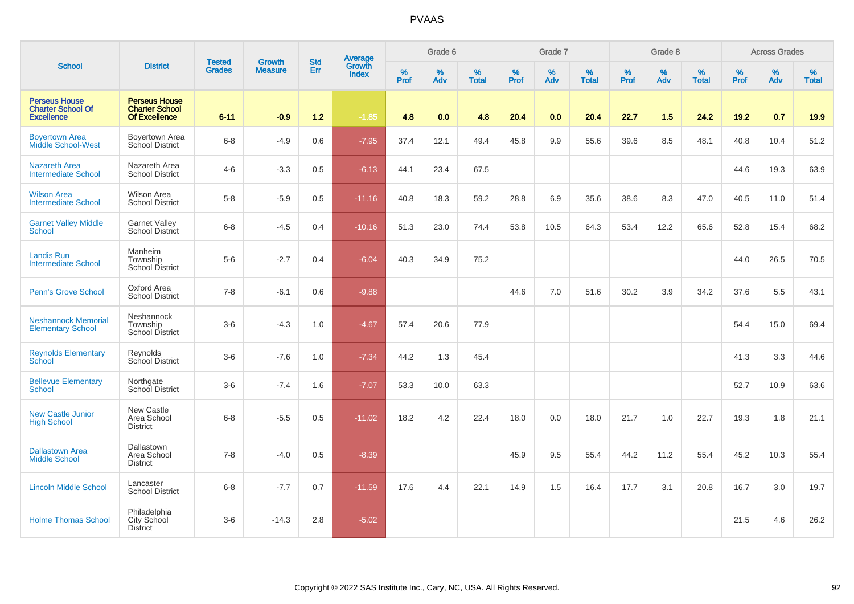|                                                                       |                                                                |                                |                                 | <b>Std</b> |                                          |           | Grade 6  |                   |           | Grade 7         |                   |           | Grade 8  |                   |           | <b>Across Grades</b> |                   |
|-----------------------------------------------------------------------|----------------------------------------------------------------|--------------------------------|---------------------------------|------------|------------------------------------------|-----------|----------|-------------------|-----------|-----------------|-------------------|-----------|----------|-------------------|-----------|----------------------|-------------------|
| <b>School</b>                                                         | <b>District</b>                                                | <b>Tested</b><br><b>Grades</b> | <b>Growth</b><br><b>Measure</b> | Err        | <b>Average</b><br>Growth<br><b>Index</b> | %<br>Prof | %<br>Adv | %<br><b>Total</b> | %<br>Prof | %<br><b>Adv</b> | %<br><b>Total</b> | %<br>Prof | %<br>Adv | %<br><b>Total</b> | %<br>Prof | %<br>Adv             | %<br><b>Total</b> |
| <b>Perseus House</b><br><b>Charter School Of</b><br><b>Excellence</b> | <b>Perseus House</b><br><b>Charter School</b><br>Of Excellence | $6 - 11$                       | $-0.9$                          | $1.2$      | $-1.85$                                  | 4.8       | 0.0      | 4.8               | 20.4      | 0.0             | 20.4              | 22.7      | 1.5      | 24.2              | 19.2      | 0.7                  | 19.9              |
| <b>Boyertown Area</b><br><b>Middle School-West</b>                    | <b>Boyertown Area</b><br>School District                       | $6 - 8$                        | $-4.9$                          | 0.6        | $-7.95$                                  | 37.4      | 12.1     | 49.4              | 45.8      | 9.9             | 55.6              | 39.6      | 8.5      | 48.1              | 40.8      | 10.4                 | 51.2              |
| Nazareth Area<br><b>Intermediate School</b>                           | Nazareth Area<br><b>School District</b>                        | $4 - 6$                        | $-3.3$                          | 0.5        | $-6.13$                                  | 44.1      | 23.4     | 67.5              |           |                 |                   |           |          |                   | 44.6      | 19.3                 | 63.9              |
| <b>Wilson Area</b><br><b>Intermediate School</b>                      | <b>Wilson Area</b><br><b>School District</b>                   | $5-8$                          | $-5.9$                          | 0.5        | $-11.16$                                 | 40.8      | 18.3     | 59.2              | 28.8      | 6.9             | 35.6              | 38.6      | 8.3      | 47.0              | 40.5      | 11.0                 | 51.4              |
| <b>Garnet Valley Middle</b><br><b>School</b>                          | <b>Garnet Valley</b><br>School District                        | $6 - 8$                        | $-4.5$                          | 0.4        | $-10.16$                                 | 51.3      | 23.0     | 74.4              | 53.8      | 10.5            | 64.3              | 53.4      | 12.2     | 65.6              | 52.8      | 15.4                 | 68.2              |
| Landis Run<br><b>Intermediate School</b>                              | Manheim<br>Township<br>School District                         | $5-6$                          | $-2.7$                          | 0.4        | $-6.04$                                  | 40.3      | 34.9     | 75.2              |           |                 |                   |           |          |                   | 44.0      | 26.5                 | 70.5              |
| <b>Penn's Grove School</b>                                            | Oxford Area<br><b>School District</b>                          | $7 - 8$                        | $-6.1$                          | 0.6        | $-9.88$                                  |           |          |                   | 44.6      | 7.0             | 51.6              | 30.2      | 3.9      | 34.2              | 37.6      | 5.5                  | 43.1              |
| <b>Neshannock Memorial</b><br><b>Elementary School</b>                | Neshannock<br>Township<br><b>School District</b>               | $3-6$                          | $-4.3$                          | 1.0        | $-4.67$                                  | 57.4      | 20.6     | 77.9              |           |                 |                   |           |          |                   | 54.4      | 15.0                 | 69.4              |
| <b>Reynolds Elementary</b><br>School                                  | Reynolds<br>School District                                    | $3-6$                          | $-7.6$                          | 1.0        | $-7.34$                                  | 44.2      | 1.3      | 45.4              |           |                 |                   |           |          |                   | 41.3      | 3.3                  | 44.6              |
| <b>Bellevue Elementary</b><br><b>School</b>                           | Northgate<br>School District                                   | $3-6$                          | $-7.4$                          | 1.6        | $-7.07$                                  | 53.3      | 10.0     | 63.3              |           |                 |                   |           |          |                   | 52.7      | 10.9                 | 63.6              |
| <b>New Castle Junior</b><br><b>High School</b>                        | New Castle<br>Area School<br><b>District</b>                   | $6 - 8$                        | $-5.5$                          | 0.5        | $-11.02$                                 | 18.2      | 4.2      | 22.4              | 18.0      | 0.0             | 18.0              | 21.7      | 1.0      | 22.7              | 19.3      | 1.8                  | 21.1              |
| <b>Dallastown Area</b><br><b>Middle School</b>                        | Dallastown<br>Area School<br><b>District</b>                   | $7 - 8$                        | $-4.0$                          | 0.5        | $-8.39$                                  |           |          |                   | 45.9      | 9.5             | 55.4              | 44.2      | 11.2     | 55.4              | 45.2      | 10.3                 | 55.4              |
| <b>Lincoln Middle School</b>                                          | Lancaster<br><b>School District</b>                            | $6 - 8$                        | $-7.7$                          | 0.7        | $-11.59$                                 | 17.6      | 4.4      | 22.1              | 14.9      | 1.5             | 16.4              | 17.7      | 3.1      | 20.8              | 16.7      | 3.0                  | 19.7              |
| <b>Holme Thomas School</b>                                            | Philadelphia<br><b>City School</b><br><b>District</b>          | $3 - 6$                        | $-14.3$                         | 2.8        | $-5.02$                                  |           |          |                   |           |                 |                   |           |          |                   | 21.5      | 4.6                  | 26.2              |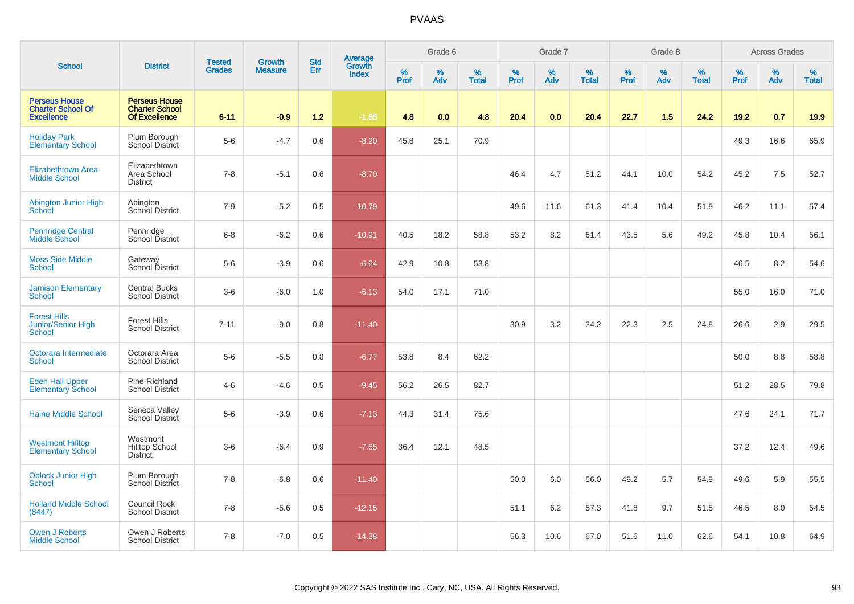|                                                                       |                                                                       | <b>Tested</b> | <b>Growth</b>  | <b>Std</b> | <b>Average</b><br>Growth |                  | Grade 6     |                   |                  | Grade 7  |                   |                  | Grade 8  |                   |                     | <b>Across Grades</b> |                   |
|-----------------------------------------------------------------------|-----------------------------------------------------------------------|---------------|----------------|------------|--------------------------|------------------|-------------|-------------------|------------------|----------|-------------------|------------------|----------|-------------------|---------------------|----------------------|-------------------|
| <b>School</b>                                                         | <b>District</b>                                                       | <b>Grades</b> | <b>Measure</b> | Err        | <b>Index</b>             | %<br><b>Prof</b> | $\%$<br>Adv | %<br><b>Total</b> | %<br><b>Prof</b> | %<br>Adv | %<br><b>Total</b> | %<br><b>Prof</b> | %<br>Adv | %<br><b>Total</b> | $\%$<br><b>Prof</b> | $\%$<br>Adv          | %<br><b>Total</b> |
| <b>Perseus House</b><br><b>Charter School Of</b><br><b>Excellence</b> | <b>Perseus House</b><br><b>Charter School</b><br><b>Of Excellence</b> | $6 - 11$      | $-0.9$         | 1.2        | $-1.85$                  | 4.8              | 0.0         | 4.8               | 20.4             | 0.0      | 20.4              | 22.7             | 1.5      | 24.2              | 19.2                | 0.7                  | 19.9              |
| <b>Holiday Park</b><br><b>Elementary School</b>                       | Plum Borough<br>School District                                       | $5-6$         | $-4.7$         | 0.6        | $-8.20$                  | 45.8             | 25.1        | 70.9              |                  |          |                   |                  |          |                   | 49.3                | 16.6                 | 65.9              |
| <b>Elizabethtown Area</b><br><b>Middle School</b>                     | Elizabethtown<br>Area School<br><b>District</b>                       | $7 - 8$       | $-5.1$         | 0.6        | $-8.70$                  |                  |             |                   | 46.4             | 4.7      | 51.2              | 44.1             | 10.0     | 54.2              | 45.2                | 7.5                  | 52.7              |
| Abington Junior High<br>School                                        | Abington<br>School District                                           | $7 - 9$       | $-5.2$         | 0.5        | $-10.79$                 |                  |             |                   | 49.6             | 11.6     | 61.3              | 41.4             | 10.4     | 51.8              | 46.2                | 11.1                 | 57.4              |
| <b>Pennridge Central</b><br>Middle School                             | Pennridge<br>School District                                          | $6 - 8$       | $-6.2$         | 0.6        | $-10.91$                 | 40.5             | 18.2        | 58.8              | 53.2             | 8.2      | 61.4              | 43.5             | 5.6      | 49.2              | 45.8                | 10.4                 | 56.1              |
| <b>Moss Side Middle</b><br>School                                     | Gateway<br>School District                                            | $5-6$         | $-3.9$         | 0.6        | $-6.64$                  | 42.9             | 10.8        | 53.8              |                  |          |                   |                  |          |                   | 46.5                | 8.2                  | 54.6              |
| <b>Jamison Elementary</b><br>School                                   | <b>Central Bucks</b><br><b>School District</b>                        | $3-6$         | $-6.0$         | 1.0        | $-6.13$                  | 54.0             | 17.1        | 71.0              |                  |          |                   |                  |          |                   | 55.0                | 16.0                 | 71.0              |
| <b>Forest Hills</b><br>Junior/Senior High<br><b>School</b>            | <b>Forest Hills</b><br><b>School District</b>                         | $7 - 11$      | $-9.0$         | 0.8        | $-11.40$                 |                  |             |                   | 30.9             | 3.2      | 34.2              | 22.3             | 2.5      | 24.8              | 26.6                | 2.9                  | 29.5              |
| Octorara Intermediate<br><b>School</b>                                | Octorara Area<br><b>School District</b>                               | $5-6$         | $-5.5$         | 0.8        | $-6.77$                  | 53.8             | 8.4         | 62.2              |                  |          |                   |                  |          |                   | 50.0                | 8.8                  | 58.8              |
| <b>Eden Hall Upper</b><br><b>Elementary School</b>                    | Pine-Richland<br><b>School District</b>                               | $4 - 6$       | $-4.6$         | 0.5        | $-9.45$                  | 56.2             | 26.5        | 82.7              |                  |          |                   |                  |          |                   | 51.2                | 28.5                 | 79.8              |
| <b>Haine Middle School</b>                                            | Seneca Valley<br>School District                                      | $5-6$         | $-3.9$         | 0.6        | $-7.13$                  | 44.3             | 31.4        | 75.6              |                  |          |                   |                  |          |                   | 47.6                | 24.1                 | 71.7              |
| <b>Westmont Hilltop</b><br><b>Elementary School</b>                   | Westmont<br><b>Hilltop School</b><br><b>District</b>                  | $3-6$         | $-6.4$         | 0.9        | $-7.65$                  | 36.4             | 12.1        | 48.5              |                  |          |                   |                  |          |                   | 37.2                | 12.4                 | 49.6              |
| <b>Oblock Junior High</b><br><b>School</b>                            | Plum Borough<br>School District                                       | $7 - 8$       | $-6.8$         | 0.6        | $-11.40$                 |                  |             |                   | 50.0             | 6.0      | 56.0              | 49.2             | 5.7      | 54.9              | 49.6                | 5.9                  | 55.5              |
| <b>Holland Middle School</b><br>(8447)                                | Council Rock<br><b>School District</b>                                | $7 - 8$       | $-5.6$         | 0.5        | $-12.15$                 |                  |             |                   | 51.1             | 6.2      | 57.3              | 41.8             | 9.7      | 51.5              | 46.5                | 8.0                  | 54.5              |
| Owen J Roberts<br><b>Middle School</b>                                | Owen J Roberts<br><b>School District</b>                              | $7 - 8$       | $-7.0$         | 0.5        | $-14.38$                 |                  |             |                   | 56.3             | 10.6     | 67.0              | 51.6             | 11.0     | 62.6              | 54.1                | 10.8                 | 64.9              |